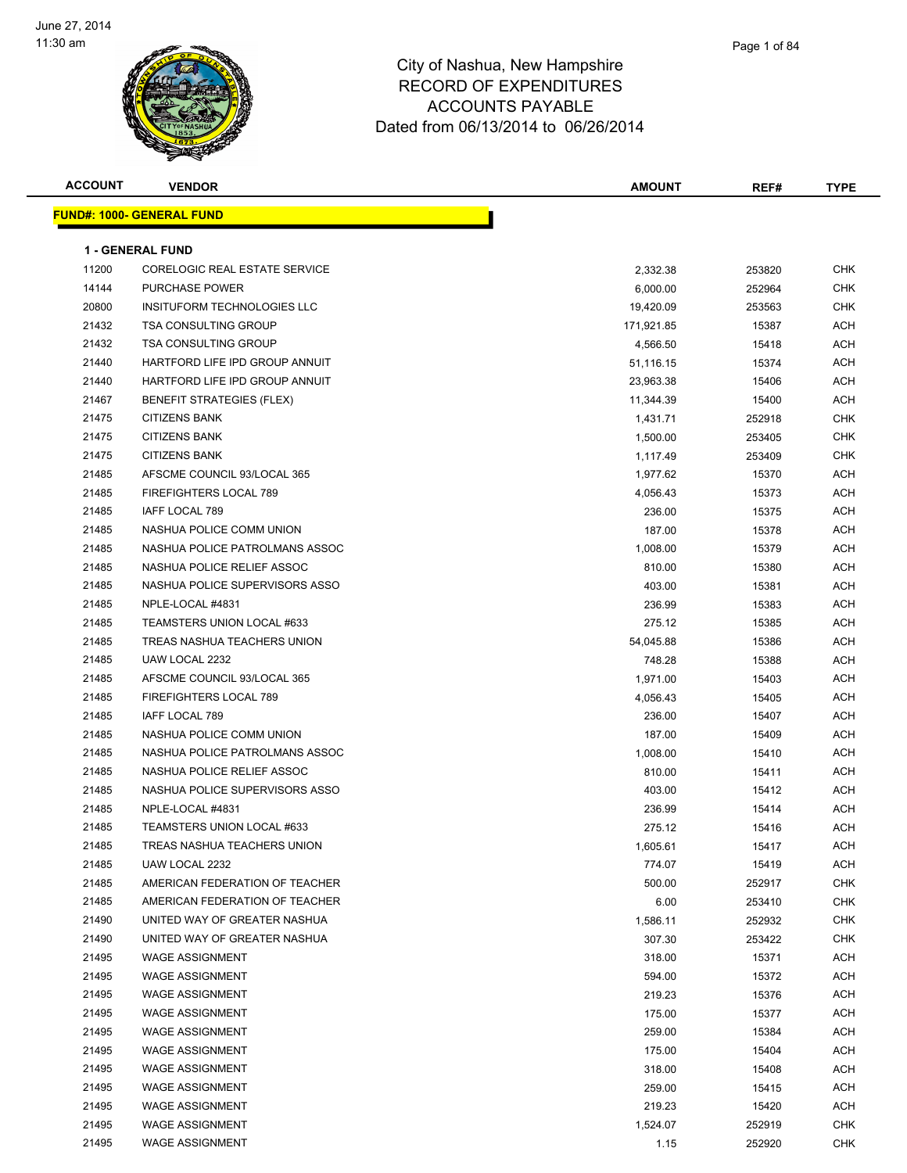

| <b>ACCOUNT</b> | <b>VENDOR</b>                     | <b>AMOUNT</b> | REF#   | TYPE       |
|----------------|-----------------------------------|---------------|--------|------------|
|                | <u> FUND#: 1000- GENERAL FUND</u> |               |        |            |
|                |                                   |               |        |            |
|                | <b>1 - GENERAL FUND</b>           |               |        |            |
| 11200          | CORELOGIC REAL ESTATE SERVICE     | 2,332.38      | 253820 | CHK        |
| 14144          | <b>PURCHASE POWER</b>             | 6,000.00      | 252964 | <b>CHK</b> |
| 20800          | INSITUFORM TECHNOLOGIES LLC       | 19,420.09     | 253563 | CHK        |
| 21432          | <b>TSA CONSULTING GROUP</b>       | 171,921.85    | 15387  | ACH        |
| 21432          | <b>TSA CONSULTING GROUP</b>       | 4,566.50      | 15418  | ACH        |
| 21440          | HARTFORD LIFE IPD GROUP ANNUIT    | 51,116.15     | 15374  | ACH        |
| 21440          | HARTFORD LIFE IPD GROUP ANNUIT    | 23,963.38     | 15406  | ACH        |
| 21467          | <b>BENEFIT STRATEGIES (FLEX)</b>  | 11,344.39     | 15400  | ACH        |
| 21475          | <b>CITIZENS BANK</b>              | 1,431.71      | 252918 | CHK        |
| 21475          | <b>CITIZENS BANK</b>              | 1,500.00      | 253405 | CHK        |
| 21475          | <b>CITIZENS BANK</b>              | 1,117.49      | 253409 | CHK        |
| 21485          | AFSCME COUNCIL 93/LOCAL 365       | 1,977.62      | 15370  | ACH        |
| 21485          | FIREFIGHTERS LOCAL 789            | 4,056.43      | 15373  | ACH        |
| 21485          | IAFF LOCAL 789                    | 236.00        | 15375  | ACH        |
| 21485          | NASHUA POLICE COMM UNION          | 187.00        | 15378  | ACH        |
| 21485          | NASHUA POLICE PATROLMANS ASSOC    | 1,008.00      | 15379  | ACH        |
| 21485          | NASHUA POLICE RELIEF ASSOC        | 810.00        | 15380  | ACH        |
| 21485          | NASHUA POLICE SUPERVISORS ASSO    | 403.00        | 15381  | ACH        |
| 21485          | NPLE-LOCAL #4831                  | 236.99        | 15383  | ACH        |
| 21485          | TEAMSTERS UNION LOCAL #633        | 275.12        | 15385  | ACH        |
| 21485          | TREAS NASHUA TEACHERS UNION       | 54,045.88     | 15386  | ACH        |
| 21485          | UAW LOCAL 2232                    | 748.28        | 15388  | ACH        |
| 21485          | AFSCME COUNCIL 93/LOCAL 365       | 1,971.00      | 15403  | ACH        |
| 21485          | FIREFIGHTERS LOCAL 789            | 4,056.43      | 15405  | ACH        |
| 21485          | IAFF LOCAL 789                    | 236.00        | 15407  | ACH        |
| 21485          | NASHUA POLICE COMM UNION          | 187.00        | 15409  | ACH        |
| 21485          | NASHUA POLICE PATROLMANS ASSOC    | 1,008.00      | 15410  | ACH        |
| 21485          | NASHUA POLICE RELIEF ASSOC        | 810.00        | 15411  | ACH        |
| 21485          | NASHUA POLICE SUPERVISORS ASSO    | 403.00        | 15412  | ACH        |
| 21485          | NPLE-LOCAL #4831                  | 236.99        | 15414  | ACH        |
| 21485          | TEAMSTERS UNION LOCAL #633        | 275.12        | 15416  | ACH        |
| 21485          | TREAS NASHUA TEACHERS UNION       | 1,605.61      | 15417  | <b>ACH</b> |
| 21485          | UAW LOCAL 2232                    | 774.07        | 15419  | <b>ACH</b> |
| 21485          | AMERICAN FEDERATION OF TEACHER    | 500.00        | 252917 | <b>CHK</b> |
| 21485          | AMERICAN FEDERATION OF TEACHER    | 6.00          | 253410 | <b>CHK</b> |
| 21490          | UNITED WAY OF GREATER NASHUA      | 1,586.11      | 252932 | <b>CHK</b> |
| 21490          | UNITED WAY OF GREATER NASHUA      | 307.30        | 253422 | <b>CHK</b> |
| 21495          | <b>WAGE ASSIGNMENT</b>            | 318.00        | 15371  | ACH        |
| 21495          | <b>WAGE ASSIGNMENT</b>            | 594.00        | 15372  | ACH        |
| 21495          | <b>WAGE ASSIGNMENT</b>            | 219.23        | 15376  | ACH        |
| 21495          | <b>WAGE ASSIGNMENT</b>            | 175.00        | 15377  | ACH        |
| 21495          | <b>WAGE ASSIGNMENT</b>            | 259.00        | 15384  | ACH        |
| 21495          | <b>WAGE ASSIGNMENT</b>            | 175.00        | 15404  | ACH        |
| 21495          | <b>WAGE ASSIGNMENT</b>            | 318.00        | 15408  | ACH        |
| 21495          | <b>WAGE ASSIGNMENT</b>            | 259.00        | 15415  | ACH        |
| 21495          | <b>WAGE ASSIGNMENT</b>            | 219.23        | 15420  | ACH        |
| 21495          | <b>WAGE ASSIGNMENT</b>            | 1,524.07      | 252919 | CHK        |
| 21495          | <b>WAGE ASSIGNMENT</b>            | 1.15          | 252920 | CHK        |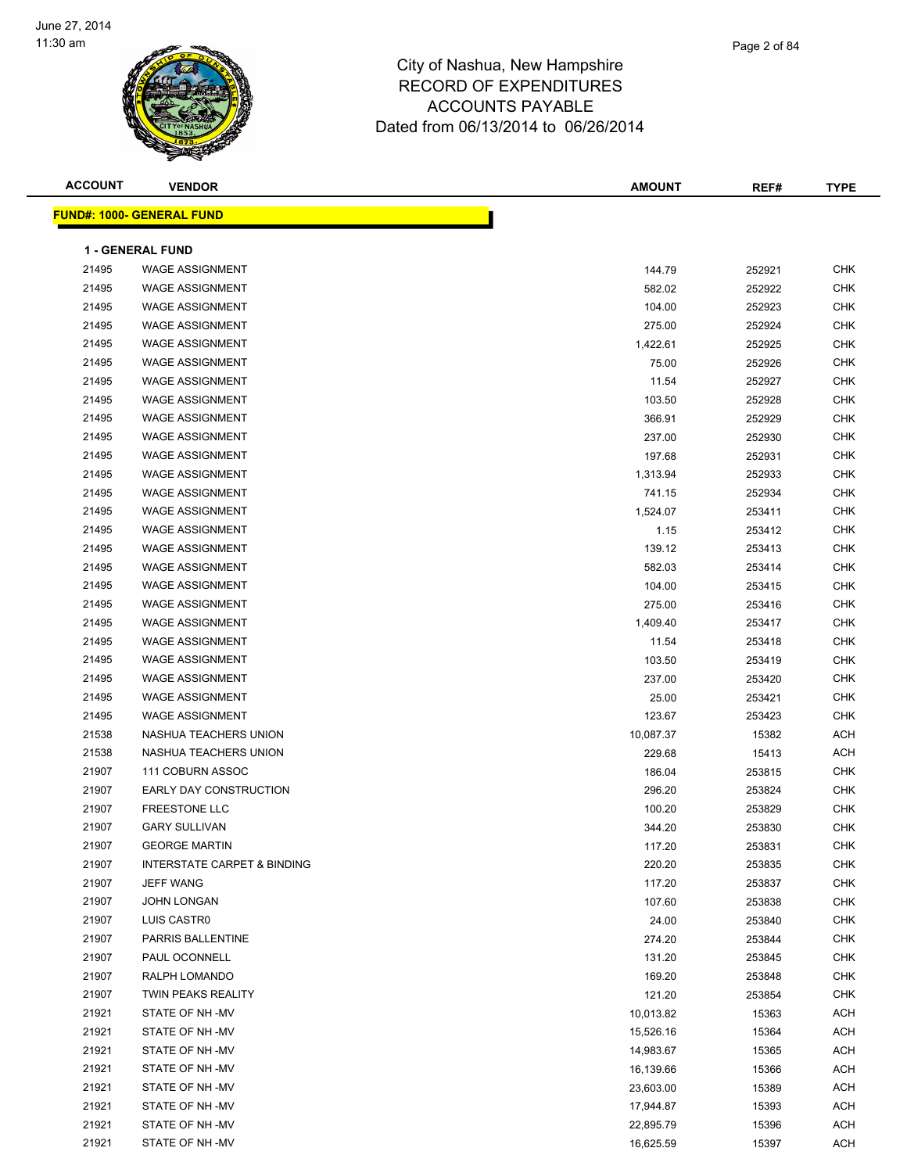

| <b>ACCOUNT</b> | <b>VENDOR</b>                          | <b>AMOUNT</b> | REF#   | <b>TYPE</b> |
|----------------|----------------------------------------|---------------|--------|-------------|
|                | <u> FUND#: 1000- GENERAL FUND</u>      |               |        |             |
|                |                                        |               |        |             |
|                | <b>1 - GENERAL FUND</b>                |               |        |             |
| 21495          | <b>WAGE ASSIGNMENT</b>                 | 144.79        | 252921 | <b>CHK</b>  |
| 21495          | <b>WAGE ASSIGNMENT</b>                 | 582.02        | 252922 | <b>CHK</b>  |
| 21495          | WAGE ASSIGNMENT                        | 104.00        | 252923 | <b>CHK</b>  |
| 21495          | <b>WAGE ASSIGNMENT</b>                 | 275.00        | 252924 | <b>CHK</b>  |
| 21495          | <b>WAGE ASSIGNMENT</b>                 | 1,422.61      | 252925 | <b>CHK</b>  |
| 21495          | <b>WAGE ASSIGNMENT</b>                 | 75.00         | 252926 | <b>CHK</b>  |
| 21495          | <b>WAGE ASSIGNMENT</b>                 | 11.54         | 252927 | <b>CHK</b>  |
| 21495          | <b>WAGE ASSIGNMENT</b>                 | 103.50        | 252928 | <b>CHK</b>  |
| 21495          | <b>WAGE ASSIGNMENT</b>                 | 366.91        | 252929 | <b>CHK</b>  |
| 21495          | <b>WAGE ASSIGNMENT</b>                 | 237.00        | 252930 | <b>CHK</b>  |
| 21495          | <b>WAGE ASSIGNMENT</b>                 | 197.68        | 252931 | <b>CHK</b>  |
| 21495          | <b>WAGE ASSIGNMENT</b>                 | 1,313.94      | 252933 | <b>CHK</b>  |
| 21495          | <b>WAGE ASSIGNMENT</b>                 | 741.15        | 252934 | <b>CHK</b>  |
| 21495          | <b>WAGE ASSIGNMENT</b>                 | 1,524.07      | 253411 | <b>CHK</b>  |
| 21495          | <b>WAGE ASSIGNMENT</b>                 | 1.15          | 253412 | <b>CHK</b>  |
| 21495          | <b>WAGE ASSIGNMENT</b>                 | 139.12        | 253413 | <b>CHK</b>  |
| 21495          | <b>WAGE ASSIGNMENT</b>                 | 582.03        | 253414 | <b>CHK</b>  |
| 21495          | <b>WAGE ASSIGNMENT</b>                 | 104.00        | 253415 | <b>CHK</b>  |
| 21495          | <b>WAGE ASSIGNMENT</b>                 | 275.00        | 253416 | <b>CHK</b>  |
| 21495          | <b>WAGE ASSIGNMENT</b>                 | 1,409.40      | 253417 | <b>CHK</b>  |
| 21495          | <b>WAGE ASSIGNMENT</b>                 | 11.54         | 253418 | <b>CHK</b>  |
| 21495          | <b>WAGE ASSIGNMENT</b>                 | 103.50        | 253419 | <b>CHK</b>  |
| 21495          | <b>WAGE ASSIGNMENT</b>                 | 237.00        | 253420 | <b>CHK</b>  |
| 21495          | <b>WAGE ASSIGNMENT</b>                 | 25.00         | 253421 | <b>CHK</b>  |
| 21495          | <b>WAGE ASSIGNMENT</b>                 | 123.67        | 253423 | <b>CHK</b>  |
| 21538          | NASHUA TEACHERS UNION                  | 10,087.37     | 15382  | <b>ACH</b>  |
| 21538          | NASHUA TEACHERS UNION                  | 229.68        | 15413  | <b>ACH</b>  |
| 21907          | 111 COBURN ASSOC                       | 186.04        | 253815 | <b>CHK</b>  |
| 21907          | EARLY DAY CONSTRUCTION                 | 296.20        | 253824 | <b>CHK</b>  |
| 21907          | <b>FREESTONE LLC</b>                   | 100.20        | 253829 | <b>CHK</b>  |
| 21907          | <b>GARY SULLIVAN</b>                   | 344.20        | 253830 | <b>CHK</b>  |
| 21907          | <b>GEORGE MARTIN</b>                   | 117.20        | 253831 | CHK         |
| 21907          | <b>INTERSTATE CARPET &amp; BINDING</b> | 220.20        | 253835 | CHK         |
| 21907          | <b>JEFF WANG</b>                       | 117.20        | 253837 | <b>CHK</b>  |
| 21907          | JOHN LONGAN                            | 107.60        | 253838 | CHK         |
| 21907          | LUIS CASTRO                            | 24.00         | 253840 | CHK         |
| 21907          | PARRIS BALLENTINE                      | 274.20        | 253844 | <b>CHK</b>  |
| 21907          | PAUL OCONNELL                          | 131.20        | 253845 | <b>CHK</b>  |
| 21907          | RALPH LOMANDO                          | 169.20        | 253848 | <b>CHK</b>  |
| 21907          | TWIN PEAKS REALITY                     | 121.20        | 253854 | CHK         |
| 21921          | STATE OF NH-MV                         | 10,013.82     | 15363  | ACH         |
| 21921          | STATE OF NH-MV                         | 15,526.16     | 15364  | ACH         |
| 21921          | STATE OF NH-MV                         | 14,983.67     | 15365  | <b>ACH</b>  |
| 21921          | STATE OF NH -MV                        | 16,139.66     | 15366  | ACH         |
| 21921          | STATE OF NH -MV                        | 23,603.00     | 15389  | ACH         |
| 21921          | STATE OF NH -MV                        | 17,944.87     | 15393  | ACH         |
| 21921          | STATE OF NH-MV                         | 22,895.79     | 15396  | ACH         |
| 21921          | STATE OF NH -MV                        | 16,625.59     | 15397  | ACH         |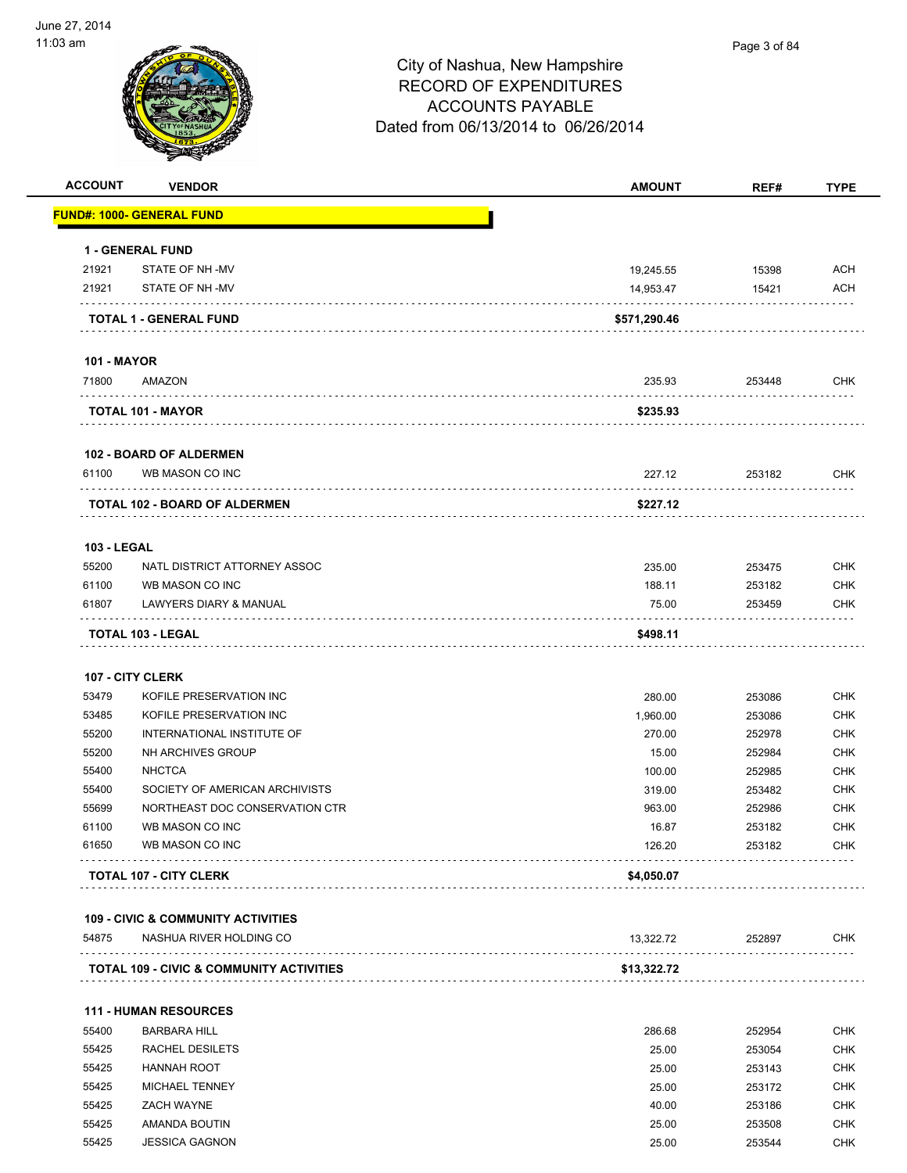

| <b>ACCOUNT</b>     | <b>VENDOR</b>                                       | <b>AMOUNT</b> | REF#   | <b>TYPE</b> |
|--------------------|-----------------------------------------------------|---------------|--------|-------------|
|                    | <u> FUND#: 1000- GENERAL FUND</u>                   |               |        |             |
|                    | 1 - GENERAL FUND                                    |               |        |             |
| 21921              | STATE OF NH -MV                                     | 19,245.55     | 15398  | ACH         |
| 21921              | STATE OF NH-MV                                      | 14,953.47     | 15421  | <b>ACH</b>  |
|                    | TOTAL 1 - GENERAL FUND                              | \$571,290.46  |        |             |
| <b>101 - MAYOR</b> |                                                     |               |        |             |
| 71800              | AMAZON                                              | 235.93        | 253448 | <b>CHK</b>  |
|                    | TOTAL 101 - MAYOR                                   | \$235.93      |        |             |
|                    | 102 - BOARD OF ALDERMEN                             |               |        |             |
| 61100              | WB MASON CO INC                                     | 227.12        | 253182 | <b>CHK</b>  |
|                    | <b>TOTAL 102 - BOARD OF ALDERMEN</b>                | \$227.12      |        |             |
| <b>103 - LEGAL</b> |                                                     |               |        |             |
| 55200              | NATL DISTRICT ATTORNEY ASSOC                        | 235.00        | 253475 | <b>CHK</b>  |
| 61100              | WB MASON CO INC                                     | 188.11        | 253182 | <b>CHK</b>  |
| 61807              | LAWYERS DIARY & MANUAL                              | 75.00         | 253459 | <b>CHK</b>  |
|                    | TOTAL 103 - LEGAL                                   | \$498.11      |        |             |
|                    | 107 - CITY CLERK                                    |               |        |             |
| 53479              | KOFILE PRESERVATION INC                             | 280.00        | 253086 | <b>CHK</b>  |
| 53485              | KOFILE PRESERVATION INC                             | 1,960.00      | 253086 | <b>CHK</b>  |
| 55200              | INTERNATIONAL INSTITUTE OF                          | 270.00        | 252978 | <b>CHK</b>  |
| 55200              | NH ARCHIVES GROUP                                   | 15.00         | 252984 | <b>CHK</b>  |
| 55400              | <b>NHCTCA</b>                                       | 100.00        | 252985 | <b>CHK</b>  |
| 55400              | SOCIETY OF AMERICAN ARCHIVISTS                      | 319.00        | 253482 | <b>CHK</b>  |
| 55699              | NORTHEAST DOC CONSERVATION CTR                      | 963.00        | 252986 | <b>CHK</b>  |
| 61100              | WB MASON CO INC                                     | 16.87         | 253182 | <b>CHK</b>  |
| 61650              | WB MASON CO INC                                     | 126.20        | 253182 | <b>CHK</b>  |
|                    | <b>TOTAL 107 - CITY CLERK</b>                       | \$4,050.07    |        |             |
|                    | <b>109 - CIVIC &amp; COMMUNITY ACTIVITIES</b>       |               |        |             |
| 54875              | NASHUA RIVER HOLDING CO                             | 13,322.72     | 252897 | CHK         |
|                    | <b>TOTAL 109 - CIVIC &amp; COMMUNITY ACTIVITIES</b> | \$13,322.72   |        |             |
|                    | <b>111 - HUMAN RESOURCES</b>                        |               |        |             |
| 55400              | <b>BARBARA HILL</b>                                 | 286.68        | 252954 | <b>CHK</b>  |
| 55425              | RACHEL DESILETS                                     | 25.00         | 253054 | <b>CHK</b>  |
| 55425              | <b>HANNAH ROOT</b>                                  | 25.00         | 253143 | <b>CHK</b>  |
| 55425              | MICHAEL TENNEY                                      | 25.00         | 253172 | <b>CHK</b>  |
| 55425              | ZACH WAYNE                                          | 40.00         | 253186 | <b>CHK</b>  |
|                    | AMANDA BOUTIN                                       | 25.00         | 253508 | <b>CHK</b>  |
| 55425              |                                                     |               |        |             |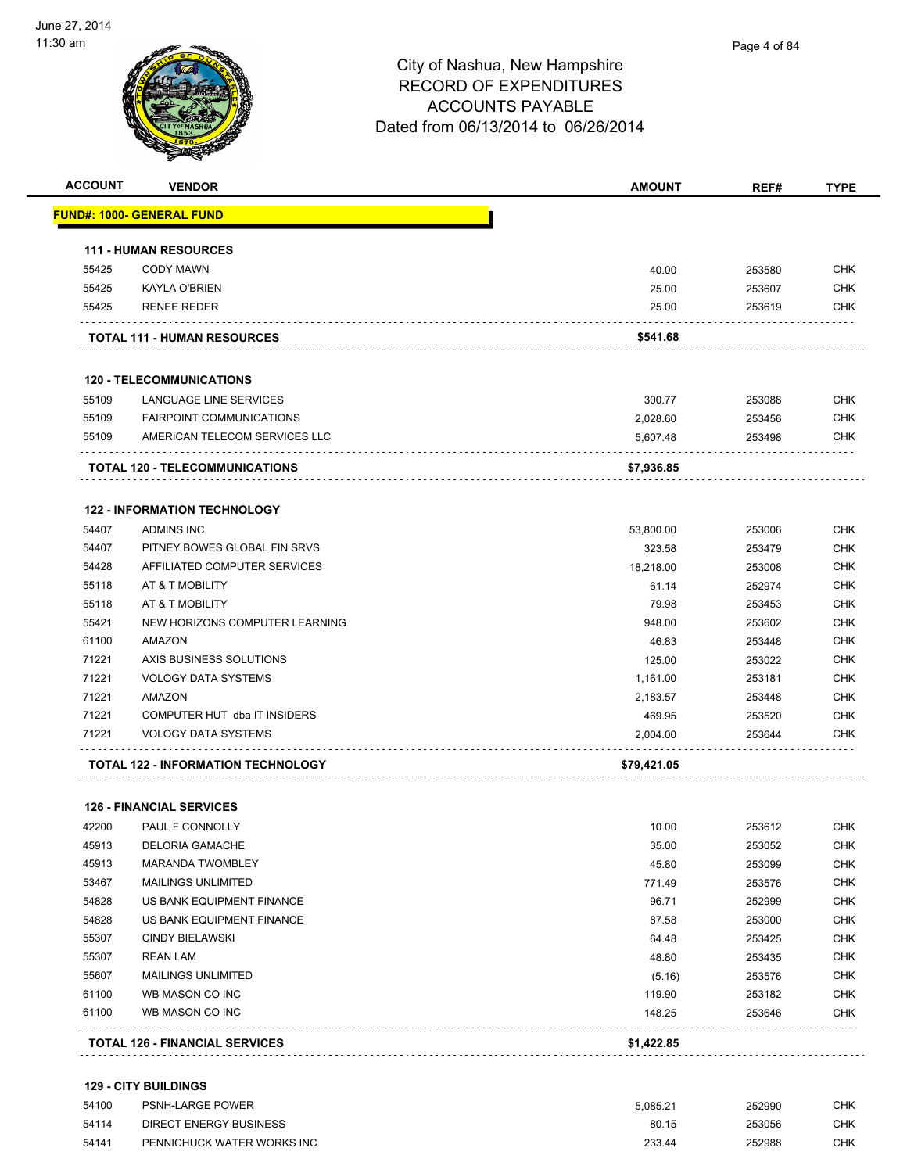

**ACCOUNT VENDOR AMOUNT REF# TYPE**

|       | <u> FUND#: 1000- GENERAL FUND</u>     |             |        |            |
|-------|---------------------------------------|-------------|--------|------------|
|       | <b>111 - HUMAN RESOURCES</b>          |             |        |            |
| 55425 | <b>CODY MAWN</b>                      | 40.00       | 253580 | <b>CHK</b> |
| 55425 | <b>KAYLA O'BRIEN</b>                  | 25.00       | 253607 | <b>CHK</b> |
| 55425 | <b>RENEE REDER</b>                    | 25.00       | 253619 | <b>CHK</b> |
|       | <b>TOTAL 111 - HUMAN RESOURCES</b>    | \$541.68    |        |            |
|       | <b>120 - TELECOMMUNICATIONS</b>       |             |        |            |
| 55109 | LANGUAGE LINE SERVICES                | 300.77      | 253088 | <b>CHK</b> |
| 55109 | <b>FAIRPOINT COMMUNICATIONS</b>       | 2,028.60    | 253456 | <b>CHK</b> |
| 55109 | AMERICAN TELECOM SERVICES LLC         | 5,607.48    | 253498 | <b>CHK</b> |
|       | <b>TOTAL 120 - TELECOMMUNICATIONS</b> | \$7,936.85  |        |            |
|       |                                       |             |        |            |
|       | <b>122 - INFORMATION TECHNOLOGY</b>   |             |        |            |
| 54407 | <b>ADMINS INC</b>                     | 53.800.00   | 253006 | <b>CHK</b> |
| 54407 | PITNEY BOWES GLOBAL FIN SRVS          | 323.58      | 253479 | <b>CHK</b> |
| 54428 | AFFILIATED COMPUTER SERVICES          | 18,218.00   | 253008 | <b>CHK</b> |
| 55118 | AT & T MOBILITY                       | 61.14       | 252974 | <b>CHK</b> |
| 55118 | AT & T MOBILITY                       | 79.98       | 253453 | <b>CHK</b> |
| 55421 | NEW HORIZONS COMPUTER LEARNING        | 948.00      | 253602 | <b>CHK</b> |
| 61100 | AMAZON                                | 46.83       | 253448 | <b>CHK</b> |
| 71221 | AXIS BUSINESS SOLUTIONS               | 125.00      | 253022 | <b>CHK</b> |
| 71221 | <b>VOLOGY DATA SYSTEMS</b>            | 1,161.00    | 253181 | <b>CHK</b> |
| 71221 | AMAZON                                | 2,183.57    | 253448 | <b>CHK</b> |
| 71221 | COMPUTER HUT dba IT INSIDERS          | 469.95      | 253520 | <b>CHK</b> |
| 71221 | <b>VOLOGY DATA SYSTEMS</b>            | 2,004.00    | 253644 | <b>CHK</b> |
|       | TOTAL 122 - INFORMATION TECHNOLOGY    | \$79,421.05 |        |            |
|       | <b>126 - FINANCIAL SERVICES</b>       |             |        |            |
| 42200 | PAUL F CONNOLLY                       | 10.00       | 253612 | <b>CHK</b> |
| 45913 | <b>DELORIA GAMACHE</b>                | 35.00       | 253052 | <b>CHK</b> |
| 45913 | <b>MARANDA TWOMBLEY</b>               | 45.80       | 253099 | CHK        |
| 53467 | <b>MAILINGS UNLIMITED</b>             | 771.49      | 253576 | <b>CHK</b> |
| 54828 | US BANK EQUIPMENT FINANCE             | 96.71       | 252999 | <b>CHK</b> |
| 54828 | US BANK EQUIPMENT FINANCE             | 87.58       | 253000 | <b>CHK</b> |
| 55307 | <b>CINDY BIELAWSKI</b>                | 64.48       | 253425 | <b>CHK</b> |
| 55307 | <b>REAN LAM</b>                       | 48.80       | 253435 | <b>CHK</b> |
| 55607 | <b>MAILINGS UNLIMITED</b>             | (5.16)      | 253576 | <b>CHK</b> |
| 61100 | WB MASON CO INC                       | 119.90      | 253182 | <b>CHK</b> |
| 61100 | WB MASON CO INC                       | 148.25      | 253646 | <b>CHK</b> |
|       | <b>TOTAL 126 - FINANCIAL SERVICES</b> | \$1,422.85  |        |            |
|       |                                       |             |        |            |

#### **129 - CITY BUILDINGS**

| 54100 | <b>PSNH-LARGE POWER</b>    | 5.085.21 | 252990 | CHK |
|-------|----------------------------|----------|--------|-----|
| 54114 | DIRECT ENERGY BUSINESS     | 80.15    | 253056 | СНК |
| 54141 | PENNICHUCK WATER WORKS INC | 233.44   | 252988 | снк |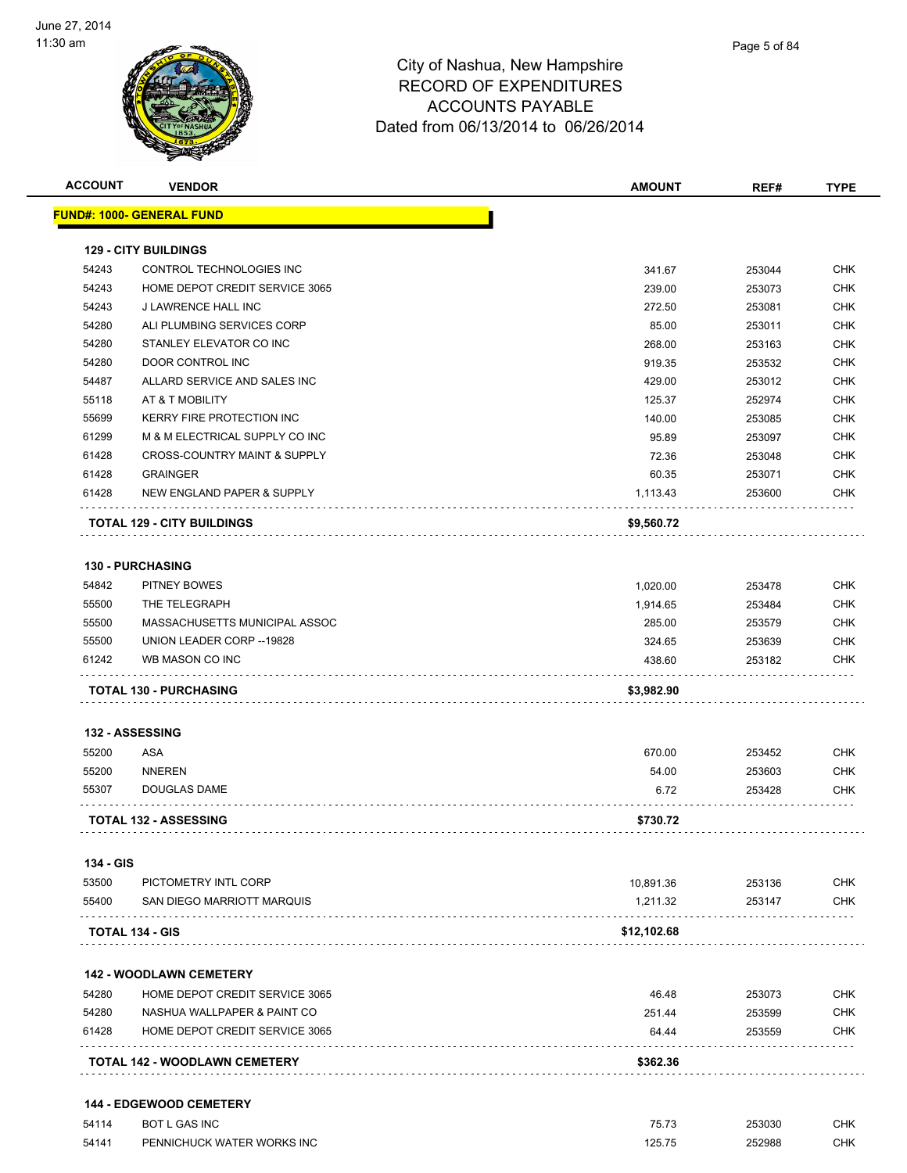

| <b>ACCOUNT</b> | <b>VENDOR</b>                           | <b>AMOUNT</b> | REF#   | <b>TYPE</b> |
|----------------|-----------------------------------------|---------------|--------|-------------|
|                | <b>FUND#: 1000- GENERAL FUND</b>        |               |        |             |
|                | <b>129 - CITY BUILDINGS</b>             |               |        |             |
| 54243          | CONTROL TECHNOLOGIES INC                | 341.67        | 253044 | <b>CHK</b>  |
| 54243          | HOME DEPOT CREDIT SERVICE 3065          | 239.00        | 253073 | <b>CHK</b>  |
| 54243          | J LAWRENCE HALL INC                     | 272.50        | 253081 | <b>CHK</b>  |
| 54280          | ALI PLUMBING SERVICES CORP              | 85.00         | 253011 | <b>CHK</b>  |
| 54280          | STANLEY ELEVATOR CO INC                 | 268.00        | 253163 | <b>CHK</b>  |
| 54280          | <b>DOOR CONTROL INC</b>                 | 919.35        | 253532 | <b>CHK</b>  |
| 54487          | ALLARD SERVICE AND SALES INC            | 429.00        | 253012 | CHK         |
| 55118          | AT & T MOBILITY                         | 125.37        | 252974 | <b>CHK</b>  |
| 55699          | <b>KERRY FIRE PROTECTION INC</b>        | 140.00        | 253085 | <b>CHK</b>  |
| 61299          | M & M ELECTRICAL SUPPLY CO INC          | 95.89         | 253097 | CHK         |
| 61428          | <b>CROSS-COUNTRY MAINT &amp; SUPPLY</b> | 72.36         | 253048 | <b>CHK</b>  |
| 61428          | <b>GRAINGER</b>                         | 60.35         | 253071 | <b>CHK</b>  |
| 61428          | <b>NEW ENGLAND PAPER &amp; SUPPLY</b>   | 1,113.43      | 253600 | CHK         |
|                | <b>TOTAL 129 - CITY BUILDINGS</b>       | \$9,560.72    |        |             |
|                | <b>130 - PURCHASING</b>                 |               |        |             |
| 54842          | PITNEY BOWES                            | 1,020.00      | 253478 | CHK         |
| 55500          | THE TELEGRAPH                           | 1,914.65      | 253484 | CHK         |
| 55500          | MASSACHUSETTS MUNICIPAL ASSOC           | 285.00        | 253579 | CHK         |
| 55500          | UNION LEADER CORP -- 19828              | 324.65        | 253639 | CHK         |
| 61242          | WB MASON CO INC                         | 438.60        | 253182 | CHK         |
|                | <b>TOTAL 130 - PURCHASING</b>           | \$3,982.90    |        |             |
|                | <b>132 - ASSESSING</b>                  |               |        |             |
| 55200          | ASA                                     | 670.00        | 253452 | CHK         |
| 55200          | <b>NNEREN</b>                           | 54.00         | 253603 | <b>CHK</b>  |
| 55307          | DOUGLAS DAME                            | 6.72          | 253428 | CHK         |
|                | <b>TOTAL 132 - ASSESSING</b>            | \$730.72      |        |             |
| 134 - GIS      |                                         |               |        |             |
| 53500          | PICTOMETRY INTL CORP                    | 10,891.36     | 253136 | <b>CHK</b>  |
| 55400          | SAN DIEGO MARRIOTT MARQUIS              | 1,211.32      | 253147 | CHK         |
|                | TOTAL 134 - GIS                         | \$12,102.68   |        |             |
|                | <b>142 - WOODLAWN CEMETERY</b>          |               |        |             |
| 54280          | HOME DEPOT CREDIT SERVICE 3065          | 46.48         | 253073 | CHK         |
| 54280          | NASHUA WALLPAPER & PAINT CO             | 251.44        | 253599 | CHK         |
| 61428          | HOME DEPOT CREDIT SERVICE 3065          | 64.44         | 253559 | CHK         |
|                | TOTAL 142 - WOODLAWN CEMETERY           | \$362.36      |        |             |
|                | <b>144 - EDGEWOOD CEMETERY</b>          |               |        |             |
| 54114          | <b>BOT L GAS INC</b>                    | 75.73         | 253030 | CHK         |
|                |                                         |               |        |             |

54141 PENNICHUCK WATER WORKS INC 125.75 252988 CHK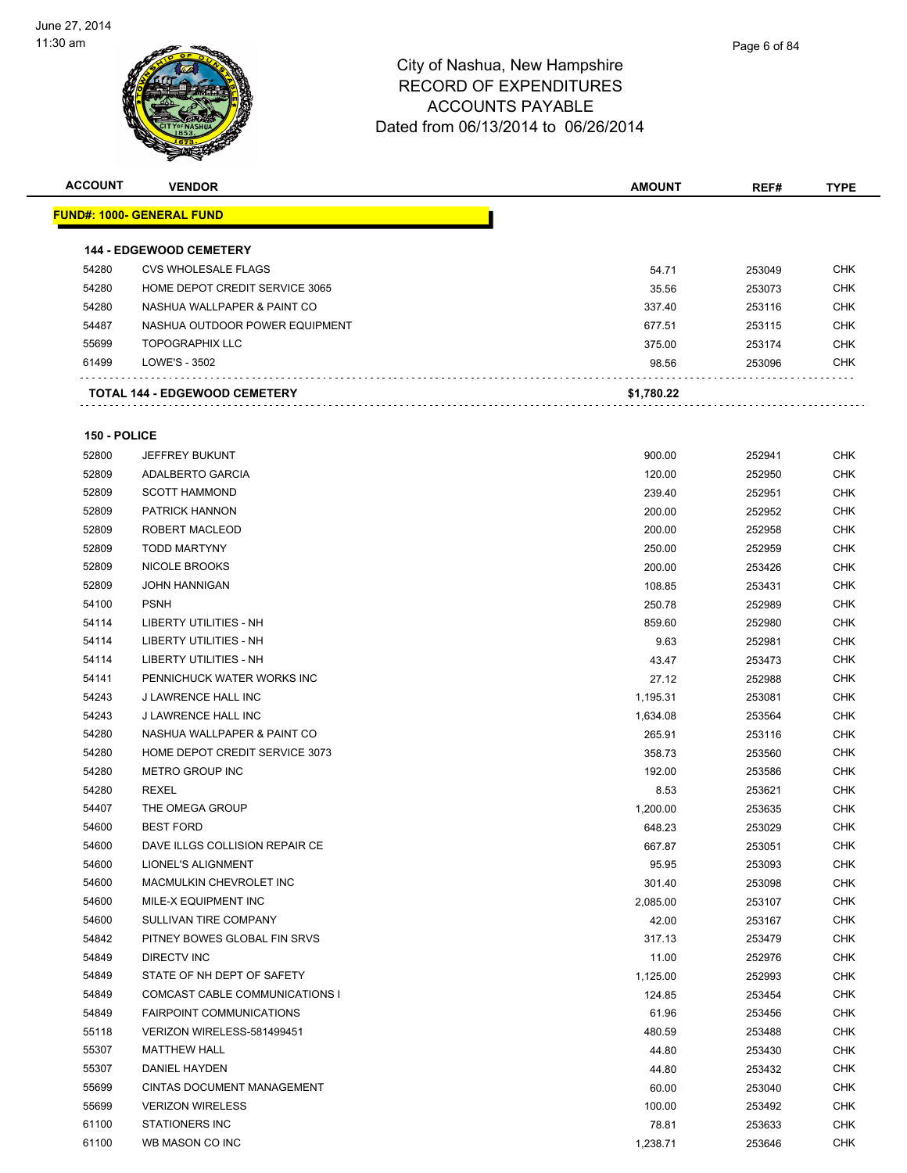

| <b>ACCOUNT</b> | <b>VENDOR</b>                     | <b>AMOUNT</b>    | REF#             | <b>TYPE</b> |
|----------------|-----------------------------------|------------------|------------------|-------------|
|                | <u> FUND#: 1000- GENERAL FUND</u> |                  |                  |             |
|                | <b>144 - EDGEWOOD CEMETERY</b>    |                  |                  |             |
| 54280          | <b>CVS WHOLESALE FLAGS</b>        | 54.71            | 253049           | <b>CHK</b>  |
| 54280          | HOME DEPOT CREDIT SERVICE 3065    | 35.56            | 253073           | <b>CHK</b>  |
| 54280          | NASHUA WALLPAPER & PAINT CO       | 337.40           | 253116           | <b>CHK</b>  |
| 54487          | NASHUA OUTDOOR POWER EQUIPMENT    | 677.51           | 253115           | <b>CHK</b>  |
| 55699          | <b>TOPOGRAPHIX LLC</b>            | 375.00           | 253174           | <b>CHK</b>  |
| 61499          | LOWE'S - 3502                     | 98.56            | 253096           | <b>CHK</b>  |
|                | TOTAL 144 - EDGEWOOD CEMETERY     | \$1,780.22       |                  |             |
| 150 - POLICE   |                                   |                  |                  |             |
| 52800          | <b>JEFFREY BUKUNT</b>             | 900.00           | 252941           | <b>CHK</b>  |
| 52809          | ADALBERTO GARCIA                  | 120.00           | 252950           | <b>CHK</b>  |
| 52809          | <b>SCOTT HAMMOND</b>              | 239.40           | 252951           | <b>CHK</b>  |
| 52809          | PATRICK HANNON                    | 200.00           | 252952           | <b>CHK</b>  |
| 52809          | <b>ROBERT MACLEOD</b>             |                  | 252958           | <b>CHK</b>  |
| 52809          | <b>TODD MARTYNY</b>               | 200.00           |                  | <b>CHK</b>  |
| 52809          | NICOLE BROOKS                     | 250.00<br>200.00 | 252959<br>253426 | <b>CHK</b>  |
| 52809          | <b>JOHN HANNIGAN</b>              | 108.85           | 253431           | <b>CHK</b>  |
| 54100          | <b>PSNH</b>                       | 250.78           | 252989           | CHK         |
| 54114          | LIBERTY UTILITIES - NH            | 859.60           | 252980           | CHK         |
| 54114          | LIBERTY UTILITIES - NH            | 9.63             | 252981           | <b>CHK</b>  |
| 54114          | LIBERTY UTILITIES - NH            | 43.47            | 253473           | CHK         |
| 54141          | PENNICHUCK WATER WORKS INC        | 27.12            | 252988           | <b>CHK</b>  |
| 54243          | J LAWRENCE HALL INC               | 1,195.31         | 253081           | <b>CHK</b>  |
| 54243          | J LAWRENCE HALL INC               | 1,634.08         | 253564           | CHK         |
| 54280          | NASHUA WALLPAPER & PAINT CO       | 265.91           | 253116           | <b>CHK</b>  |
| 54280          | HOME DEPOT CREDIT SERVICE 3073    | 358.73           | 253560           | <b>CHK</b>  |
| 54280          | <b>METRO GROUP INC</b>            | 192.00           | 253586           | CHK         |
| 54280          | REXEL                             | 8.53             | 253621           | <b>CHK</b>  |
| 54407          | THE OMEGA GROUP                   | 1,200.00         | 253635           | <b>CHK</b>  |
| 54600          | <b>BEST FORD</b>                  | 648.23           | 253029           | <b>CHK</b>  |
| 54600          | DAVE ILLGS COLLISION REPAIR CE    | 667.87           | 253051           | <b>CHK</b>  |
| 54600          | LIONEL'S ALIGNMENT                | 95.95            | 253093           | CHK         |
| 54600          | MACMULKIN CHEVROLET INC           | 301.40           | 253098           | <b>CHK</b>  |
| 54600          | MILE-X EQUIPMENT INC              | 2,085.00         | 253107           | <b>CHK</b>  |
| 54600          | SULLIVAN TIRE COMPANY             | 42.00            | 253167           | <b>CHK</b>  |
| 54842          | PITNEY BOWES GLOBAL FIN SRVS      | 317.13           | 253479           | <b>CHK</b>  |
| 54849          | DIRECTV INC                       | 11.00            | 252976           | <b>CHK</b>  |
| 54849          | STATE OF NH DEPT OF SAFETY        | 1,125.00         | 252993           | <b>CHK</b>  |
| 54849          | COMCAST CABLE COMMUNICATIONS I    | 124.85           | 253454           | <b>CHK</b>  |
| 54849          | <b>FAIRPOINT COMMUNICATIONS</b>   | 61.96            | 253456           | <b>CHK</b>  |
| 55118          | VERIZON WIRELESS-581499451        |                  | 253488           | <b>CHK</b>  |
| 55307          | <b>MATTHEW HALL</b>               | 480.59<br>44.80  |                  | <b>CHK</b>  |
| 55307          | DANIEL HAYDEN                     | 44.80            | 253430<br>253432 | CHK         |
| 55699          | <b>CINTAS DOCUMENT MANAGEMENT</b> | 60.00            |                  | <b>CHK</b>  |
| 55699          | <b>VERIZON WIRELESS</b>           | 100.00           | 253040           | <b>CHK</b>  |
| 61100          | <b>STATIONERS INC</b>             |                  | 253492           | <b>CHK</b>  |
|                |                                   | 78.81            | 253633           |             |
| 61100          | WB MASON CO INC                   | 1,238.71         | 253646           | <b>CHK</b>  |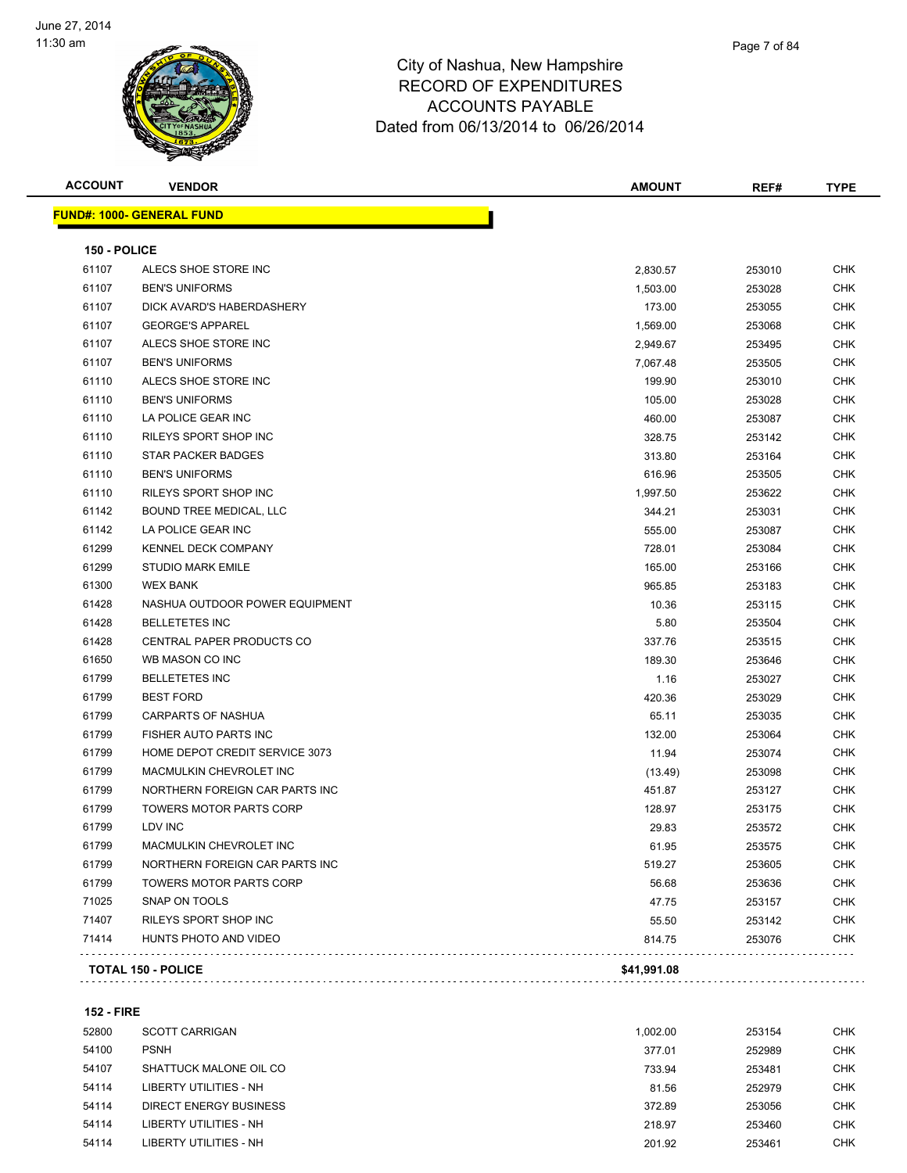

| <u> FUND#: 1000- GENERAL FUND</u>       |             |        |            |
|-----------------------------------------|-------------|--------|------------|
|                                         |             |        |            |
| 150 - POLICE                            |             |        |            |
| 61107<br>ALECS SHOE STORE INC           | 2,830.57    | 253010 | <b>CHK</b> |
| 61107<br><b>BEN'S UNIFORMS</b>          | 1,503.00    | 253028 | <b>CHK</b> |
| 61107<br>DICK AVARD'S HABERDASHERY      | 173.00      | 253055 | <b>CHK</b> |
| 61107<br><b>GEORGE'S APPAREL</b>        | 1,569.00    | 253068 | <b>CHK</b> |
| ALECS SHOE STORE INC<br>61107           | 2,949.67    | 253495 | CHK        |
| 61107<br><b>BEN'S UNIFORMS</b>          | 7,067.48    | 253505 | <b>CHK</b> |
| ALECS SHOE STORE INC<br>61110           | 199.90      | 253010 | <b>CHK</b> |
| 61110<br><b>BEN'S UNIFORMS</b>          | 105.00      | 253028 | CHK        |
| 61110<br>LA POLICE GEAR INC             | 460.00      | 253087 | <b>CHK</b> |
| 61110<br>RILEYS SPORT SHOP INC          | 328.75      | 253142 | CHK        |
| 61110<br><b>STAR PACKER BADGES</b>      | 313.80      | 253164 | CHK        |
| 61110<br><b>BEN'S UNIFORMS</b>          | 616.96      | 253505 | <b>CHK</b> |
| 61110<br>RILEYS SPORT SHOP INC          | 1,997.50    | 253622 | <b>CHK</b> |
| 61142<br>BOUND TREE MEDICAL, LLC        | 344.21      | 253031 | <b>CHK</b> |
| 61142<br>LA POLICE GEAR INC             | 555.00      | 253087 | <b>CHK</b> |
| 61299<br><b>KENNEL DECK COMPANY</b>     | 728.01      | 253084 | CHK        |
| 61299<br><b>STUDIO MARK EMILE</b>       | 165.00      | 253166 | <b>CHK</b> |
| 61300<br><b>WEX BANK</b>                | 965.85      | 253183 | <b>CHK</b> |
| 61428<br>NASHUA OUTDOOR POWER EQUIPMENT | 10.36       | 253115 | CHK        |
| 61428<br><b>BELLETETES INC</b>          | 5.80        | 253504 | <b>CHK</b> |
| 61428<br>CENTRAL PAPER PRODUCTS CO      | 337.76      | 253515 | CHK        |
| 61650<br>WB MASON CO INC                | 189.30      | 253646 | CHK        |
| 61799<br><b>BELLETETES INC</b>          | 1.16        | 253027 | <b>CHK</b> |
| 61799<br><b>BEST FORD</b>               | 420.36      | 253029 | CHK        |
| 61799<br><b>CARPARTS OF NASHUA</b>      | 65.11       | 253035 | <b>CHK</b> |
| 61799<br>FISHER AUTO PARTS INC          | 132.00      | 253064 | <b>CHK</b> |
| 61799<br>HOME DEPOT CREDIT SERVICE 3073 | 11.94       | 253074 | CHK        |
| 61799<br>MACMULKIN CHEVROLET INC        | (13.49)     | 253098 | <b>CHK</b> |
| 61799<br>NORTHERN FOREIGN CAR PARTS INC | 451.87      | 253127 | <b>CHK</b> |
| 61799<br><b>TOWERS MOTOR PARTS CORP</b> | 128.97      | 253175 | CHK        |
| 61799<br>LDV INC                        | 29.83       | 253572 | CHK        |
| 61799<br>MACMULKIN CHEVROLET INC        | 61.95       | 253575 | <b>CHK</b> |
| 61799<br>NORTHERN FOREIGN CAR PARTS INC | 519.27      | 253605 | CHK        |
| 61799<br><b>TOWERS MOTOR PARTS CORP</b> | 56.68       | 253636 | <b>CHK</b> |
| 71025<br>SNAP ON TOOLS                  | 47.75       | 253157 | <b>CHK</b> |
| 71407<br>RILEYS SPORT SHOP INC          | 55.50       | 253142 | <b>CHK</b> |
| 71414<br>HUNTS PHOTO AND VIDEO          | 814.75      | 253076 | <b>CHK</b> |
| <b>TOTAL 150 - POLICE</b>               | \$41,991.08 |        |            |

**152 - FIRE**

| 52800 | <b>SCOTT CARRIGAN</b>         | 1.002.00 | 253154 | <b>CHK</b> |
|-------|-------------------------------|----------|--------|------------|
| 54100 | <b>PSNH</b>                   | 377.01   | 252989 | CHK        |
| 54107 | SHATTUCK MALONE OIL CO        | 733.94   | 253481 | <b>CHK</b> |
| 54114 | LIBERTY UTILITIES - NH        | 81.56    | 252979 | <b>CHK</b> |
| 54114 | DIRECT ENERGY BUSINESS        | 372.89   | 253056 | <b>CHK</b> |
| 54114 | LIBERTY UTILITIES - NH        | 218.97   | 253460 | <b>CHK</b> |
| 54114 | <b>LIBERTY UTILITIES - NH</b> | 201.92   | 253461 | <b>CHK</b> |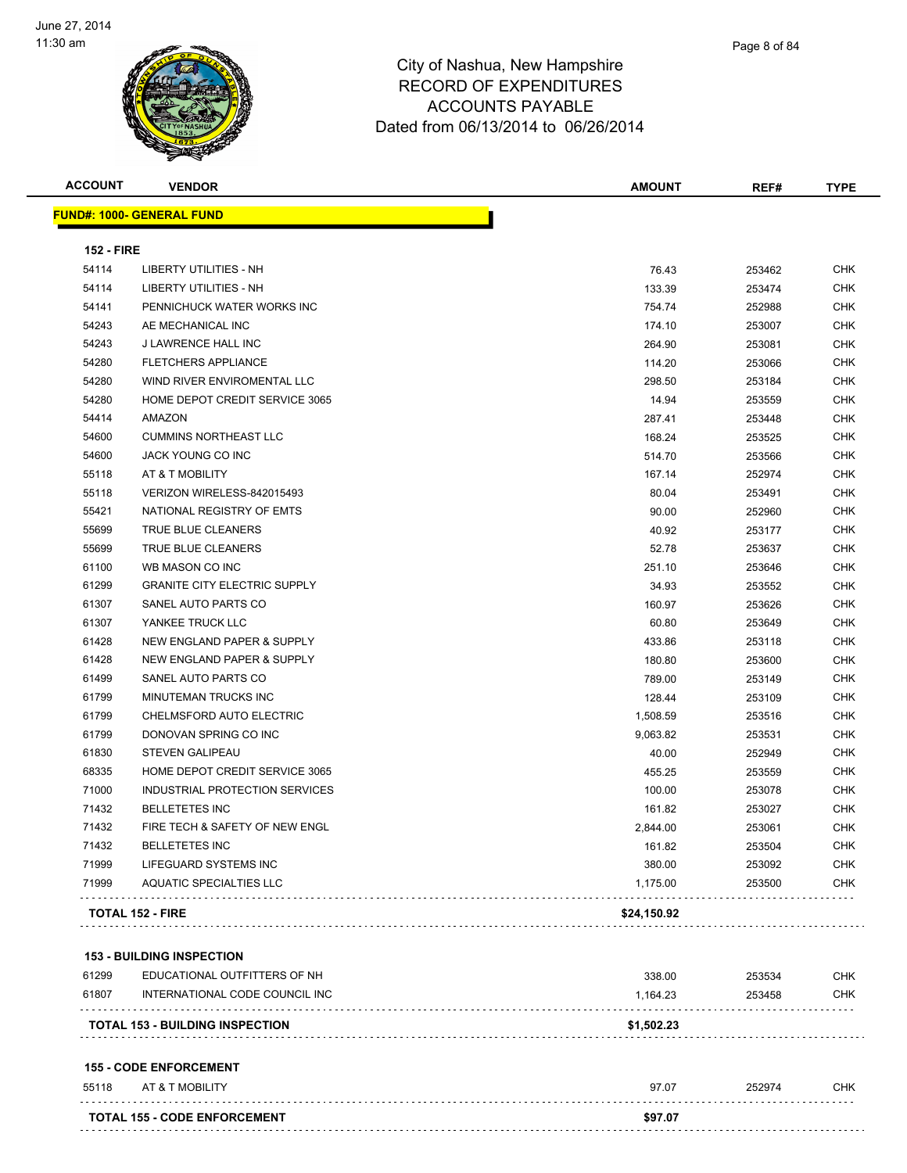

**FUND#: 1000- GENERAL FUND**

#### City of Nashua, New Hampshire RECORD OF EXPENDITURES ACCOUNTS PAYABLE Dated from 06/13/2014 to 06/26/2014

|                   | W                                | Dated from 06/13/2014 to 06/26/2014 |               |        |             |
|-------------------|----------------------------------|-------------------------------------|---------------|--------|-------------|
| <b>ACCOUNT</b>    | <b>VENDOR</b>                    |                                     | <b>AMOUNT</b> | REF#   | <b>TYPE</b> |
|                   | <u> IND#: 1000- GENERAL FUND</u> |                                     |               |        |             |
| <b>152 - FIRE</b> |                                  |                                     |               |        |             |
| 54114             | <b>LIBERTY UTILITIES - NH</b>    |                                     | 76.43         | 253462 | <b>CHK</b>  |
| 54114             | <b>LIBERTY UTILITIES - NH</b>    |                                     | 133.39        | 253474 | <b>CHK</b>  |
| 54141             | PENNICHLICK WATER WORKS INC.     |                                     | 754 74        | 252088 | <b>CHK</b>  |

| 54114 | LIBERTY UTILITIES - NH                | 76.43    | 253462 | UHK        |
|-------|---------------------------------------|----------|--------|------------|
| 54114 | LIBERTY UTILITIES - NH                | 133.39   | 253474 | <b>CHK</b> |
| 54141 | PENNICHUCK WATER WORKS INC            | 754.74   | 252988 | CHK        |
| 54243 | AE MECHANICAL INC                     | 174.10   | 253007 | <b>CHK</b> |
| 54243 | <b>J LAWRENCE HALL INC</b>            | 264.90   | 253081 | <b>CHK</b> |
| 54280 | <b>FLETCHERS APPLIANCE</b>            | 114.20   | 253066 | <b>CHK</b> |
| 54280 | WIND RIVER ENVIROMENTAL LLC           | 298.50   | 253184 | CHK        |
| 54280 | HOME DEPOT CREDIT SERVICE 3065        | 14.94    | 253559 | <b>CHK</b> |
| 54414 | AMAZON                                | 287.41   | 253448 | <b>CHK</b> |
| 54600 | <b>CUMMINS NORTHEAST LLC</b>          | 168.24   | 253525 | <b>CHK</b> |
| 54600 | JACK YOUNG CO INC                     | 514.70   | 253566 | CHK        |
| 55118 | AT & T MOBILITY                       | 167.14   | 252974 | <b>CHK</b> |
| 55118 | VERIZON WIRELESS-842015493            | 80.04    | 253491 | CHK        |
| 55421 | NATIONAL REGISTRY OF EMTS             | 90.00    | 252960 | CHK        |
| 55699 | <b>TRUE BLUE CLEANERS</b>             | 40.92    | 253177 | <b>CHK</b> |
| 55699 | <b>TRUE BLUE CLEANERS</b>             | 52.78    | 253637 | <b>CHK</b> |
| 61100 | WB MASON CO INC                       | 251.10   | 253646 | CHK        |
| 61299 | <b>GRANITE CITY ELECTRIC SUPPLY</b>   | 34.93    | 253552 | <b>CHK</b> |
| 61307 | SANEL AUTO PARTS CO                   | 160.97   | 253626 | <b>CHK</b> |
| 61307 | YANKEE TRUCK LLC                      | 60.80    | 253649 | <b>CHK</b> |
| 61428 | NEW ENGLAND PAPER & SUPPLY            | 433.86   | 253118 | CHK        |
| 61428 | NEW ENGLAND PAPER & SUPPLY            | 180.80   | 253600 | CHK        |
| 61499 | SANEL AUTO PARTS CO                   | 789.00   | 253149 | <b>CHK</b> |
| 61799 | MINUTEMAN TRUCKS INC                  | 128.44   | 253109 | CHK        |
| 61799 | <b>CHELMSFORD AUTO ELECTRIC</b>       | 1,508.59 | 253516 | <b>CHK</b> |
| 61799 | DONOVAN SPRING CO INC                 | 9,063.82 | 253531 | <b>CHK</b> |
| 61830 | <b>STEVEN GALIPEAU</b>                | 40.00    | 252949 | CHK        |
| 68335 | HOME DEPOT CREDIT SERVICE 3065        | 455.25   | 253559 | <b>CHK</b> |
| 71000 | <b>INDUSTRIAL PROTECTION SERVICES</b> | 100.00   | 253078 | <b>CHK</b> |
| 71432 | <b>BELLETETES INC</b>                 | 161.82   | 253027 | <b>CHK</b> |
| 71432 | FIRE TECH & SAFETY OF NEW ENGL        | 2,844.00 | 253061 | CHK        |
| 71432 | <b>BELLETETES INC</b>                 | 161.82   | 253504 | CHK        |
| 71999 | LIFEGUARD SYSTEMS INC                 | 380.00   | 253092 | CHK        |
| 71999 | <b>AQUATIC SPECIALTIES LLC</b>        | 1,175.00 | 253500 | CHK        |

**TOTAL 152 - FIRE \$24,150.92**

**153 - BUILDING INSPECTION**

|       | <b>TOTAL 153 - BUILDING INSPECTION</b> | \$1,502.23 |        |            |
|-------|----------------------------------------|------------|--------|------------|
| 61299 | EDUCATIONAL OUTFITTERS OF NH           | 338.00     | 253534 | <b>CHK</b> |
| 61807 | INTERNATIONAL CODE COUNCIL INC         | 1.164.23   | 253458 | <b>CHK</b> |

#### **155 - CODE ENFORCEMENT**

| 55118 | AT & T MOBILITY                     | 97.07   | 252974 | CHK |
|-------|-------------------------------------|---------|--------|-----|
|       |                                     |         |        |     |
|       | <b>TOTAL 155 - CODE ENFORCEMENT</b> | \$97.07 |        |     |
|       |                                     |         |        |     |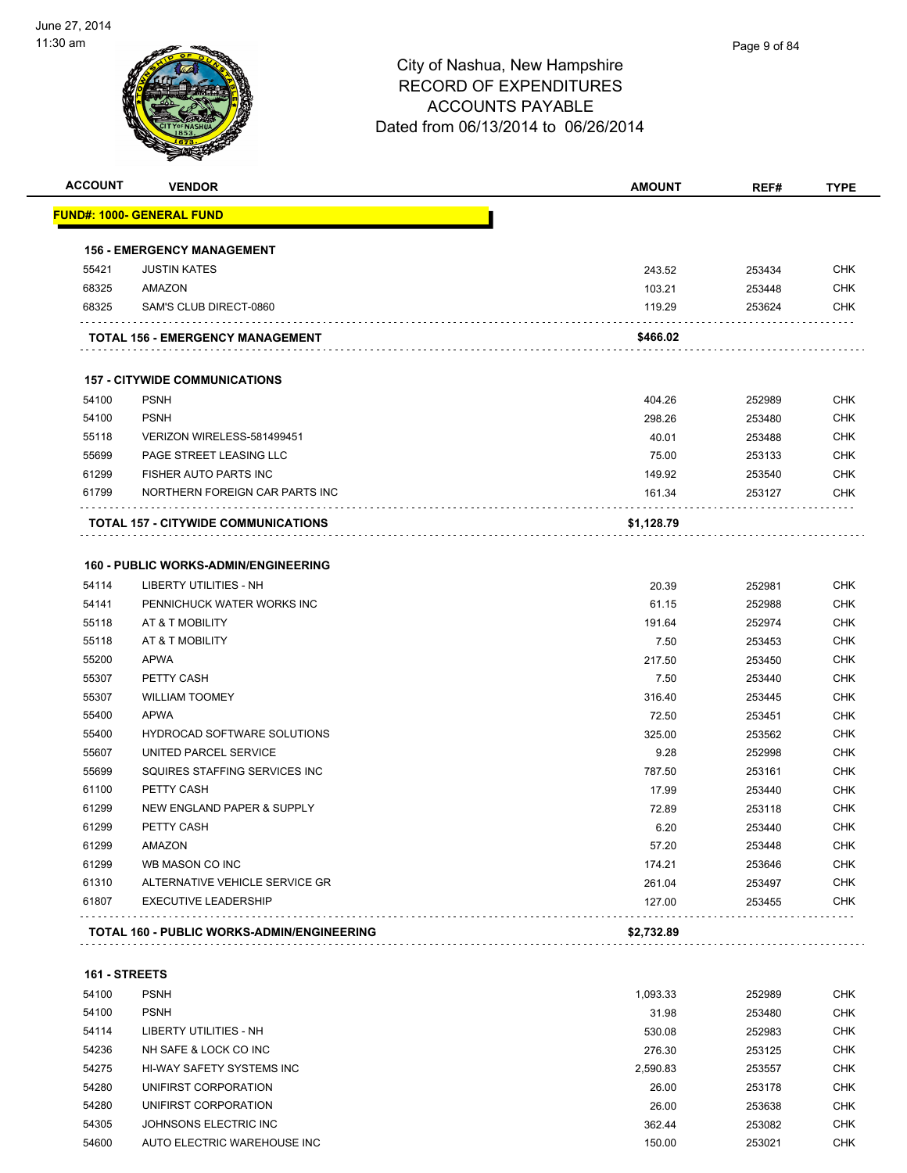

| <b>ACCOUNT</b> | <b>VENDOR</b>                               | <b>AMOUNT</b> | REF#   | <b>TYPE</b> |
|----------------|---------------------------------------------|---------------|--------|-------------|
|                | <u> FUND#: 1000- GENERAL FUND</u>           |               |        |             |
|                | <b>156 - EMERGENCY MANAGEMENT</b>           |               |        |             |
| 55421          | <b>JUSTIN KATES</b>                         | 243.52        | 253434 | <b>CHK</b>  |
| 68325          | AMAZON                                      | 103.21        | 253448 | <b>CHK</b>  |
| 68325          | SAM'S CLUB DIRECT-0860                      | 119.29        | 253624 | <b>CHK</b>  |
|                | TOTAL 156 - EMERGENCY MANAGEMENT            | \$466.02      |        |             |
|                | <b>157 - CITYWIDE COMMUNICATIONS</b>        |               |        |             |
| 54100          | <b>PSNH</b>                                 | 404.26        | 252989 | <b>CHK</b>  |
| 54100          | <b>PSNH</b>                                 | 298.26        | 253480 | <b>CHK</b>  |
| 55118          | VERIZON WIRELESS-581499451                  | 40.01         | 253488 | <b>CHK</b>  |
| 55699          | PAGE STREET LEASING LLC                     | 75.00         | 253133 | <b>CHK</b>  |
| 61299          | FISHER AUTO PARTS INC                       | 149.92        | 253540 | <b>CHK</b>  |
| 61799          | NORTHERN FOREIGN CAR PARTS INC              | 161.34        | 253127 | <b>CHK</b>  |
|                | <b>TOTAL 157 - CITYWIDE COMMUNICATIONS</b>  | \$1,128.79    |        |             |
|                | <b>160 - PUBLIC WORKS-ADMIN/ENGINEERING</b> |               |        |             |
| 54114          | <b>LIBERTY UTILITIES - NH</b>               | 20.39         | 252981 | <b>CHK</b>  |
| 54141          | PENNICHUCK WATER WORKS INC                  | 61.15         | 252988 | <b>CHK</b>  |
| 55118          | AT & T MOBILITY                             | 191.64        | 252974 | <b>CHK</b>  |
| 55118          | AT & T MOBILITY                             | 7.50          | 253453 | <b>CHK</b>  |
| 55200          | APWA                                        | 217.50        | 253450 | <b>CHK</b>  |
| 55307          | PETTY CASH                                  | 7.50          | 253440 | <b>CHK</b>  |
| 55307          | <b>WILLIAM TOOMEY</b>                       | 316.40        | 253445 | <b>CHK</b>  |
| 55400          | <b>APWA</b>                                 | 72.50         | 253451 | <b>CHK</b>  |
| 55400          | <b>HYDROCAD SOFTWARE SOLUTIONS</b>          | 325.00        | 253562 | <b>CHK</b>  |
| 55607          | UNITED PARCEL SERVICE                       | 9.28          | 252998 | <b>CHK</b>  |
| 55699          | SQUIRES STAFFING SERVICES INC               | 787.50        | 253161 | <b>CHK</b>  |
| 61100          | PETTY CASH                                  | 17.99         | 253440 | <b>CHK</b>  |
| 61299          | NEW ENGLAND PAPER & SUPPLY                  | 72.89         | 253118 | <b>CHK</b>  |
| 61299          | PETTY CASH                                  | 6.20          | 253440 | <b>CHK</b>  |
| 61299          | AMAZON                                      | 57.20         | 253448 | <b>CHK</b>  |
| 61299          | WB MASON CO INC                             | 174.21        | 253646 | CHK         |
| 61310          | ALTERNATIVE VEHICLE SERVICE GR              | 261.04        | 253497 | <b>CHK</b>  |
| 61807          | <b>EXECUTIVE LEADERSHIP</b>                 | 127.00        | 253455 | <b>CHK</b>  |
|                | TOTAL 160 - PUBLIC WORKS-ADMIN/ENGINEERING  | \$2,732.89    |        |             |
|                |                                             |               |        |             |
| 161 - STREETS  |                                             |               |        |             |
| 54100          | <b>PSNH</b>                                 | 1,093.33      | 252989 | <b>CHK</b>  |
| 54100          | <b>PSNH</b>                                 | 31.98         | 253480 | <b>CHK</b>  |
| 54114          | LIBERTY UTILITIES - NH                      | 530.08        | 252983 | CHK         |
| 54236          | NH SAFE & LOCK CO INC                       | 276.30        | 253125 | <b>CHK</b>  |
|                |                                             |               |        |             |

| <u>- 15</u> | _____________________________ | JJU.UU   | دەھەر  | יוו וש |
|-------------|-------------------------------|----------|--------|--------|
| 54236       | NH SAFE & LOCK CO INC         | 276.30   | 253125 | СНК    |
| 54275       | HI-WAY SAFETY SYSTEMS INC     | 2.590.83 | 253557 | СНК    |
| 54280       | UNIFIRST CORPORATION          | 26.00    | 253178 | CHK    |
| 54280       | UNIFIRST CORPORATION          | 26.00    | 253638 | CHK    |
| 54305       | JOHNSONS ELECTRIC INC         | 362.44   | 253082 | CHK    |
| 54600       | AUTO ELECTRIC WAREHOUSE INC   | 150.00   | 253021 | CHK    |
|             |                               |          |        |        |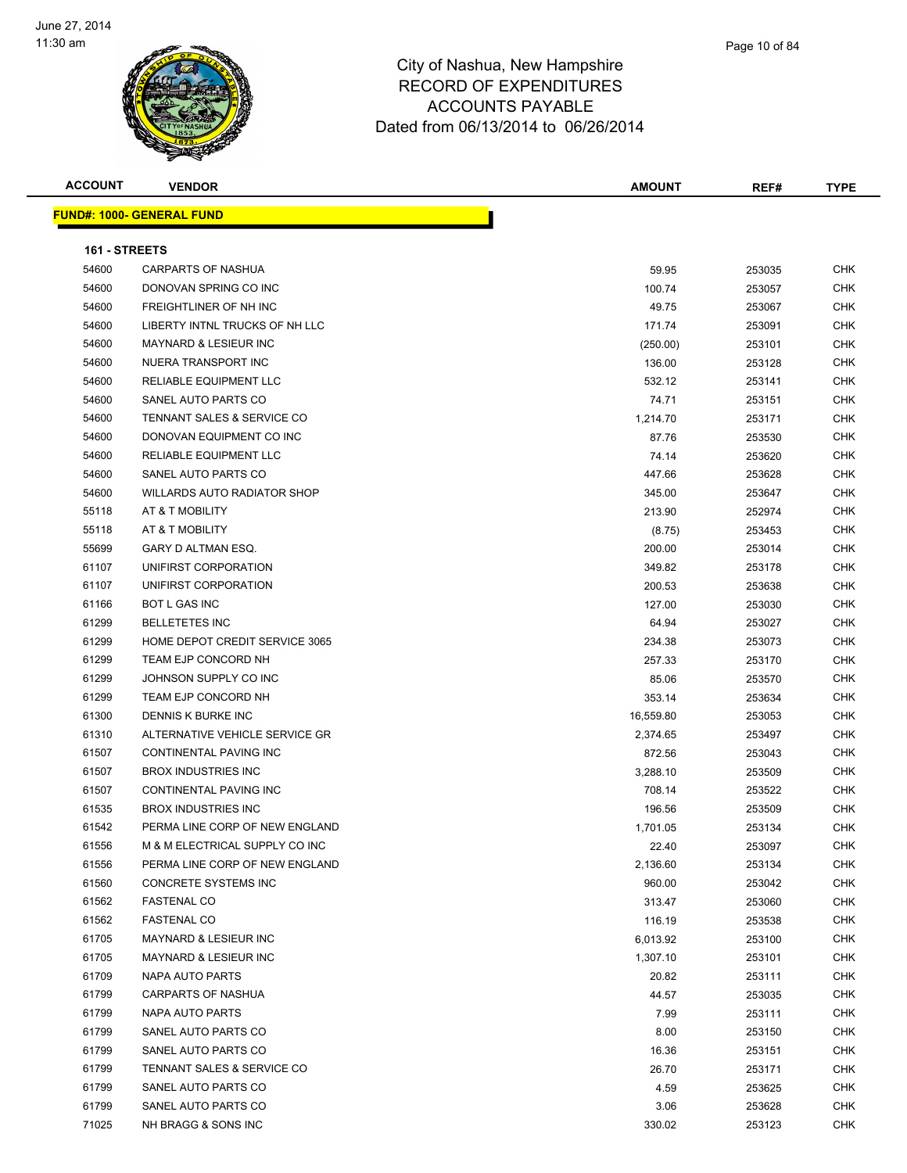

| <b>ACCOUNT</b> | <b>VENDOR</b>                      | <b>AMOUNT</b> | REF#   | <b>TYPE</b> |
|----------------|------------------------------------|---------------|--------|-------------|
|                | <b>FUND#: 1000- GENERAL FUND</b>   |               |        |             |
|                |                                    |               |        |             |
| 161 - STREETS  |                                    |               |        |             |
| 54600          | <b>CARPARTS OF NASHUA</b>          | 59.95         | 253035 | <b>CHK</b>  |
| 54600          | DONOVAN SPRING CO INC              | 100.74        | 253057 | CHK         |
| 54600          | FREIGHTLINER OF NH INC             | 49.75         | 253067 | CHK         |
| 54600          | LIBERTY INTNL TRUCKS OF NH LLC     | 171.74        | 253091 | CHK         |
| 54600          | <b>MAYNARD &amp; LESIEUR INC</b>   | (250.00)      | 253101 | <b>CHK</b>  |
| 54600          | NUERA TRANSPORT INC                | 136.00        | 253128 | CHK         |
| 54600          | RELIABLE EQUIPMENT LLC             | 532.12        | 253141 | <b>CHK</b>  |
| 54600          | SANEL AUTO PARTS CO                | 74.71         | 253151 | CHK         |
| 54600          | TENNANT SALES & SERVICE CO         | 1,214.70      | 253171 | CHK         |
| 54600          | DONOVAN EQUIPMENT CO INC           | 87.76         | 253530 | CHK         |
| 54600          | RELIABLE EQUIPMENT LLC             | 74.14         | 253620 | CHK         |
| 54600          | SANEL AUTO PARTS CO                | 447.66        | 253628 | CHK         |
| 54600          | <b>WILLARDS AUTO RADIATOR SHOP</b> | 345.00        | 253647 | CHK         |
| 55118          | AT & T MOBILITY                    | 213.90        | 252974 | CHK         |
| 55118          | AT & T MOBILITY                    | (8.75)        | 253453 | CHK         |
| 55699          | GARY D ALTMAN ESQ.                 | 200.00        | 253014 | CHK         |
| 61107          | UNIFIRST CORPORATION               | 349.82        | 253178 | <b>CHK</b>  |
| 61107          | UNIFIRST CORPORATION               | 200.53        | 253638 | <b>CHK</b>  |
| 61166          | <b>BOT L GAS INC</b>               | 127.00        | 253030 | <b>CHK</b>  |
| 61299          | <b>BELLETETES INC</b>              | 64.94         | 253027 | CHK         |
| 61299          | HOME DEPOT CREDIT SERVICE 3065     | 234.38        | 253073 | CHK         |
| 61299          | TEAM EJP CONCORD NH                | 257.33        | 253170 | CHK         |
| 61299          | JOHNSON SUPPLY CO INC              | 85.06         | 253570 | CHK         |
| 61299          | TEAM EJP CONCORD NH                | 353.14        | 253634 | CHK         |
| 61300          | DENNIS K BURKE INC                 | 16,559.80     | 253053 | CHK         |
| 61310          | ALTERNATIVE VEHICLE SERVICE GR     | 2,374.65      | 253497 | CHK         |
| 61507          | CONTINENTAL PAVING INC             | 872.56        | 253043 | <b>CHK</b>  |
| 61507          | <b>BROX INDUSTRIES INC</b>         | 3,288.10      | 253509 | <b>CHK</b>  |
| 61507          | <b>CONTINENTAL PAVING INC</b>      | 708.14        | 253522 | CHK         |
| 61535          | <b>BROX INDUSTRIES INC</b>         | 196.56        | 253509 | <b>CHK</b>  |
| 61542          | PERMA LINE CORP OF NEW ENGLAND     | 1,701.05      | 253134 | CHK         |
| 61556          | M & M ELECTRICAL SUPPLY CO INC     | 22.40         | 253097 | CHK         |
| 61556          | PERMA LINE CORP OF NEW ENGLAND     | 2,136.60      | 253134 | <b>CHK</b>  |
| 61560          | <b>CONCRETE SYSTEMS INC</b>        | 960.00        | 253042 | <b>CHK</b>  |
| 61562          | <b>FASTENAL CO</b>                 | 313.47        | 253060 | <b>CHK</b>  |
| 61562          | <b>FASTENAL CO</b>                 | 116.19        | 253538 | <b>CHK</b>  |
| 61705          | MAYNARD & LESIEUR INC              | 6,013.92      | 253100 | <b>CHK</b>  |
| 61705          | MAYNARD & LESIEUR INC              | 1,307.10      | 253101 | CHK         |
| 61709          | NAPA AUTO PARTS                    | 20.82         | 253111 | <b>CHK</b>  |
| 61799          | CARPARTS OF NASHUA                 | 44.57         | 253035 | <b>CHK</b>  |
| 61799          | NAPA AUTO PARTS                    | 7.99          | 253111 | CHK         |
| 61799          | SANEL AUTO PARTS CO                | 8.00          | 253150 | CHK         |
| 61799          | SANEL AUTO PARTS CO                | 16.36         | 253151 | <b>CHK</b>  |
| 61799          | TENNANT SALES & SERVICE CO         | 26.70         | 253171 | CHK         |
| 61799          | SANEL AUTO PARTS CO                | 4.59          | 253625 | CHK         |
| 61799          | SANEL AUTO PARTS CO                | 3.06          | 253628 | CHK         |
| 71025          | NH BRAGG & SONS INC                | 330.02        | 253123 | CHK         |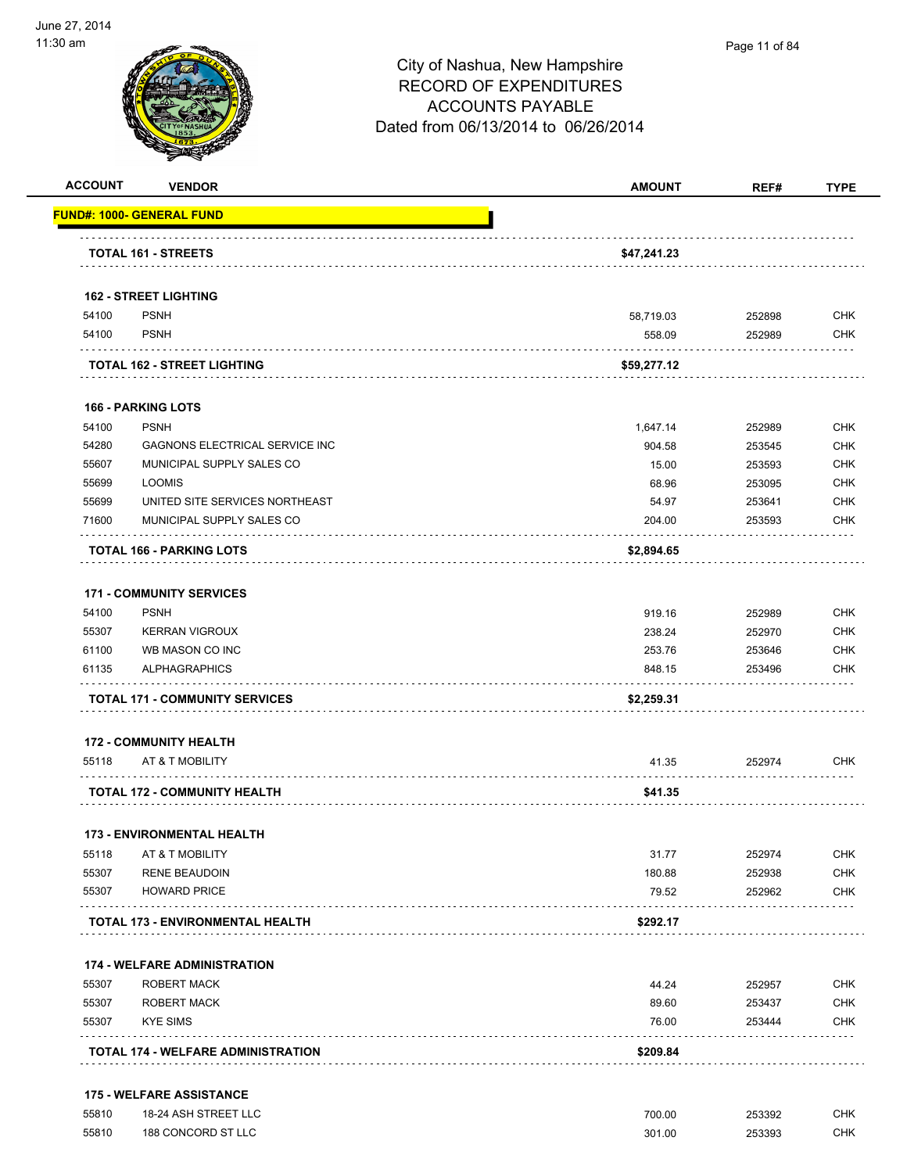

| <b>ACCOUNT</b> | <b>VENDOR</b>                           | <b>AMOUNT</b> | REF#   | <b>TYPE</b> |
|----------------|-----------------------------------------|---------------|--------|-------------|
|                | <b>FUND#: 1000- GENERAL FUND</b>        |               |        |             |
|                | <b>TOTAL 161 - STREETS</b>              | \$47,241.23   |        |             |
|                |                                         |               |        |             |
|                | <b>162 - STREET LIGHTING</b>            |               |        |             |
| 54100          | <b>PSNH</b>                             | 58,719.03     | 252898 | <b>CHK</b>  |
| 54100          | <b>PSNH</b>                             | 558.09        | 252989 | <b>CHK</b>  |
|                | TOTAL 162 - STREET LIGHTING             | \$59,277.12   |        |             |
|                | <b>166 - PARKING LOTS</b>               |               |        |             |
| 54100          | <b>PSNH</b>                             | 1,647.14      | 252989 | <b>CHK</b>  |
| 54280          | GAGNONS ELECTRICAL SERVICE INC          | 904.58        | 253545 | <b>CHK</b>  |
| 55607          | MUNICIPAL SUPPLY SALES CO               | 15.00         | 253593 | <b>CHK</b>  |
| 55699          | <b>LOOMIS</b>                           | 68.96         | 253095 | <b>CHK</b>  |
| 55699          | UNITED SITE SERVICES NORTHEAST          | 54.97         | 253641 | <b>CHK</b>  |
| 71600          | MUNICIPAL SUPPLY SALES CO               | 204.00        | 253593 | <b>CHK</b>  |
|                | TOTAL 166 - PARKING LOTS                | \$2,894.65    |        |             |
|                | <b>171 - COMMUNITY SERVICES</b>         |               |        |             |
| 54100          | <b>PSNH</b>                             | 919.16        | 252989 | <b>CHK</b>  |
| 55307          | <b>KERRAN VIGROUX</b>                   | 238.24        | 252970 | <b>CHK</b>  |
| 61100          | WB MASON CO INC                         | 253.76        | 253646 | <b>CHK</b>  |
| 61135          | <b>ALPHAGRAPHICS</b>                    | 848.15        | 253496 | CHK         |
|                | <b>TOTAL 171 - COMMUNITY SERVICES</b>   | \$2,259.31    |        |             |
|                | <b>172 - COMMUNITY HEALTH</b>           |               |        |             |
| 55118          | AT & T MOBILITY                         | 41.35         | 252974 | <b>CHK</b>  |
|                | <b>TOTAL 172 - COMMUNITY HEALTH</b>     | \$41.35       |        |             |
|                | <b>173 - ENVIRONMENTAL HEALTH</b>       |               |        |             |
| 55118          | AT & T MOBILITY                         | 31.77         | 252974 | <b>CHK</b>  |
| 55307          | <b>RENE BEAUDOIN</b>                    | 180.88        | 252938 | <b>CHK</b>  |
| 55307          | <b>HOWARD PRICE</b>                     | 79.52         | 252962 | <b>CHK</b>  |
|                | <b>TOTAL 173 - ENVIRONMENTAL HEALTH</b> | \$292.17      |        |             |
|                |                                         |               |        |             |
|                | <b>174 - WELFARE ADMINISTRATION</b>     |               |        |             |
| 55307          | <b>ROBERT MACK</b>                      | 44.24         | 252957 | <b>CHK</b>  |
| 55307          | <b>ROBERT MACK</b>                      | 89.60         | 253437 | <b>CHK</b>  |
| 55307          | <b>KYE SIMS</b>                         | 76.00         | 253444 | <b>CHK</b>  |
|                |                                         |               |        |             |

| 55810 | 18-24 ASH STREET L<br>$\sim$        | 700.00<br>. | 253392<br>. | снк |
|-------|-------------------------------------|-------------|-------------|-----|
| 55810 | 188 CONCORD ST L<br><b>LLC</b><br>. | 301.00<br>. | 253393<br>. | СНК |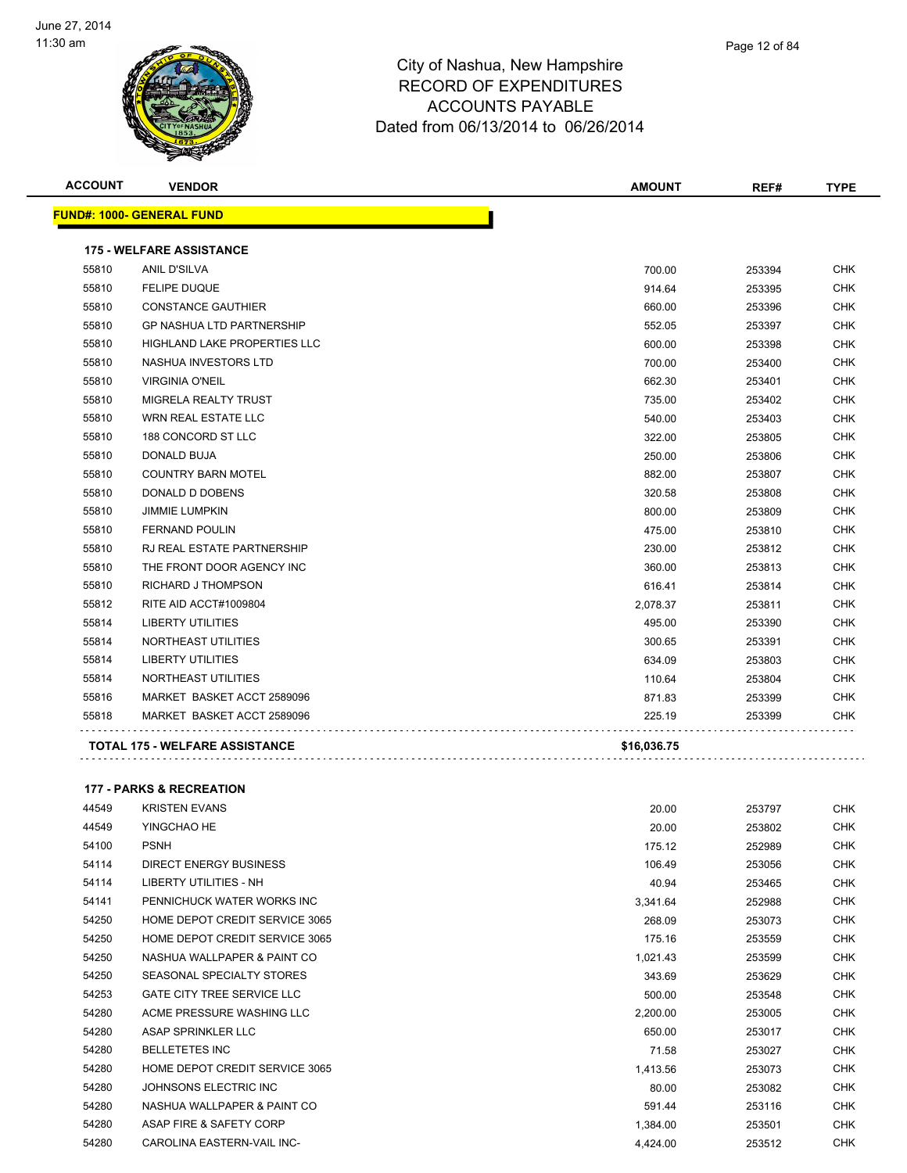

| mpshire       |  |  |
|---------------|--|--|
| <b>ITURES</b> |  |  |

Page 12 of 84

| <b>ACCOUNT</b> | <b>VENDOR</b>                         | <b>AMOUNT</b> | REF#   | <b>TYPE</b> |
|----------------|---------------------------------------|---------------|--------|-------------|
|                | <b>FUND#: 1000- GENERAL FUND</b>      |               |        |             |
|                | <b>175 - WELFARE ASSISTANCE</b>       |               |        |             |
| 55810          | <b>ANIL D'SILVA</b>                   | 700.00        | 253394 | <b>CHK</b>  |
| 55810          | <b>FELIPE DUQUE</b>                   | 914.64        | 253395 | <b>CHK</b>  |
| 55810          | <b>CONSTANCE GAUTHIER</b>             | 660.00        | 253396 | CHK         |
| 55810          | <b>GP NASHUA LTD PARTNERSHIP</b>      | 552.05        | 253397 | <b>CHK</b>  |
| 55810          | <b>HIGHLAND LAKE PROPERTIES LLC</b>   | 600.00        | 253398 | <b>CHK</b>  |
| 55810          | NASHUA INVESTORS LTD                  | 700.00        | 253400 | <b>CHK</b>  |
| 55810          | <b>VIRGINIA O'NEIL</b>                | 662.30        | 253401 | <b>CHK</b>  |
| 55810          | <b>MIGRELA REALTY TRUST</b>           | 735.00        | 253402 | <b>CHK</b>  |
| 55810          | <b>WRN REAL ESTATE LLC</b>            | 540.00        | 253403 | <b>CHK</b>  |
| 55810          | 188 CONCORD ST LLC                    | 322.00        | 253805 | <b>CHK</b>  |
| 55810          | DONALD BUJA                           | 250.00        | 253806 | <b>CHK</b>  |
| 55810          | <b>COUNTRY BARN MOTEL</b>             | 882.00        | 253807 | <b>CHK</b>  |
| 55810          | DONALD D DOBENS                       | 320.58        | 253808 | <b>CHK</b>  |
| 55810          | <b>JIMMIE LUMPKIN</b>                 | 800.00        | 253809 | <b>CHK</b>  |
| 55810          | <b>FERNAND POULIN</b>                 | 475.00        | 253810 | <b>CHK</b>  |
| 55810          | <b>RJ REAL ESTATE PARTNERSHIP</b>     | 230.00        | 253812 | CHK         |
| 55810          | THE FRONT DOOR AGENCY INC             | 360.00        | 253813 | <b>CHK</b>  |
| 55810          | <b>RICHARD J THOMPSON</b>             | 616.41        | 253814 | <b>CHK</b>  |
| 55812          | RITE AID ACCT#1009804                 | 2,078.37      | 253811 | <b>CHK</b>  |
| 55814          | <b>LIBERTY UTILITIES</b>              | 495.00        | 253390 | <b>CHK</b>  |
| 55814          | NORTHEAST UTILITIES                   | 300.65        | 253391 | <b>CHK</b>  |
| 55814          | <b>LIBERTY UTILITIES</b>              | 634.09        | 253803 | <b>CHK</b>  |
| 55814          | NORTHEAST UTILITIES                   | 110.64        | 253804 | <b>CHK</b>  |
| 55816          | MARKET BASKET ACCT 2589096            | 871.83        | 253399 | <b>CHK</b>  |
| 55818          | MARKET BASKET ACCT 2589096            | 225.19        | 253399 | <b>CHK</b>  |
|                | <b>TOTAL 175 - WELFARE ASSISTANCE</b> | \$16,036.75   |        |             |
|                |                                       |               |        |             |

**177 - PARKS & RECREATION**

| 44549 | <b>KRISTEN EVANS</b>              | 20.00    | 253797 | <b>CHK</b> |
|-------|-----------------------------------|----------|--------|------------|
| 44549 | YINGCHAO HE                       | 20.00    | 253802 | <b>CHK</b> |
| 54100 | <b>PSNH</b>                       | 175.12   | 252989 | <b>CHK</b> |
| 54114 | DIRECT ENERGY BUSINESS            | 106.49   | 253056 | CHK        |
| 54114 | <b>LIBERTY UTILITIES - NH</b>     | 40.94    | 253465 | <b>CHK</b> |
| 54141 | PENNICHUCK WATER WORKS INC        | 3,341.64 | 252988 | CHK        |
| 54250 | HOME DEPOT CREDIT SERVICE 3065    | 268.09   | 253073 | <b>CHK</b> |
| 54250 | HOME DEPOT CREDIT SERVICE 3065    | 175.16   | 253559 | CHK        |
| 54250 | NASHUA WALLPAPER & PAINT CO       | 1,021.43 | 253599 | <b>CHK</b> |
| 54250 | SEASONAL SPECIALTY STORES         | 343.69   | 253629 | CHK        |
| 54253 | <b>GATE CITY TREE SERVICE LLC</b> | 500.00   | 253548 | <b>CHK</b> |
| 54280 | ACME PRESSURE WASHING LLC         | 2,200.00 | 253005 | CHK        |
| 54280 | ASAP SPRINKLER LLC                | 650.00   | 253017 | <b>CHK</b> |
| 54280 | <b>BELLETETES INC</b>             | 71.58    | 253027 | CHK        |
| 54280 | HOME DEPOT CREDIT SERVICE 3065    | 1,413.56 | 253073 | <b>CHK</b> |
| 54280 | JOHNSONS ELECTRIC INC             | 80.00    | 253082 | CHK        |
| 54280 | NASHUA WALLPAPER & PAINT CO       | 591.44   | 253116 | <b>CHK</b> |
| 54280 | ASAP FIRE & SAFETY CORP           | 1,384.00 | 253501 | CHK        |
| 54280 | CAROLINA EASTERN-VAIL INC-        | 4,424.00 | 253512 | <b>CHK</b> |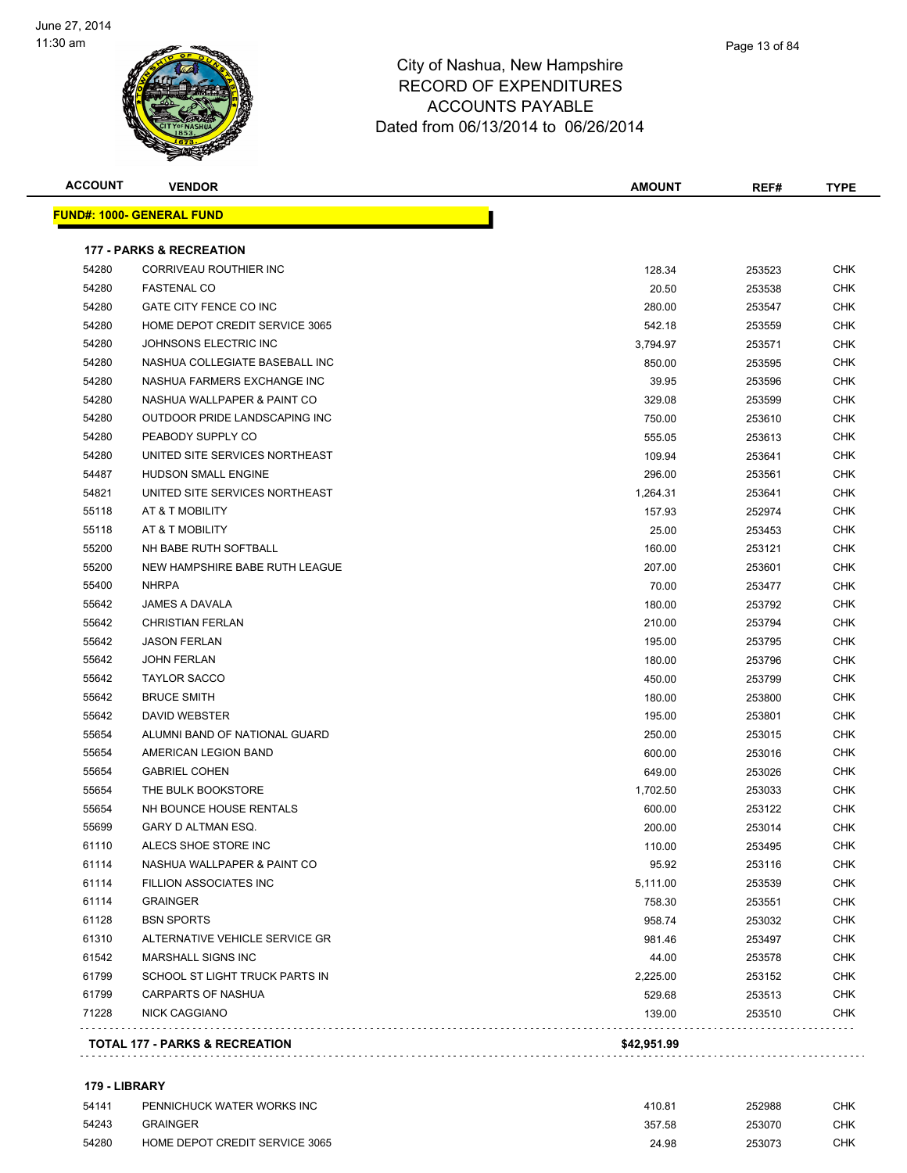

| Page 13 of 84 |
|---------------|
|               |

| <b>ACCOUNT</b> | <b>VENDOR</b>                       | <b>AMOUNT</b> | REF#   | <b>TYPE</b> |
|----------------|-------------------------------------|---------------|--------|-------------|
|                | <b>FUND#: 1000- GENERAL FUND</b>    |               |        |             |
|                | <b>177 - PARKS &amp; RECREATION</b> |               |        |             |
| 54280          | CORRIVEAU ROUTHIER INC              | 128.34        | 253523 | <b>CHK</b>  |
| 54280          | <b>FASTENAL CO</b>                  | 20.50         | 253538 | CHK         |
| 54280          | GATE CITY FENCE CO INC              | 280.00        | 253547 | <b>CHK</b>  |
| 54280          | HOME DEPOT CREDIT SERVICE 3065      | 542.18        | 253559 | CHK         |
| 54280          | JOHNSONS ELECTRIC INC               | 3,794.97      | 253571 | CHK         |
| 54280          | NASHUA COLLEGIATE BASEBALL INC      | 850.00        | 253595 | CHK         |
| 54280          | NASHUA FARMERS EXCHANGE INC         | 39.95         | 253596 | CHK         |
| 54280          | NASHUA WALLPAPER & PAINT CO         | 329.08        | 253599 | CHK         |
| 54280          | OUTDOOR PRIDE LANDSCAPING INC       | 750.00        | 253610 | CHK         |
| 54280          | PEABODY SUPPLY CO                   | 555.05        | 253613 | <b>CHK</b>  |
| 54280          | UNITED SITE SERVICES NORTHEAST      | 109.94        | 253641 | <b>CHK</b>  |
| 54487          | <b>HUDSON SMALL ENGINE</b>          | 296.00        | 253561 | <b>CHK</b>  |
| 54821          | UNITED SITE SERVICES NORTHEAST      | 1,264.31      | 253641 | CHK         |
| 55118          | AT & T MOBILITY                     | 157.93        | 252974 | CHK         |
| 55118          | AT & T MOBILITY                     | 25.00         | 253453 | CHK         |
| 55200          | NH BABE RUTH SOFTBALL               | 160.00        | 253121 | <b>CHK</b>  |
| 55200          | NEW HAMPSHIRE BABE RUTH LEAGUE      | 207.00        | 253601 | CHK         |
| 55400          | <b>NHRPA</b>                        | 70.00         | 253477 | CHK         |
| 55642          | <b>JAMES A DAVALA</b>               | 180.00        | 253792 | CHK         |
| 55642          | <b>CHRISTIAN FERLAN</b>             | 210.00        | 253794 | CHK         |
| 55642          | <b>JASON FERLAN</b>                 | 195.00        | 253795 | CHK         |
| 55642          | <b>JOHN FERLAN</b>                  | 180.00        | 253796 | <b>CHK</b>  |
| 55642          | <b>TAYLOR SACCO</b>                 | 450.00        | 253799 | <b>CHK</b>  |
| 55642          | <b>BRUCE SMITH</b>                  | 180.00        | 253800 | CHK         |
| 55642          | <b>DAVID WEBSTER</b>                | 195.00        | 253801 | <b>CHK</b>  |
| 55654          | ALUMNI BAND OF NATIONAL GUARD       | 250.00        | 253015 | CHK         |
| 55654          | AMERICAN LEGION BAND                | 600.00        | 253016 | <b>CHK</b>  |
| 55654          | <b>GABRIEL COHEN</b>                | 649.00        | 253026 | CHK         |
| 55654          | THE BULK BOOKSTORE                  | 1,702.50      | 253033 | <b>CHK</b>  |
| 55654          | NH BOUNCE HOUSE RENTALS             | 600.00        | 253122 | CHK         |
| 55699          | GARY D ALTMAN ESQ.                  | 200.00        | 253014 | <b>CHK</b>  |
| 61110          | ALECS SHOE STORE INC                | 110.00        | 253495 | CHK         |
| 61114          | NASHUA WALLPAPER & PAINT CO         | 95.92         | 253116 | <b>CHK</b>  |
| 61114          | <b>FILLION ASSOCIATES INC</b>       | 5,111.00      | 253539 | <b>CHK</b>  |
| 61114          | <b>GRAINGER</b>                     | 758.30        | 253551 | <b>CHK</b>  |
| 61128          | <b>BSN SPORTS</b>                   | 958.74        | 253032 | <b>CHK</b>  |
| 61310          | ALTERNATIVE VEHICLE SERVICE GR      | 981.46        | 253497 | <b>CHK</b>  |
| 61542          | <b>MARSHALL SIGNS INC</b>           | 44.00         | 253578 | <b>CHK</b>  |
| 61799          | SCHOOL ST LIGHT TRUCK PARTS IN      | 2,225.00      | 253152 | CHK         |
| 61799          | CARPARTS OF NASHUA                  | 529.68        | 253513 | <b>CHK</b>  |
| 71228          | <b>NICK CAGGIANO</b>                | 139.00        | 253510 | <b>CHK</b>  |

#### **179 - LIBRARY**

| 54141 | PENNICHUCK WATER WORKS INC     | 410.81 | 252988 | CHK |
|-------|--------------------------------|--------|--------|-----|
| 54243 | <b>GRAINGER</b>                | 357.58 | 253070 | СНК |
| 54280 | HOME DEPOT CREDIT SERVICE 3065 | 24.98  | 253073 | СНК |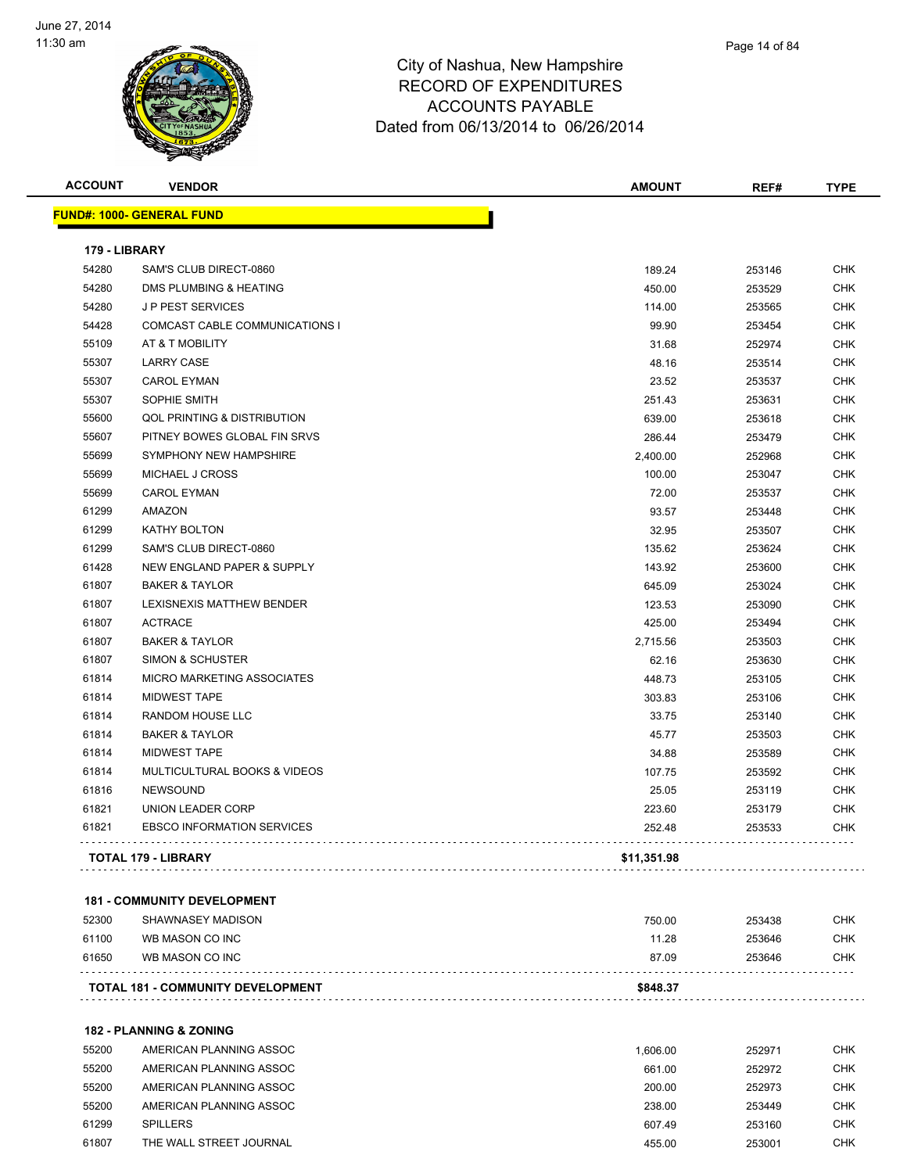

| WI<br>٨Ń       |               | <b>ACCOUNTS PAYABLE</b><br>Dated from 06/13/2014 to 06/26/2014 |             |
|----------------|---------------|----------------------------------------------------------------|-------------|
| <b>ACCOUNT</b> | <b>VENDOR</b> | <b>AMOUNT</b><br>REF#                                          | <b>TYPE</b> |

#### **FUND#: 1000- GENERAL FUND 179 - LIBRARY** SAM'S CLUB DIRECT-0860 189.24 253146 CHK DMS PLUMBING & HEATING 450.00 253529 CHK J P PEST SERVICES 114.00 253565 CHK COMCAST CABLE COMMUNICATIONS I 99.90 253454 CHK AT & T MOBILITY 31.68 252974 CHK LARRY CASE 48.16 253514 CHK CAROL EYMAN 23.52 253537 CHK 55307 SOPHIE SMITH 251.43 253631 CHK QOL PRINTING & DISTRIBUTION 639.00 253618 CHK PITNEY BOWES GLOBAL FIN SRVS 286.44 253479 CHK SYMPHONY NEW HAMPSHIRE 2,400.00 252968 CHK MICHAEL J CROSS 100.00 253047 CHK CAROL EYMAN 72.00 253537 CHK AMAZON 93.57 253448 CHK KATHY BOLTON 32.95 253507 CHK SAM'S CLUB DIRECT-0860 135.62 253624 CHK NEW ENGLAND PAPER & SUPPLY 143.92 253600 CHK BAKER & TAYLOR 645.09 253024 CHK er by the state of the state of the state of the state of the state of the state of the state of the state of the state of the state of the state of the state of the state of the state of the state of the state of the stat ACTRACE 425.00 253494 CHK BAKER & TAYLOR 2,715.56 253503 CHK SIMON & SCHUSTER 62.16 253630 CHK MICRO MARKETING ASSOCIATES 448.73 253105 CHK MIDWEST TAPE 303.83 253106 CHK RANDOM HOUSE LLC 33.75 253140 CHK BAKER & TAYLOR 45.77 253503 CHK MIDWEST TAPE 34.88 253589 CHK MULTICULTURAL BOOKS & VIDEOS 107.75 253592 CHK NEWSOUND 25.05 253119 CHK UNION LEADER CORP 223.60 253179 CHK EBSCO INFORMATION SERVICES 252.48 253533 CHK  $\alpha$  ,  $\alpha$  ,  $\alpha$  ,  $\alpha$  ,  $\alpha$ . . . . . **TOTAL 179 - LIBRARY \$11,351.98**

#### **181 - COMMUNITY DEVELOPMENT**

| 61650<br>253646<br>87.09<br>WB MASON CO INC | <b>CHK</b> |
|---------------------------------------------|------------|
|                                             |            |

#### **182 - PLANNING & ZONING**

| 55200 | AMERICAN PLANNING ASSOC | .606.00 | 252971 | <b>CHK</b> |
|-------|-------------------------|---------|--------|------------|
| 55200 | AMERICAN PLANNING ASSOC | 661.00  | 252972 | CHK        |
| 55200 | AMERICAN PLANNING ASSOC | 200.00  | 252973 | CHK        |
| 55200 | AMERICAN PLANNING ASSOC | 238.00  | 253449 | <b>CHK</b> |
| 61299 | <b>SPILLERS</b>         | 607.49  | 253160 | CHK        |
| 61807 | THE WALL STREET JOURNAL | 455.00  | 253001 | снк        |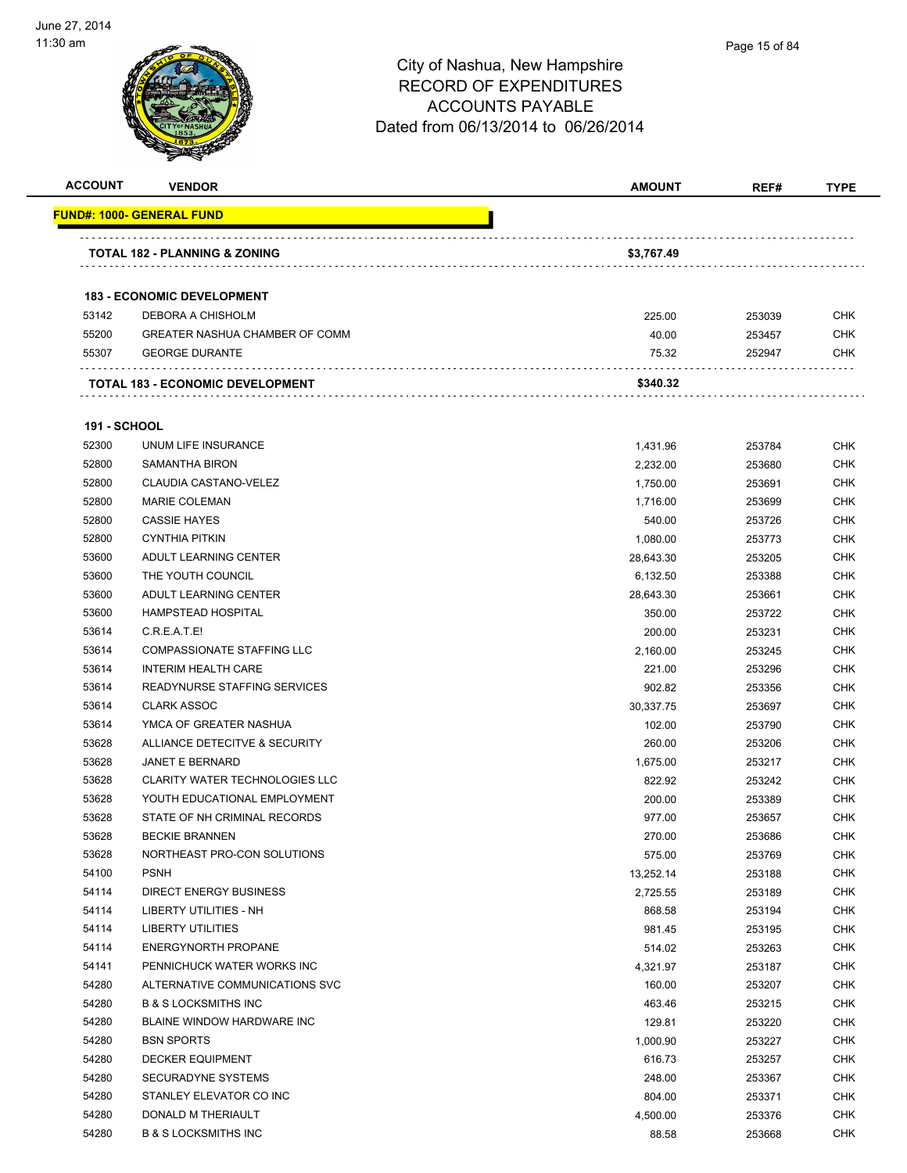

| <b>ACCOUNT</b>      | <b>VENDOR</b>                               | <b>AMOUNT</b>      | REF#             | <b>TYPE</b>              |
|---------------------|---------------------------------------------|--------------------|------------------|--------------------------|
|                     | <b>FUND#: 1000- GENERAL FUND</b>            |                    |                  |                          |
|                     | TOTAL 182 - PLANNING & ZONING               | \$3,767.49         |                  |                          |
|                     | <b>183 - ECONOMIC DEVELOPMENT</b>           |                    |                  |                          |
| 53142               | DEBORA A CHISHOLM                           | 225.00             | 253039           | <b>CHK</b>               |
| 55200               | <b>GREATER NASHUA CHAMBER OF COMM</b>       | 40.00              | 253457           | <b>CHK</b>               |
| 55307               | <b>GEORGE DURANTE</b>                       | 75.32              | 252947           | CHK                      |
|                     | TOTAL 183 - ECONOMIC DEVELOPMENT            | \$340.32           |                  |                          |
|                     |                                             |                    |                  |                          |
| <b>191 - SCHOOL</b> |                                             |                    |                  |                          |
| 52300               | UNUM LIFE INSURANCE                         | 1,431.96           | 253784           | CHK                      |
| 52800               | <b>SAMANTHA BIRON</b>                       | 2,232.00           | 253680           | <b>CHK</b>               |
| 52800               | CLAUDIA CASTANO-VELEZ                       | 1,750.00           | 253691           | <b>CHK</b><br><b>CHK</b> |
| 52800<br>52800      | <b>MARIE COLEMAN</b><br><b>CASSIE HAYES</b> | 1,716.00<br>540.00 | 253699<br>253726 | <b>CHK</b>               |
| 52800               | <b>CYNTHIA PITKIN</b>                       | 1,080.00           | 253773           | <b>CHK</b>               |
| 53600               | ADULT LEARNING CENTER                       | 28,643.30          | 253205           | <b>CHK</b>               |
| 53600               | THE YOUTH COUNCIL                           | 6,132.50           | 253388           | <b>CHK</b>               |
| 53600               | ADULT LEARNING CENTER                       | 28,643.30          | 253661           | <b>CHK</b>               |
| 53600               | <b>HAMPSTEAD HOSPITAL</b>                   | 350.00             | 253722           | <b>CHK</b>               |
| 53614               | C.R.E.A.T.E!                                | 200.00             | 253231           | <b>CHK</b>               |
| 53614               | COMPASSIONATE STAFFING LLC                  | 2,160.00           | 253245           | <b>CHK</b>               |
| 53614               | <b>INTERIM HEALTH CARE</b>                  | 221.00             | 253296           | CHK                      |
| 53614               | READYNURSE STAFFING SERVICES                | 902.82             | 253356           | <b>CHK</b>               |
| 53614               | <b>CLARK ASSOC</b>                          | 30,337.75          | 253697           | <b>CHK</b>               |
| 53614               | YMCA OF GREATER NASHUA                      | 102.00             | 253790           | <b>CHK</b>               |
| 53628               | ALLIANCE DETECITVE & SECURITY               | 260.00             | 253206           | <b>CHK</b>               |
| 53628               | <b>JANET E BERNARD</b>                      | 1,675.00           | 253217           | <b>CHK</b>               |
| 53628               | <b>CLARITY WATER TECHNOLOGIES LLC</b>       | 822.92             | 253242           | <b>CHK</b>               |
| 53628               | YOUTH EDUCATIONAL EMPLOYMENT                | 200.00             | 253389           | CHK                      |
| 53628               | STATE OF NH CRIMINAL RECORDS                | 977.00             | 253657           | <b>CHK</b>               |
| 53628               | <b>BECKIE BRANNEN</b>                       | 270.00             | 253686           | <b>CHK</b>               |
| 53628               | NORTHEAST PRO-CON SOLUTIONS                 | 575.00             | 253769           | <b>CHK</b>               |
| 54100               | <b>PSNH</b>                                 | 13,252.14          | 253188           | <b>CHK</b>               |
| 54114               | <b>DIRECT ENERGY BUSINESS</b>               | 2,725.55           | 253189           | <b>CHK</b>               |
| 54114               | <b>LIBERTY UTILITIES - NH</b>               | 868.58             | 253194           | <b>CHK</b>               |
| 54114               | <b>LIBERTY UTILITIES</b>                    | 981.45             | 253195           | <b>CHK</b>               |
| 54114               | <b>ENERGYNORTH PROPANE</b>                  | 514.02             | 253263           | <b>CHK</b>               |
| 54141               | PENNICHUCK WATER WORKS INC                  | 4,321.97           | 253187           | <b>CHK</b>               |
| 54280               | ALTERNATIVE COMMUNICATIONS SVC              | 160.00             | 253207           | <b>CHK</b>               |
| 54280               | <b>B &amp; S LOCKSMITHS INC</b>             | 463.46             | 253215           | CHK                      |
| 54280               | BLAINE WINDOW HARDWARE INC                  | 129.81             | 253220           | <b>CHK</b>               |
| 54280               | <b>BSN SPORTS</b>                           | 1,000.90           | 253227           | CHK                      |
| 54280               | <b>DECKER EQUIPMENT</b>                     | 616.73             | 253257           | CHK                      |
| 54280               | SECURADYNE SYSTEMS                          | 248.00             | 253367           | <b>CHK</b>               |
| 54280               | STANLEY ELEVATOR CO INC                     | 804.00             | 253371           | CHK                      |
| 54280               | DONALD M THERIAULT                          | 4,500.00           | 253376           | <b>CHK</b>               |
| 54280               | <b>B &amp; S LOCKSMITHS INC</b>             | 88.58              | 253668           | <b>CHK</b>               |
|                     |                                             |                    |                  |                          |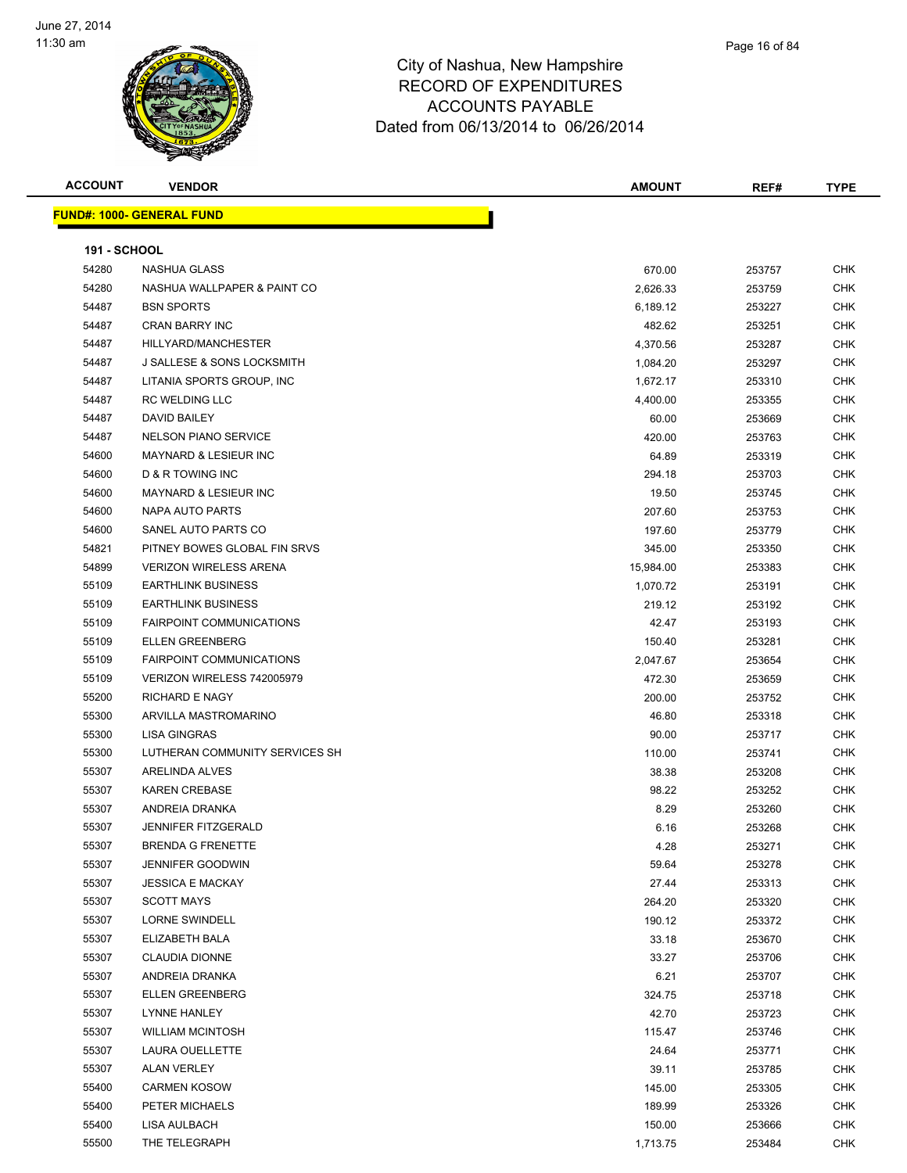

| <b>ACCOUNT</b>      | <b>VENDOR</b>                    | <b>AMOUNT</b> | REF#   | <b>TYPE</b> |
|---------------------|----------------------------------|---------------|--------|-------------|
|                     | <b>FUND#: 1000- GENERAL FUND</b> |               |        |             |
|                     |                                  |               |        |             |
| <b>191 - SCHOOL</b> |                                  |               |        |             |
| 54280               | <b>NASHUA GLASS</b>              | 670.00        | 253757 | <b>CHK</b>  |
| 54280               | NASHUA WALLPAPER & PAINT CO      | 2,626.33      | 253759 | CHK         |
| 54487               | <b>BSN SPORTS</b>                | 6,189.12      | 253227 | <b>CHK</b>  |
| 54487               | <b>CRAN BARRY INC</b>            | 482.62        | 253251 | CHK         |
| 54487               | HILLYARD/MANCHESTER              | 4,370.56      | 253287 | <b>CHK</b>  |
| 54487               | J SALLESE & SONS LOCKSMITH       | 1,084.20      | 253297 | <b>CHK</b>  |
| 54487               | LITANIA SPORTS GROUP, INC        | 1,672.17      | 253310 | <b>CHK</b>  |
| 54487               | <b>RC WELDING LLC</b>            | 4,400.00      | 253355 | CHK         |
| 54487               | DAVID BAILEY                     | 60.00         | 253669 | CHK         |
| 54487               | <b>NELSON PIANO SERVICE</b>      | 420.00        | 253763 | CHK         |
| 54600               | <b>MAYNARD &amp; LESIEUR INC</b> | 64.89         | 253319 | CHK         |
| 54600               | <b>D &amp; R TOWING INC</b>      | 294.18        | 253703 | CHK         |
| 54600               | <b>MAYNARD &amp; LESIEUR INC</b> | 19.50         | 253745 | CHK         |
| 54600               | <b>NAPA AUTO PARTS</b>           | 207.60        | 253753 | <b>CHK</b>  |
| 54600               | SANEL AUTO PARTS CO              | 197.60        | 253779 | <b>CHK</b>  |
| 54821               | PITNEY BOWES GLOBAL FIN SRVS     | 345.00        | 253350 | CHK         |
| 54899               | <b>VERIZON WIRELESS ARENA</b>    | 15,984.00     | 253383 | <b>CHK</b>  |
| 55109               | <b>EARTHLINK BUSINESS</b>        | 1,070.72      | 253191 | <b>CHK</b>  |
| 55109               | <b>EARTHLINK BUSINESS</b>        | 219.12        | 253192 | CHK         |
| 55109               | <b>FAIRPOINT COMMUNICATIONS</b>  | 42.47         | 253193 | <b>CHK</b>  |
| 55109               | <b>ELLEN GREENBERG</b>           | 150.40        | 253281 | <b>CHK</b>  |
| 55109               | <b>FAIRPOINT COMMUNICATIONS</b>  | 2,047.67      | 253654 | <b>CHK</b>  |
| 55109               | VERIZON WIRELESS 742005979       | 472.30        | 253659 | CHK         |
| 55200               | <b>RICHARD E NAGY</b>            | 200.00        | 253752 | CHK         |
| 55300               | ARVILLA MASTROMARINO             | 46.80         | 253318 | <b>CHK</b>  |
| 55300               | <b>LISA GINGRAS</b>              | 90.00         | 253717 | CHK         |
| 55300               | LUTHERAN COMMUNITY SERVICES SH   | 110.00        | 253741 | <b>CHK</b>  |
| 55307               | ARELINDA ALVES                   | 38.38         | 253208 | <b>CHK</b>  |
| 55307               | <b>KAREN CREBASE</b>             | 98.22         | 253252 | CHK         |
| 55307               | ANDREIA DRANKA                   | 8.29          | 253260 | CHK         |
| 55307               | <b>JENNIFER FITZGERALD</b>       | 6.16          | 253268 | CHK         |
| 55307               | <b>BRENDA G FRENETTE</b>         | 4.28          | 253271 | <b>CHK</b>  |
| 55307               | <b>JENNIFER GOODWIN</b>          | 59.64         | 253278 | <b>CHK</b>  |
| 55307               | <b>JESSICA E MACKAY</b>          | 27.44         | 253313 | <b>CHK</b>  |
| 55307               | <b>SCOTT MAYS</b>                | 264.20        | 253320 | <b>CHK</b>  |
| 55307               | <b>LORNE SWINDELL</b>            | 190.12        | 253372 | CHK         |
| 55307               | ELIZABETH BALA                   | 33.18         | 253670 | <b>CHK</b>  |
| 55307               | <b>CLAUDIA DIONNE</b>            | 33.27         | 253706 | <b>CHK</b>  |
| 55307               | ANDREIA DRANKA                   | 6.21          | 253707 | <b>CHK</b>  |
| 55307               | <b>ELLEN GREENBERG</b>           | 324.75        | 253718 | <b>CHK</b>  |
| 55307               | LYNNE HANLEY                     | 42.70         | 253723 | CHK         |
| 55307               | <b>WILLIAM MCINTOSH</b>          | 115.47        | 253746 | <b>CHK</b>  |
| 55307               | LAURA OUELLETTE                  | 24.64         | 253771 | <b>CHK</b>  |
| 55307               | <b>ALAN VERLEY</b>               | 39.11         | 253785 | <b>CHK</b>  |
| 55400               | <b>CARMEN KOSOW</b>              | 145.00        | 253305 | <b>CHK</b>  |
| 55400               | PETER MICHAELS                   | 189.99        | 253326 | CHK         |
| 55400               | LISA AULBACH                     | 150.00        | 253666 | CHK         |
| 55500               | THE TELEGRAPH                    | 1,713.75      | 253484 | <b>CHK</b>  |
|                     |                                  |               |        |             |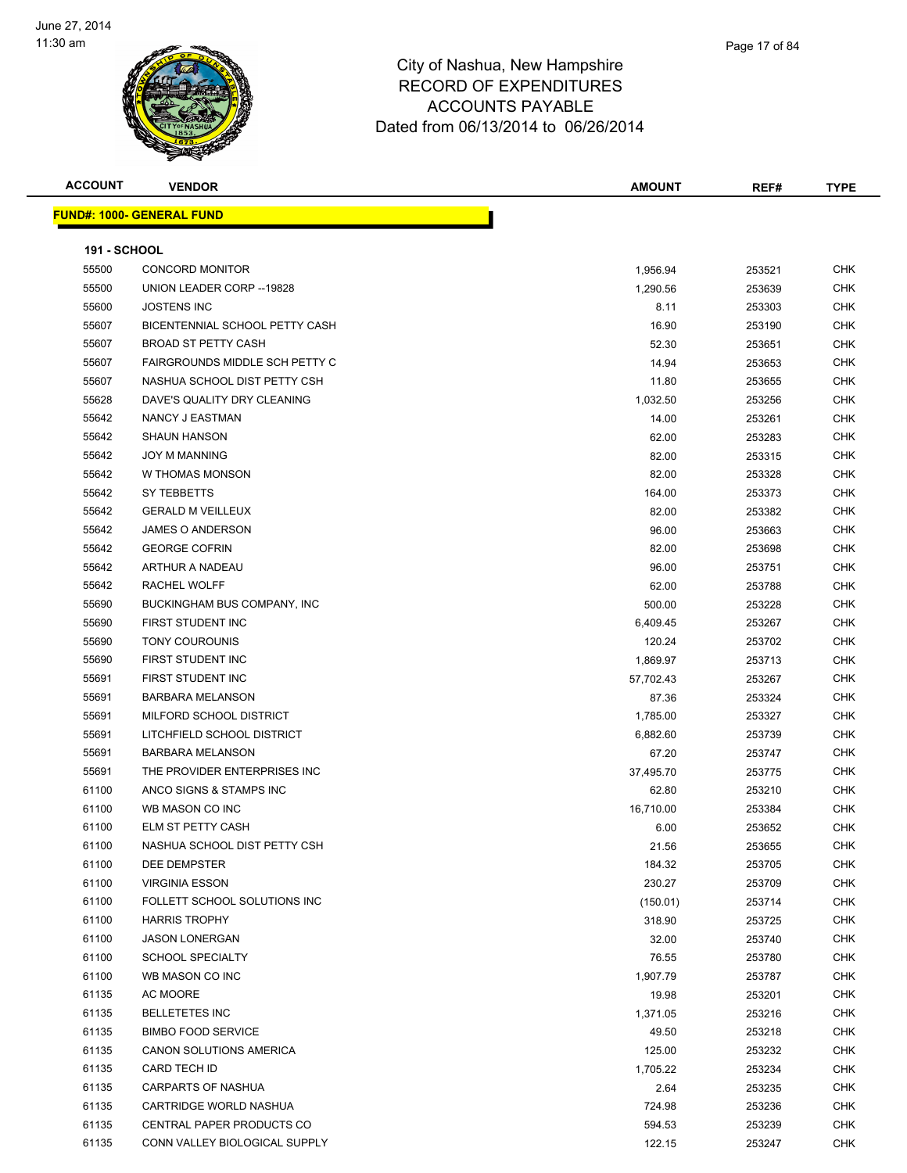

| <b>ACCOUNT</b> | <b>VENDOR</b>                         | <b>AMOUNT</b> | REF#   | <b>TYPE</b> |
|----------------|---------------------------------------|---------------|--------|-------------|
|                | <u> FUND#: 1000- GENERAL FUND</u>     |               |        |             |
|                |                                       |               |        |             |
| 191 - SCHOOL   |                                       |               |        |             |
| 55500          | <b>CONCORD MONITOR</b>                | 1,956.94      | 253521 | <b>CHK</b>  |
| 55500          | UNION LEADER CORP -- 19828            | 1,290.56      | 253639 | <b>CHK</b>  |
| 55600          | <b>JOSTENS INC</b>                    | 8.11          | 253303 | <b>CHK</b>  |
| 55607          | BICENTENNIAL SCHOOL PETTY CASH        | 16.90         | 253190 | CHK         |
| 55607          | <b>BROAD ST PETTY CASH</b>            | 52.30         | 253651 | CHK         |
| 55607          | <b>FAIRGROUNDS MIDDLE SCH PETTY C</b> | 14.94         | 253653 | <b>CHK</b>  |
| 55607          | NASHUA SCHOOL DIST PETTY CSH          | 11.80         | 253655 | <b>CHK</b>  |
| 55628          | DAVE'S QUALITY DRY CLEANING           | 1,032.50      | 253256 | <b>CHK</b>  |
| 55642          | NANCY J EASTMAN                       | 14.00         | 253261 | <b>CHK</b>  |
| 55642          | <b>SHAUN HANSON</b>                   | 62.00         | 253283 | <b>CHK</b>  |
| 55642          | <b>JOY M MANNING</b>                  | 82.00         | 253315 | <b>CHK</b>  |
| 55642          | W THOMAS MONSON                       | 82.00         | 253328 | <b>CHK</b>  |
| 55642          | SY TEBBETTS                           | 164.00        | 253373 | <b>CHK</b>  |
| 55642          | <b>GERALD M VEILLEUX</b>              | 82.00         | 253382 | CHK         |
| 55642          | JAMES O ANDERSON                      | 96.00         | 253663 | CHK         |
| 55642          | <b>GEORGE COFRIN</b>                  | 82.00         | 253698 | CHK         |
| 55642          | ARTHUR A NADEAU                       | 96.00         | 253751 | <b>CHK</b>  |
| 55642          | <b>RACHEL WOLFF</b>                   | 62.00         | 253788 | CHK         |
| 55690          | BUCKINGHAM BUS COMPANY, INC           | 500.00        | 253228 | <b>CHK</b>  |
| 55690          | FIRST STUDENT INC                     | 6,409.45      | 253267 | CHK         |
| 55690          | <b>TONY COUROUNIS</b>                 | 120.24        | 253702 | CHK         |
| 55690          | FIRST STUDENT INC                     | 1,869.97      | 253713 | <b>CHK</b>  |
| 55691          | FIRST STUDENT INC                     | 57,702.43     | 253267 | <b>CHK</b>  |
| 55691          | <b>BARBARA MELANSON</b>               | 87.36         | 253324 | <b>CHK</b>  |
| 55691          | MILFORD SCHOOL DISTRICT               | 1,785.00      | 253327 | <b>CHK</b>  |
| 55691          | LITCHFIELD SCHOOL DISTRICT            | 6,882.60      | 253739 | CHK         |
| 55691          | <b>BARBARA MELANSON</b>               | 67.20         | 253747 | <b>CHK</b>  |
| 55691          | THE PROVIDER ENTERPRISES INC          | 37,495.70     | 253775 | <b>CHK</b>  |
| 61100          | ANCO SIGNS & STAMPS INC               | 62.80         | 253210 | <b>CHK</b>  |
| 61100          | WB MASON CO INC                       | 16,710.00     | 253384 | <b>CHK</b>  |
| 61100          | ELM ST PETTY CASH                     | 6.00          | 253652 | CHK         |
| 61100          | NASHUA SCHOOL DIST PETTY CSH          | 21.56         | 253655 | CHK         |
| 61100          | DEE DEMPSTER                          | 184.32        | 253705 | CHK         |
| 61100          | <b>VIRGINIA ESSON</b>                 | 230.27        | 253709 | <b>CHK</b>  |
| 61100          | FOLLETT SCHOOL SOLUTIONS INC          | (150.01)      | 253714 | CHK         |
| 61100          | <b>HARRIS TROPHY</b>                  | 318.90        | 253725 | CHK         |
| 61100          | <b>JASON LONERGAN</b>                 | 32.00         | 253740 | <b>CHK</b>  |
| 61100          | <b>SCHOOL SPECIALTY</b>               | 76.55         | 253780 | CHK         |
| 61100          | WB MASON CO INC                       | 1,907.79      | 253787 | <b>CHK</b>  |
| 61135          | AC MOORE                              | 19.98         | 253201 | <b>CHK</b>  |
| 61135          | <b>BELLETETES INC</b>                 | 1,371.05      | 253216 | CHK         |
| 61135          | <b>BIMBO FOOD SERVICE</b>             | 49.50         | 253218 | <b>CHK</b>  |
| 61135          | CANON SOLUTIONS AMERICA               | 125.00        | 253232 | <b>CHK</b>  |
| 61135          | CARD TECH ID                          | 1,705.22      | 253234 | CHK         |
| 61135          | CARPARTS OF NASHUA                    | 2.64          | 253235 | <b>CHK</b>  |
| 61135          | CARTRIDGE WORLD NASHUA                | 724.98        | 253236 | CHK         |
| 61135          | CENTRAL PAPER PRODUCTS CO             | 594.53        | 253239 | CHK         |
| 61135          | CONN VALLEY BIOLOGICAL SUPPLY         | 122.15        | 253247 | <b>CHK</b>  |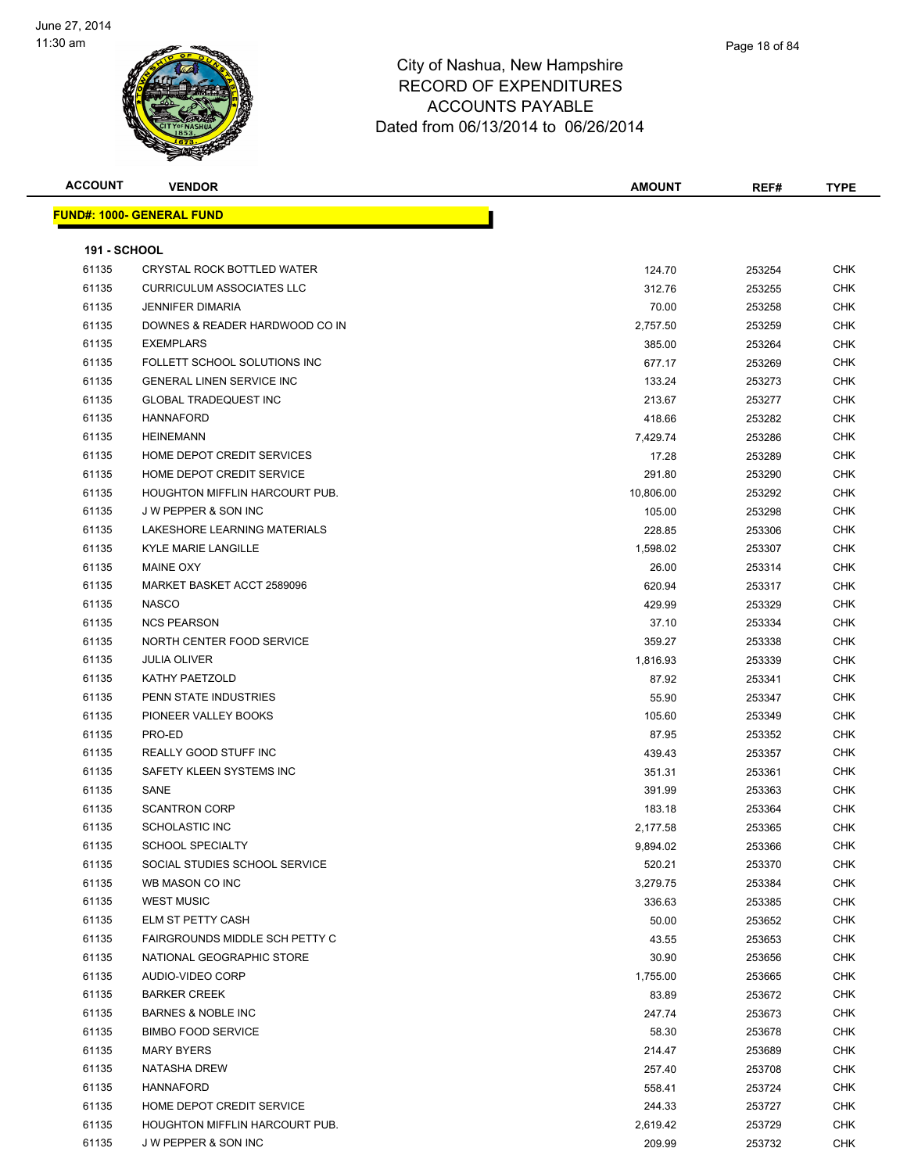

| <b>ACCOUNT</b>      | <b>VENDOR</b>                         | <b>AMOUNT</b> | REF#   | <b>TYPE</b> |
|---------------------|---------------------------------------|---------------|--------|-------------|
|                     | <u> FUND#: 1000- GENERAL FUND</u>     |               |        |             |
|                     |                                       |               |        |             |
| <b>191 - SCHOOL</b> |                                       |               |        |             |
| 61135               | CRYSTAL ROCK BOTTLED WATER            | 124.70        | 253254 | <b>CHK</b>  |
| 61135               | <b>CURRICULUM ASSOCIATES LLC</b>      | 312.76        | 253255 | <b>CHK</b>  |
| 61135               | <b>JENNIFER DIMARIA</b>               | 70.00         | 253258 | CHK         |
| 61135               | DOWNES & READER HARDWOOD CO IN        | 2,757.50      | 253259 | CHK         |
| 61135               | <b>EXEMPLARS</b>                      | 385.00        | 253264 | CHK         |
| 61135               | FOLLETT SCHOOL SOLUTIONS INC          | 677.17        | 253269 | CHK         |
| 61135               | <b>GENERAL LINEN SERVICE INC</b>      | 133.24        | 253273 | <b>CHK</b>  |
| 61135               | <b>GLOBAL TRADEQUEST INC</b>          | 213.67        | 253277 | CHK         |
| 61135               | <b>HANNAFORD</b>                      | 418.66        | 253282 | <b>CHK</b>  |
| 61135               | <b>HEINEMANN</b>                      | 7,429.74      | 253286 | <b>CHK</b>  |
| 61135               | HOME DEPOT CREDIT SERVICES            | 17.28         | 253289 | CHK         |
| 61135               | HOME DEPOT CREDIT SERVICE             | 291.80        | 253290 | CHK         |
| 61135               | <b>HOUGHTON MIFFLIN HARCOURT PUB.</b> | 10,806.00     | 253292 | <b>CHK</b>  |
| 61135               | <b>JW PEPPER &amp; SON INC</b>        | 105.00        | 253298 | CHK         |
| 61135               | LAKESHORE LEARNING MATERIALS          | 228.85        | 253306 | <b>CHK</b>  |
| 61135               | <b>KYLE MARIE LANGILLE</b>            | 1,598.02      | 253307 | CHK         |
| 61135               | <b>MAINE OXY</b>                      | 26.00         | 253314 | CHK         |
| 61135               | MARKET BASKET ACCT 2589096            | 620.94        | 253317 | <b>CHK</b>  |
| 61135               | <b>NASCO</b>                          | 429.99        | 253329 | CHK         |
| 61135               | <b>NCS PEARSON</b>                    | 37.10         | 253334 | <b>CHK</b>  |
| 61135               | NORTH CENTER FOOD SERVICE             | 359.27        | 253338 | <b>CHK</b>  |
| 61135               | <b>JULIA OLIVER</b>                   | 1,816.93      | 253339 | CHK         |
| 61135               | KATHY PAETZOLD                        | 87.92         | 253341 | CHK         |
| 61135               | PENN STATE INDUSTRIES                 | 55.90         | 253347 | <b>CHK</b>  |
| 61135               | PIONEER VALLEY BOOKS                  | 105.60        | 253349 | CHK         |
| 61135               | PRO-ED                                | 87.95         | 253352 | <b>CHK</b>  |
| 61135               | REALLY GOOD STUFF INC                 | 439.43        | 253357 | <b>CHK</b>  |
| 61135               | SAFETY KLEEN SYSTEMS INC              | 351.31        | 253361 | CHK         |
| 61135               | SANE                                  | 391.99        | 253363 | <b>CHK</b>  |
| 61135               | <b>SCANTRON CORP</b>                  | 183.18        | 253364 | <b>CHK</b>  |
| 61135               | <b>SCHOLASTIC INC</b>                 | 2,177.58      | 253365 | <b>CHK</b>  |
| 61135               | SCHOOL SPECIALTY                      | 9,894.02      | 253366 | <b>CHK</b>  |
| 61135               | SOCIAL STUDIES SCHOOL SERVICE         | 520.21        | 253370 | CHK         |
| 61135               | WB MASON CO INC                       | 3,279.75      | 253384 | CHK         |
| 61135               | <b>WEST MUSIC</b>                     | 336.63        | 253385 | CHK         |
| 61135               | ELM ST PETTY CASH                     | 50.00         | 253652 | CHK         |
| 61135               | FAIRGROUNDS MIDDLE SCH PETTY C        | 43.55         | 253653 | <b>CHK</b>  |
| 61135               | NATIONAL GEOGRAPHIC STORE             | 30.90         | 253656 | CHK         |
| 61135               | AUDIO-VIDEO CORP                      | 1,755.00      | 253665 | <b>CHK</b>  |
| 61135               | <b>BARKER CREEK</b>                   | 83.89         | 253672 | <b>CHK</b>  |
| 61135               | <b>BARNES &amp; NOBLE INC</b>         | 247.74        | 253673 | CHK         |
| 61135               | <b>BIMBO FOOD SERVICE</b>             | 58.30         | 253678 | <b>CHK</b>  |
| 61135               | <b>MARY BYERS</b>                     | 214.47        | 253689 | <b>CHK</b>  |
| 61135               | <b>NATASHA DREW</b>                   | 257.40        | 253708 | <b>CHK</b>  |
| 61135               | <b>HANNAFORD</b>                      | 558.41        | 253724 | CHK         |
| 61135               | HOME DEPOT CREDIT SERVICE             | 244.33        | 253727 | CHK         |
| 61135               | HOUGHTON MIFFLIN HARCOURT PUB.        | 2,619.42      | 253729 | CHK         |
| 61135               | J W PEPPER & SON INC                  | 209.99        | 253732 | <b>CHK</b>  |
|                     |                                       |               |        |             |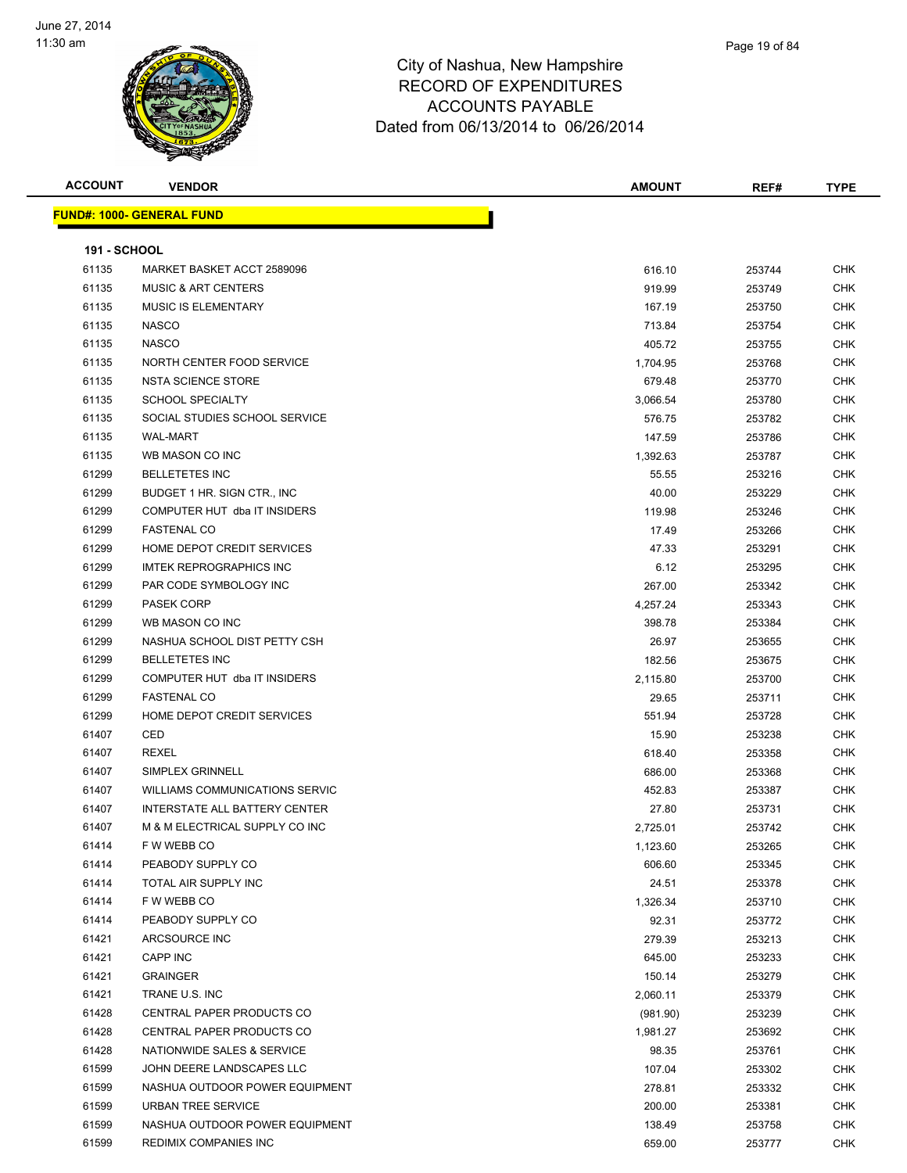

**ACCOUNT VENDOR AMOUNT REF# TYPE FUND#: 1000- GENERAL FUND 191 - SCHOOL** MARKET BASKET ACCT 2589096 616.10 253744 CHK MUSIC & ART CENTERS 919.99 253749 CHK 61135 MUSIC IS ELEMENTARY **167.19** CHK NASCO 713.84 253754 CHK NASCO 405.72 253755 CHK 61135 NORTH CENTER FOOD SERVICE NEXT CONSERVICE A LOCAL CONSERVATION OF THE SERVICE OF THE SERVICE OF THE SERVICE NSTA SCIENCE STORE 679.48 253770 CHK SCHOOL SPECIALTY 3,066.54 253780 CHK SOCIAL STUDIES SCHOOL SERVICE 576.75 253782 CHK WAL-MART 147.59 253786 CHK WB MASON CO INC 1,392.63 253787 CHK BELLETETES INC 55.55 253216 CHK BUDGET 1 HR. SIGN CTR., INC 40.00 253229 CHK COMPUTER HUT dba IT INSIDERS 119.98 253246 CHK FASTENAL CO 17.49 253266 CHK HOME DEPOT CREDIT SERVICES 47.33 253291 CHK IMTEK REPROGRAPHICS INC 6.12 253295 CHK PAR CODE SYMBOLOGY INC 267.00 253342 CHK PASEK CORP 4,257.24 253343 CHK WB MASON CO INC 398.78 253384 CHK NASHUA SCHOOL DIST PETTY CSH 26.97 253655 CHK BELLETETES INC 182.56 253675 CHK COMPUTER HUT dba IT INSIDERS 2,115.80 253700 CHK FASTENAL CO 29.65 253711 CHK HOME DEPOT CREDIT SERVICES 551.94 253728 CHK CED 15.90 253238 CHK REXEL 618.40 253358 CHK SIMPLEX GRINNELL 686.00 253368 CHK WILLIAMS COMMUNICATIONS SERVIC 452.83 253387 CHK INTERSTATE ALL BATTERY CENTER 27.80 253731 CHK M & M ELECTRICAL SUPPLY CO INC 2,725.01 253742 CHK F W WEBB CO 1,123.60 253265 CHK PEABODY SUPPLY CO **608.60** CHK TOTAL AIR SUPPLY INC 24.51 253378 CHK F W WEBB CO 1,326.34 253710 CHK er and the end of the pears of the end of the end of the end of the end of the end of the end of the end of the end of the end of the end of the end of the end of the end of the end of the end of the end of the end of the ARCSOURCE INC 279.39 253213 CHK CAPP INC 645.00 253233 CHK GRAINGER 150.14 253279 CHK TRANE U.S. INC 2,060.11 253379 CHK CENTRAL PAPER PRODUCTS CO (981.90) 253239 CHK CENTRAL PAPER PRODUCTS CO 1,981.27 253692 CHK NATIONWIDE SALES & SERVICE 98.35 253761 CHK JOHN DEERE LANDSCAPES LLC 107.04 253302 CHK NASHUA OUTDOOR POWER EQUIPMENT 278.81 253332 CHK URBAN TREE SERVICE 200.00 253381 CHK NASHUA OUTDOOR POWER EQUIPMENT 138.49 253758 CHK

REDIMIX COMPANIES INC 659.00 253777 CHK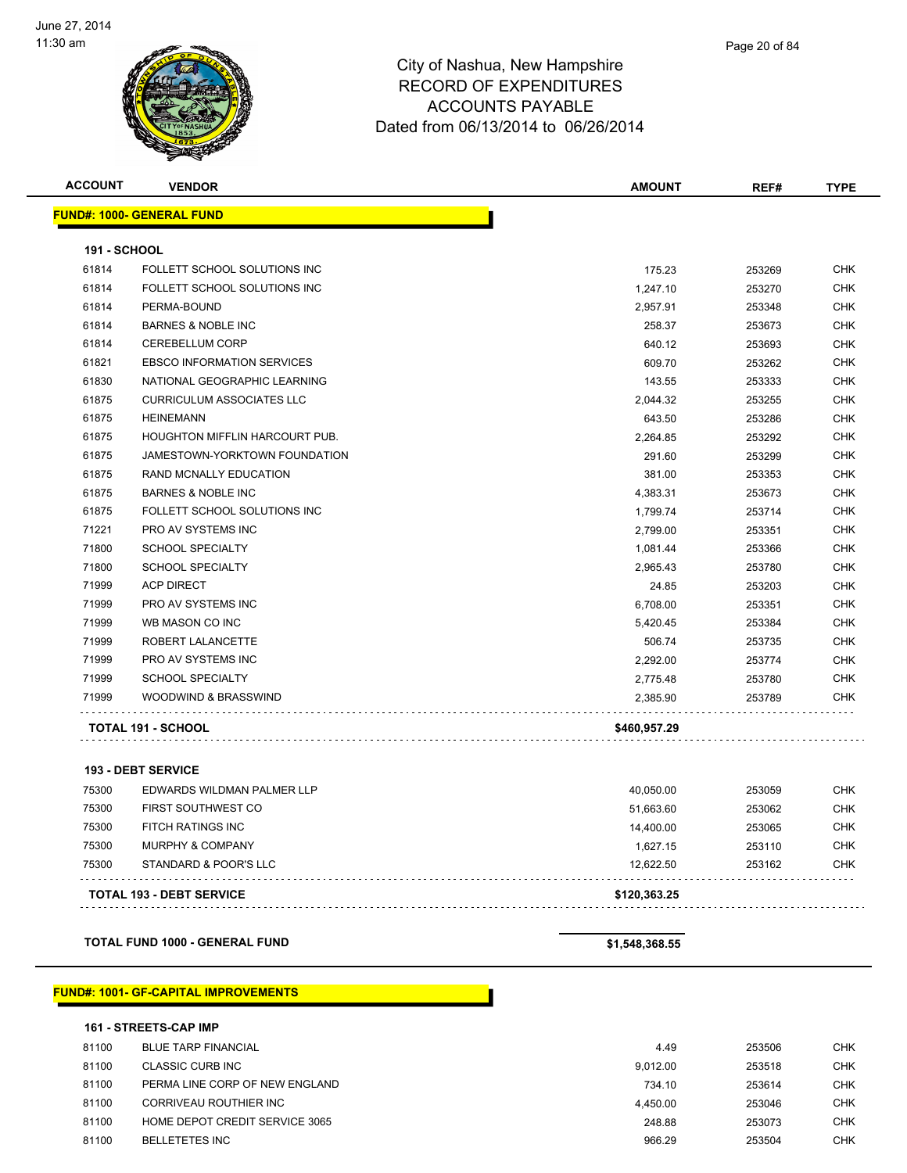

| Page 20 of 84 |
|---------------|
|               |

| <b>ACCOUNT</b>      | <b>VENDOR</b>                         | <b>AMOUNT</b> | REF#   | <b>TYPE</b> |
|---------------------|---------------------------------------|---------------|--------|-------------|
|                     | <b>FUND#: 1000- GENERAL FUND</b>      |               |        |             |
| <b>191 - SCHOOL</b> |                                       |               |        |             |
| 61814               | FOLLETT SCHOOL SOLUTIONS INC          | 175.23        | 253269 | <b>CHK</b>  |
| 61814               | FOLLETT SCHOOL SOLUTIONS INC          | 1,247.10      | 253270 | <b>CHK</b>  |
| 61814               | PERMA-BOUND                           | 2,957.91      | 253348 | <b>CHK</b>  |
| 61814               | <b>BARNES &amp; NOBLE INC</b>         | 258.37        | 253673 | <b>CHK</b>  |
| 61814               | <b>CEREBELLUM CORP</b>                | 640.12        | 253693 | <b>CHK</b>  |
| 61821               | <b>EBSCO INFORMATION SERVICES</b>     | 609.70        | 253262 | <b>CHK</b>  |
| 61830               | NATIONAL GEOGRAPHIC LEARNING          | 143.55        | 253333 | <b>CHK</b>  |
| 61875               | <b>CURRICULUM ASSOCIATES LLC</b>      | 2,044.32      | 253255 | <b>CHK</b>  |
| 61875               | <b>HEINEMANN</b>                      | 643.50        | 253286 | <b>CHK</b>  |
| 61875               | <b>HOUGHTON MIFFLIN HARCOURT PUB.</b> | 2,264.85      | 253292 | <b>CHK</b>  |
| 61875               | JAMESTOWN-YORKTOWN FOUNDATION         | 291.60        | 253299 | <b>CHK</b>  |
| 61875               | <b>RAND MCNALLY EDUCATION</b>         | 381.00        | 253353 | <b>CHK</b>  |
| 61875               | <b>BARNES &amp; NOBLE INC</b>         | 4,383.31      | 253673 | <b>CHK</b>  |
| 61875               | FOLLETT SCHOOL SOLUTIONS INC          | 1,799.74      | 253714 | <b>CHK</b>  |
| 71221               | PRO AV SYSTEMS INC                    | 2,799.00      | 253351 | <b>CHK</b>  |
| 71800               | <b>SCHOOL SPECIALTY</b>               | 1,081.44      | 253366 | <b>CHK</b>  |
| 71800               | <b>SCHOOL SPECIALTY</b>               | 2,965.43      | 253780 | <b>CHK</b>  |
| 71999               | <b>ACP DIRECT</b>                     | 24.85         | 253203 | <b>CHK</b>  |
| 71999               | <b>PRO AV SYSTEMS INC</b>             | 6,708.00      | 253351 | <b>CHK</b>  |
| 71999               | WB MASON CO INC                       | 5,420.45      | 253384 | CHK         |
| 71999               | ROBERT LALANCETTE                     | 506.74        | 253735 | <b>CHK</b>  |
| 71999               | <b>PRO AV SYSTEMS INC</b>             | 2,292.00      | 253774 | <b>CHK</b>  |
| 71999               | <b>SCHOOL SPECIALTY</b>               | 2,775.48      | 253780 | <b>CHK</b>  |
| 71999               | WOODWIND & BRASSWIND                  | 2,385.90      | 253789 | <b>CHK</b>  |
|                     | TOTAL 191 - SCHOOL                    | \$460,957.29  |        |             |

|       | <b>TOTAL 193 - DEBT SERVICE</b> | \$120.363.25 |        |            |
|-------|---------------------------------|--------------|--------|------------|
| 75300 | STANDARD & POOR'S LLC           | 12.622.50    | 253162 | <b>CHK</b> |
| 75300 | <b>MURPHY &amp; COMPANY</b>     | 1.627.15     | 253110 | <b>CHK</b> |
| 75300 | FITCH RATINGS INC               | 14.400.00    | 253065 | <b>CHK</b> |
| 75300 | <b>FIRST SOUTHWEST CO</b>       | 51.663.60    | 253062 | <b>CHK</b> |
| 75300 | EDWARDS WILDMAN PALMER LLP      | 40.050.00    | 253059 | <b>CHK</b> |

**TOTAL FUND 1000 - GENERAL FUND \$1,548,368.55** 

#### **FUND#: 1001- GF-CAPITAL IMPROVEMENTS**

#### **161 - STREETS-CAP IMP**

| 81100 | <b>BLUE TARP FINANCIAL</b>     | 4.49     | 253506 | <b>CHK</b> |
|-------|--------------------------------|----------|--------|------------|
| 81100 | CLASSIC CURB INC               | 9.012.00 | 253518 | CHK        |
| 81100 | PERMA LINE CORP OF NEW ENGLAND | 734.10   | 253614 | CHK        |
| 81100 | CORRIVEAU ROUTHIER INC         | 4.450.00 | 253046 | CHK        |
| 81100 | HOME DEPOT CREDIT SERVICE 3065 | 248.88   | 253073 | <b>CHK</b> |
| 81100 | <b>BELLETETES INC</b>          | 966.29   | 253504 | <b>CHK</b> |
|       |                                |          |        |            |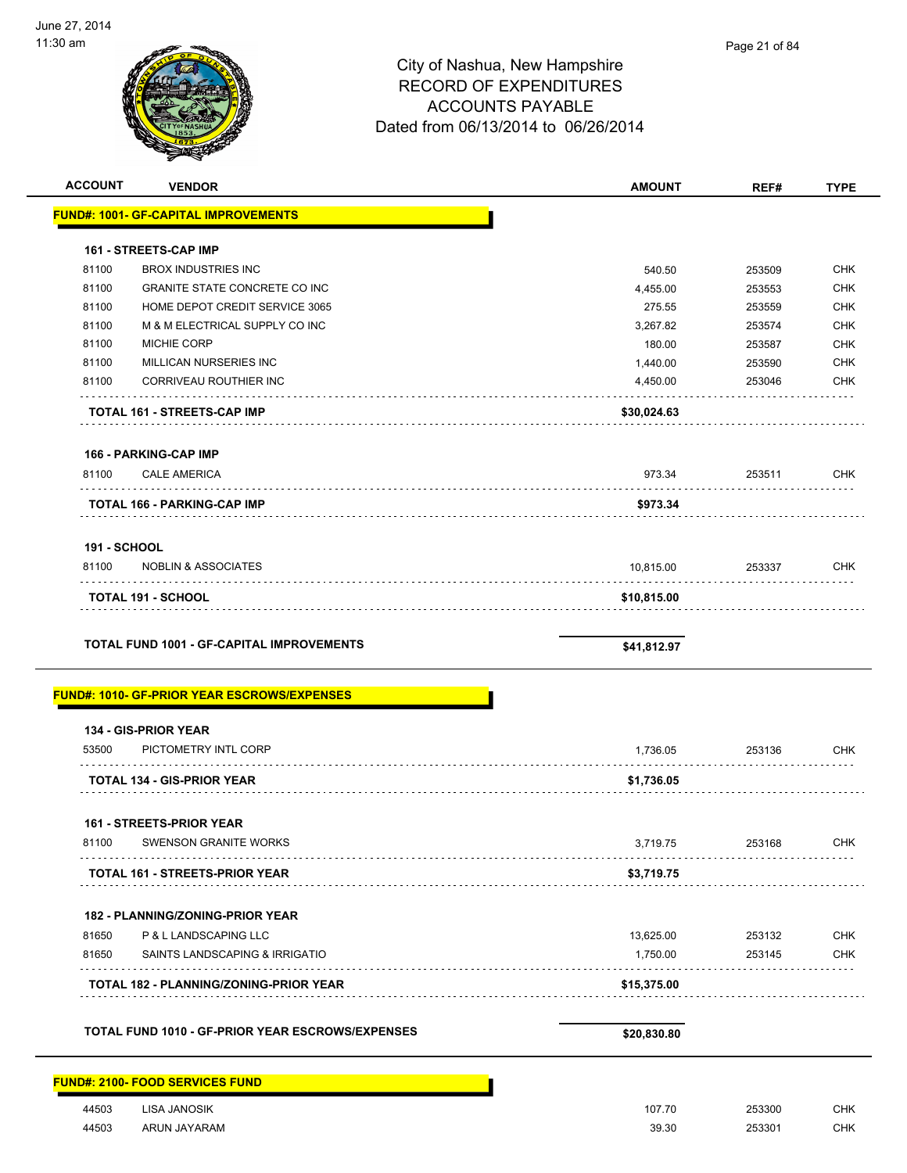| <b>ACCOUNT</b>      | <b>VENDOR</b>                                      | <b>AMOUNT</b> | REF#   | <b>TYPE</b> |
|---------------------|----------------------------------------------------|---------------|--------|-------------|
|                     | <b>FUND#: 1001- GF-CAPITAL IMPROVEMENTS</b>        |               |        |             |
|                     | 161 - STREETS-CAP IMP                              |               |        |             |
| 81100               | <b>BROX INDUSTRIES INC</b>                         | 540.50        | 253509 | <b>CHK</b>  |
| 81100               | GRANITE STATE CONCRETE CO INC                      | 4,455.00      | 253553 | <b>CHK</b>  |
| 81100               | HOME DEPOT CREDIT SERVICE 3065                     | 275.55        | 253559 | <b>CHK</b>  |
| 81100               | M & M ELECTRICAL SUPPLY CO INC                     | 3,267.82      | 253574 | <b>CHK</b>  |
| 81100               | MICHIE CORP                                        | 180.00        | 253587 | <b>CHK</b>  |
| 81100               | MILLICAN NURSERIES INC                             | 1,440.00      | 253590 | <b>CHK</b>  |
| 81100               | CORRIVEAU ROUTHIER INC                             | 4,450.00      | 253046 | CHK         |
|                     | TOTAL 161 - STREETS-CAP IMP                        | \$30,024.63   |        |             |
|                     | 166 - PARKING-CAP IMP                              |               |        |             |
| 81100               | <b>CALE AMERICA</b><br>.                           | 973.34        | 253511 | CHK         |
|                     | TOTAL 166 - PARKING-CAP IMP                        | \$973.34      |        |             |
| <b>191 - SCHOOL</b> |                                                    |               |        |             |
| 81100               | <b>NOBLIN &amp; ASSOCIATES</b>                     | 10,815.00     | 253337 | <b>CHK</b>  |
|                     | TOTAL 191 - SCHOOL                                 | \$10,815.00   |        |             |
|                     | <b>FUND#: 1010- GF-PRIOR YEAR ESCROWS/EXPENSES</b> |               |        |             |
|                     | 134 - GIS-PRIOR YEAR                               |               |        |             |
| 53500               | PICTOMETRY INTL CORP                               | 1,736.05      | 253136 | <b>CHK</b>  |
|                     | <b>TOTAL 134 - GIS-PRIOR YEAR</b>                  | \$1,736.05    |        |             |
|                     | <b>161 - STREETS-PRIOR YEAR</b>                    |               |        |             |
| 81100               | <b>SWENSON GRANITE WORKS</b>                       | 3,719.75      | 253168 | <b>CHK</b>  |
|                     | <b>TOTAL 161 - STREETS-PRIOR YEAR</b>              | \$3,719.75    |        |             |
|                     | 182 - PLANNING/ZONING-PRIOR YEAR                   |               |        |             |
| 81650               | P & L LANDSCAPING LLC                              | 13,625.00     | 253132 | <b>CHK</b>  |
| 81650               | SAINTS LANDSCAPING & IRRIGATIO                     | 1,750.00      | 253145 | CHK         |
|                     | TOTAL 182 - PLANNING/ZONING-PRIOR YEAR             | \$15,375.00   |        |             |
|                     | TOTAL FUND 1010 - GF-PRIOR YEAR ESCROWS/EXPENSES   | \$20,830.80   |        |             |
|                     | <b>FUND#: 2100- FOOD SERVICES FUND</b>             |               |        |             |
| 44503               | <b>LISA JANOSIK</b>                                | 107.70        | 253300 | <b>CHK</b>  |
| 44503               |                                                    |               |        |             |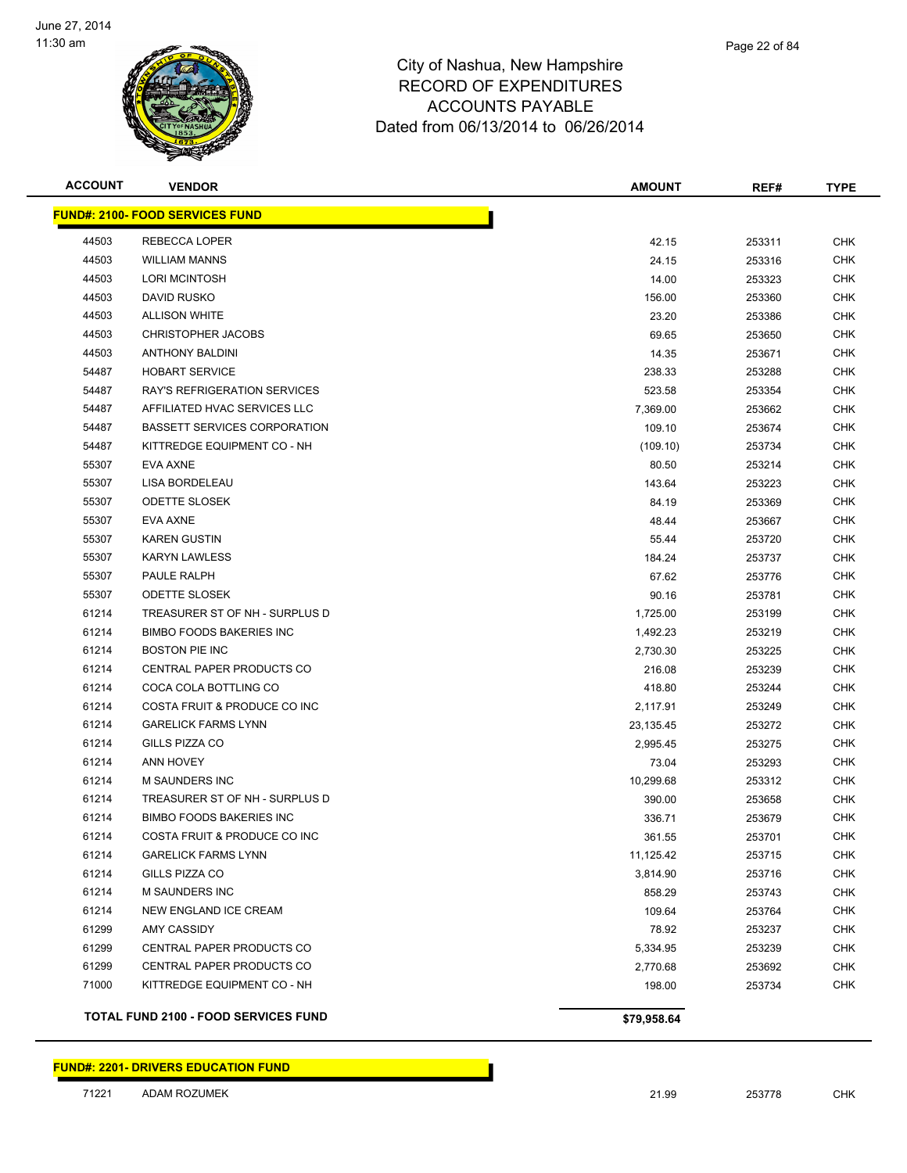

|   | Page 22 of 84 |
|---|---------------|
| e |               |
| ⌒ |               |

| <b>ACCOUNT</b> | <b>VENDOR</b>                               | <b>AMOUNT</b> | REF#   | <b>TYPE</b> |
|----------------|---------------------------------------------|---------------|--------|-------------|
|                | <b>FUND#: 2100- FOOD SERVICES FUND</b>      |               |        |             |
| 44503          | REBECCA LOPER                               | 42.15         | 253311 | <b>CHK</b>  |
| 44503          | <b>WILLIAM MANNS</b>                        | 24.15         | 253316 | <b>CHK</b>  |
| 44503          | <b>LORI MCINTOSH</b>                        | 14.00         | 253323 | <b>CHK</b>  |
| 44503          | <b>DAVID RUSKO</b>                          | 156.00        | 253360 | <b>CHK</b>  |
| 44503          | <b>ALLISON WHITE</b>                        | 23.20         | 253386 | <b>CHK</b>  |
| 44503          | <b>CHRISTOPHER JACOBS</b>                   | 69.65         | 253650 | <b>CHK</b>  |
| 44503          | <b>ANTHONY BALDINI</b>                      | 14.35         | 253671 | <b>CHK</b>  |
| 54487          | <b>HOBART SERVICE</b>                       | 238.33        | 253288 | <b>CHK</b>  |
| 54487          | RAY'S REFRIGERATION SERVICES                | 523.58        | 253354 | <b>CHK</b>  |
| 54487          | AFFILIATED HVAC SERVICES LLC                | 7,369.00      | 253662 | <b>CHK</b>  |
| 54487          | <b>BASSETT SERVICES CORPORATION</b>         | 109.10        | 253674 | <b>CHK</b>  |
| 54487          | KITTREDGE EQUIPMENT CO - NH                 | (109.10)      | 253734 | <b>CHK</b>  |
| 55307          | EVA AXNE                                    | 80.50         | 253214 | CHK         |
| 55307          | LISA BORDELEAU                              | 143.64        | 253223 | <b>CHK</b>  |
| 55307          | <b>ODETTE SLOSEK</b>                        | 84.19         | 253369 | <b>CHK</b>  |
| 55307          | EVA AXNE                                    | 48.44         | 253667 | <b>CHK</b>  |
| 55307          | <b>KAREN GUSTIN</b>                         | 55.44         | 253720 | <b>CHK</b>  |
| 55307          | <b>KARYN LAWLESS</b>                        | 184.24        | 253737 | <b>CHK</b>  |
| 55307          | PAULE RALPH                                 | 67.62         | 253776 | <b>CHK</b>  |
| 55307          | <b>ODETTE SLOSEK</b>                        | 90.16         | 253781 | <b>CHK</b>  |
| 61214          | TREASURER ST OF NH - SURPLUS D              | 1,725.00      | 253199 | <b>CHK</b>  |
| 61214          | <b>BIMBO FOODS BAKERIES INC</b>             | 1,492.23      | 253219 | <b>CHK</b>  |
| 61214          | <b>BOSTON PIE INC</b>                       | 2,730.30      | 253225 | <b>CHK</b>  |
| 61214          | CENTRAL PAPER PRODUCTS CO                   | 216.08        | 253239 | <b>CHK</b>  |
| 61214          | COCA COLA BOTTLING CO                       | 418.80        | 253244 | <b>CHK</b>  |
| 61214          | COSTA FRUIT & PRODUCE CO INC                | 2,117.91      | 253249 | <b>CHK</b>  |
| 61214          | <b>GARELICK FARMS LYNN</b>                  | 23,135.45     | 253272 | <b>CHK</b>  |
| 61214          | GILLS PIZZA CO                              | 2,995.45      | 253275 | <b>CHK</b>  |
| 61214          | <b>ANN HOVEY</b>                            | 73.04         | 253293 | <b>CHK</b>  |
| 61214          | <b>M SAUNDERS INC</b>                       | 10,299.68     | 253312 | <b>CHK</b>  |
| 61214          | TREASURER ST OF NH - SURPLUS D              | 390.00        | 253658 | <b>CHK</b>  |
| 61214          | <b>BIMBO FOODS BAKERIES INC</b>             | 336.71        | 253679 | CHK         |
| 61214          | COSTA FRUIT & PRODUCE CO INC                | 361.55        | 253701 | <b>CHK</b>  |
| 61214          | <b>GARELICK FARMS LYNN</b>                  | 11,125.42     | 253715 | <b>CHK</b>  |
| 61214          | GILLS PIZZA CO                              | 3,814.90      | 253716 | <b>CHK</b>  |
| 61214          | <b>M SAUNDERS INC</b>                       | 858.29        | 253743 | <b>CHK</b>  |
| 61214          | NEW ENGLAND ICE CREAM                       | 109.64        | 253764 | <b>CHK</b>  |
| 61299          | AMY CASSIDY                                 | 78.92         | 253237 | <b>CHK</b>  |
| 61299          | CENTRAL PAPER PRODUCTS CO                   | 5,334.95      | 253239 | <b>CHK</b>  |
| 61299          | CENTRAL PAPER PRODUCTS CO                   | 2,770.68      | 253692 | <b>CHK</b>  |
| 71000          | KITTREDGE EQUIPMENT CO - NH                 | 198.00        | 253734 | <b>CHK</b>  |
|                | <b>TOTAL FUND 2100 - FOOD SERVICES FUND</b> | \$79,958.64   |        |             |

**FUND#: 2201- DRIVERS EDUCATION FUND**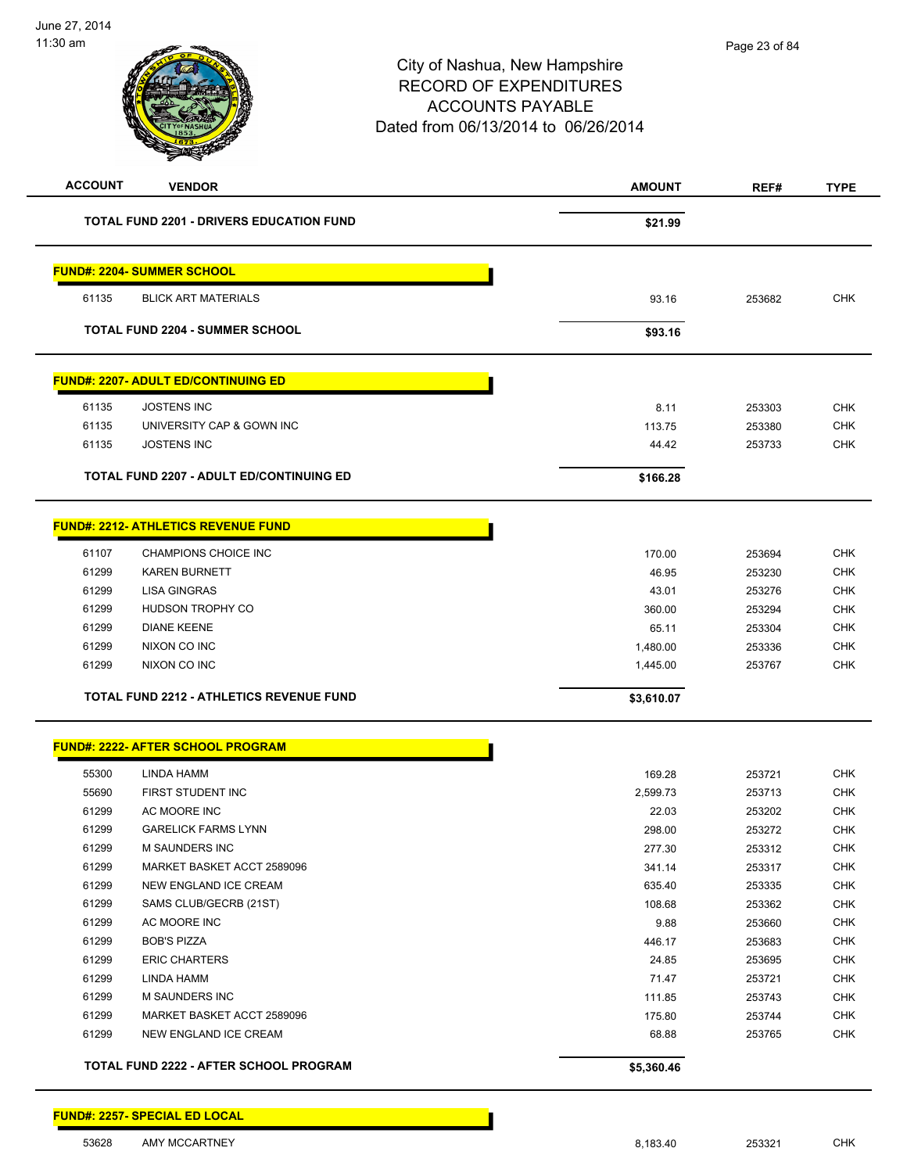| <b>ACCOUNT</b> | <b>VENDOR</b>                                   | <b>AMOUNT</b> | REF#   | <b>TYPE</b> |
|----------------|-------------------------------------------------|---------------|--------|-------------|
|                | <b>TOTAL FUND 2201 - DRIVERS EDUCATION FUND</b> | \$21.99       |        |             |
|                | <b>FUND#: 2204- SUMMER SCHOOL</b>               |               |        |             |
| 61135          | <b>BLICK ART MATERIALS</b>                      | 93.16         | 253682 | <b>CHK</b>  |
|                |                                                 |               |        |             |
|                | <b>TOTAL FUND 2204 - SUMMER SCHOOL</b>          | \$93.16       |        |             |
|                | <b>FUND#: 2207- ADULT ED/CONTINUING ED</b>      |               |        |             |
| 61135          | <b>JOSTENS INC</b>                              | 8.11          | 253303 | <b>CHK</b>  |
| 61135          | UNIVERSITY CAP & GOWN INC                       | 113.75        | 253380 | <b>CHK</b>  |
| 61135          | <b>JOSTENS INC</b>                              | 44.42         | 253733 | <b>CHK</b>  |
|                | <b>TOTAL FUND 2207 - ADULT ED/CONTINUING ED</b> | \$166.28      |        |             |
|                | <b>FUND#: 2212- ATHLETICS REVENUE FUND</b>      |               |        |             |
| 61107          | CHAMPIONS CHOICE INC                            | 170.00        | 253694 | <b>CHK</b>  |
| 61299          | <b>KAREN BURNETT</b>                            | 46.95         | 253230 | <b>CHK</b>  |
| 61299          | <b>LISA GINGRAS</b>                             | 43.01         | 253276 | <b>CHK</b>  |
| 61299          | HUDSON TROPHY CO                                | 360.00        | 253294 | <b>CHK</b>  |
| 61299          | <b>DIANE KEENE</b>                              | 65.11         | 253304 | <b>CHK</b>  |
| 61299          | NIXON CO INC                                    | 1,480.00      | 253336 | CHK         |
| 61299          | NIXON CO INC                                    | 1,445.00      | 253767 | <b>CHK</b>  |
|                | <b>TOTAL FUND 2212 - ATHLETICS REVENUE FUND</b> | \$3,610.07    |        |             |
|                | <b>FUND#: 2222- AFTER SCHOOL PROGRAM</b>        |               |        |             |
| 55300          | LINDA HAMM                                      | 169.28        | 253721 | <b>CHK</b>  |
| 55690          | FIRST STUDENT INC                               | 2,599.73      | 253713 | <b>CHK</b>  |
| 61299          | AC MOORE INC                                    | 22.03         | 253202 | <b>CHK</b>  |
| 61299          | <b>GARELICK FARMS LYNN</b>                      | 298.00        | 253272 | <b>CHK</b>  |
| 61299          | M SAUNDERS INC                                  | 277.30        | 253312 | <b>CHK</b>  |
| 61299          | MARKET BASKET ACCT 2589096                      | 341.14        | 253317 | <b>CHK</b>  |
| 61299          | NEW ENGLAND ICE CREAM                           | 635.40        | 253335 | <b>CHK</b>  |
| 61299          | SAMS CLUB/GECRB (21ST)                          | 108.68        | 253362 | <b>CHK</b>  |
| 61299          | AC MOORE INC                                    | 9.88          | 253660 | <b>CHK</b>  |
| 61299          | <b>BOB'S PIZZA</b>                              | 446.17        | 253683 | <b>CHK</b>  |
| 61299          | <b>ERIC CHARTERS</b>                            | 24.85         | 253695 | <b>CHK</b>  |
| 61299          | <b>LINDA HAMM</b>                               | 71.47         | 253721 | <b>CHK</b>  |
| 61299          | M SAUNDERS INC                                  | 111.85        | 253743 | <b>CHK</b>  |
| 61299          | MARKET BASKET ACCT 2589096                      | 175.80        | 253744 | <b>CHK</b>  |
| 61299          | NEW ENGLAND ICE CREAM                           | 68.88         | 253765 | <b>CHK</b>  |
|                | TOTAL FUND 2222 - AFTER SCHOOL PROGRAM          | \$5,360.46    |        |             |

### **FUND#: 2257- SPECIAL ED LOCAL**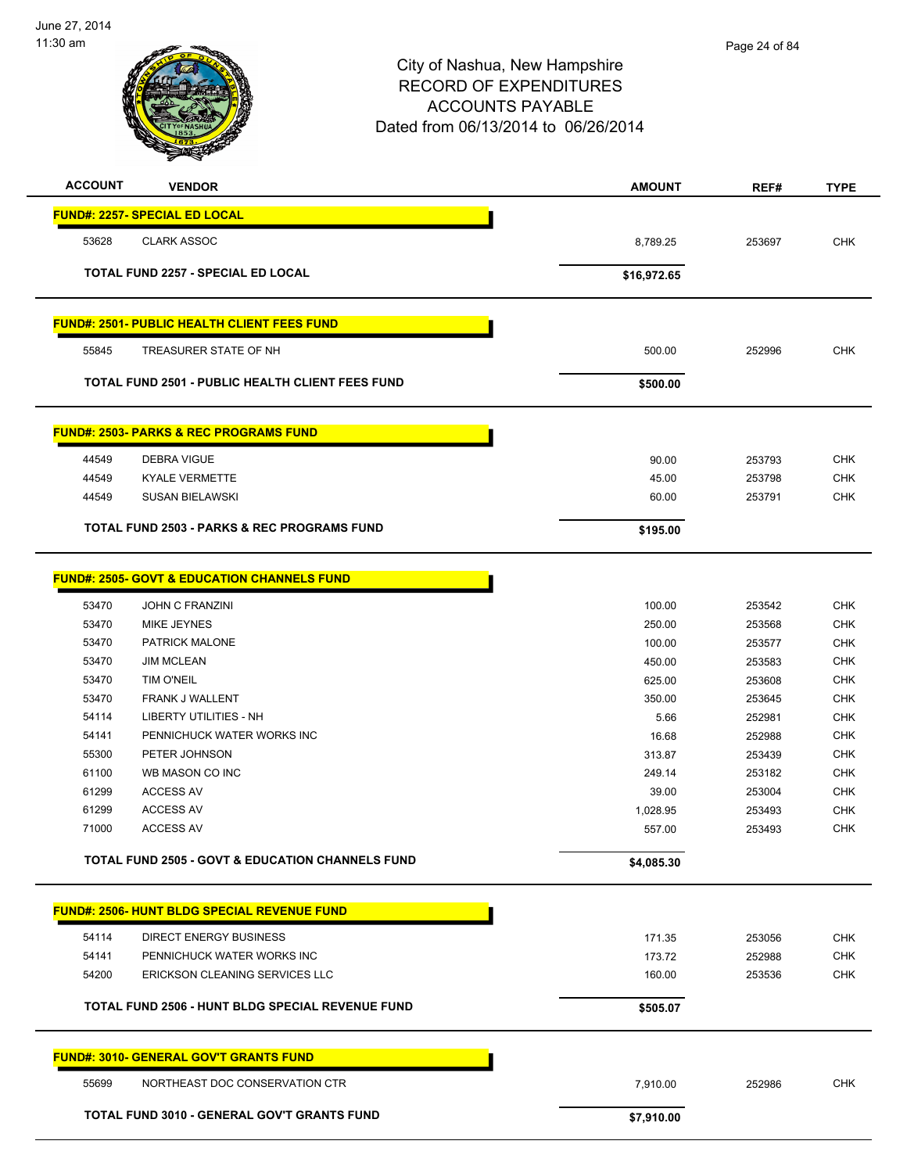

| <b>ACCOUNT</b> | <b>VENDOR</b>                                               | <b>AMOUNT</b> | REF#   | <b>TYPE</b> |
|----------------|-------------------------------------------------------------|---------------|--------|-------------|
|                | <b>FUND#: 2257- SPECIAL ED LOCAL</b>                        |               |        |             |
| 53628          | <b>CLARK ASSOC</b>                                          | 8,789.25      | 253697 | <b>CHK</b>  |
|                |                                                             |               |        |             |
|                | <b>TOTAL FUND 2257 - SPECIAL ED LOCAL</b>                   | \$16,972.65   |        |             |
|                | <b>FUND#: 2501- PUBLIC HEALTH CLIENT FEES FUND</b>          |               |        |             |
| 55845          | TREASURER STATE OF NH                                       | 500.00        | 252996 | <b>CHK</b>  |
|                | <b>TOTAL FUND 2501 - PUBLIC HEALTH CLIENT FEES FUND</b>     | \$500.00      |        |             |
|                |                                                             |               |        |             |
|                | <b>FUND#: 2503- PARKS &amp; REC PROGRAMS FUND</b>           |               |        |             |
| 44549          | DEBRA VIGUE                                                 | 90.00         | 253793 | <b>CHK</b>  |
| 44549          | <b>KYALE VERMETTE</b>                                       | 45.00         | 253798 | <b>CHK</b>  |
| 44549          | <b>SUSAN BIELAWSKI</b>                                      | 60.00         | 253791 | <b>CHK</b>  |
|                | TOTAL FUND 2503 - PARKS & REC PROGRAMS FUND                 | \$195.00      |        |             |
|                |                                                             |               |        |             |
|                | <b>FUND#: 2505- GOVT &amp; EDUCATION CHANNELS FUND</b>      |               |        |             |
| 53470          | <b>JOHN C FRANZINI</b>                                      | 100.00        | 253542 | <b>CHK</b>  |
| 53470          | <b>MIKE JEYNES</b>                                          | 250.00        | 253568 | <b>CHK</b>  |
| 53470          | PATRICK MALONE                                              | 100.00        | 253577 | <b>CHK</b>  |
| 53470          | <b>JIM MCLEAN</b>                                           | 450.00        | 253583 | <b>CHK</b>  |
| 53470          | <b>TIM O'NEIL</b>                                           | 625.00        | 253608 | <b>CHK</b>  |
| 53470          | FRANK J WALLENT                                             | 350.00        | 253645 | <b>CHK</b>  |
| 54114          | <b>LIBERTY UTILITIES - NH</b>                               | 5.66          | 252981 | <b>CHK</b>  |
| 54141          | PENNICHUCK WATER WORKS INC                                  | 16.68         | 252988 | <b>CHK</b>  |
| 55300          | PETER JOHNSON                                               | 313.87        | 253439 | <b>CHK</b>  |
| 61100          | WB MASON CO INC                                             | 249.14        | 253182 | <b>CHK</b>  |
| 61299          | <b>ACCESS AV</b>                                            | 39.00         | 253004 | <b>CHK</b>  |
| 61299          | <b>ACCESS AV</b>                                            | 1,028.95      | 253493 | CHK         |
| 71000          | <b>ACCESS AV</b>                                            | 557.00        | 253493 | <b>CHK</b>  |
|                | <b>TOTAL FUND 2505 - GOVT &amp; EDUCATION CHANNELS FUND</b> | \$4,085.30    |        |             |
|                | <b>FUND#: 2506- HUNT BLDG SPECIAL REVENUE FUND</b>          |               |        |             |
| 54114          | <b>DIRECT ENERGY BUSINESS</b>                               | 171.35        | 253056 | <b>CHK</b>  |
| 54141          | PENNICHUCK WATER WORKS INC                                  | 173.72        | 252988 | <b>CHK</b>  |
| 54200          | ERICKSON CLEANING SERVICES LLC                              | 160.00        | 253536 | <b>CHK</b>  |
|                |                                                             |               |        |             |
|                | TOTAL FUND 2506 - HUNT BLDG SPECIAL REVENUE FUND            | \$505.07      |        |             |
|                | <b>FUND#: 3010- GENERAL GOV'T GRANTS FUND</b>               |               |        |             |
| 55699          | NORTHEAST DOC CONSERVATION CTR                              | 7,910.00      | 252986 | <b>CHK</b>  |
|                | TOTAL FUND 3010 - GENERAL GOV'T GRANTS FUND                 | \$7,910.00    |        |             |
|                |                                                             |               |        |             |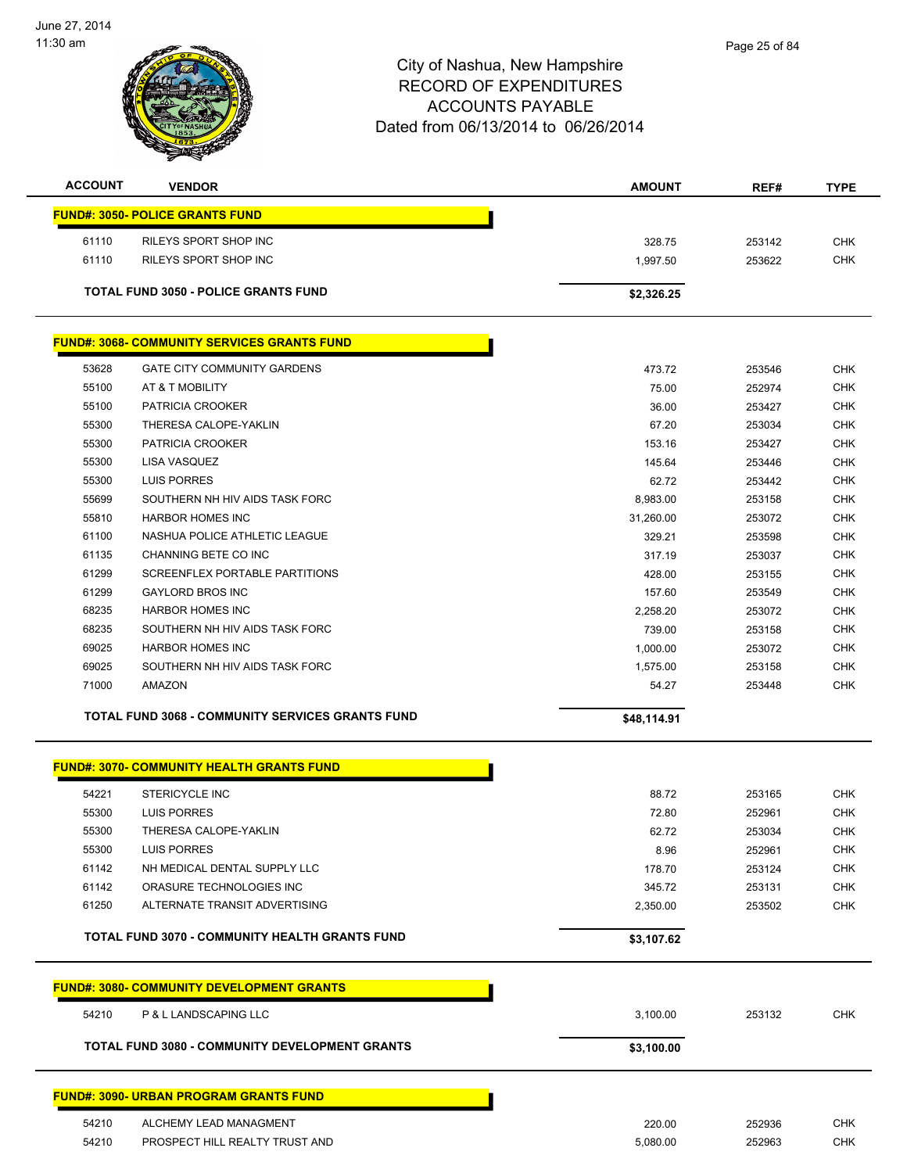

| <b>ACCOUNT</b> | <b>VENDOR</b>                                           | <b>AMOUNT</b> | REF#   | <b>TYPE</b> |
|----------------|---------------------------------------------------------|---------------|--------|-------------|
|                | <b>FUND#: 3050- POLICE GRANTS FUND</b>                  |               |        |             |
| 61110          | RILEYS SPORT SHOP INC                                   | 328.75        | 253142 | <b>CHK</b>  |
| 61110          | RILEYS SPORT SHOP INC                                   | 1,997.50      | 253622 | <b>CHK</b>  |
|                |                                                         |               |        |             |
|                | <b>TOTAL FUND 3050 - POLICE GRANTS FUND</b>             | \$2,326.25    |        |             |
|                |                                                         |               |        |             |
|                | <b>FUND#: 3068- COMMUNITY SERVICES GRANTS FUND</b>      |               |        |             |
| 53628          | <b>GATE CITY COMMUNITY GARDENS</b>                      | 473.72        | 253546 | <b>CHK</b>  |
| 55100          | AT & T MOBILITY                                         | 75.00         | 252974 | <b>CHK</b>  |
| 55100          | PATRICIA CROOKER                                        | 36.00         | 253427 | <b>CHK</b>  |
| 55300          | THERESA CALOPE-YAKLIN                                   | 67.20         | 253034 | <b>CHK</b>  |
| 55300          | PATRICIA CROOKER                                        | 153.16        | 253427 | <b>CHK</b>  |
| 55300          | LISA VASQUEZ                                            | 145.64        | 253446 | <b>CHK</b>  |
| 55300          | <b>LUIS PORRES</b>                                      | 62.72         | 253442 | <b>CHK</b>  |
| 55699          | SOUTHERN NH HIV AIDS TASK FORC                          | 8,983.00      | 253158 | <b>CHK</b>  |
| 55810          | <b>HARBOR HOMES INC</b>                                 | 31,260.00     | 253072 | <b>CHK</b>  |
| 61100          | NASHUA POLICE ATHLETIC LEAGUE                           | 329.21        | 253598 | <b>CHK</b>  |
| 61135          | CHANNING BETE CO INC                                    | 317.19        | 253037 | <b>CHK</b>  |
| 61299          | SCREENFLEX PORTABLE PARTITIONS                          | 428.00        | 253155 | <b>CHK</b>  |
| 61299          | <b>GAYLORD BROS INC</b>                                 | 157.60        | 253549 | <b>CHK</b>  |
| 68235          | <b>HARBOR HOMES INC</b>                                 | 2,258.20      | 253072 | <b>CHK</b>  |
| 68235          | SOUTHERN NH HIV AIDS TASK FORC                          | 739.00        | 253158 | <b>CHK</b>  |
| 69025          | <b>HARBOR HOMES INC</b>                                 | 1,000.00      | 253072 | CHK         |
| 69025          | SOUTHERN NH HIV AIDS TASK FORC                          | 1,575.00      | 253158 | <b>CHK</b>  |
| 71000          | AMAZON                                                  | 54.27         | 253448 | <b>CHK</b>  |
|                | <b>TOTAL FUND 3068 - COMMUNITY SERVICES GRANTS FUND</b> | \$48,114.91   |        |             |
|                | <b>FUND#: 3070- COMMUNITY HEALTH GRANTS FUND</b>        |               |        |             |
| 54221          | <b>STERICYCLE INC</b>                                   | 88.72         | 253165 | <b>CHK</b>  |
| 55300          | LUIS PORRES                                             | 72.80         | 252961 | <b>CHK</b>  |
| 55300          | THERESA CALOPE-YAKLIN                                   | 62.72         | 253034 | <b>CHK</b>  |
| 55300          | LUIS PORRES                                             | 8.96          | 252961 | <b>CHK</b>  |
| 61142          | NH MEDICAL DENTAL SUPPLY LLC                            | 178.70        | 253124 | <b>CHK</b>  |
| 61142          | ORASURE TECHNOLOGIES INC                                | 345.72        | 253131 | <b>CHK</b>  |
| 61250          | ALTERNATE TRANSIT ADVERTISING                           | 2,350.00      | 253502 | <b>CHK</b>  |
|                | <b>TOTAL FUND 3070 - COMMUNITY HEALTH GRANTS FUND</b>   | \$3,107.62    |        |             |
|                |                                                         |               |        |             |
|                | <b>FUND#: 3080- COMMUNITY DEVELOPMENT GRANTS</b>        |               |        |             |
| 54210          | P & L LANDSCAPING LLC                                   | 3,100.00      | 253132 | <b>CHK</b>  |
|                | TOTAL FUND 3080 - COMMUNITY DEVELOPMENT GRANTS          | \$3,100.00    |        |             |
|                | <b>FUND#: 3090- URBAN PROGRAM GRANTS FUND</b>           |               |        |             |
| 54210          | ALCHEMY LEAD MANAGMENT                                  | 220.00        | 252936 | <b>CHK</b>  |

PROSPECT HILL REALTY TRUST AND 5,080.00 252963 CHK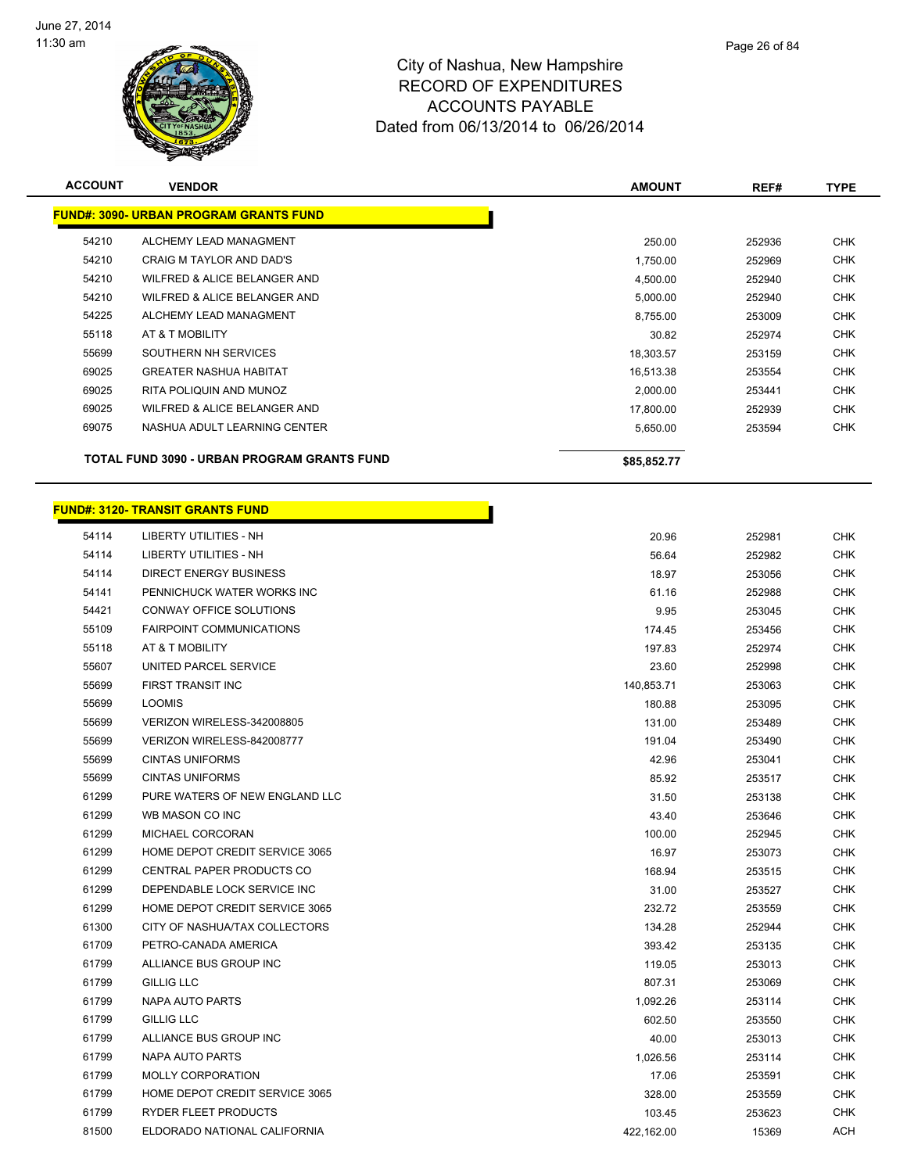

| <b>ACCOUNT</b> | <b>VENDOR</b>                                 | <b>AMOUNT</b> | REF#   | <b>TYPE</b> |
|----------------|-----------------------------------------------|---------------|--------|-------------|
|                | <b>FUND#: 3090- URBAN PROGRAM GRANTS FUND</b> |               |        |             |
| 54210          | ALCHEMY LEAD MANAGMENT                        | 250.00        | 252936 | <b>CHK</b>  |
| 54210          | CRAIG M TAYLOR AND DAD'S                      | 1,750.00      | 252969 | <b>CHK</b>  |
| 54210          | WILFRED & ALICE BELANGER AND                  | 4,500.00      | 252940 | <b>CHK</b>  |
| 54210          | WILFRED & ALICE BELANGER AND                  | 5,000.00      | 252940 | <b>CHK</b>  |
| 54225          | ALCHEMY LEAD MANAGMENT                        | 8,755.00      | 253009 | <b>CHK</b>  |
| 55118          | AT & T MOBILITY                               | 30.82         | 252974 | <b>CHK</b>  |
| 55699          | SOUTHERN NH SERVICES                          | 18,303.57     | 253159 | <b>CHK</b>  |
| 69025          | <b>GREATER NASHUA HABITAT</b>                 | 16,513.38     | 253554 | <b>CHK</b>  |
| 69025          | RITA POLIQUIN AND MUNOZ                       | 2,000.00      | 253441 | <b>CHK</b>  |
| 69025          | WILFRED & ALICE BELANGER AND                  | 17,800.00     | 252939 | <b>CHK</b>  |
| 69075          | NASHUA ADULT LEARNING CENTER                  | 5,650.00      | 253594 | <b>CHK</b>  |
|                | TOTAL FUND 3090 - URBAN PROGRAM GRANTS FUND   | \$85,852.77   |        |             |

## **FUND#: 3120- TRANSIT GRANTS FUND**

| 54114 | <b>LIBERTY UTILITIES - NH</b>   | 20.96      | 252981 | <b>CHK</b> |
|-------|---------------------------------|------------|--------|------------|
| 54114 | <b>LIBERTY UTILITIES - NH</b>   | 56.64      | 252982 | <b>CHK</b> |
| 54114 | DIRECT ENERGY BUSINESS          | 18.97      | 253056 | CHK        |
| 54141 | PENNICHUCK WATER WORKS INC      | 61.16      | 252988 | <b>CHK</b> |
| 54421 | CONWAY OFFICE SOLUTIONS         | 9.95       | 253045 | <b>CHK</b> |
| 55109 | <b>FAIRPOINT COMMUNICATIONS</b> | 174.45     | 253456 | CHK        |
| 55118 | AT & T MOBILITY                 | 197.83     | 252974 | <b>CHK</b> |
| 55607 | UNITED PARCEL SERVICE           | 23.60      | 252998 | <b>CHK</b> |
| 55699 | FIRST TRANSIT INC               | 140,853.71 | 253063 | <b>CHK</b> |
| 55699 | <b>LOOMIS</b>                   | 180.88     | 253095 | <b>CHK</b> |
| 55699 | VERIZON WIRELESS-342008805      | 131.00     | 253489 | <b>CHK</b> |
| 55699 | VERIZON WIRELESS-842008777      | 191.04     | 253490 | <b>CHK</b> |
| 55699 | <b>CINTAS UNIFORMS</b>          | 42.96      | 253041 | <b>CHK</b> |
| 55699 | <b>CINTAS UNIFORMS</b>          | 85.92      | 253517 | CHK        |
| 61299 | PURE WATERS OF NEW ENGLAND LLC  | 31.50      | 253138 | <b>CHK</b> |
| 61299 | WB MASON CO INC                 | 43.40      | 253646 | <b>CHK</b> |
| 61299 | MICHAEL CORCORAN                | 100.00     | 252945 | CHK        |
| 61299 | HOME DEPOT CREDIT SERVICE 3065  | 16.97      | 253073 | CHK        |
| 61299 | CENTRAL PAPER PRODUCTS CO       | 168.94     | 253515 | <b>CHK</b> |
| 61299 | DEPENDABLE LOCK SERVICE INC     | 31.00      | 253527 | CHK        |
| 61299 | HOME DEPOT CREDIT SERVICE 3065  | 232.72     | 253559 | CHK        |
| 61300 | CITY OF NASHUA/TAX COLLECTORS   | 134.28     | 252944 | <b>CHK</b> |
| 61709 | PETRO-CANADA AMERICA            | 393.42     | 253135 | <b>CHK</b> |
| 61799 | ALLIANCE BUS GROUP INC          | 119.05     | 253013 | <b>CHK</b> |
| 61799 | GILLIG LLC                      | 807.31     | 253069 | <b>CHK</b> |
| 61799 | NAPA AUTO PARTS                 | 1,092.26   | 253114 | <b>CHK</b> |
| 61799 | GILLIG LLC                      | 602.50     | 253550 | <b>CHK</b> |
| 61799 | ALLIANCE BUS GROUP INC          | 40.00      | 253013 | <b>CHK</b> |
| 61799 | NAPA AUTO PARTS                 | 1,026.56   | 253114 | <b>CHK</b> |
| 61799 | <b>MOLLY CORPORATION</b>        | 17.06      | 253591 | <b>CHK</b> |
| 61799 | HOME DEPOT CREDIT SERVICE 3065  | 328.00     | 253559 | <b>CHK</b> |
| 61799 | RYDER FLEET PRODUCTS            | 103.45     | 253623 | <b>CHK</b> |
| 81500 | ELDORADO NATIONAL CALIFORNIA    | 422,162.00 | 15369  | ACH        |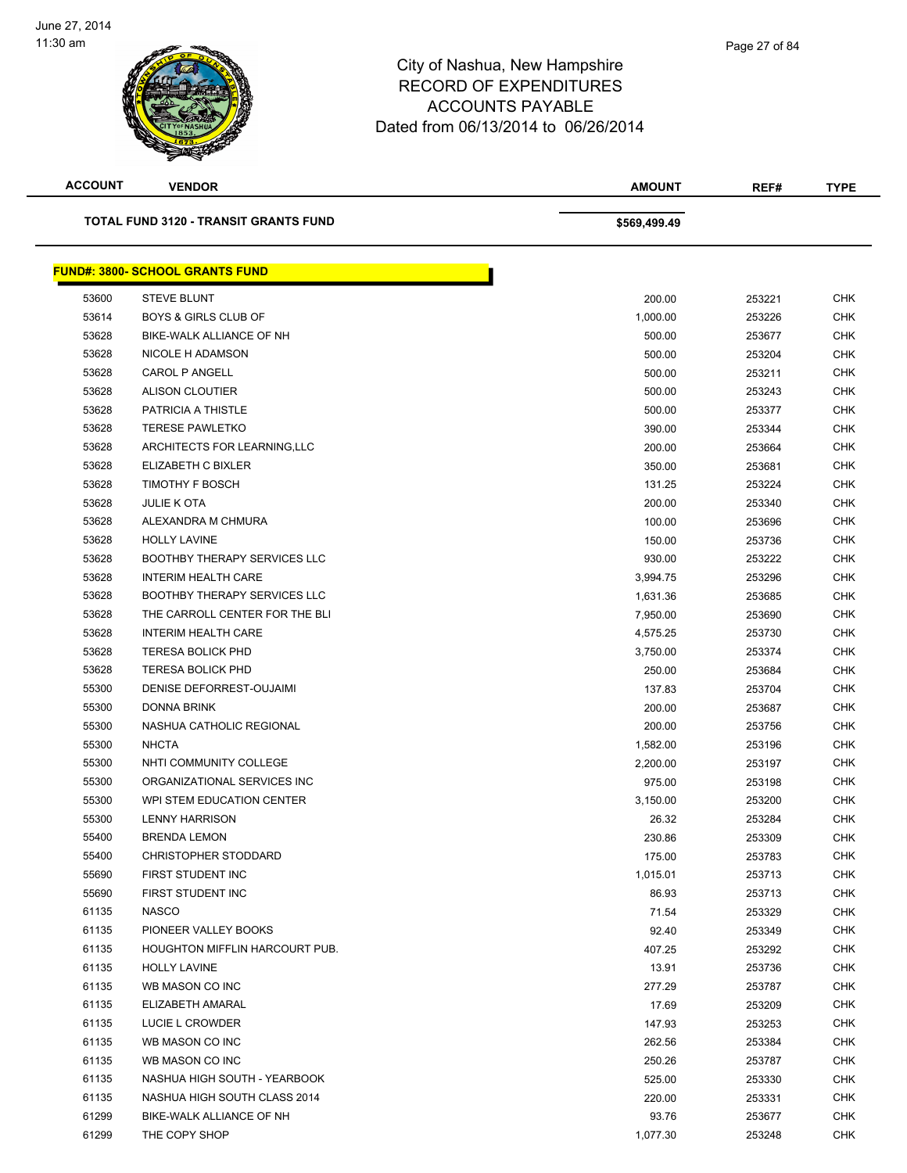

| <b>ACCOUNT</b> | <b>VENDOR</b>                                | <b>AMOUNT</b> | REF#   | <b>TYPE</b> |
|----------------|----------------------------------------------|---------------|--------|-------------|
|                | <b>TOTAL FUND 3120 - TRANSIT GRANTS FUND</b> | \$569,499.49  |        |             |
|                | <u> FUND#: 3800- SCHOOL GRANTS FUND</u>      |               |        |             |
| 53600          | <b>STEVE BLUNT</b>                           | 200.00        | 253221 | <b>CHK</b>  |
| 53614          | <b>BOYS &amp; GIRLS CLUB OF</b>              | 1,000.00      | 253226 | <b>CHK</b>  |
| 53628          | BIKE-WALK ALLIANCE OF NH                     | 500.00        | 253677 | CHK         |
| 53628          | NICOLE H ADAMSON                             | 500.00        | 253204 | <b>CHK</b>  |
| 53628          | <b>CAROL P ANGELL</b>                        | 500.00        | 253211 | <b>CHK</b>  |
| 53628          | <b>ALISON CLOUTIER</b>                       | 500.00        | 253243 | CHK         |
| 53628          | PATRICIA A THISTLE                           | 500.00        | 253377 | <b>CHK</b>  |
| 53628          | <b>TERESE PAWLETKO</b>                       | 390.00        | 253344 | CHK         |
| 53628          | ARCHITECTS FOR LEARNING, LLC                 | 200.00        | 253664 | CHK         |
| 53628          | ELIZABETH C BIXLER                           | 350.00        | 253681 | <b>CHK</b>  |
| 53628          | <b>TIMOTHY F BOSCH</b>                       | 131.25        | 253224 | <b>CHK</b>  |
| 53628          | <b>JULIE K OTA</b>                           | 200.00        | 253340 | <b>CHK</b>  |
| 53628          | ALEXANDRA M CHMURA                           | 100.00        | 253696 | <b>CHK</b>  |
| 53628          | <b>HOLLY LAVINE</b>                          | 150.00        | 253736 | CHK         |
| 53628          | <b>BOOTHBY THERAPY SERVICES LLC</b>          | 930.00        | 253222 | <b>CHK</b>  |
| 53628          | <b>INTERIM HEALTH CARE</b>                   | 3,994.75      | 253296 | <b>CHK</b>  |
| 53628          | <b>BOOTHBY THERAPY SERVICES LLC</b>          | 1,631.36      | 253685 | CHK         |
| 53628          | THE CARROLL CENTER FOR THE BLI               | 7,950.00      | 253690 | CHK         |
| 53628          | <b>INTERIM HEALTH CARE</b>                   | 4,575.25      | 253730 | CHK         |
| 53628          | <b>TERESA BOLICK PHD</b>                     | 3,750.00      | 253374 | CHK         |
| 53628          | <b>TERESA BOLICK PHD</b>                     | 250.00        | 253684 | <b>CHK</b>  |
| 55300          | DENISE DEFORREST-OUJAIMI                     | 137.83        | 253704 | <b>CHK</b>  |
| 55300          | DONNA BRINK                                  | 200.00        | 253687 | <b>CHK</b>  |
| 55300          | NASHUA CATHOLIC REGIONAL                     | 200.00        | 253756 | <b>CHK</b>  |
| 55300          | <b>NHCTA</b>                                 | 1,582.00      | 253196 | CHK         |
| 55300          | NHTI COMMUNITY COLLEGE                       | 2,200.00      | 253197 | <b>CHK</b>  |
| 55300          | ORGANIZATIONAL SERVICES INC                  | 975.00        | 253198 | <b>CHK</b>  |
| 55300          | WPI STEM EDUCATION CENTER                    | 3,150.00      | 253200 | CHK         |
| 55300          | <b>LENNY HARRISON</b>                        | 26.32         | 253284 | <b>CHK</b>  |
| 55400          | <b>BRENDA LEMON</b>                          | 230.86        | 253309 | <b>CHK</b>  |
| 55400          | <b>CHRISTOPHER STODDARD</b>                  | 175.00        | 253783 | <b>CHK</b>  |
| 55690          | FIRST STUDENT INC                            | 1,015.01      | 253713 | <b>CHK</b>  |
| 55690          | FIRST STUDENT INC                            | 86.93         | 253713 | <b>CHK</b>  |
| 61135          | <b>NASCO</b>                                 | 71.54         | 253329 | <b>CHK</b>  |
| 61135          | PIONEER VALLEY BOOKS                         | 92.40         | 253349 | <b>CHK</b>  |
| 61135          | HOUGHTON MIFFLIN HARCOURT PUB.               | 407.25        | 253292 | <b>CHK</b>  |
| 61135          | <b>HOLLY LAVINE</b>                          | 13.91         | 253736 | <b>CHK</b>  |
| 61135          | WB MASON CO INC                              | 277.29        | 253787 | <b>CHK</b>  |
| 61135          | ELIZABETH AMARAL                             | 17.69         | 253209 | <b>CHK</b>  |
| 61135          | LUCIE L CROWDER                              | 147.93        | 253253 | <b>CHK</b>  |
| 61135          | WB MASON CO INC                              | 262.56        | 253384 | <b>CHK</b>  |
| 61135          | WB MASON CO INC                              | 250.26        | 253787 | CHK         |
| 61135          | NASHUA HIGH SOUTH - YEARBOOK                 | 525.00        | 253330 | <b>CHK</b>  |
| 61135          | NASHUA HIGH SOUTH CLASS 2014                 | 220.00        | 253331 | <b>CHK</b>  |
| 61299          | BIKE-WALK ALLIANCE OF NH                     | 93.76         | 253677 | <b>CHK</b>  |
| 61299          | THE COPY SHOP                                | 1,077.30      | 253248 | <b>CHK</b>  |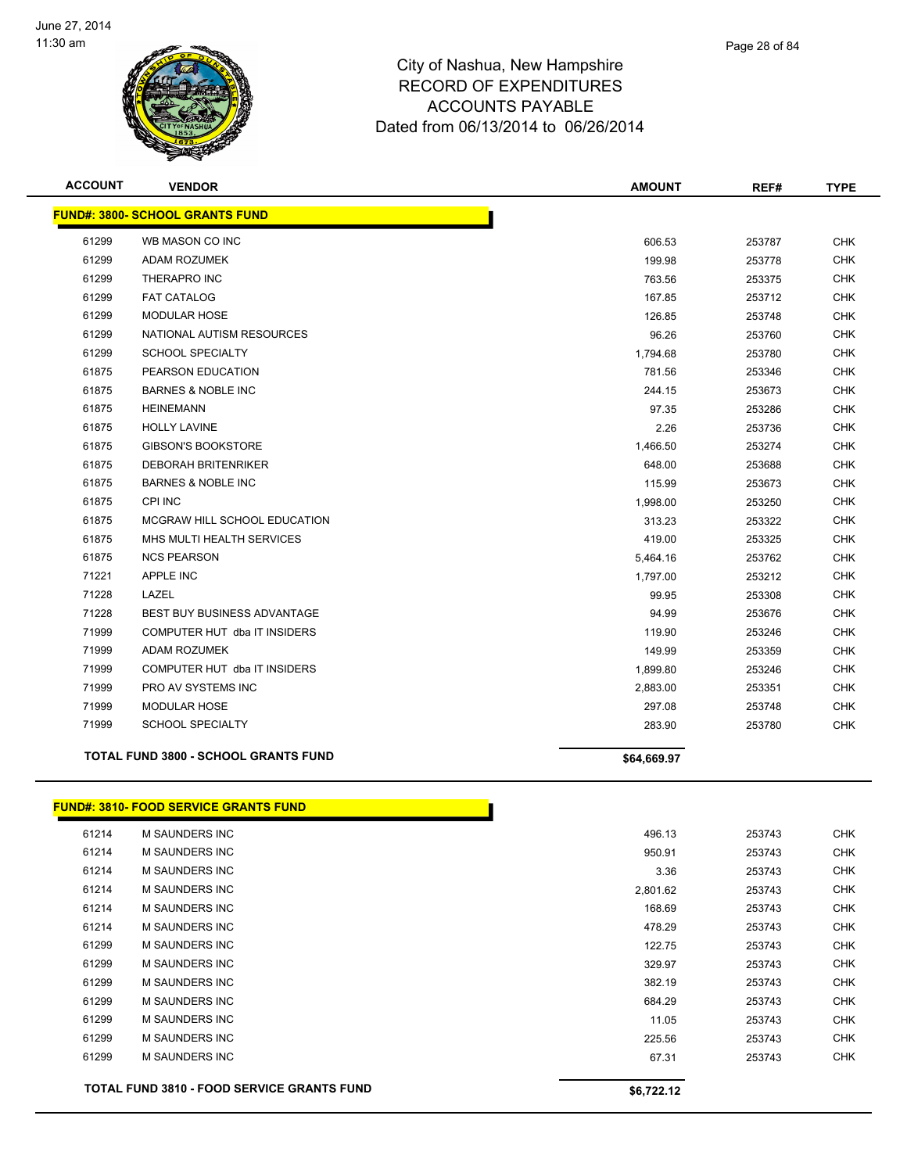

| <b>ACCOUNT</b> | <b>VENDOR</b>                                | <b>AMOUNT</b> | REF#   | <b>TYPE</b> |
|----------------|----------------------------------------------|---------------|--------|-------------|
|                | <b>FUND#: 3800- SCHOOL GRANTS FUND</b>       |               |        |             |
| 61299          | WB MASON CO INC                              | 606.53        | 253787 | <b>CHK</b>  |
| 61299          | ADAM ROZUMEK                                 | 199.98        | 253778 | <b>CHK</b>  |
| 61299          | THERAPRO INC                                 | 763.56        | 253375 | <b>CHK</b>  |
| 61299          | <b>FAT CATALOG</b>                           | 167.85        | 253712 | <b>CHK</b>  |
| 61299          | <b>MODULAR HOSE</b>                          | 126.85        | 253748 | <b>CHK</b>  |
| 61299          | NATIONAL AUTISM RESOURCES                    | 96.26         | 253760 | <b>CHK</b>  |
| 61299          | <b>SCHOOL SPECIALTY</b>                      | 1,794.68      | 253780 | <b>CHK</b>  |
| 61875          | PEARSON EDUCATION                            | 781.56        | 253346 | <b>CHK</b>  |
| 61875          | <b>BARNES &amp; NOBLE INC</b>                | 244.15        | 253673 | <b>CHK</b>  |
| 61875          | <b>HEINEMANN</b>                             | 97.35         | 253286 | <b>CHK</b>  |
| 61875          | <b>HOLLY LAVINE</b>                          | 2.26          | 253736 | CHK         |
| 61875          | <b>GIBSON'S BOOKSTORE</b>                    | 1,466.50      | 253274 | <b>CHK</b>  |
| 61875          | <b>DEBORAH BRITENRIKER</b>                   | 648.00        | 253688 | CHK         |
| 61875          | <b>BARNES &amp; NOBLE INC</b>                | 115.99        | 253673 | <b>CHK</b>  |
| 61875          | <b>CPI INC</b>                               | 1,998.00      | 253250 | <b>CHK</b>  |
| 61875          | MCGRAW HILL SCHOOL EDUCATION                 | 313.23        | 253322 | <b>CHK</b>  |
| 61875          | MHS MULTI HEALTH SERVICES                    | 419.00        | 253325 | <b>CHK</b>  |
| 61875          | <b>NCS PEARSON</b>                           | 5,464.16      | 253762 | <b>CHK</b>  |
| 71221          | <b>APPLE INC</b>                             | 1,797.00      | 253212 | <b>CHK</b>  |
| 71228          | LAZEL                                        | 99.95         | 253308 | <b>CHK</b>  |
| 71228          | <b>BEST BUY BUSINESS ADVANTAGE</b>           | 94.99         | 253676 | CHK         |
| 71999          | COMPUTER HUT dba IT INSIDERS                 | 119.90        | 253246 | CHK         |
| 71999          | <b>ADAM ROZUMEK</b>                          | 149.99        | 253359 | <b>CHK</b>  |
| 71999          | COMPUTER HUT dba IT INSIDERS                 | 1,899.80      | 253246 | CHK         |
| 71999          | PRO AV SYSTEMS INC                           | 2,883.00      | 253351 | <b>CHK</b>  |
| 71999          | <b>MODULAR HOSE</b>                          | 297.08        | 253748 | <b>CHK</b>  |
| 71999          | <b>SCHOOL SPECIALTY</b>                      | 283.90        | 253780 | <b>CHK</b>  |
|                | <b>TOTAL FUND 3800 - SCHOOL GRANTS FUND</b>  | \$64,669.97   |        |             |
|                | <b>FUND#: 3810- FOOD SERVICE GRANTS FUND</b> |               |        |             |
| 61214          | <b>M SAUNDERS INC</b>                        | 496.13        | 253743 | <b>CHK</b>  |
| 61214          | M SAUNDERS INC                               | 950.91        | 253743 | <b>CHK</b>  |
| 61214          | M SAUNDERS INC                               | 3.36          | 253743 | <b>CHK</b>  |
| 61214          | M SAUNDERS INC                               | 2,801.62      | 253743 | <b>CHK</b>  |
| 61214          | M SAUNDERS INC                               | 168.69        | 253743 | <b>CHK</b>  |
| 61214          | M SAUNDERS INC                               | 478.29        | 253743 | <b>CHK</b>  |
| 61299          | M SAUNDERS INC                               | 122.75        | 253743 | <b>CHK</b>  |
| 61299          | M SAUNDERS INC                               | 329.97        | 253743 | <b>CHK</b>  |

 M SAUNDERS INC 382.19 253743 CHK M SAUNDERS INC 684.29 253743 CHK M SAUNDERS INC 11.05 253743 CHK M SAUNDERS INC 225.56 253743 CHK M SAUNDERS INC 67.31 253743 CHK TOTAL FUND 3810 - FOOD SERVICE GRANTS FUND<br>
\$6,722.12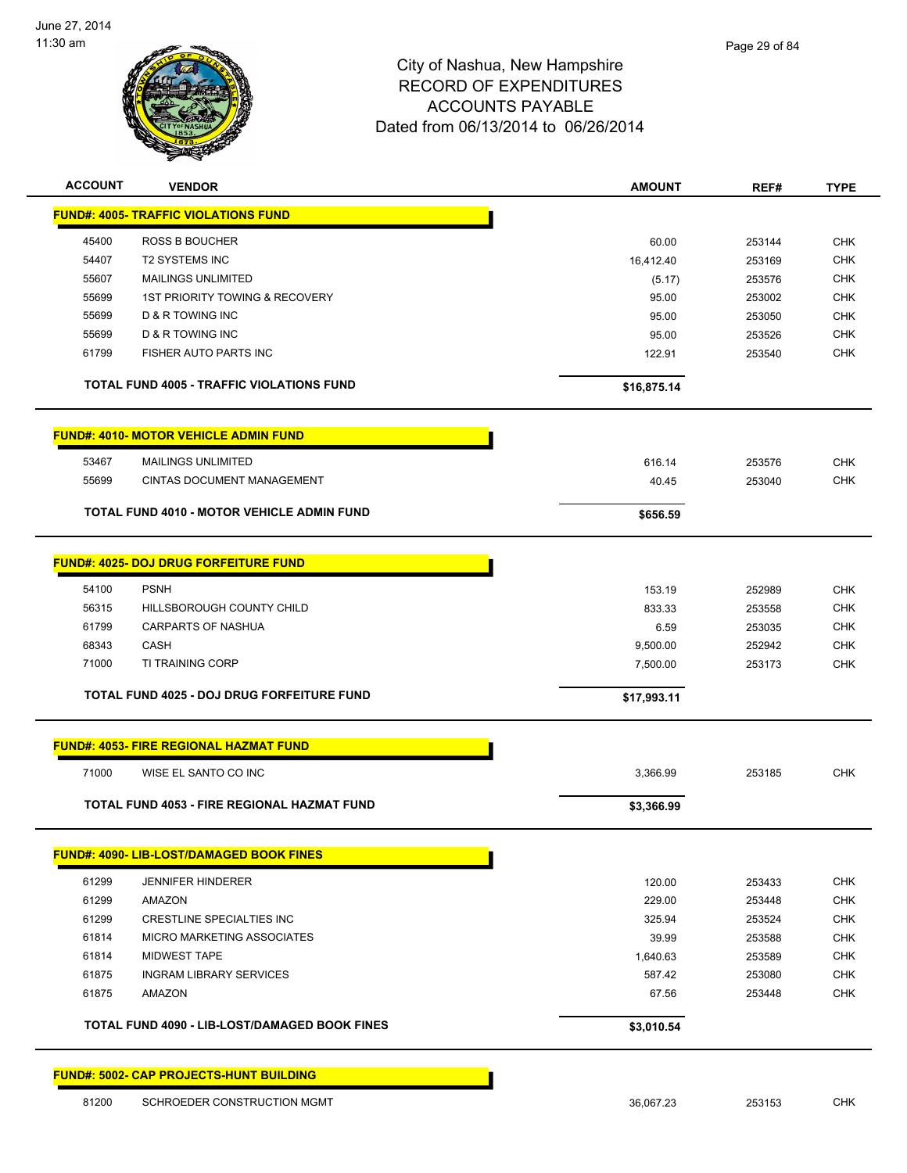

| <b>ACCOUNT</b> | <b>VENDOR</b>                                     | <b>AMOUNT</b> | REF#   | <b>TYPE</b> |
|----------------|---------------------------------------------------|---------------|--------|-------------|
|                | <b>FUND#: 4005- TRAFFIC VIOLATIONS FUND</b>       |               |        |             |
| 45400          | <b>ROSS B BOUCHER</b>                             | 60.00         | 253144 | <b>CHK</b>  |
| 54407          | <b>T2 SYSTEMS INC</b>                             | 16,412.40     | 253169 | <b>CHK</b>  |
| 55607          | MAILINGS UNLIMITED                                | (5.17)        | 253576 | <b>CHK</b>  |
| 55699          | <b>1ST PRIORITY TOWING &amp; RECOVERY</b>         | 95.00         | 253002 | <b>CHK</b>  |
| 55699          | <b>D &amp; R TOWING INC</b>                       | 95.00         | 253050 | <b>CHK</b>  |
| 55699          | <b>D &amp; R TOWING INC</b>                       | 95.00         | 253526 | <b>CHK</b>  |
| 61799          | FISHER AUTO PARTS INC                             | 122.91        | 253540 | <b>CHK</b>  |
|                | <b>TOTAL FUND 4005 - TRAFFIC VIOLATIONS FUND</b>  | \$16,875.14   |        |             |
|                | <b>FUND#: 4010- MOTOR VEHICLE ADMIN FUND</b>      |               |        |             |
| 53467          | <b>MAILINGS UNLIMITED</b>                         | 616.14        | 253576 | <b>CHK</b>  |
| 55699          | <b>CINTAS DOCUMENT MANAGEMENT</b>                 | 40.45         | 253040 | <b>CHK</b>  |
|                | <b>TOTAL FUND 4010 - MOTOR VEHICLE ADMIN FUND</b> | \$656.59      |        |             |
|                | <b>FUND#: 4025- DOJ DRUG FORFEITURE FUND</b>      |               |        |             |
|                |                                                   |               |        |             |
| 54100          | <b>PSNH</b>                                       | 153.19        | 252989 | <b>CHK</b>  |
| 56315          | HILLSBOROUGH COUNTY CHILD                         | 833.33        | 253558 | <b>CHK</b>  |
| 61799          | <b>CARPARTS OF NASHUA</b>                         | 6.59          | 253035 | <b>CHK</b>  |
| 68343          | CASH                                              | 9,500.00      | 252942 | <b>CHK</b>  |
| 71000          | TI TRAINING CORP                                  | 7,500.00      | 253173 | <b>CHK</b>  |
|                | <b>TOTAL FUND 4025 - DOJ DRUG FORFEITURE FUND</b> | \$17,993.11   |        |             |
|                | <b>FUND#: 4053- FIRE REGIONAL HAZMAT FUND</b>     |               |        |             |
| 71000          | WISE EL SANTO CO INC                              | 3,366.99      | 253185 | <b>CHK</b>  |
|                | TOTAL FUND 4053 - FIRE REGIONAL HAZMAT FUND       | \$3,366.99    |        |             |
|                | <b>FUND#: 4090- LIB-LOST/DAMAGED BOOK FINES</b>   |               |        |             |
|                |                                                   |               |        |             |
| 61299          | <b>JENNIFER HINDERER</b>                          | 120.00        | 253433 | <b>CHK</b>  |
| 61299          | AMAZON                                            | 229.00        | 253448 | <b>CHK</b>  |
| 61299          | CRESTLINE SPECIALTIES INC                         | 325.94        | 253524 | <b>CHK</b>  |
| 61814          | MICRO MARKETING ASSOCIATES                        | 39.99         | 253588 | CHK         |
| 61814          | <b>MIDWEST TAPE</b>                               | 1,640.63      | 253589 | CHK         |
| 61875          | <b>INGRAM LIBRARY SERVICES</b>                    | 587.42        | 253080 | <b>CHK</b>  |
| 61875          | AMAZON                                            | 67.56         | 253448 | CHK         |
|                | TOTAL FUND 4090 - LIB-LOST/DAMAGED BOOK FINES     | \$3,010.54    |        |             |
|                |                                                   |               |        |             |

**FUND#: 5002- CAP PROJECTS-HUNT BUILDING**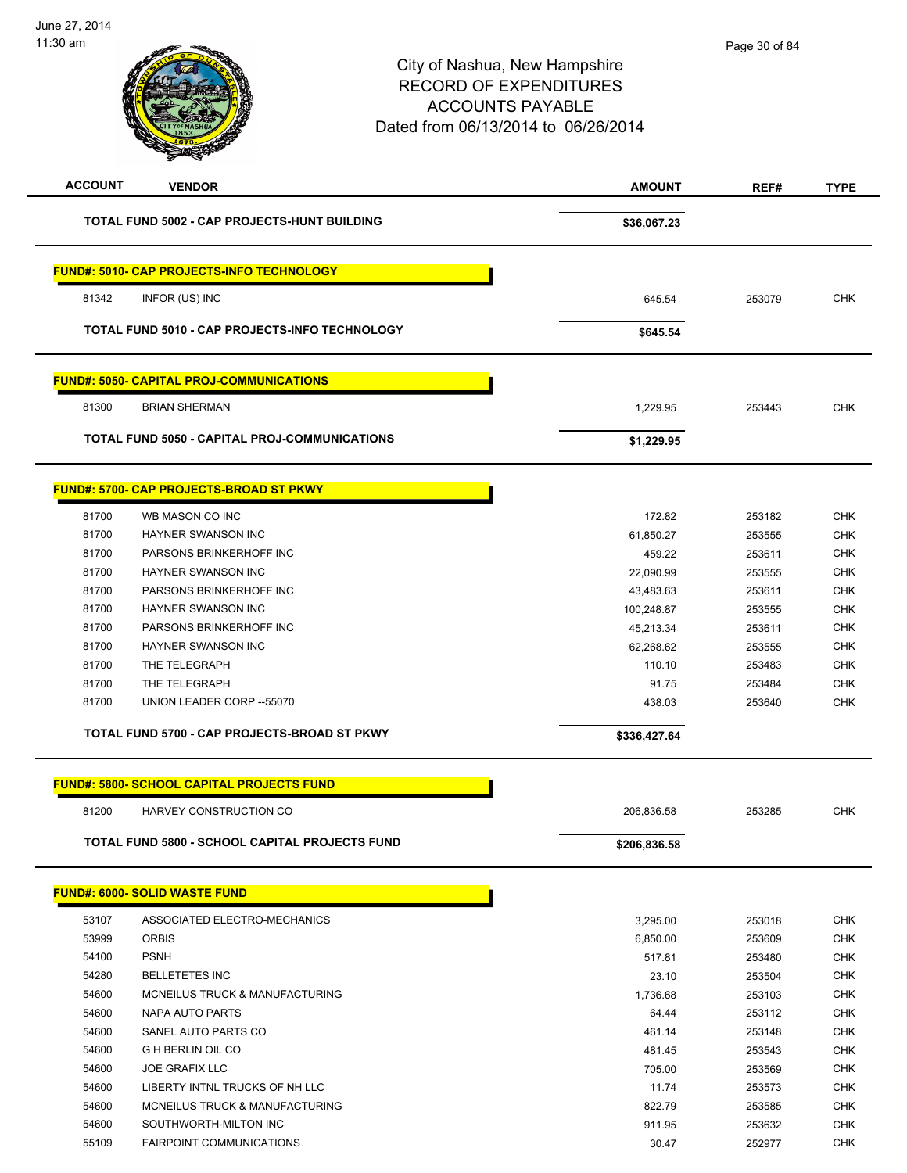| <b>ACCOUNT</b> | <b>VENDOR</b>                                       | <b>AMOUNT</b>   | REF#             | <b>TYPE</b>              |
|----------------|-----------------------------------------------------|-----------------|------------------|--------------------------|
|                | <b>TOTAL FUND 5002 - CAP PROJECTS-HUNT BUILDING</b> | \$36,067.23     |                  |                          |
|                | <b>FUND#: 5010- CAP PROJECTS-INFO TECHNOLOGY</b>    |                 |                  |                          |
| 81342          | INFOR (US) INC                                      | 645.54          | 253079           | <b>CHK</b>               |
|                | TOTAL FUND 5010 - CAP PROJECTS-INFO TECHNOLOGY      | \$645.54        |                  |                          |
|                | <b>FUND#: 5050- CAPITAL PROJ-COMMUNICATIONS</b>     |                 |                  |                          |
| 81300          | <b>BRIAN SHERMAN</b>                                | 1,229.95        | 253443           | <b>CHK</b>               |
|                | TOTAL FUND 5050 - CAPITAL PROJ-COMMUNICATIONS       | \$1,229.95      |                  |                          |
|                | FUND#: 5700- CAP PROJECTS-BROAD ST PKWY             |                 |                  |                          |
| 81700          | WB MASON CO INC                                     | 172.82          | 253182           | <b>CHK</b>               |
| 81700          | <b>HAYNER SWANSON INC</b>                           | 61,850.27       | 253555           | <b>CHK</b>               |
| 81700          | PARSONS BRINKERHOFF INC                             | 459.22          | 253611           | CHK                      |
| 81700          | <b>HAYNER SWANSON INC</b>                           | 22,090.99       | 253555           | <b>CHK</b>               |
| 81700          | PARSONS BRINKERHOFF INC                             | 43,483.63       | 253611           | <b>CHK</b>               |
| 81700          | HAYNER SWANSON INC                                  | 100,248.87      | 253555           | <b>CHK</b>               |
| 81700          | PARSONS BRINKERHOFF INC                             | 45,213.34       | 253611           | <b>CHK</b>               |
| 81700          | HAYNER SWANSON INC                                  | 62,268.62       | 253555           | <b>CHK</b>               |
| 81700          | THE TELEGRAPH                                       | 110.10          | 253483           | <b>CHK</b>               |
| 81700          | THE TELEGRAPH                                       | 91.75           | 253484           | <b>CHK</b>               |
| 81700          | UNION LEADER CORP -- 55070                          | 438.03          | 253640           | <b>CHK</b>               |
|                | TOTAL FUND 5700 - CAP PROJECTS-BROAD ST PKWY        | \$336,427.64    |                  |                          |
|                | <b>FUND#: 5800- SCHOOL CAPITAL PROJECTS FUND</b>    |                 |                  |                          |
| 81200          | HARVEY CONSTRUCTION CO                              | 206,836.58      | 253285           | <b>CHK</b>               |
|                | TOTAL FUND 5800 - SCHOOL CAPITAL PROJECTS FUND      | \$206,836.58    |                  |                          |
|                |                                                     |                 |                  |                          |
|                | <b>FUND#: 6000- SOLID WASTE FUND</b>                |                 |                  |                          |
| 53107          | ASSOCIATED ELECTRO-MECHANICS                        | 3,295.00        | 253018           | <b>CHK</b>               |
| 53999          | <b>ORBIS</b>                                        | 6,850.00        | 253609           | <b>CHK</b>               |
| 54100          | <b>PSNH</b>                                         | 517.81          | 253480           | <b>CHK</b>               |
| 54280          | <b>BELLETETES INC</b>                               | 23.10           | 253504           | <b>CHK</b>               |
| 54600<br>54600 | MCNEILUS TRUCK & MANUFACTURING<br>NAPA AUTO PARTS   | 1,736.68        | 253103           | <b>CHK</b><br><b>CHK</b> |
| 54600          | SANEL AUTO PARTS CO                                 | 64.44<br>461.14 | 253112<br>253148 | <b>CHK</b>               |
| 54600          | <b>G H BERLIN OIL CO</b>                            | 481.45          | 253543           | <b>CHK</b>               |
| 54600          | <b>JOE GRAFIX LLC</b>                               | 705.00          | 253569           | <b>CHK</b>               |
| 54600          | LIBERTY INTNL TRUCKS OF NH LLC                      | 11.74           | 253573           | <b>CHK</b>               |
| 54600          | MCNEILUS TRUCK & MANUFACTURING                      | 822.79          | 253585           | <b>CHK</b>               |
| 54600          | SOUTHWORTH-MILTON INC                               | 911.95          | 253632           | <b>CHK</b>               |
| 55109          | <b>FAIRPOINT COMMUNICATIONS</b>                     | 30.47           | 252977           | <b>CHK</b>               |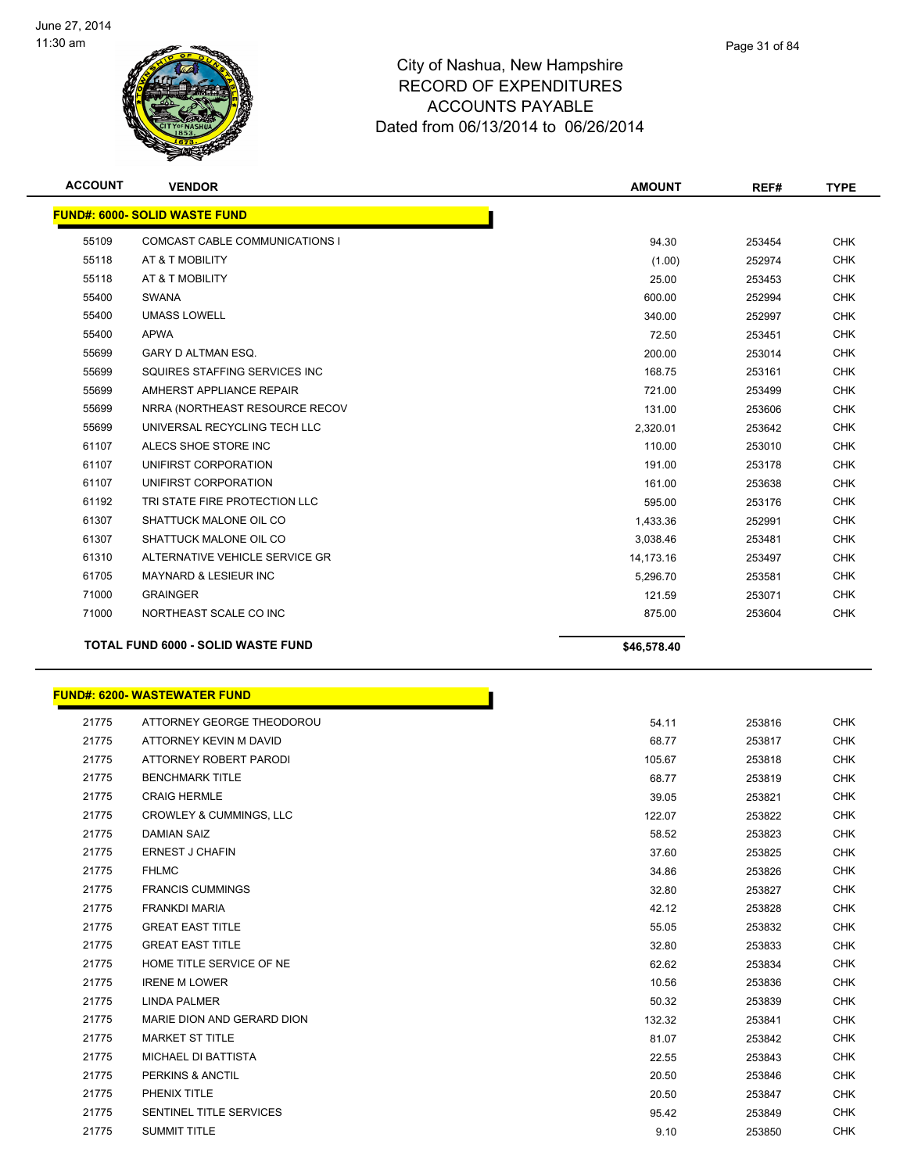

| <b>ACCOUNT</b> | <b>VENDOR</b>                             | <b>AMOUNT</b> | REF#   | <b>TYPE</b> |
|----------------|-------------------------------------------|---------------|--------|-------------|
|                | <b>FUND#: 6000- SOLID WASTE FUND</b>      |               |        |             |
| 55109          | COMCAST CABLE COMMUNICATIONS I            | 94.30         | 253454 | <b>CHK</b>  |
| 55118          | AT & T MOBILITY                           | (1.00)        | 252974 | <b>CHK</b>  |
| 55118          | AT & T MOBILITY                           | 25.00         | 253453 | <b>CHK</b>  |
| 55400          | SWANA                                     | 600.00        | 252994 | <b>CHK</b>  |
| 55400          | <b>UMASS LOWELL</b>                       | 340.00        | 252997 | <b>CHK</b>  |
| 55400          | <b>APWA</b>                               | 72.50         | 253451 | <b>CHK</b>  |
| 55699          | GARY D ALTMAN ESQ.                        | 200.00        | 253014 | <b>CHK</b>  |
| 55699          | SQUIRES STAFFING SERVICES INC             | 168.75        | 253161 | <b>CHK</b>  |
| 55699          | AMHERST APPLIANCE REPAIR                  | 721.00        | 253499 | <b>CHK</b>  |
| 55699          | NRRA (NORTHEAST RESOURCE RECOV            | 131.00        | 253606 | <b>CHK</b>  |
| 55699          | UNIVERSAL RECYCLING TECH LLC              | 2,320.01      | 253642 | <b>CHK</b>  |
| 61107          | ALECS SHOE STORE INC                      | 110.00        | 253010 | <b>CHK</b>  |
| 61107          | UNIFIRST CORPORATION                      | 191.00        | 253178 | <b>CHK</b>  |
| 61107          | UNIFIRST CORPORATION                      | 161.00        | 253638 | <b>CHK</b>  |
| 61192          | TRI STATE FIRE PROTECTION LLC             | 595.00        | 253176 | <b>CHK</b>  |
| 61307          | SHATTUCK MALONE OIL CO                    | 1,433.36      | 252991 | <b>CHK</b>  |
| 61307          | SHATTUCK MALONE OIL CO                    | 3,038.46      | 253481 | <b>CHK</b>  |
| 61310          | ALTERNATIVE VEHICLE SERVICE GR            | 14,173.16     | 253497 | <b>CHK</b>  |
| 61705          | <b>MAYNARD &amp; LESIEUR INC</b>          | 5,296.70      | 253581 | <b>CHK</b>  |
| 71000          | <b>GRAINGER</b>                           | 121.59        | 253071 | <b>CHK</b>  |
| 71000          | NORTHEAST SCALE CO INC                    | 875.00        | 253604 | <b>CHK</b>  |
|                | <b>TOTAL FUND 6000 - SOLID WASTE FUND</b> | \$46,578.40   |        |             |

|       | <b>FUND#: 6200- WASTEWATER FUND</b> |        |        |            |
|-------|-------------------------------------|--------|--------|------------|
| 21775 | ATTORNEY GEORGE THEODOROU           | 54.11  | 253816 | <b>CHK</b> |
| 21775 | ATTORNEY KEVIN M DAVID              | 68.77  | 253817 | <b>CHK</b> |
| 21775 | ATTORNEY ROBERT PARODI              | 105.67 | 253818 | <b>CHK</b> |
| 21775 | <b>BENCHMARK TITLE</b>              | 68.77  | 253819 | <b>CHK</b> |
| 21775 | <b>CRAIG HERMLE</b>                 | 39.05  | 253821 | <b>CHK</b> |
| 21775 | <b>CROWLEY &amp; CUMMINGS, LLC</b>  | 122.07 | 253822 | <b>CHK</b> |
| 21775 | <b>DAMIAN SAIZ</b>                  | 58.52  | 253823 | <b>CHK</b> |
| 21775 | <b>ERNEST J CHAFIN</b>              | 37.60  | 253825 | <b>CHK</b> |
| 21775 | <b>FHLMC</b>                        | 34.86  | 253826 | <b>CHK</b> |
| 21775 | <b>FRANCIS CUMMINGS</b>             | 32.80  | 253827 | <b>CHK</b> |
| 21775 | <b>FRANKDI MARIA</b>                | 42.12  | 253828 | <b>CHK</b> |
| 21775 | <b>GREAT EAST TITLE</b>             | 55.05  | 253832 | <b>CHK</b> |
| 21775 | <b>GREAT EAST TITLE</b>             | 32.80  | 253833 | <b>CHK</b> |
| 21775 | HOME TITLE SERVICE OF NE            | 62.62  | 253834 | <b>CHK</b> |
| 21775 | <b>IRENE M LOWER</b>                | 10.56  | 253836 | <b>CHK</b> |
| 21775 | <b>LINDA PALMER</b>                 | 50.32  | 253839 | <b>CHK</b> |
| 21775 | MARIE DION AND GERARD DION          | 132.32 | 253841 | <b>CHK</b> |
| 21775 | <b>MARKET ST TITLE</b>              | 81.07  | 253842 | <b>CHK</b> |
| 21775 | <b>MICHAEL DI BATTISTA</b>          | 22.55  | 253843 | <b>CHK</b> |
| 21775 | PERKINS & ANCTIL                    | 20.50  | 253846 | <b>CHK</b> |
| 21775 | PHENIX TITLE                        | 20.50  | 253847 | <b>CHK</b> |

 SENTINEL TITLE SERVICES 95.42 253849 CHK 21775 SUMMIT TITLE 253850 CHK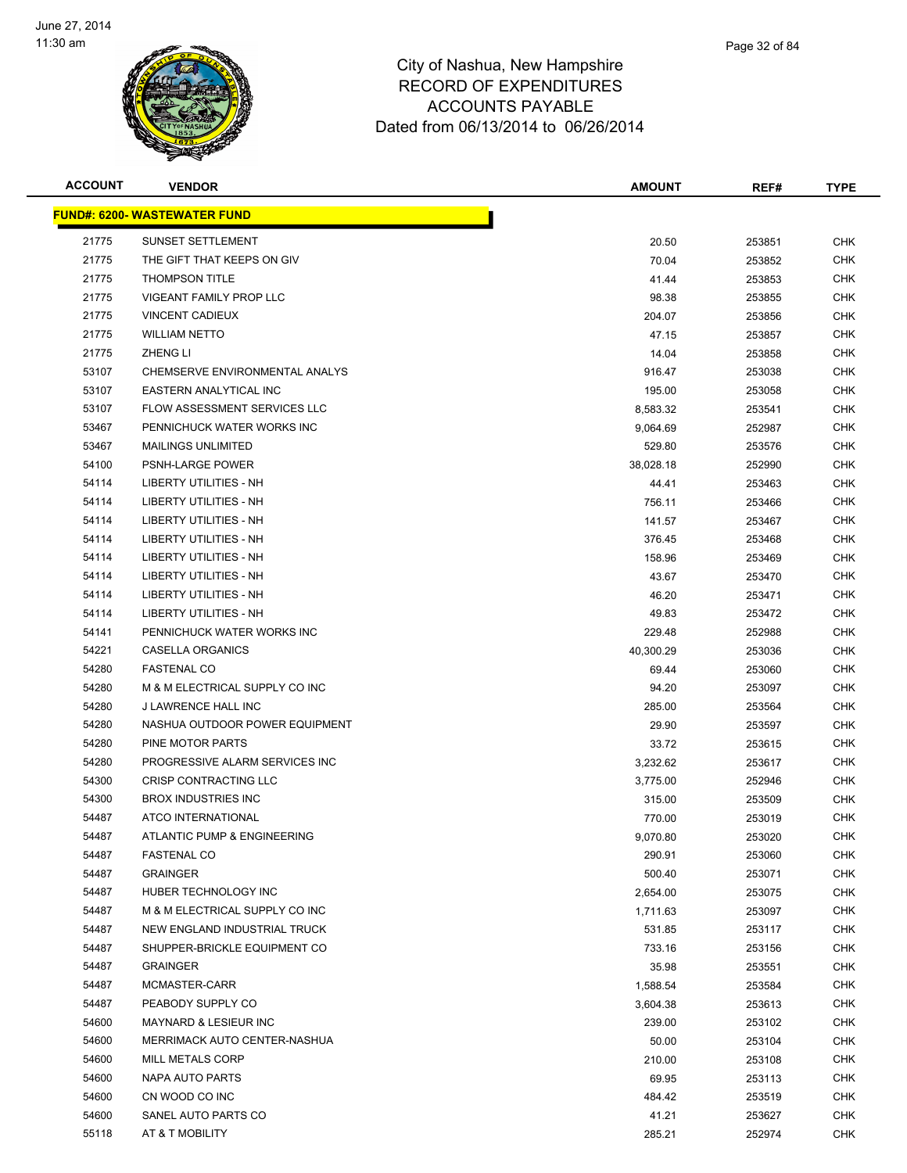

| <b>ipshire</b> |  |  |
|----------------|--|--|
| <b>URES</b>    |  |  |
| l F            |  |  |

Page 32 of 84

| <b>ACCOUNT</b> | <b>VENDOR</b>                       | <b>AMOUNT</b> | REF#   | <b>TYPE</b> |
|----------------|-------------------------------------|---------------|--------|-------------|
|                | <b>FUND#: 6200- WASTEWATER FUND</b> |               |        |             |
| 21775          | <b>SUNSET SETTLEMENT</b>            | 20.50         | 253851 | <b>CHK</b>  |
| 21775          | THE GIFT THAT KEEPS ON GIV          | 70.04         | 253852 | <b>CHK</b>  |
| 21775          | <b>THOMPSON TITLE</b>               | 41.44         | 253853 | <b>CHK</b>  |
| 21775          | VIGEANT FAMILY PROP LLC             | 98.38         | 253855 | <b>CHK</b>  |
| 21775          | <b>VINCENT CADIEUX</b>              | 204.07        | 253856 | <b>CHK</b>  |
| 21775          | <b>WILLIAM NETTO</b>                | 47.15         | 253857 | <b>CHK</b>  |
| 21775          | <b>ZHENG LI</b>                     | 14.04         | 253858 | <b>CHK</b>  |
| 53107          | CHEMSERVE ENVIRONMENTAL ANALYS      | 916.47        | 253038 | <b>CHK</b>  |
| 53107          | EASTERN ANALYTICAL INC              | 195.00        | 253058 | <b>CHK</b>  |
| 53107          | FLOW ASSESSMENT SERVICES LLC        | 8,583.32      | 253541 | <b>CHK</b>  |
| 53467          | PENNICHUCK WATER WORKS INC          | 9,064.69      | 252987 | <b>CHK</b>  |
| 53467          | <b>MAILINGS UNLIMITED</b>           | 529.80        | 253576 | <b>CHK</b>  |
| 54100          | <b>PSNH-LARGE POWER</b>             | 38,028.18     | 252990 | <b>CHK</b>  |
| 54114          | <b>LIBERTY UTILITIES - NH</b>       | 44.41         | 253463 | <b>CHK</b>  |
| 54114          | LIBERTY UTILITIES - NH              | 756.11        | 253466 | <b>CHK</b>  |
| 54114          | LIBERTY UTILITIES - NH              | 141.57        | 253467 | <b>CHK</b>  |
| 54114          | LIBERTY UTILITIES - NH              | 376.45        | 253468 | <b>CHK</b>  |
| 54114          | <b>LIBERTY UTILITIES - NH</b>       | 158.96        | 253469 | <b>CHK</b>  |
| 54114          | LIBERTY UTILITIES - NH              | 43.67         | 253470 | <b>CHK</b>  |
| 54114          | <b>LIBERTY UTILITIES - NH</b>       | 46.20         | 253471 | <b>CHK</b>  |
| 54114          | LIBERTY UTILITIES - NH              | 49.83         | 253472 | <b>CHK</b>  |
| 54141          | PENNICHUCK WATER WORKS INC          | 229.48        | 252988 | <b>CHK</b>  |
| 54221          | CASELLA ORGANICS                    | 40,300.29     | 253036 | <b>CHK</b>  |
| 54280          | <b>FASTENAL CO</b>                  | 69.44         | 253060 | <b>CHK</b>  |
| 54280          | M & M ELECTRICAL SUPPLY CO INC      | 94.20         | 253097 | <b>CHK</b>  |
| 54280          | J LAWRENCE HALL INC                 | 285.00        | 253564 | <b>CHK</b>  |
| 54280          | NASHUA OUTDOOR POWER EQUIPMENT      | 29.90         | 253597 | <b>CHK</b>  |
| 54280          | PINE MOTOR PARTS                    | 33.72         | 253615 | <b>CHK</b>  |
| 54280          | PROGRESSIVE ALARM SERVICES INC      | 3,232.62      | 253617 | <b>CHK</b>  |
| 54300          | CRISP CONTRACTING LLC               | 3,775.00      | 252946 | <b>CHK</b>  |
| 54300          | <b>BROX INDUSTRIES INC</b>          | 315.00        | 253509 | <b>CHK</b>  |
| 54487          | <b>ATCO INTERNATIONAL</b>           | 770.00        | 253019 | <b>CHK</b>  |
| 54487          | ATLANTIC PUMP & ENGINEERING         | 9,070.80      | 253020 | <b>CHK</b>  |
| 54487          | <b>FASTENAL CO</b>                  | 290.91        | 253060 | <b>CHK</b>  |
| 54487          | <b>GRAINGER</b>                     | 500.40        | 253071 | <b>CHK</b>  |
| 54487          | HUBER TECHNOLOGY INC                | 2,654.00      | 253075 | <b>CHK</b>  |
| 54487          | M & M ELECTRICAL SUPPLY CO INC      | 1,711.63      | 253097 | <b>CHK</b>  |
| 54487          | NEW ENGLAND INDUSTRIAL TRUCK        | 531.85        | 253117 | <b>CHK</b>  |
| 54487          | SHUPPER-BRICKLE EQUIPMENT CO        | 733.16        | 253156 | <b>CHK</b>  |
| 54487          | <b>GRAINGER</b>                     | 35.98         | 253551 | <b>CHK</b>  |
| 54487          | MCMASTER-CARR                       | 1,588.54      | 253584 | <b>CHK</b>  |
| 54487          | PEABODY SUPPLY CO                   | 3,604.38      | 253613 | <b>CHK</b>  |
| 54600          | <b>MAYNARD &amp; LESIEUR INC</b>    | 239.00        | 253102 | CHK         |
| 54600          | MERRIMACK AUTO CENTER-NASHUA        | 50.00         | 253104 | <b>CHK</b>  |
| 54600          | MILL METALS CORP                    | 210.00        | 253108 | CHK         |
| 54600          | NAPA AUTO PARTS                     | 69.95         | 253113 | <b>CHK</b>  |
| 54600          | CN WOOD CO INC                      | 484.42        | 253519 | <b>CHK</b>  |
| 54600          | SANEL AUTO PARTS CO                 | 41.21         | 253627 | <b>CHK</b>  |
| 55118          | AT & T MOBILITY                     | 285.21        | 252974 | <b>CHK</b>  |
|                |                                     |               |        |             |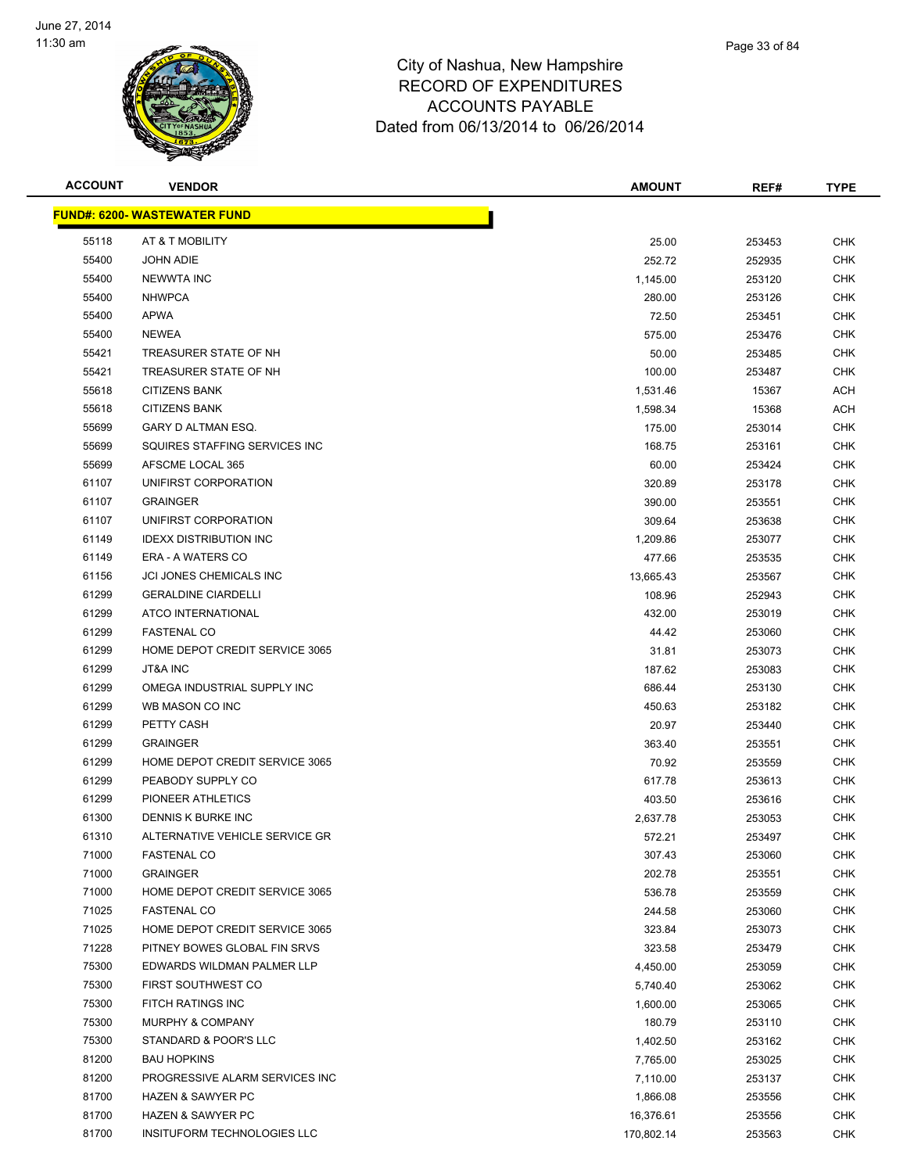

| <b>ACCOUNT</b> | <b>VENDOR</b>                        | <b>AMOUNT</b> | REF#   | <b>TYPE</b> |
|----------------|--------------------------------------|---------------|--------|-------------|
|                | <u> FUND#: 6200- WASTEWATER FUND</u> |               |        |             |
| 55118          | AT & T MOBILITY                      | 25.00         | 253453 | <b>CHK</b>  |
| 55400          | <b>JOHN ADIE</b>                     | 252.72        | 252935 | <b>CHK</b>  |
| 55400          | <b>NEWWTA INC</b>                    | 1,145.00      | 253120 | <b>CHK</b>  |
| 55400          | <b>NHWPCA</b>                        | 280.00        | 253126 | <b>CHK</b>  |
| 55400          | <b>APWA</b>                          | 72.50         | 253451 | <b>CHK</b>  |
| 55400          | <b>NEWEA</b>                         | 575.00        | 253476 | <b>CHK</b>  |
| 55421          | TREASURER STATE OF NH                | 50.00         | 253485 | <b>CHK</b>  |
| 55421          | TREASURER STATE OF NH                | 100.00        | 253487 | <b>CHK</b>  |
| 55618          | <b>CITIZENS BANK</b>                 | 1,531.46      | 15367  | ACH         |
| 55618          | <b>CITIZENS BANK</b>                 | 1,598.34      | 15368  | ACH         |
| 55699          | GARY D ALTMAN ESQ.                   | 175.00        | 253014 | <b>CHK</b>  |
| 55699          | SQUIRES STAFFING SERVICES INC        | 168.75        | 253161 | <b>CHK</b>  |
| 55699          | AFSCME LOCAL 365                     | 60.00         | 253424 | CHK         |
| 61107          | UNIFIRST CORPORATION                 | 320.89        | 253178 | <b>CHK</b>  |
| 61107          | <b>GRAINGER</b>                      | 390.00        | 253551 | <b>CHK</b>  |
| 61107          | UNIFIRST CORPORATION                 | 309.64        | 253638 | <b>CHK</b>  |
| 61149          | <b>IDEXX DISTRIBUTION INC</b>        | 1,209.86      | 253077 | <b>CHK</b>  |
| 61149          | ERA - A WATERS CO                    | 477.66        | 253535 | <b>CHK</b>  |
| 61156          | <b>JCI JONES CHEMICALS INC</b>       | 13,665.43     | 253567 | <b>CHK</b>  |
| 61299          | <b>GERALDINE CIARDELLI</b>           | 108.96        | 252943 | <b>CHK</b>  |
| 61299          | ATCO INTERNATIONAL                   | 432.00        | 253019 | <b>CHK</b>  |
| 61299          | <b>FASTENAL CO</b>                   | 44.42         | 253060 | <b>CHK</b>  |
| 61299          | HOME DEPOT CREDIT SERVICE 3065       | 31.81         | 253073 | <b>CHK</b>  |
| 61299          | <b>JT&amp;A INC</b>                  | 187.62        | 253083 | CHK         |
| 61299          | OMEGA INDUSTRIAL SUPPLY INC          | 686.44        | 253130 | <b>CHK</b>  |
| 61299          | WB MASON CO INC                      | 450.63        | 253182 | <b>CHK</b>  |
| 61299          | PETTY CASH                           | 20.97         | 253440 | CHK         |
| 61299          | <b>GRAINGER</b>                      | 363.40        | 253551 | <b>CHK</b>  |
| 61299          | HOME DEPOT CREDIT SERVICE 3065       | 70.92         | 253559 | <b>CHK</b>  |
| 61299          | PEABODY SUPPLY CO                    | 617.78        | 253613 | CHK         |
| 61299          | PIONEER ATHLETICS                    | 403.50        | 253616 | CHK         |
| 61300          | <b>DENNIS K BURKE INC</b>            | 2,637.78      | 253053 | CHK         |
| 61310          | ALTERNATIVE VEHICLE SERVICE GR       | 572.21        | 253497 | <b>CHK</b>  |
| 71000          | <b>FASTENAL CO</b>                   | 307.43        | 253060 | <b>CHK</b>  |
| 71000          | <b>GRAINGER</b>                      | 202.78        | 253551 | <b>CHK</b>  |
| 71000          | HOME DEPOT CREDIT SERVICE 3065       | 536.78        | 253559 | <b>CHK</b>  |
| 71025          | <b>FASTENAL CO</b>                   | 244.58        | 253060 | <b>CHK</b>  |
| 71025          | HOME DEPOT CREDIT SERVICE 3065       | 323.84        | 253073 | <b>CHK</b>  |
| 71228          | PITNEY BOWES GLOBAL FIN SRVS         | 323.58        | 253479 | <b>CHK</b>  |
| 75300          | EDWARDS WILDMAN PALMER LLP           | 4,450.00      | 253059 | <b>CHK</b>  |
| 75300          | <b>FIRST SOUTHWEST CO</b>            | 5,740.40      | 253062 | <b>CHK</b>  |
| 75300          | FITCH RATINGS INC                    | 1,600.00      | 253065 | <b>CHK</b>  |
| 75300          | MURPHY & COMPANY                     | 180.79        | 253110 | <b>CHK</b>  |
| 75300          | STANDARD & POOR'S LLC                | 1,402.50      | 253162 | <b>CHK</b>  |
| 81200          | <b>BAU HOPKINS</b>                   | 7,765.00      | 253025 | <b>CHK</b>  |
| 81200          | PROGRESSIVE ALARM SERVICES INC       | 7,110.00      | 253137 | CHK         |
| 81700          | <b>HAZEN &amp; SAWYER PC</b>         | 1,866.08      | 253556 | <b>CHK</b>  |
| 81700          | <b>HAZEN &amp; SAWYER PC</b>         | 16,376.61     | 253556 | <b>CHK</b>  |
| 81700          | INSITUFORM TECHNOLOGIES LLC          | 170,802.14    | 253563 | <b>CHK</b>  |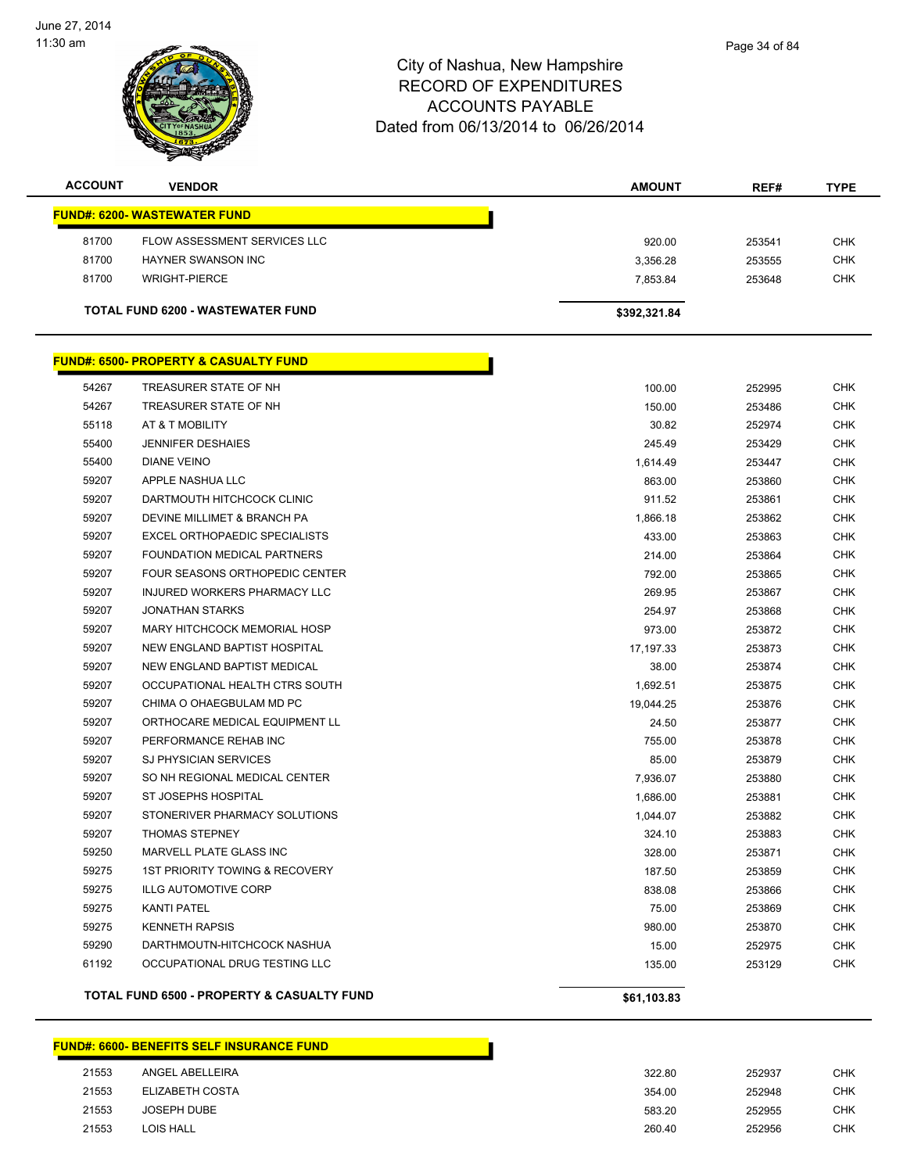

| <b>ACCOUNT</b> | <b>VENDOR</b>                            | <b>AMOUNT</b> | REF#   | <b>TYPE</b> |
|----------------|------------------------------------------|---------------|--------|-------------|
|                | <b>FUND#: 6200- WASTEWATER FUND</b>      |               |        |             |
| 81700          | FLOW ASSESSMENT SERVICES LLC             | 920.00        | 253541 | <b>CHK</b>  |
| 81700          | HAYNER SWANSON INC                       | 3,356.28      | 253555 | <b>CHK</b>  |
| 81700          | WRIGHT-PIERCE                            | 7.853.84      | 253648 | <b>CHK</b>  |
|                | <b>TOTAL FUND 6200 - WASTEWATER FUND</b> | \$392,321.84  |        |             |

|       | <u> FUND#: 6500- PROPERTY &amp; CASUALTY FUND</u>     |             |        |            |
|-------|-------------------------------------------------------|-------------|--------|------------|
| 54267 | TREASURER STATE OF NH                                 | 100.00      | 252995 | <b>CHK</b> |
| 54267 | TREASURER STATE OF NH                                 | 150.00      | 253486 | CHK        |
| 55118 | AT & T MOBILITY                                       | 30.82       | 252974 | <b>CHK</b> |
| 55400 | <b>JENNIFER DESHAIES</b>                              | 245.49      | 253429 | CHK        |
| 55400 | <b>DIANE VEINO</b>                                    | 1,614.49    | 253447 | <b>CHK</b> |
| 59207 | APPLE NASHUA LLC                                      | 863.00      | 253860 | <b>CHK</b> |
| 59207 | DARTMOUTH HITCHCOCK CLINIC                            | 911.52      | 253861 | <b>CHK</b> |
| 59207 | DEVINE MILLIMET & BRANCH PA                           | 1,866.18    | 253862 | CHK        |
| 59207 | <b>EXCEL ORTHOPAEDIC SPECIALISTS</b>                  | 433.00      | 253863 | <b>CHK</b> |
| 59207 | FOUNDATION MEDICAL PARTNERS                           | 214.00      | 253864 | <b>CHK</b> |
| 59207 | FOUR SEASONS ORTHOPEDIC CENTER                        | 792.00      | 253865 | <b>CHK</b> |
| 59207 | INJURED WORKERS PHARMACY LLC                          | 269.95      | 253867 | CHK        |
| 59207 | JONATHAN STARKS                                       | 254.97      | 253868 | <b>CHK</b> |
| 59207 | MARY HITCHCOCK MEMORIAL HOSP                          | 973.00      | 253872 | <b>CHK</b> |
| 59207 | NEW ENGLAND BAPTIST HOSPITAL                          | 17,197.33   | 253873 | CHK        |
| 59207 | NEW ENGLAND BAPTIST MEDICAL                           | 38.00       | 253874 | CHK        |
| 59207 | OCCUPATIONAL HEALTH CTRS SOUTH                        | 1,692.51    | 253875 | <b>CHK</b> |
| 59207 | CHIMA O OHAEGBULAM MD PC                              | 19,044.25   | 253876 | <b>CHK</b> |
| 59207 | ORTHOCARE MEDICAL EQUIPMENT LL                        | 24.50       | 253877 | <b>CHK</b> |
| 59207 | PERFORMANCE REHAB INC                                 | 755.00      | 253878 | CHK        |
| 59207 | <b>SJ PHYSICIAN SERVICES</b>                          | 85.00       | 253879 | <b>CHK</b> |
| 59207 | SO NH REGIONAL MEDICAL CENTER                         | 7,936.07    | 253880 | <b>CHK</b> |
| 59207 | ST JOSEPHS HOSPITAL                                   | 1,686.00    | 253881 | CHK        |
| 59207 | STONERIVER PHARMACY SOLUTIONS                         | 1,044.07    | 253882 | <b>CHK</b> |
| 59207 | <b>THOMAS STEPNEY</b>                                 | 324.10      | 253883 | <b>CHK</b> |
| 59250 | MARVELL PLATE GLASS INC                               | 328.00      | 253871 | <b>CHK</b> |
| 59275 | <b>1ST PRIORITY TOWING &amp; RECOVERY</b>             | 187.50      | 253859 | CHK        |
| 59275 | <b>ILLG AUTOMOTIVE CORP</b>                           | 838.08      | 253866 | CHK        |
| 59275 | <b>KANTI PATEL</b>                                    | 75.00       | 253869 | CHK        |
| 59275 | <b>KENNETH RAPSIS</b>                                 | 980.00      | 253870 | <b>CHK</b> |
| 59290 | DARTHMOUTN-HITCHCOCK NASHUA                           | 15.00       | 252975 | CHK        |
| 61192 | OCCUPATIONAL DRUG TESTING LLC                         | 135.00      | 253129 | <b>CHK</b> |
|       | <b>TOTAL FUND 6500 - PROPERTY &amp; CASUALTY FUND</b> | \$61,103.83 |        |            |

#### **FUND#: 6600- BENEFITS SELF INSURANCE FUND**

| 21553 | ANGEL ABELLEIRA | 322.80 | 252937 | <b>CHK</b> |
|-------|-----------------|--------|--------|------------|
| 21553 | ELIZABETH COSTA | 354.00 | 252948 | <b>CHK</b> |
| 21553 | JOSEPH DUBE     | 583.20 | 252955 | <b>CHK</b> |
| 21553 | LOIS HALL       | 260.40 | 252956 | <b>CHK</b> |
|       |                 |        |        |            |

Г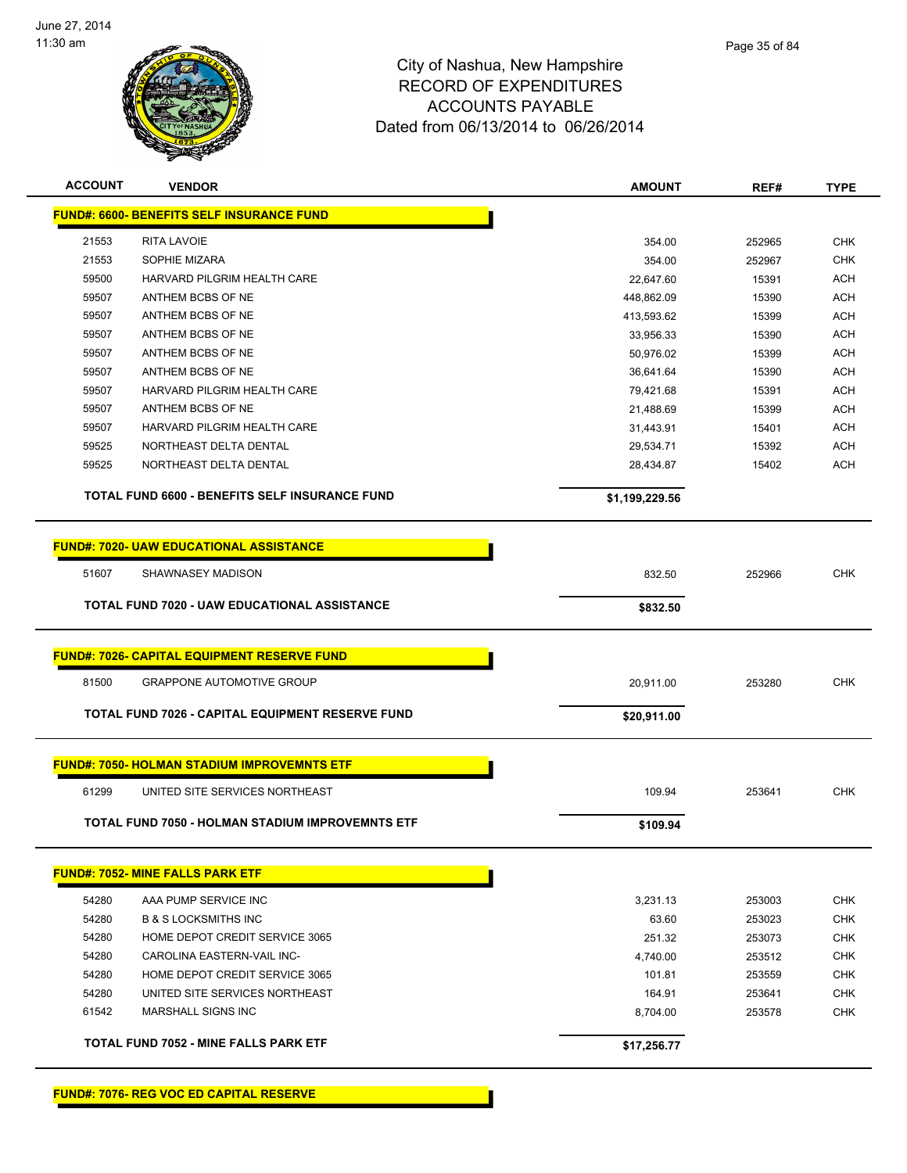

| <b>ACCOUNT</b> | <b>VENDOR</b>                                           | <b>AMOUNT</b>  | REF#   | <b>TYPE</b> |
|----------------|---------------------------------------------------------|----------------|--------|-------------|
|                | <b>FUND#: 6600- BENEFITS SELF INSURANCE FUND</b>        |                |        |             |
| 21553          | <b>RITA LAVOIE</b>                                      | 354.00         | 252965 | <b>CHK</b>  |
| 21553          | SOPHIE MIZARA                                           | 354.00         | 252967 | <b>CHK</b>  |
| 59500          | HARVARD PILGRIM HEALTH CARE                             | 22,647.60      | 15391  | <b>ACH</b>  |
| 59507          | ANTHEM BCBS OF NE                                       | 448,862.09     | 15390  | <b>ACH</b>  |
| 59507          | ANTHEM BCBS OF NE                                       | 413,593.62     | 15399  | <b>ACH</b>  |
| 59507          | ANTHEM BCBS OF NE                                       | 33.956.33      | 15390  | <b>ACH</b>  |
| 59507          | ANTHEM BCBS OF NE                                       | 50.976.02      | 15399  | <b>ACH</b>  |
| 59507          | ANTHEM BCBS OF NE                                       | 36,641.64      | 15390  | ACH         |
| 59507          | HARVARD PILGRIM HEALTH CARE                             | 79,421.68      | 15391  | ACH         |
| 59507          | ANTHEM BCBS OF NE                                       | 21,488.69      | 15399  | ACH         |
| 59507          | HARVARD PILGRIM HEALTH CARE                             | 31,443.91      | 15401  | <b>ACH</b>  |
| 59525          | NORTHEAST DELTA DENTAL                                  | 29,534.71      | 15392  | <b>ACH</b>  |
| 59525          | NORTHEAST DELTA DENTAL                                  | 28,434.87      | 15402  | ACH         |
|                | <b>TOTAL FUND 6600 - BENEFITS SELF INSURANCE FUND</b>   | \$1,199,229.56 |        |             |
|                |                                                         |                |        |             |
|                | <b>FUND#: 7020- UAW EDUCATIONAL ASSISTANCE</b>          |                |        |             |
| 51607          | SHAWNASEY MADISON                                       | 832.50         | 252966 | <b>CHK</b>  |
|                | <b>TOTAL FUND 7020 - UAW EDUCATIONAL ASSISTANCE</b>     | \$832.50       |        |             |
|                |                                                         |                |        |             |
|                | <b>FUND#: 7026- CAPITAL EQUIPMENT RESERVE FUND</b>      |                |        |             |
| 81500          | <b>GRAPPONE AUTOMOTIVE GROUP</b>                        | 20,911.00      | 253280 | <b>CHK</b>  |
|                | <b>TOTAL FUND 7026 - CAPITAL EQUIPMENT RESERVE FUND</b> | \$20,911.00    |        |             |
|                |                                                         |                |        |             |
|                | <b>FUND#: 7050- HOLMAN STADIUM IMPROVEMNTS ETF</b>      |                |        |             |
| 61299          | UNITED SITE SERVICES NORTHEAST                          | 109.94         | 253641 | <b>CHK</b>  |
|                | TOTAL FUND 7050 - HOLMAN STADIUM IMPROVEMNTS ETF        | \$109.94       |        |             |
|                | <b>FUND#: 7052- MINE FALLS PARK ETF</b>                 |                |        |             |
|                |                                                         |                |        |             |
| 54280          | AAA PUMP SERVICE INC                                    | 3,231.13       | 253003 | <b>CHK</b>  |
| 54280          | <b>B &amp; S LOCKSMITHS INC</b>                         | 63.60          | 253023 | <b>CHK</b>  |
| 54280          | HOME DEPOT CREDIT SERVICE 3065                          | 251.32         | 253073 | <b>CHK</b>  |
| 54280          | CAROLINA EASTERN-VAIL INC-                              | 4,740.00       | 253512 | <b>CHK</b>  |
| 54280          | HOME DEPOT CREDIT SERVICE 3065                          | 101.81         | 253559 | <b>CHK</b>  |
| 54280          | UNITED SITE SERVICES NORTHEAST                          | 164.91         | 253641 | <b>CHK</b>  |
| 61542          | MARSHALL SIGNS INC                                      | 8,704.00       | 253578 | CHK         |
|                | <b>TOTAL FUND 7052 - MINE FALLS PARK ETF</b>            | \$17,256.77    |        |             |
|                |                                                         |                |        |             |

**FUND#: 7076- REG VOC ED CAPITAL RESERVE**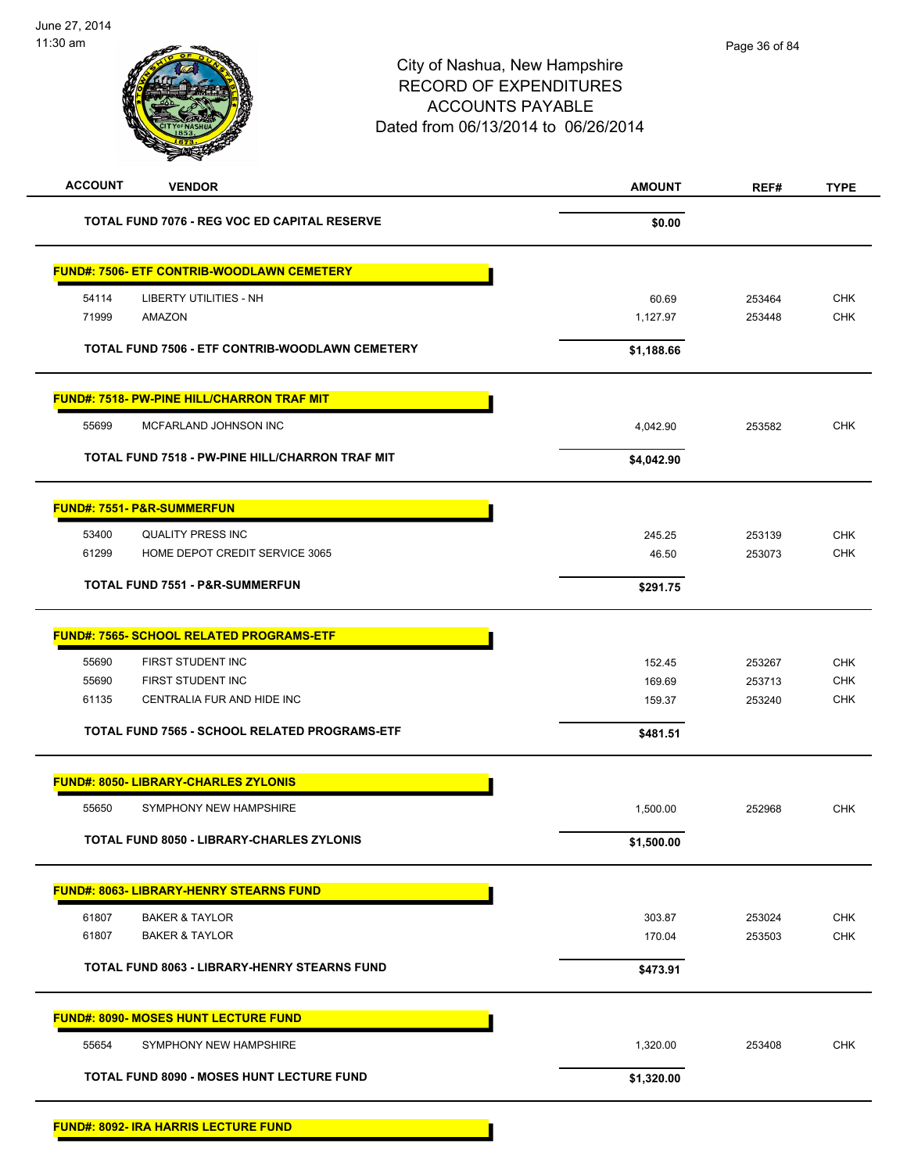| <b>ACCOUNT</b> | <b>VENDOR</b>                                       | <b>AMOUNT</b> | REF#   | <b>TYPE</b> |
|----------------|-----------------------------------------------------|---------------|--------|-------------|
|                | <b>TOTAL FUND 7076 - REG VOC ED CAPITAL RESERVE</b> | \$0.00        |        |             |
|                | <b>FUND#: 7506- ETF CONTRIB-WOODLAWN CEMETERY</b>   |               |        |             |
| 54114          | <b>LIBERTY UTILITIES - NH</b>                       | 60.69         | 253464 | CHK         |
| 71999          | AMAZON                                              | 1,127.97      | 253448 | CHK         |
|                | TOTAL FUND 7506 - ETF CONTRIB-WOODLAWN CEMETERY     | \$1,188.66    |        |             |
|                | <b>FUND#: 7518- PW-PINE HILL/CHARRON TRAF MIT</b>   |               |        |             |
| 55699          | MCFARLAND JOHNSON INC                               | 4,042.90      | 253582 | <b>CHK</b>  |
|                | TOTAL FUND 7518 - PW-PINE HILL/CHARRON TRAF MIT     | \$4,042.90    |        |             |
|                | <b>FUND#: 7551- P&amp;R-SUMMERFUN</b>               |               |        |             |
| 53400          | <b>QUALITY PRESS INC</b>                            | 245.25        | 253139 | <b>CHK</b>  |
| 61299          | HOME DEPOT CREDIT SERVICE 3065                      | 46.50         | 253073 | <b>CHK</b>  |
|                | <b>TOTAL FUND 7551 - P&amp;R-SUMMERFUN</b>          | \$291.75      |        |             |
|                | <b>FUND#: 7565- SCHOOL RELATED PROGRAMS-ETF</b>     |               |        |             |
| 55690          | FIRST STUDENT INC                                   | 152.45        | 253267 | <b>CHK</b>  |
| 55690          | FIRST STUDENT INC                                   | 169.69        | 253713 | CHK         |
| 61135          | CENTRALIA FUR AND HIDE INC                          | 159.37        | 253240 | <b>CHK</b>  |
|                | TOTAL FUND 7565 - SCHOOL RELATED PROGRAMS-ETF       | \$481.51      |        |             |
|                | <b>FUND#: 8050- LIBRARY-CHARLES ZYLONIS</b>         |               |        |             |
| 55650          | SYMPHONY NEW HAMPSHIRE                              | 1,500.00      | 252968 | <b>CHK</b>  |
|                | <b>TOTAL FUND 8050 - LIBRARY-CHARLES ZYLONIS</b>    | \$1,500.00    |        |             |
|                | <b>FUND#: 8063- LIBRARY-HENRY STEARNS FUND</b>      |               |        |             |
| 61807          | <b>BAKER &amp; TAYLOR</b>                           | 303.87        | 253024 | <b>CHK</b>  |
| 61807          | <b>BAKER &amp; TAYLOR</b>                           | 170.04        | 253503 | CHK         |
|                | TOTAL FUND 8063 - LIBRARY-HENRY STEARNS FUND        | \$473.91      |        |             |
|                | <b>FUND#: 8090- MOSES HUNT LECTURE FUND</b>         |               |        |             |
| 55654          | SYMPHONY NEW HAMPSHIRE                              | 1,320.00      | 253408 | CHK         |
|                | <b>TOTAL FUND 8090 - MOSES HUNT LECTURE FUND</b>    | \$1,320.00    |        |             |
|                | <b>FUND#: 8092- IRA HARRIS LECTURE FUND</b>         |               |        |             |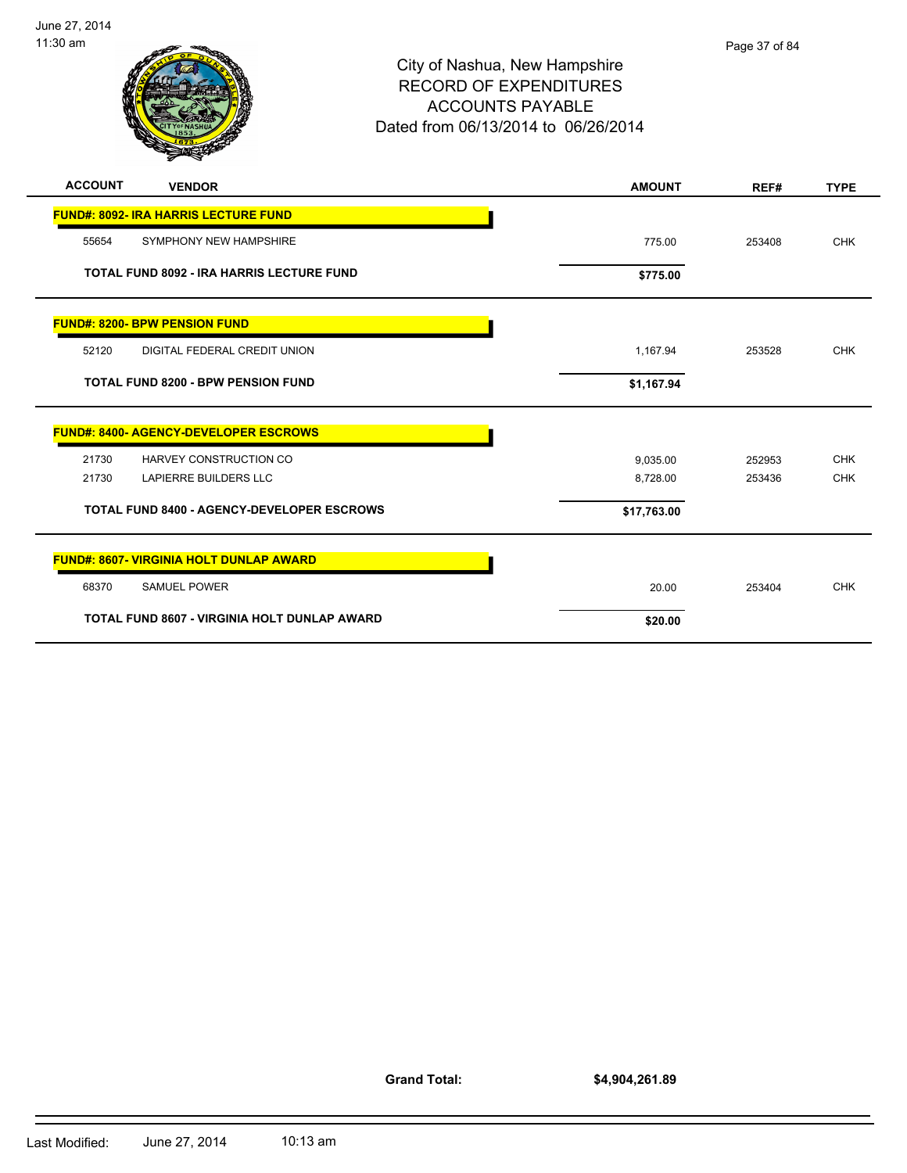

# City of Nashua, New Hampshire RECORD OF EXPENDITURES ACCOUNTS PAYABLE Dated from 06/13/2014 to 06/26/2014

| <b>ACCOUNT</b> | <b>VENDOR</b>                                     | <b>AMOUNT</b> | REF#   | <b>TYPE</b> |
|----------------|---------------------------------------------------|---------------|--------|-------------|
|                | <b>FUND#: 8092- IRA HARRIS LECTURE FUND</b>       |               |        |             |
| 55654          | SYMPHONY NEW HAMPSHIRE                            | 775.00        | 253408 | <b>CHK</b>  |
|                | <b>TOTAL FUND 8092 - IRA HARRIS LECTURE FUND</b>  | \$775.00      |        |             |
|                | <b>FUND#: 8200- BPW PENSION FUND</b>              |               |        |             |
| 52120          | DIGITAL FEDERAL CREDIT UNION                      | 1,167.94      | 253528 | <b>CHK</b>  |
|                | <b>TOTAL FUND 8200 - BPW PENSION FUND</b>         | \$1,167.94    |        |             |
|                | <b>FUND#: 8400- AGENCY-DEVELOPER ESCROWS</b>      |               |        |             |
| 21730          | HARVEY CONSTRUCTION CO                            | 9,035.00      | 252953 | <b>CHK</b>  |
| 21730          | <b>LAPIERRE BUILDERS LLC</b>                      | 8,728.00      | 253436 | <b>CHK</b>  |
|                | <b>TOTAL FUND 8400 - AGENCY-DEVELOPER ESCROWS</b> | \$17,763.00   |        |             |
|                | <b>FUND#: 8607- VIRGINIA HOLT DUNLAP AWARD</b>    |               |        |             |
| 68370          | <b>SAMUEL POWER</b>                               | 20.00         | 253404 | <b>CHK</b>  |
|                | TOTAL FUND 8607 - VIRGINIA HOLT DUNLAP AWARD      | \$20.00       |        |             |

**Grand Total:**

**\$4,904,261.89**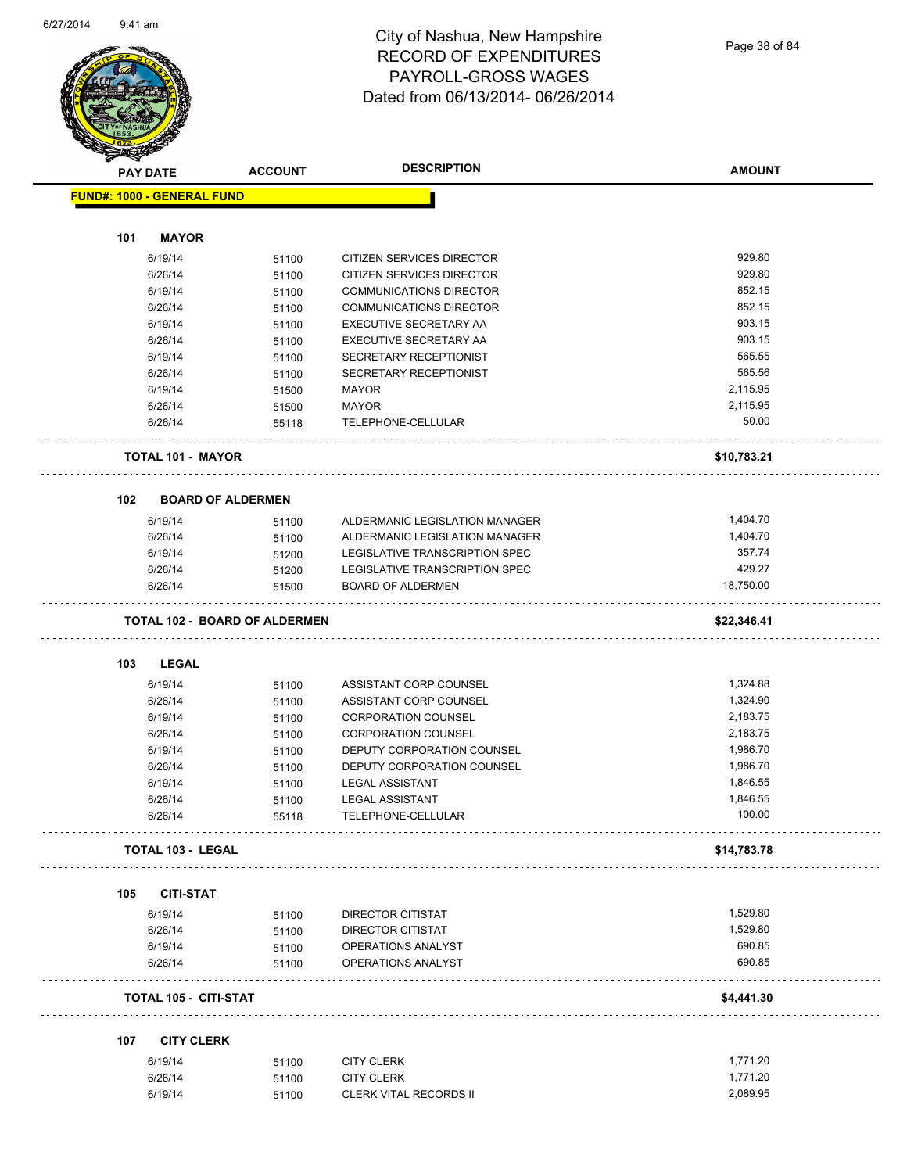

Page 38 of 84

| <b>ACCOUNT</b><br><b>PAY DATE</b> |                                      |                | <b>DESCRIPTION</b>                       | <b>AMOUNT</b> |  |
|-----------------------------------|--------------------------------------|----------------|------------------------------------------|---------------|--|
|                                   | <b>FUND#: 1000 - GENERAL FUND</b>    |                |                                          |               |  |
|                                   |                                      |                |                                          |               |  |
| 101                               | <b>MAYOR</b>                         |                |                                          |               |  |
|                                   | 6/19/14                              | 51100          | <b>CITIZEN SERVICES DIRECTOR</b>         | 929.80        |  |
|                                   | 6/26/14                              | 51100          | CITIZEN SERVICES DIRECTOR                | 929.80        |  |
|                                   | 6/19/14                              | 51100          | <b>COMMUNICATIONS DIRECTOR</b>           | 852.15        |  |
|                                   | 6/26/14                              | 51100          | <b>COMMUNICATIONS DIRECTOR</b>           | 852.15        |  |
|                                   | 6/19/14                              | 51100          | EXECUTIVE SECRETARY AA                   | 903.15        |  |
|                                   | 6/26/14                              | 51100          | EXECUTIVE SECRETARY AA                   | 903.15        |  |
|                                   | 6/19/14                              | 51100          | SECRETARY RECEPTIONIST                   | 565.55        |  |
|                                   | 6/26/14                              | 51100          | SECRETARY RECEPTIONIST                   | 565.56        |  |
|                                   | 6/19/14                              | 51500          | <b>MAYOR</b>                             | 2,115.95      |  |
|                                   | 6/26/14                              | 51500          | <b>MAYOR</b>                             | 2,115.95      |  |
|                                   | 6/26/14                              | 55118          | TELEPHONE-CELLULAR                       | 50.00         |  |
|                                   |                                      |                |                                          |               |  |
|                                   | <b>TOTAL 101 - MAYOR</b>             |                |                                          | \$10,783.21   |  |
| 102                               | <b>BOARD OF ALDERMEN</b>             |                |                                          |               |  |
|                                   | 6/19/14                              | 51100          | ALDERMANIC LEGISLATION MANAGER           | 1,404.70      |  |
|                                   | 6/26/14                              |                | ALDERMANIC LEGISLATION MANAGER           | 1,404.70      |  |
|                                   | 6/19/14                              | 51100          | LEGISLATIVE TRANSCRIPTION SPEC           | 357.74        |  |
|                                   | 6/26/14                              | 51200          | LEGISLATIVE TRANSCRIPTION SPEC           | 429.27        |  |
|                                   | 6/26/14                              | 51200          | <b>BOARD OF ALDERMEN</b>                 | 18,750.00     |  |
|                                   |                                      | 51500          | .                                        |               |  |
|                                   | <b>TOTAL 102 - BOARD OF ALDERMEN</b> |                |                                          | \$22,346.41   |  |
| 103                               | <b>LEGAL</b>                         |                |                                          |               |  |
|                                   | 6/19/14                              | 51100          | ASSISTANT CORP COUNSEL                   | 1,324.88      |  |
|                                   | 6/26/14                              |                | ASSISTANT CORP COUNSEL                   | 1,324.90      |  |
|                                   | 6/19/14                              | 51100          | <b>CORPORATION COUNSEL</b>               | 2,183.75      |  |
|                                   |                                      | 51100          | <b>CORPORATION COUNSEL</b>               | 2,183.75      |  |
|                                   | 6/26/14                              | 51100          |                                          | 1,986.70      |  |
|                                   | 6/19/14                              | 51100          | DEPUTY CORPORATION COUNSEL               |               |  |
|                                   | 6/26/14                              | 51100          | DEPUTY CORPORATION COUNSEL               | 1,986.70      |  |
|                                   | 6/19/14                              | 51100          | <b>LEGAL ASSISTANT</b>                   | 1,846.55      |  |
|                                   | 6/26/14                              | 51100          | <b>LEGAL ASSISTANT</b>                   | 1,846.55      |  |
|                                   | 6/26/14                              | 55118          | TELEPHONE-CELLULAR                       | 100.00        |  |
|                                   | <b>TOTAL 103 - LEGAL</b>             |                |                                          | \$14,783.78   |  |
| 105                               | <b>CITI-STAT</b>                     |                |                                          |               |  |
|                                   |                                      |                |                                          | 1,529.80      |  |
|                                   | 6/19/14                              | 51100          | DIRECTOR CITISTAT                        | 1,529.80      |  |
|                                   | 6/26/14                              | 51100          | DIRECTOR CITISTAT                        | 690.85        |  |
|                                   | 6/19/14<br>6/26/14                   | 51100          | OPERATIONS ANALYST<br>OPERATIONS ANALYST | 690.85        |  |
|                                   |                                      | 51100          |                                          |               |  |
|                                   | <b>TOTAL 105 - CITI-STAT</b>         |                |                                          | \$4,441.30    |  |
| 107                               | <b>CITY CLERK</b>                    |                |                                          |               |  |
|                                   |                                      |                |                                          |               |  |
|                                   | 6/19/14                              |                |                                          | 1,771.20      |  |
|                                   | 6/26/14                              | 51100<br>51100 | <b>CITY CLERK</b><br><b>CITY CLERK</b>   | 1,771.20      |  |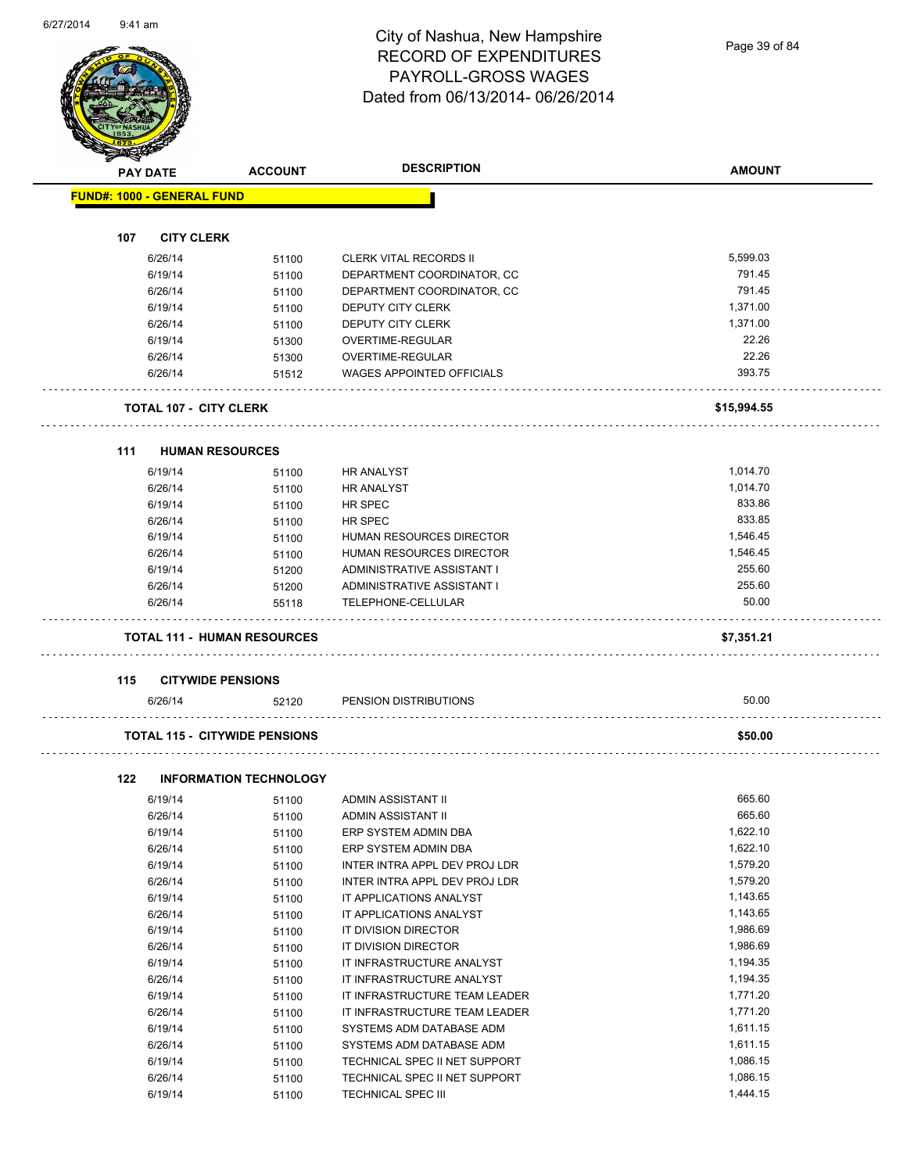Page 39 of 84

|     | <b>PAY DATE</b>                   | <b>ACCOUNT</b>                       | <b>DESCRIPTION</b>               | <b>AMOUNT</b>        |
|-----|-----------------------------------|--------------------------------------|----------------------------------|----------------------|
|     | <b>FUND#: 1000 - GENERAL FUND</b> |                                      |                                  |                      |
|     |                                   |                                      |                                  |                      |
| 107 | <b>CITY CLERK</b>                 |                                      |                                  |                      |
|     | 6/26/14                           | 51100                                | <b>CLERK VITAL RECORDS II</b>    | 5,599.03             |
|     | 6/19/14                           | 51100                                | DEPARTMENT COORDINATOR, CC       | 791.45               |
|     | 6/26/14                           | 51100                                | DEPARTMENT COORDINATOR, CC       | 791.45               |
|     | 6/19/14                           | 51100                                | <b>DEPUTY CITY CLERK</b>         | 1,371.00             |
|     | 6/26/14                           | 51100                                | <b>DEPUTY CITY CLERK</b>         | 1,371.00             |
|     | 6/19/14                           | 51300                                | OVERTIME-REGULAR                 | 22.26                |
|     | 6/26/14                           | 51300                                | OVERTIME-REGULAR                 | 22.26                |
|     | 6/26/14                           | 51512                                | <b>WAGES APPOINTED OFFICIALS</b> | 393.75               |
|     | <b>TOTAL 107 - CITY CLERK</b>     |                                      |                                  | \$15,994.55          |
|     |                                   |                                      |                                  |                      |
| 111 | <b>HUMAN RESOURCES</b>            |                                      |                                  |                      |
|     | 6/19/14                           | 51100                                | <b>HR ANALYST</b>                | 1,014.70<br>1,014.70 |
|     | 6/26/14                           | 51100                                | <b>HR ANALYST</b>                |                      |
|     | 6/19/14                           | 51100                                | <b>HR SPEC</b>                   | 833.86               |
|     | 6/26/14                           | 51100                                | <b>HR SPEC</b>                   | 833.85               |
|     | 6/19/14                           | 51100                                | HUMAN RESOURCES DIRECTOR         | 1,546.45             |
|     | 6/26/14                           | 51100                                | HUMAN RESOURCES DIRECTOR         | 1,546.45             |
|     | 6/19/14                           | 51200                                | ADMINISTRATIVE ASSISTANT I       | 255.60               |
|     | 6/26/14                           | 51200                                | ADMINISTRATIVE ASSISTANT I       | 255.60               |
|     | 6/26/14                           | 55118                                | TELEPHONE-CELLULAR               | 50.00                |
|     |                                   | <b>TOTAL 111 - HUMAN RESOURCES</b>   |                                  | \$7,351.21           |
| 115 | <b>CITYWIDE PENSIONS</b>          |                                      |                                  |                      |
|     | 6/26/14                           | 52120                                | PENSION DISTRIBUTIONS            | 50.00                |
|     |                                   | <b>TOTAL 115 - CITYWIDE PENSIONS</b> |                                  | \$50.00              |
| 122 |                                   | <b>INFORMATION TECHNOLOGY</b>        |                                  |                      |
|     | 6/19/14                           | 51100                                | ADMIN ASSISTANT II               | 665.60               |
|     | 6/26/14                           | 51100                                | ADMIN ASSISTANT II               | 665.60               |
|     | 6/19/14                           | 51100                                | ERP SYSTEM ADMIN DBA             | 1,622.10             |
|     | 6/26/14                           | 51100                                | ERP SYSTEM ADMIN DBA             | 1,622.10             |
|     | 6/19/14                           | 51100                                | INTER INTRA APPL DEV PROJ LDR    | 1,579.20             |
|     | 6/26/14                           | 51100                                | INTER INTRA APPL DEV PROJ LDR    | 1,579.20             |
|     | 6/19/14                           | 51100                                | IT APPLICATIONS ANALYST          | 1,143.65             |
|     | 6/26/14                           | 51100                                | IT APPLICATIONS ANALYST          | 1,143.65             |
|     | 6/19/14                           | 51100                                | IT DIVISION DIRECTOR             | 1,986.69             |
|     |                                   |                                      | IT DIVISION DIRECTOR             | 1,986.69             |
|     | 6/26/14                           | 51100                                | IT INFRASTRUCTURE ANALYST        |                      |
|     | 6/19/14                           | 51100                                |                                  | 1,194.35             |
|     | 6/26/14                           | 51100                                | IT INFRASTRUCTURE ANALYST        | 1,194.35             |
|     | 6/19/14                           | 51100                                | IT INFRASTRUCTURE TEAM LEADER    | 1,771.20             |
|     | 6/26/14                           | 51100                                | IT INFRASTRUCTURE TEAM LEADER    | 1,771.20             |
|     | 6/19/14                           | 51100                                | SYSTEMS ADM DATABASE ADM         | 1,611.15             |
|     | 6/26/14                           | 51100                                | SYSTEMS ADM DATABASE ADM         | 1,611.15             |
|     | 6/19/14                           | 51100                                | TECHNICAL SPEC II NET SUPPORT    | 1,086.15             |
|     | 6/26/14                           | 51100                                | TECHNICAL SPEC II NET SUPPORT    | 1,086.15             |

6/19/14 51100 TECHNICAL SPEC III 1,444.15

6/26/14 51100 TECHNICAL SPEC II NET SUPPORT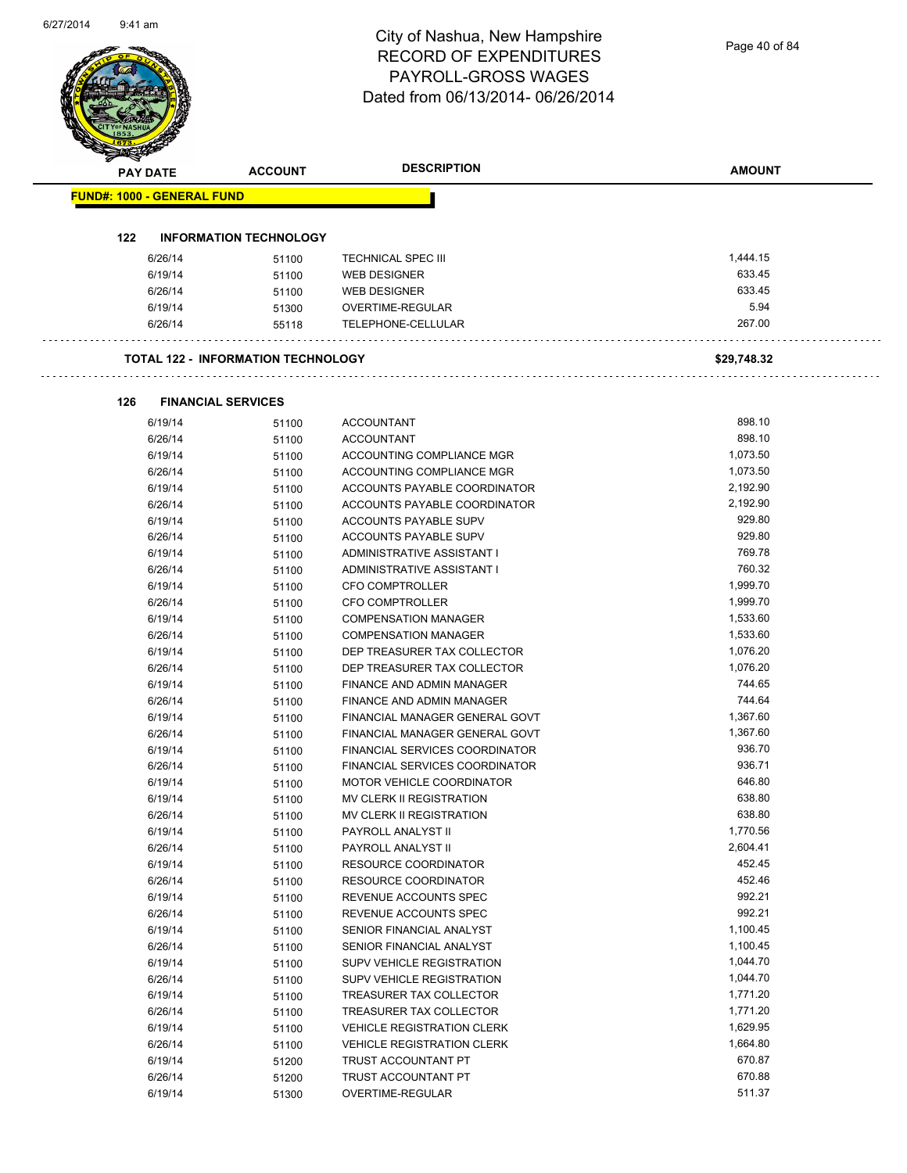Page 40 of 84

|     | <b>PAY DATE</b>                   | <b>ACCOUNT</b>                            | <b>DESCRIPTION</b>                | <b>AMOUNT</b> |
|-----|-----------------------------------|-------------------------------------------|-----------------------------------|---------------|
|     | <b>FUND#: 1000 - GENERAL FUND</b> |                                           |                                   |               |
|     |                                   |                                           |                                   |               |
| 122 |                                   | <b>INFORMATION TECHNOLOGY</b>             |                                   |               |
|     | 6/26/14                           | 51100                                     | <b>TECHNICAL SPEC III</b>         | 1,444.15      |
|     | 6/19/14                           | 51100                                     | <b>WEB DESIGNER</b>               | 633.45        |
|     | 6/26/14                           | 51100                                     | <b>WEB DESIGNER</b>               | 633.45        |
|     | 6/19/14                           | 51300                                     | OVERTIME-REGULAR                  | 5.94          |
|     | 6/26/14                           | 55118                                     | TELEPHONE-CELLULAR                | 267.00        |
|     |                                   | <b>TOTAL 122 - INFORMATION TECHNOLOGY</b> |                                   | \$29,748.32   |
| 126 |                                   | <b>FINANCIAL SERVICES</b>                 |                                   |               |
|     | 6/19/14                           | 51100                                     | <b>ACCOUNTANT</b>                 | 898.10        |
|     | 6/26/14                           | 51100                                     | <b>ACCOUNTANT</b>                 | 898.10        |
|     | 6/19/14                           | 51100                                     | ACCOUNTING COMPLIANCE MGR         | 1,073.50      |
|     | 6/26/14                           | 51100                                     | ACCOUNTING COMPLIANCE MGR         | 1,073.50      |
|     | 6/19/14                           | 51100                                     | ACCOUNTS PAYABLE COORDINATOR      | 2,192.90      |
|     | 6/26/14                           | 51100                                     | ACCOUNTS PAYABLE COORDINATOR      | 2,192.90      |
|     | 6/19/14                           | 51100                                     | ACCOUNTS PAYABLE SUPV             | 929.80        |
|     | 6/26/14                           | 51100                                     | ACCOUNTS PAYABLE SUPV             | 929.80        |
|     | 6/19/14                           | 51100                                     | ADMINISTRATIVE ASSISTANT I        | 769.78        |
|     | 6/26/14                           | 51100                                     | ADMINISTRATIVE ASSISTANT I        | 760.32        |
|     | 6/19/14                           | 51100                                     | <b>CFO COMPTROLLER</b>            | 1,999.70      |
|     | 6/26/14                           | 51100                                     | <b>CFO COMPTROLLER</b>            | 1,999.70      |
|     | 6/19/14                           | 51100                                     | <b>COMPENSATION MANAGER</b>       | 1,533.60      |
|     | 6/26/14                           | 51100                                     | <b>COMPENSATION MANAGER</b>       | 1,533.60      |
|     | 6/19/14                           | 51100                                     | DEP TREASURER TAX COLLECTOR       | 1,076.20      |
|     | 6/26/14                           | 51100                                     | DEP TREASURER TAX COLLECTOR       | 1,076.20      |
|     | 6/19/14                           | 51100                                     | FINANCE AND ADMIN MANAGER         | 744.65        |
|     | 6/26/14                           | 51100                                     | FINANCE AND ADMIN MANAGER         | 744.64        |
|     | 6/19/14                           | 51100                                     | FINANCIAL MANAGER GENERAL GOVT    | 1,367.60      |
|     | 6/26/14                           | 51100                                     | FINANCIAL MANAGER GENERAL GOVT    | 1,367.60      |
|     | 6/19/14                           | 51100                                     | FINANCIAL SERVICES COORDINATOR    | 936.70        |
|     | 6/26/14                           | 51100                                     | FINANCIAL SERVICES COORDINATOR    | 936.71        |
|     | 6/19/14                           | 51100                                     | MOTOR VEHICLE COORDINATOR         | 646.80        |
|     | 6/19/14                           | 51100                                     | MV CLERK II REGISTRATION          | 638.80        |
|     | 6/26/14                           | 51100                                     | MV CLERK II REGISTRATION          | 638.80        |
|     | 6/19/14                           | 51100                                     | PAYROLL ANALYST II                | 1,770.56      |
|     | 6/26/14                           | 51100                                     | PAYROLL ANALYST II                | 2,604.41      |
|     | 6/19/14                           | 51100                                     | <b>RESOURCE COORDINATOR</b>       | 452.45        |
|     | 6/26/14                           | 51100                                     | <b>RESOURCE COORDINATOR</b>       | 452.46        |
|     | 6/19/14                           | 51100                                     | REVENUE ACCOUNTS SPEC             | 992.21        |
|     | 6/26/14                           | 51100                                     | REVENUE ACCOUNTS SPEC             | 992.21        |
|     | 6/19/14                           | 51100                                     | SENIOR FINANCIAL ANALYST          | 1,100.45      |
|     | 6/26/14                           | 51100                                     | SENIOR FINANCIAL ANALYST          | 1,100.45      |
|     | 6/19/14                           | 51100                                     | SUPV VEHICLE REGISTRATION         | 1,044.70      |
|     | 6/26/14                           | 51100                                     | SUPV VEHICLE REGISTRATION         | 1,044.70      |
|     | 6/19/14                           | 51100                                     | TREASURER TAX COLLECTOR           | 1,771.20      |
|     | 6/26/14                           | 51100                                     | TREASURER TAX COLLECTOR           | 1,771.20      |
|     | 6/19/14                           | 51100                                     | <b>VEHICLE REGISTRATION CLERK</b> | 1,629.95      |
|     | 6/26/14                           | 51100                                     | <b>VEHICLE REGISTRATION CLERK</b> | 1,664.80      |
|     | 6/19/14                           | 51200                                     | TRUST ACCOUNTANT PT               | 670.87        |
|     | 6/26/14                           | 51200                                     | TRUST ACCOUNTANT PT               | 670.88        |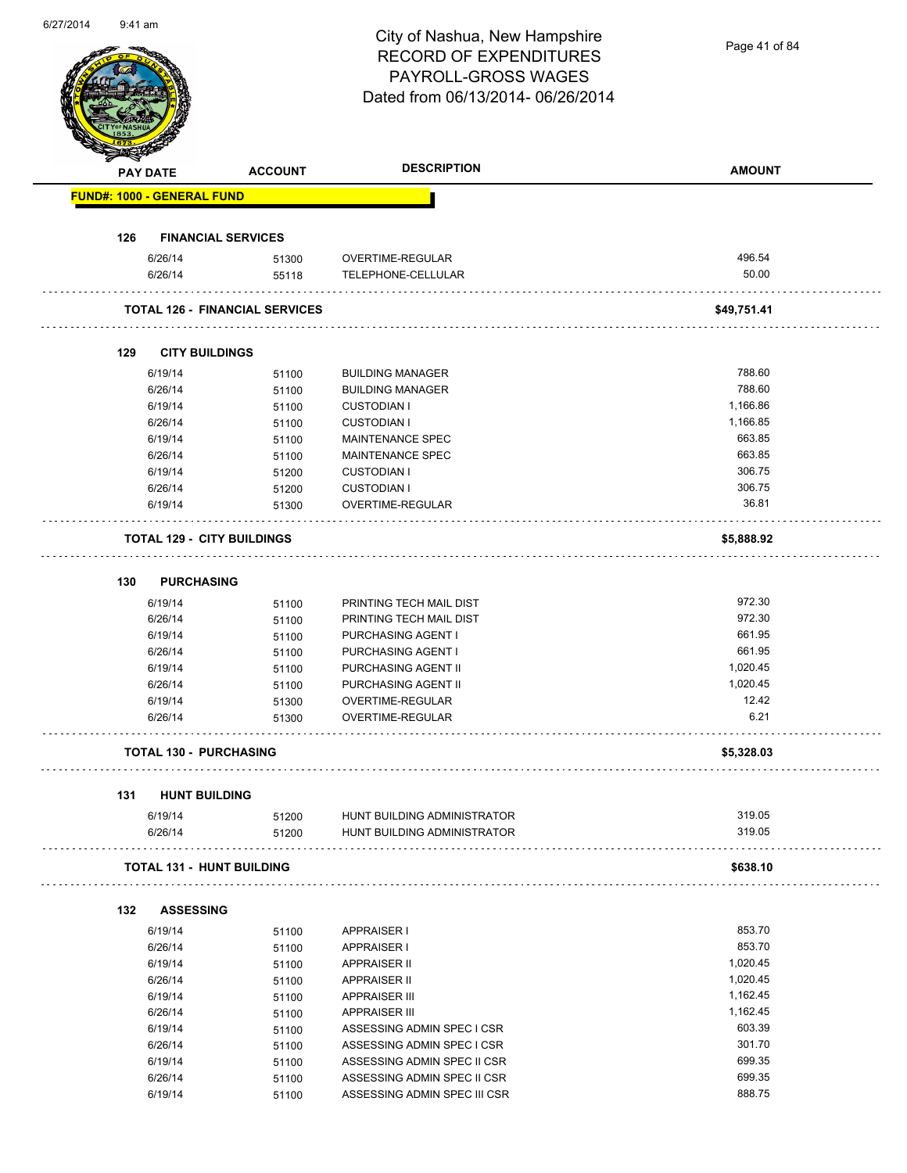|     |                 |                                       | City of Nashua, New Hampshire    |               |
|-----|-----------------|---------------------------------------|----------------------------------|---------------|
|     |                 |                                       | <b>RECORD OF EXPENDITURES</b>    | Page 41 of 84 |
|     |                 |                                       | PAYROLL-GROSS WAGES              |               |
|     |                 |                                       | Dated from 06/13/2014-06/26/2014 |               |
|     |                 |                                       |                                  |               |
|     |                 |                                       |                                  |               |
|     |                 |                                       |                                  |               |
|     | <b>PAY DATE</b> | <b>ACCOUNT</b>                        | <b>DESCRIPTION</b>               | <b>AMOUNT</b> |
|     |                 |                                       |                                  |               |
|     |                 | <b>FUND#: 1000 - GENERAL FUND</b>     |                                  |               |
|     |                 |                                       |                                  |               |
| 126 |                 | <b>FINANCIAL SERVICES</b>             |                                  |               |
|     | 6/26/14         | 51300                                 | OVERTIME-REGULAR                 | 496.54        |
|     | 6/26/14         | 55118                                 | TELEPHONE-CELLULAR               | 50.00         |
|     |                 | <b>TOTAL 126 - FINANCIAL SERVICES</b> |                                  | \$49,751.41   |
|     |                 |                                       |                                  |               |
|     |                 |                                       |                                  |               |
| 129 |                 | <b>CITY BUILDINGS</b>                 |                                  |               |
|     | 6/19/14         | 51100                                 | <b>BUILDING MANAGER</b>          | 788.60        |
|     | 6/26/14         | 51100                                 | <b>BUILDING MANAGER</b>          | 788.60        |
|     | 6/19/14         | 51100                                 | <b>CUSTODIAN I</b>               | 1,166.86      |
|     | 6/26/14         | 51100                                 | <b>CUSTODIAN I</b>               | 1,166.85      |
|     | 6/19/14         | 51100                                 | MAINTENANCE SPEC                 | 663.85        |
|     | 6/26/14         | 51100                                 | MAINTENANCE SPEC                 | 663.85        |
|     | 6/19/14         | 51200                                 | <b>CUSTODIAN I</b>               | 306.75        |
|     | 6/26/14         | 51200                                 | <b>CUSTODIAN I</b>               | 306.75        |
|     | 6/19/14         | 51300                                 | OVERTIME-REGULAR                 | 36.81         |
|     |                 |                                       |                                  |               |
|     |                 | <b>TOTAL 129 - CITY BUILDINGS</b>     |                                  | \$5,888.92    |
|     |                 |                                       |                                  |               |
| 130 |                 | <b>PURCHASING</b>                     |                                  |               |
|     | 6/19/14         | 51100                                 | PRINTING TECH MAIL DIST          | 972.30        |
|     | 6/26/14         | 51100                                 | PRINTING TECH MAIL DIST          | 972.30        |
|     | 6/19/14         | 51100                                 | PURCHASING AGENT I               | 661.95        |
|     | 6/26/14         | 51100                                 | PURCHASING AGENT I               | 661.95        |
|     | 6/19/14         | 51100                                 | PURCHASING AGENT II              | 1,020.45      |
|     | 6/26/14         | 51100                                 | PURCHASING AGENT II              | 1,020.45      |
|     | 6/19/14         | 51300                                 | OVERTIME-REGULAR                 | 12.42         |
|     | 6/26/14         | 51300                                 | OVERTIME-REGULAR                 | 6.21          |
|     |                 |                                       |                                  |               |
|     |                 | <b>TOTAL 130 - PURCHASING</b>         |                                  | \$5,328.03    |
|     |                 |                                       |                                  |               |
| 131 |                 | <b>HUNT BUILDING</b>                  |                                  |               |
|     | 6/19/14         | 51200                                 | HUNT BUILDING ADMINISTRATOR      | 319.05        |
|     | 6/26/14         | 51200                                 | HUNT BUILDING ADMINISTRATOR      | 319.05        |
|     |                 |                                       |                                  |               |
|     |                 | <b>TOTAL 131 - HUNT BUILDING</b>      |                                  | \$638.10      |
|     |                 |                                       |                                  |               |
| 132 |                 | <b>ASSESSING</b>                      |                                  |               |
|     | 6/19/14         | 51100                                 | <b>APPRAISER I</b>               | 853.70        |
|     | 6/26/14         | 51100                                 | <b>APPRAISER I</b>               | 853.70        |
|     | 6/19/14         | 51100                                 | <b>APPRAISER II</b>              | 1,020.45      |
|     | 6/26/14         | 51100                                 | <b>APPRAISER II</b>              | 1,020.45      |
|     | 6/19/14         | 51100                                 | <b>APPRAISER III</b>             | 1,162.45      |
|     | 6/26/14         | 51100                                 | <b>APPRAISER III</b>             | 1,162.45      |
|     | 6/19/14         | 51100                                 | ASSESSING ADMIN SPEC I CSR       | 603.39        |
|     | 6/26/14         |                                       | ASSESSING ADMIN SPEC I CSR       | 301.70        |
|     |                 | 51100                                 |                                  | 699.35        |
|     | 6/19/14         | 51100                                 | ASSESSING ADMIN SPEC II CSR      |               |
|     | 6/26/14         | 51100                                 | ASSESSING ADMIN SPEC II CSR      | 699.35        |
|     | 6/19/14         | 51100                                 | ASSESSING ADMIN SPEC III CSR     | 888.75        |

6/27/2014 9:41 am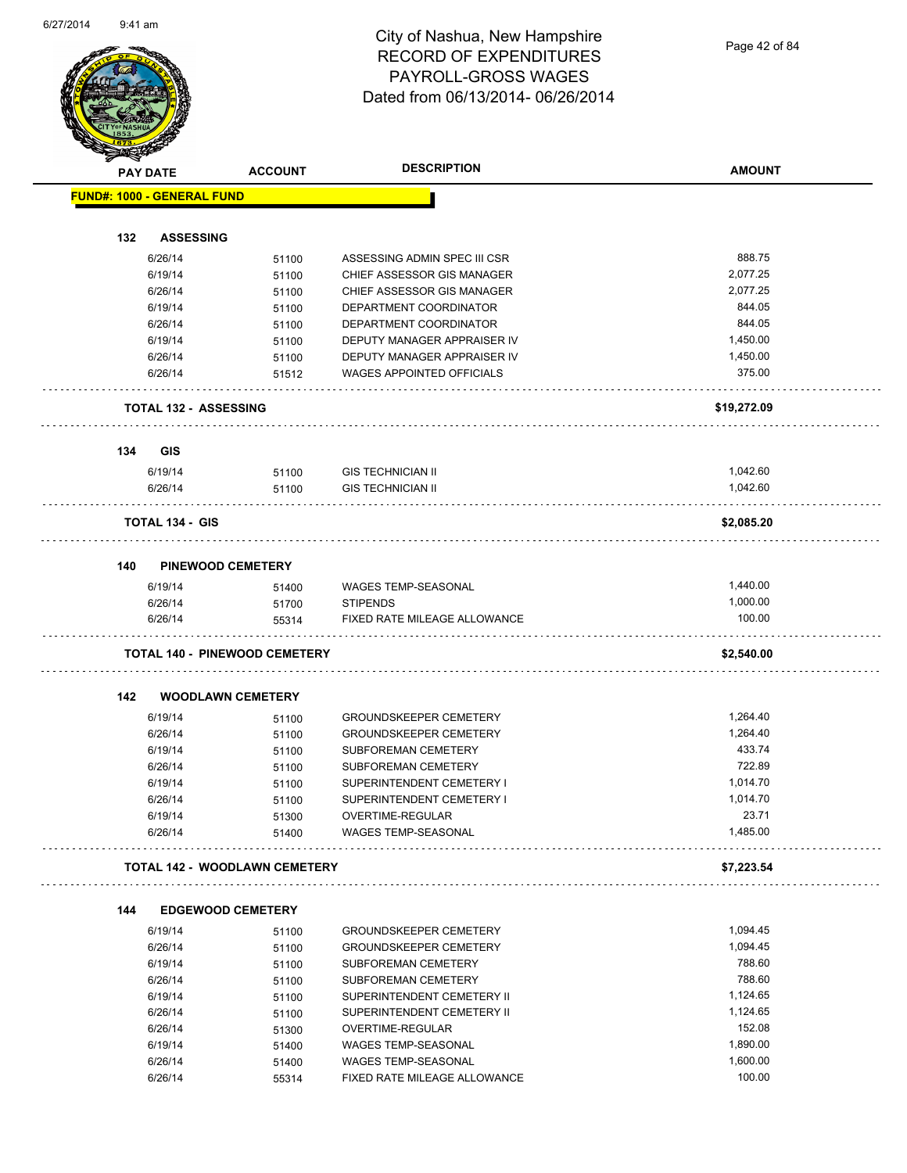Page 42 of 84

|     | <b>PAY DATE</b>                   | <b>ACCOUNT</b>                       | <b>DESCRIPTION</b>                         | <b>AMOUNT</b>        |
|-----|-----------------------------------|--------------------------------------|--------------------------------------------|----------------------|
|     | <b>FUND#: 1000 - GENERAL FUND</b> |                                      |                                            |                      |
|     |                                   |                                      |                                            |                      |
| 132 | <b>ASSESSING</b>                  |                                      |                                            |                      |
|     | 6/26/14                           | 51100                                | ASSESSING ADMIN SPEC III CSR               | 888.75               |
|     | 6/19/14                           | 51100                                | CHIEF ASSESSOR GIS MANAGER                 | 2,077.25             |
|     | 6/26/14                           | 51100                                | CHIEF ASSESSOR GIS MANAGER                 | 2,077.25             |
|     | 6/19/14                           | 51100                                | DEPARTMENT COORDINATOR                     | 844.05               |
|     | 6/26/14                           | 51100                                | DEPARTMENT COORDINATOR                     | 844.05               |
|     | 6/19/14                           | 51100                                | DEPUTY MANAGER APPRAISER IV                | 1,450.00             |
|     | 6/26/14                           | 51100                                | DEPUTY MANAGER APPRAISER IV                | 1,450.00             |
|     | 6/26/14                           | 51512                                | WAGES APPOINTED OFFICIALS                  | 375.00               |
|     |                                   | <b>TOTAL 132 - ASSESSING</b>         |                                            | \$19,272.09          |
| 134 | GIS                               |                                      |                                            |                      |
|     | 6/19/14                           | 51100                                | <b>GIS TECHNICIAN II</b>                   | 1,042.60             |
|     | 6/26/14                           | 51100                                | <b>GIS TECHNICIAN II</b>                   | 1,042.60             |
|     | <b>TOTAL 134 - GIS</b>            |                                      |                                            | \$2,085.20           |
|     |                                   |                                      |                                            |                      |
| 140 |                                   | <b>PINEWOOD CEMETERY</b>             |                                            |                      |
|     | 6/19/14                           | 51400                                | <b>WAGES TEMP-SEASONAL</b>                 | 1,440.00             |
|     | 6/26/14                           | 51700                                | <b>STIPENDS</b>                            | 1,000.00             |
|     | 6/26/14                           | 55314                                | FIXED RATE MILEAGE ALLOWANCE               | 100.00               |
|     |                                   | <b>TOTAL 140 - PINEWOOD CEMETERY</b> |                                            | \$2,540.00           |
| 142 |                                   | <b>WOODLAWN CEMETERY</b>             |                                            |                      |
|     | 6/19/14                           | 51100                                | <b>GROUNDSKEEPER CEMETERY</b>              | 1,264.40             |
|     | 6/26/14                           | 51100                                | <b>GROUNDSKEEPER CEMETERY</b>              | 1,264.40             |
|     | 6/19/14                           | 51100                                | SUBFOREMAN CEMETERY                        | 433.74               |
|     | 6/26/14                           | 51100                                | SUBFOREMAN CEMETERY                        | 722.89               |
|     | 6/19/14                           | 51100                                | SUPERINTENDENT CEMETERY I                  | 1,014.70             |
|     | 6/26/14                           | 51100                                | SUPERINTENDENT CEMETERY I                  | 1,014.70             |
|     | 6/19/14                           | 51300                                | OVERTIME-REGULAR                           | 23.71                |
|     | 6/26/14                           | 51400                                | WAGES TEMP-SEASONAL                        | 1,485.00             |
|     |                                   | <b>TOTAL 142 - WOODLAWN CEMETERY</b> |                                            | \$7,223.54           |
| 144 |                                   | <b>EDGEWOOD CEMETERY</b>             |                                            |                      |
|     | 6/19/14                           | 51100                                | <b>GROUNDSKEEPER CEMETERY</b>              | 1,094.45             |
|     | 6/26/14                           | 51100                                | <b>GROUNDSKEEPER CEMETERY</b>              | 1,094.45             |
|     | 6/19/14                           | 51100                                | <b>SUBFOREMAN CEMETERY</b>                 | 788.60               |
|     | 6/26/14                           | 51100                                | SUBFOREMAN CEMETERY                        | 788.60               |
|     | 6/19/14                           | 51100                                | SUPERINTENDENT CEMETERY II                 | 1,124.65             |
|     | 6/26/14                           | 51100                                | SUPERINTENDENT CEMETERY II                 | 1,124.65             |
|     | 6/26/14                           | 51300                                | OVERTIME-REGULAR                           | 152.08               |
|     |                                   |                                      |                                            |                      |
|     |                                   |                                      |                                            |                      |
|     | 6/19/14<br>6/26/14                | 51400<br>51400                       | WAGES TEMP-SEASONAL<br>WAGES TEMP-SEASONAL | 1,890.00<br>1,600.00 |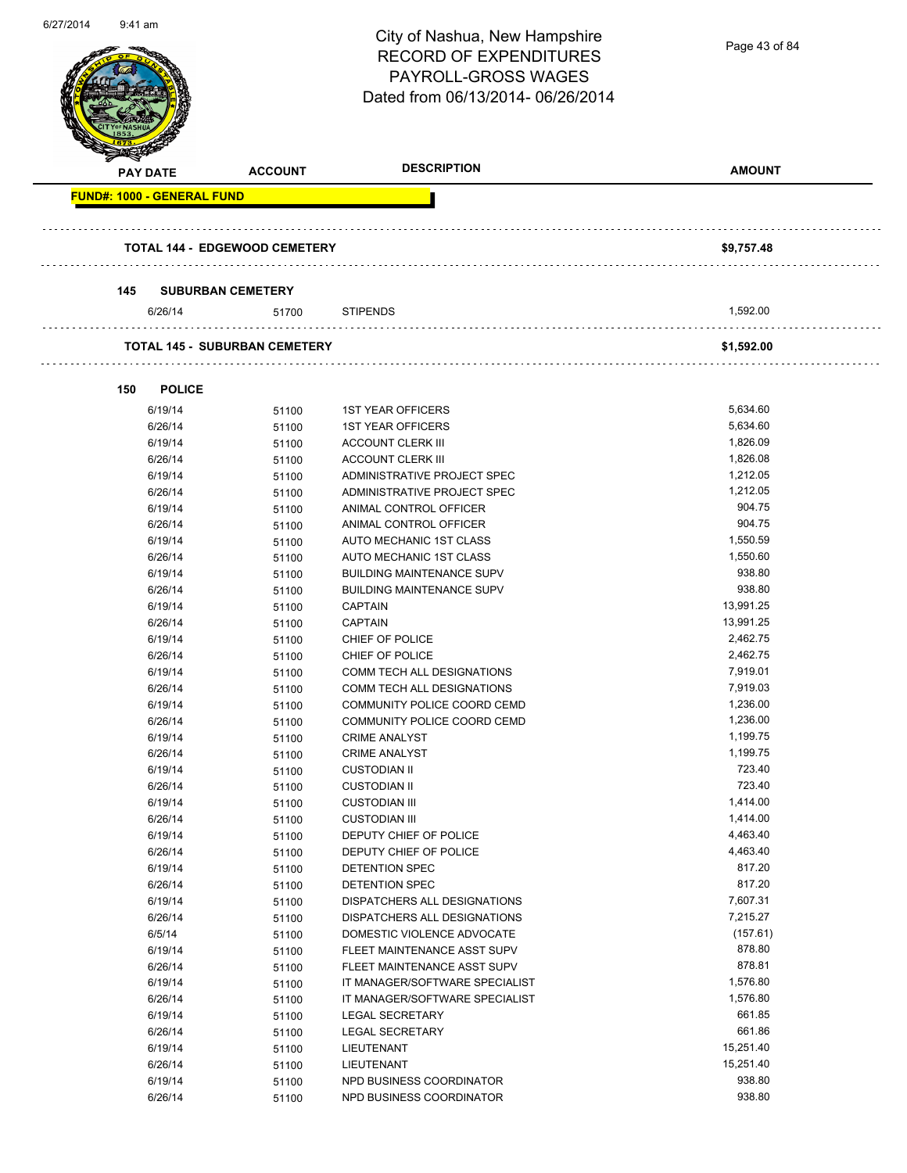| 0/2/12014 | 9:41 am                           |                                      | City of Nashua, New Hampshire                        | Page 43 of 84        |
|-----------|-----------------------------------|--------------------------------------|------------------------------------------------------|----------------------|
|           |                                   |                                      | <b>RECORD OF EXPENDITURES</b>                        |                      |
|           |                                   |                                      | <b>PAYROLL-GROSS WAGES</b>                           |                      |
|           |                                   |                                      | Dated from 06/13/2014-06/26/2014                     |                      |
|           |                                   |                                      |                                                      |                      |
|           |                                   |                                      |                                                      |                      |
|           | <b>PAY DATE</b>                   | <b>ACCOUNT</b>                       | <b>DESCRIPTION</b>                                   | <b>AMOUNT</b>        |
|           | <b>FUND#: 1000 - GENERAL FUND</b> |                                      |                                                      |                      |
|           |                                   |                                      |                                                      |                      |
|           |                                   |                                      |                                                      |                      |
|           |                                   | <b>TOTAL 144 - EDGEWOOD CEMETERY</b> |                                                      | \$9,757.48           |
|           |                                   |                                      |                                                      |                      |
|           | 145                               | <b>SUBURBAN CEMETERY</b>             |                                                      |                      |
|           | 6/26/14                           | 51700                                | <b>STIPENDS</b>                                      | 1,592.00             |
|           |                                   |                                      |                                                      |                      |
|           |                                   | <b>TOTAL 145 - SUBURBAN CEMETERY</b> |                                                      | \$1,592.00           |
|           |                                   |                                      |                                                      |                      |
|           | 150<br><b>POLICE</b>              |                                      |                                                      |                      |
|           | 6/19/14                           | 51100                                | <b>1ST YEAR OFFICERS</b>                             | 5,634.60             |
|           | 6/26/14                           | 51100                                | <b>1ST YEAR OFFICERS</b>                             | 5,634.60             |
|           | 6/19/14                           | 51100                                | <b>ACCOUNT CLERK III</b>                             | 1,826.09             |
|           | 6/26/14                           | 51100                                | <b>ACCOUNT CLERK III</b>                             | 1,826.08             |
|           | 6/19/14                           | 51100                                | ADMINISTRATIVE PROJECT SPEC                          | 1,212.05             |
|           | 6/26/14                           | 51100                                | ADMINISTRATIVE PROJECT SPEC                          | 1,212.05             |
|           | 6/19/14                           | 51100                                | ANIMAL CONTROL OFFICER                               | 904.75               |
|           | 6/26/14                           | 51100                                | ANIMAL CONTROL OFFICER                               | 904.75               |
|           | 6/19/14                           | 51100                                | AUTO MECHANIC 1ST CLASS                              | 1,550.59             |
|           | 6/26/14                           | 51100                                | AUTO MECHANIC 1ST CLASS                              | 1,550.60             |
|           | 6/19/14                           | 51100                                | <b>BUILDING MAINTENANCE SUPV</b>                     | 938.80               |
|           | 6/26/14                           | 51100                                | <b>BUILDING MAINTENANCE SUPV</b>                     | 938.80<br>13,991.25  |
|           | 6/19/14<br>6/26/14                | 51100<br>51100                       | <b>CAPTAIN</b><br><b>CAPTAIN</b>                     | 13,991.25            |
|           | 6/19/14                           | 51100                                | CHIEF OF POLICE                                      | 2,462.75             |
|           | 6/26/14                           | 51100                                | CHIEF OF POLICE                                      | 2,462.75             |
|           | 6/19/14                           | 51100                                | COMM TECH ALL DESIGNATIONS                           | 7,919.01             |
|           | 6/26/14                           | 51100                                | COMM TECH ALL DESIGNATIONS                           | 7,919.03             |
|           | 6/19/14                           | 51100                                | COMMUNITY POLICE COORD CEMD                          | 1,236.00             |
|           | 6/26/14                           | 51100                                | COMMUNITY POLICE COORD CEMD                          | 1,236.00             |
|           | 6/19/14                           | 51100                                | <b>CRIME ANALYST</b>                                 | 1,199.75             |
|           | 6/26/14                           | 51100                                | <b>CRIME ANALYST</b>                                 | 1,199.75             |
|           | 6/19/14                           | 51100                                | <b>CUSTODIAN II</b>                                  | 723.40               |
|           | 6/26/14                           | 51100                                | <b>CUSTODIAN II</b>                                  | 723.40               |
|           | 6/19/14                           | 51100                                | <b>CUSTODIAN III</b>                                 | 1,414.00             |
|           | 6/26/14                           | 51100                                | <b>CUSTODIAN III</b>                                 | 1,414.00<br>4,463.40 |
|           | 6/19/14<br>6/26/14                | 51100                                | DEPUTY CHIEF OF POLICE<br>DEPUTY CHIEF OF POLICE     | 4,463.40             |
|           | 6/19/14                           | 51100<br>51100                       | <b>DETENTION SPEC</b>                                | 817.20               |
|           | 6/26/14                           | 51100                                | DETENTION SPEC                                       | 817.20               |
|           | 6/19/14                           | 51100                                | DISPATCHERS ALL DESIGNATIONS                         | 7,607.31             |
|           | 6/26/14                           | 51100                                | DISPATCHERS ALL DESIGNATIONS                         | 7,215.27             |
|           | 6/5/14                            | 51100                                | DOMESTIC VIOLENCE ADVOCATE                           | (157.61)             |
|           | 6/19/14                           | 51100                                | FLEET MAINTENANCE ASST SUPV                          | 878.80               |
|           | 6/26/14                           | 51100                                | FLEET MAINTENANCE ASST SUPV                          | 878.81               |
|           | 6/19/14                           | 51100                                | IT MANAGER/SOFTWARE SPECIALIST                       | 1,576.80             |
|           | 6/26/14                           | 51100                                | IT MANAGER/SOFTWARE SPECIALIST                       | 1,576.80             |
|           | 6/19/14                           | 51100                                | LEGAL SECRETARY                                      | 661.85               |
|           | 6/26/14                           | 51100                                | <b>LEGAL SECRETARY</b>                               | 661.86               |
|           | 6/19/14                           | 51100                                | LIEUTENANT                                           | 15,251.40            |
|           | 6/26/14                           | 51100                                | LIEUTENANT                                           | 15,251.40<br>938.80  |
|           | 6/19/14<br>6/26/14                | 51100<br>51100                       | NPD BUSINESS COORDINATOR<br>NPD BUSINESS COORDINATOR | 938.80               |
|           |                                   |                                      |                                                      |                      |

6/27/2014 9:41 am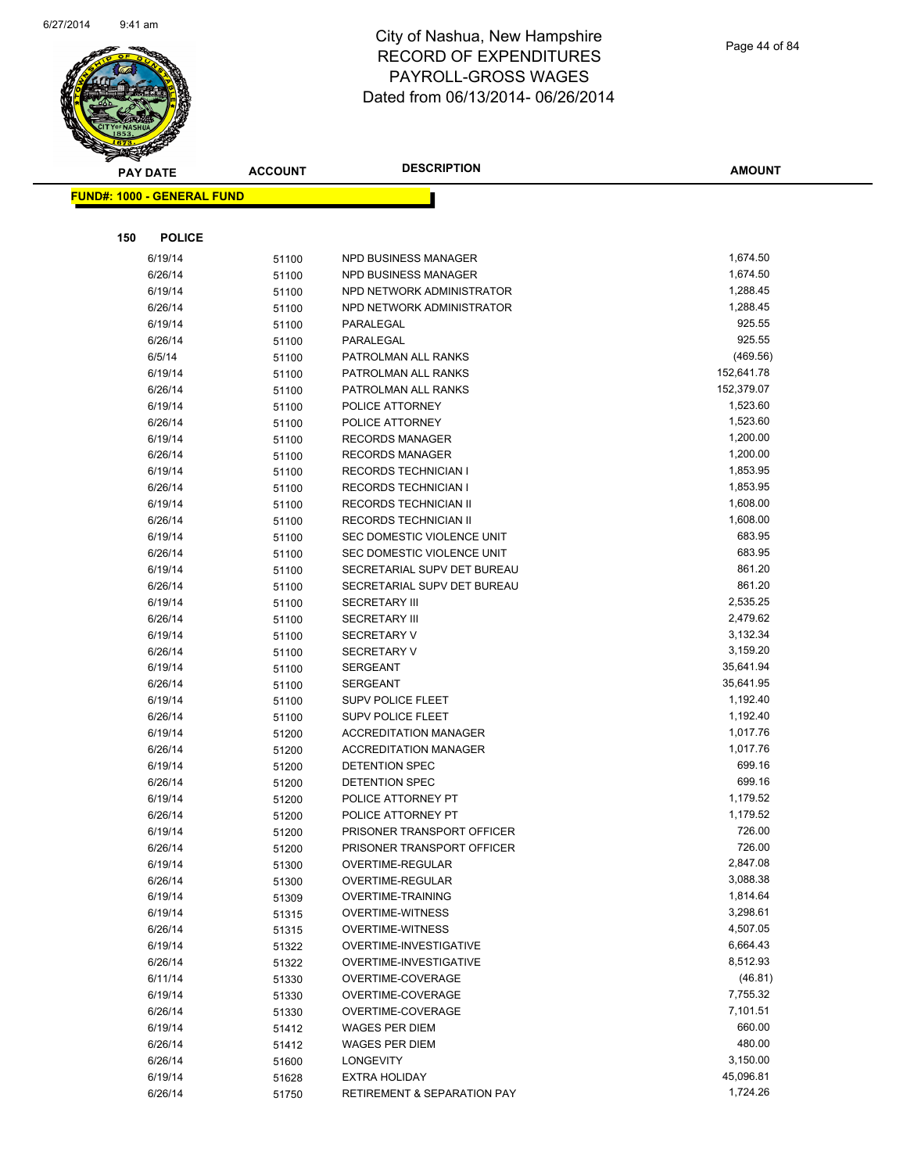

| <b>PAY DATE</b>                   | <b>ACCOUNT</b> | <b>DESCRIPTION</b>                               | <b>AMOUNT</b>        |
|-----------------------------------|----------------|--------------------------------------------------|----------------------|
| <b>FUND#: 1000 - GENERAL FUND</b> |                |                                                  |                      |
|                                   |                |                                                  |                      |
|                                   |                |                                                  |                      |
| <b>POLICE</b><br>150              |                |                                                  |                      |
| 6/19/14                           | 51100          | NPD BUSINESS MANAGER                             | 1,674.50             |
| 6/26/14                           | 51100          | NPD BUSINESS MANAGER                             | 1,674.50             |
| 6/19/14                           | 51100          | NPD NETWORK ADMINISTRATOR                        | 1,288.45             |
| 6/26/14                           | 51100          | NPD NETWORK ADMINISTRATOR                        | 1,288.45             |
| 6/19/14                           | 51100          | PARALEGAL                                        | 925.55               |
| 6/26/14                           | 51100          | PARALEGAL                                        | 925.55               |
| 6/5/14                            | 51100          | PATROLMAN ALL RANKS                              | (469.56)             |
| 6/19/14                           | 51100          | PATROLMAN ALL RANKS                              | 152,641.78           |
| 6/26/14                           | 51100          | PATROLMAN ALL RANKS                              | 152,379.07           |
| 6/19/14                           | 51100          | POLICE ATTORNEY                                  | 1,523.60<br>1,523.60 |
| 6/26/14<br>6/19/14                | 51100          | POLICE ATTORNEY<br><b>RECORDS MANAGER</b>        | 1,200.00             |
| 6/26/14                           | 51100          | <b>RECORDS MANAGER</b>                           | 1,200.00             |
| 6/19/14                           | 51100<br>51100 | <b>RECORDS TECHNICIAN I</b>                      | 1,853.95             |
| 6/26/14                           | 51100          | <b>RECORDS TECHNICIAN I</b>                      | 1,853.95             |
| 6/19/14                           | 51100          | <b>RECORDS TECHNICIAN II</b>                     | 1,608.00             |
| 6/26/14                           | 51100          | RECORDS TECHNICIAN II                            | 1,608.00             |
| 6/19/14                           | 51100          | SEC DOMESTIC VIOLENCE UNIT                       | 683.95               |
| 6/26/14                           | 51100          | SEC DOMESTIC VIOLENCE UNIT                       | 683.95               |
| 6/19/14                           | 51100          | SECRETARIAL SUPV DET BUREAU                      | 861.20               |
| 6/26/14                           | 51100          | SECRETARIAL SUPV DET BUREAU                      | 861.20               |
| 6/19/14                           | 51100          | <b>SECRETARY III</b>                             | 2,535.25             |
| 6/26/14                           | 51100          | <b>SECRETARY III</b>                             | 2,479.62             |
| 6/19/14                           | 51100          | <b>SECRETARY V</b>                               | 3,132.34             |
| 6/26/14                           | 51100          | <b>SECRETARY V</b>                               | 3,159.20             |
| 6/19/14                           | 51100          | <b>SERGEANT</b>                                  | 35,641.94            |
| 6/26/14                           | 51100          | <b>SERGEANT</b>                                  | 35,641.95            |
| 6/19/14                           | 51100          | SUPV POLICE FLEET                                | 1,192.40             |
| 6/26/14                           | 51100          | <b>SUPV POLICE FLEET</b>                         | 1,192.40             |
| 6/19/14                           | 51200          | <b>ACCREDITATION MANAGER</b>                     | 1,017.76             |
| 6/26/14                           | 51200          | <b>ACCREDITATION MANAGER</b>                     | 1,017.76             |
| 6/19/14                           | 51200          | DETENTION SPEC                                   | 699.16               |
| 6/26/14                           | 51200          | DETENTION SPEC                                   | 699.16               |
| 6/19/14                           | 51200          | POLICE ATTORNEY PT                               | 1,179.52             |
| 6/26/14                           | 51200          | POLICE ATTORNEY PT                               | 1,179.52             |
| 6/19/14                           | 51200          | PRISONER TRANSPORT OFFICER                       | 726.00               |
| 6/26/14                           | 51200          | PRISONER TRANSPORT OFFICER                       | 726.00               |
| 6/19/14                           | 51300          | OVERTIME-REGULAR                                 | 2,847.08             |
| 6/26/14                           | 51300          | <b>OVERTIME-REGULAR</b>                          | 3,088.38             |
| 6/19/14                           | 51309          | <b>OVERTIME-TRAINING</b>                         | 1,814.64             |
| 6/19/14                           | 51315          | <b>OVERTIME-WITNESS</b>                          | 3,298.61             |
| 6/26/14                           | 51315          | <b>OVERTIME-WITNESS</b>                          | 4,507.05<br>6,664.43 |
| 6/19/14<br>6/26/14                | 51322          | OVERTIME-INVESTIGATIVE<br>OVERTIME-INVESTIGATIVE | 8,512.93             |
| 6/11/14                           | 51322          | OVERTIME-COVERAGE                                | (46.81)              |
| 6/19/14                           | 51330          | OVERTIME-COVERAGE                                | 7,755.32             |
| 6/26/14                           | 51330<br>51330 | OVERTIME-COVERAGE                                | 7,101.51             |
| 6/19/14                           | 51412          | <b>WAGES PER DIEM</b>                            | 660.00               |
| 6/26/14                           | 51412          | <b>WAGES PER DIEM</b>                            | 480.00               |
| 6/26/14                           | 51600          | <b>LONGEVITY</b>                                 | 3,150.00             |
| 6/19/14                           | 51628          | <b>EXTRA HOLIDAY</b>                             | 45,096.81            |
| 6/26/14                           | 51750          | <b>RETIREMENT &amp; SEPARATION PAY</b>           | 1,724.26             |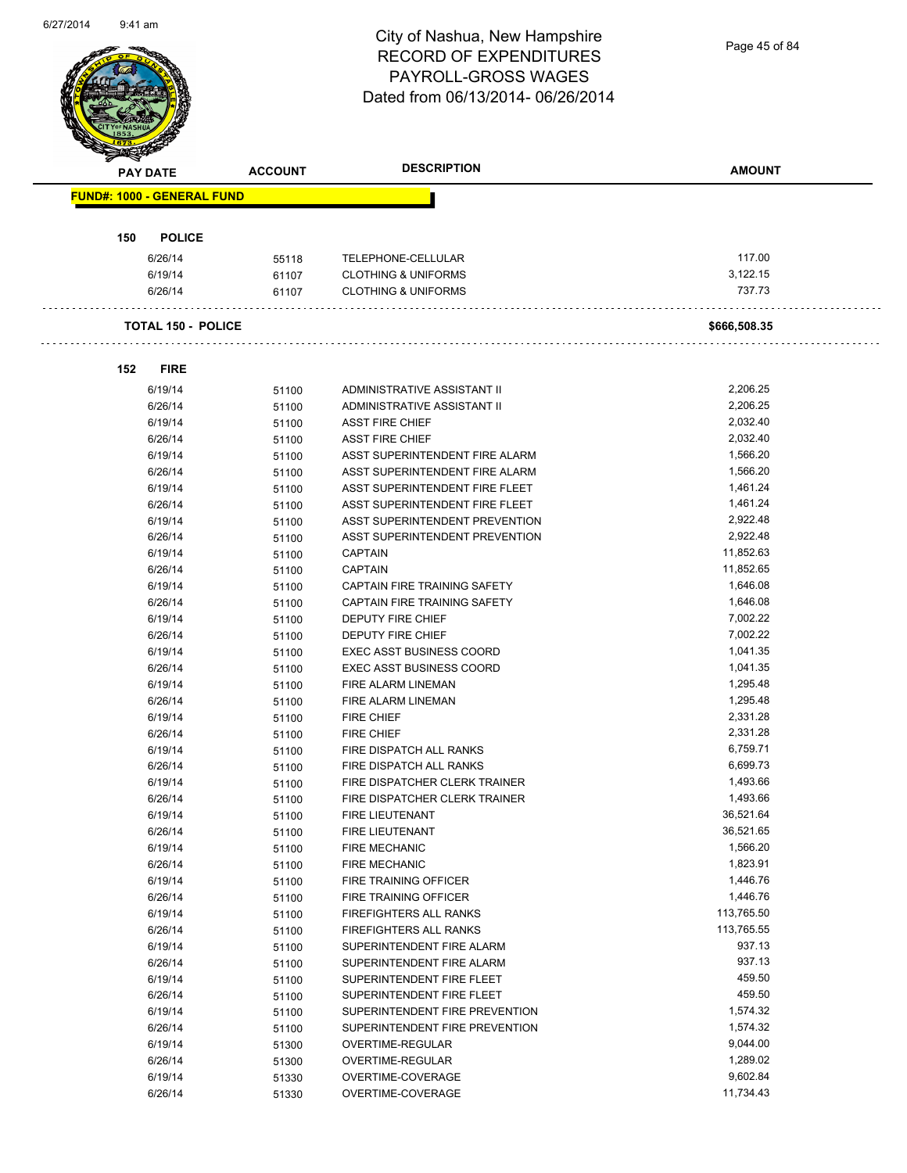Page 45 of 84

|     | <b>PAY DATE</b>                   | <b>ACCOUNT</b> | <b>DESCRIPTION</b>              | <b>AMOUNT</b> |
|-----|-----------------------------------|----------------|---------------------------------|---------------|
|     | <b>FUND#: 1000 - GENERAL FUND</b> |                |                                 |               |
| 150 | <b>POLICE</b>                     |                |                                 |               |
|     | 6/26/14                           | 55118          | TELEPHONE-CELLULAR              | 117.00        |
|     | 6/19/14                           | 61107          | <b>CLOTHING &amp; UNIFORMS</b>  | 3,122.15      |
|     | 6/26/14                           | 61107          | <b>CLOTHING &amp; UNIFORMS</b>  | 737.73        |
|     | <b>TOTAL 150 - POLICE</b>         |                |                                 | \$666,508.35  |
| 152 | <b>FIRE</b>                       |                |                                 |               |
|     | 6/19/14                           | 51100          | ADMINISTRATIVE ASSISTANT II     | 2,206.25      |
|     | 6/26/14                           | 51100          | ADMINISTRATIVE ASSISTANT II     | 2,206.25      |
|     | 6/19/14                           | 51100          | <b>ASST FIRE CHIEF</b>          | 2,032.40      |
|     | 6/26/14                           | 51100          | <b>ASST FIRE CHIEF</b>          | 2,032.40      |
|     | 6/19/14                           | 51100          | ASST SUPERINTENDENT FIRE ALARM  | 1,566.20      |
|     | 6/26/14                           | 51100          | ASST SUPERINTENDENT FIRE ALARM  | 1,566.20      |
|     | 6/19/14                           | 51100          | ASST SUPERINTENDENT FIRE FLEET  | 1,461.24      |
|     | 6/26/14                           | 51100          | ASST SUPERINTENDENT FIRE FLEET  | 1,461.24      |
|     | 6/19/14                           | 51100          | ASST SUPERINTENDENT PREVENTION  | 2,922.48      |
|     | 6/26/14                           | 51100          | ASST SUPERINTENDENT PREVENTION  | 2,922.48      |
|     | 6/19/14                           | 51100          | <b>CAPTAIN</b>                  | 11,852.63     |
|     | 6/26/14                           | 51100          | <b>CAPTAIN</b>                  | 11,852.65     |
|     | 6/19/14                           | 51100          | CAPTAIN FIRE TRAINING SAFETY    | 1,646.08      |
|     | 6/26/14                           | 51100          | CAPTAIN FIRE TRAINING SAFETY    | 1,646.08      |
|     | 6/19/14                           | 51100          | <b>DEPUTY FIRE CHIEF</b>        | 7,002.22      |
|     | 6/26/14                           | 51100          | <b>DEPUTY FIRE CHIEF</b>        | 7,002.22      |
|     | 6/19/14                           | 51100          | <b>EXEC ASST BUSINESS COORD</b> | 1,041.35      |
|     | 6/26/14                           | 51100          | <b>EXEC ASST BUSINESS COORD</b> | 1,041.35      |
|     | 6/19/14                           | 51100          | FIRE ALARM LINEMAN              | 1,295.48      |
|     | 6/26/14                           | 51100          | <b>FIRE ALARM LINEMAN</b>       | 1,295.48      |
|     | 6/19/14                           | 51100          | <b>FIRE CHIEF</b>               | 2,331.28      |
|     | 6/26/14                           | 51100          | <b>FIRE CHIEF</b>               | 2,331.28      |
|     | 6/19/14                           | 51100          | FIRE DISPATCH ALL RANKS         | 6,759.71      |
|     | 6/26/14                           | 51100          | FIRE DISPATCH ALL RANKS         | 6,699.73      |
|     | 6/19/14                           | 51100          | FIRE DISPATCHER CLERK TRAINER   | 1,493.66      |
|     | 6/26/14                           | 51100          | FIRE DISPATCHER CLERK TRAINER   | 1,493.66      |
|     | 6/19/14                           | 51100          | FIRE LIEUTENANT                 | 36,521.64     |
|     | 6/26/14                           | 51100          | FIRE LIEUTENANT                 | 36,521.65     |
|     | 6/19/14                           | 51100          | <b>FIRE MECHANIC</b>            | 1,566.20      |
|     | 6/26/14                           | 51100          | <b>FIRE MECHANIC</b>            | 1,823.91      |
|     | 6/19/14                           | 51100          | FIRE TRAINING OFFICER           | 1,446.76      |
|     | 6/26/14                           | 51100          | FIRE TRAINING OFFICER           | 1,446.76      |
|     | 6/19/14                           | 51100          | FIREFIGHTERS ALL RANKS          | 113,765.50    |
|     | 6/26/14                           | 51100          | FIREFIGHTERS ALL RANKS          | 113,765.55    |
|     | 6/19/14                           | 51100          | SUPERINTENDENT FIRE ALARM       | 937.13        |
|     | 6/26/14                           | 51100          | SUPERINTENDENT FIRE ALARM       | 937.13        |
|     | 6/19/14                           | 51100          | SUPERINTENDENT FIRE FLEET       | 459.50        |
|     | 6/26/14                           | 51100          | SUPERINTENDENT FIRE FLEET       | 459.50        |
|     | 6/19/14                           | 51100          | SUPERINTENDENT FIRE PREVENTION  | 1,574.32      |
|     | 6/26/14                           | 51100          | SUPERINTENDENT FIRE PREVENTION  | 1,574.32      |
|     | 6/19/14                           | 51300          | OVERTIME-REGULAR                | 9,044.00      |
|     | 6/26/14                           | 51300          | OVERTIME-REGULAR                | 1,289.02      |
|     | 6/19/14                           | 51330          | OVERTIME-COVERAGE               | 9,602.84      |
|     | 6/26/14                           | 51330          | OVERTIME-COVERAGE               | 11,734.43     |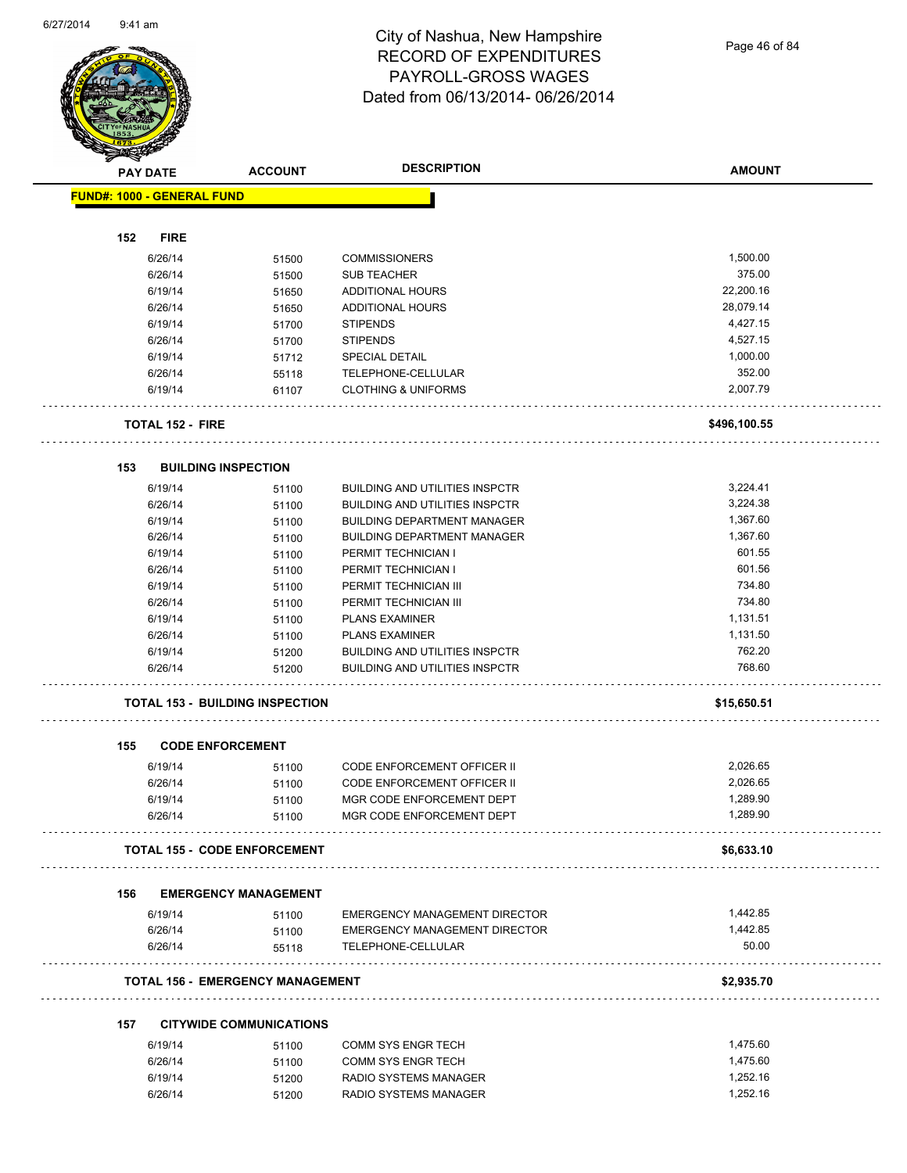Page 46 of 84

|     | <b>PAY DATE</b>                   | <b>ACCOUNT</b>                          | <b>DESCRIPTION</b>                    | <b>AMOUNT</b> |
|-----|-----------------------------------|-----------------------------------------|---------------------------------------|---------------|
|     | <b>FUND#: 1000 - GENERAL FUND</b> |                                         |                                       |               |
|     |                                   |                                         |                                       |               |
| 152 | <b>FIRE</b>                       |                                         |                                       |               |
|     | 6/26/14                           | 51500                                   | <b>COMMISSIONERS</b>                  | 1,500.00      |
|     | 6/26/14                           | 51500                                   | <b>SUB TEACHER</b>                    | 375.00        |
|     | 6/19/14                           | 51650                                   | ADDITIONAL HOURS                      | 22,200.16     |
|     | 6/26/14                           | 51650                                   | <b>ADDITIONAL HOURS</b>               | 28,079.14     |
|     | 6/19/14                           | 51700                                   | <b>STIPENDS</b>                       | 4,427.15      |
|     | 6/26/14                           | 51700                                   | <b>STIPENDS</b>                       | 4,527.15      |
|     | 6/19/14                           | 51712                                   | <b>SPECIAL DETAIL</b>                 | 1,000.00      |
|     | 6/26/14                           | 55118                                   | TELEPHONE-CELLULAR                    | 352.00        |
|     | 6/19/14                           | 61107                                   | <b>CLOTHING &amp; UNIFORMS</b>        | 2,007.79      |
|     | <b>TOTAL 152 - FIRE</b>           |                                         |                                       | \$496,100.55  |
| 153 |                                   | <b>BUILDING INSPECTION</b>              |                                       |               |
|     | 6/19/14                           | 51100                                   | <b>BUILDING AND UTILITIES INSPCTR</b> | 3,224.41      |
|     | 6/26/14                           | 51100                                   | <b>BUILDING AND UTILITIES INSPCTR</b> | 3.224.38      |
|     | 6/19/14                           | 51100                                   | <b>BUILDING DEPARTMENT MANAGER</b>    | 1,367.60      |
|     | 6/26/14                           | 51100                                   | <b>BUILDING DEPARTMENT MANAGER</b>    | 1,367.60      |
|     | 6/19/14                           | 51100                                   | PERMIT TECHNICIAN I                   | 601.55        |
|     | 6/26/14                           | 51100                                   | PERMIT TECHNICIAN I                   | 601.56        |
|     | 6/19/14                           | 51100                                   | PERMIT TECHNICIAN III                 | 734.80        |
|     | 6/26/14                           | 51100                                   | PERMIT TECHNICIAN III                 | 734.80        |
|     | 6/19/14                           | 51100                                   | <b>PLANS EXAMINER</b>                 | 1,131.51      |
|     | 6/26/14                           | 51100                                   | <b>PLANS EXAMINER</b>                 | 1,131.50      |
|     | 6/19/14                           | 51200                                   | <b>BUILDING AND UTILITIES INSPCTR</b> | 762.20        |
|     | 6/26/14                           | 51200                                   | <b>BUILDING AND UTILITIES INSPCTR</b> | 768.60        |
|     |                                   | <b>TOTAL 153 - BUILDING INSPECTION</b>  |                                       | \$15,650.51   |
| 155 |                                   | <b>CODE ENFORCEMENT</b>                 |                                       |               |
|     | 6/19/14                           | 51100                                   | <b>CODE ENFORCEMENT OFFICER II</b>    | 2,026.65      |
|     | 6/26/14                           | 51100                                   | CODE ENFORCEMENT OFFICER II           | 2,026.65      |
|     | 6/19/14                           | 51100                                   | MGR CODE ENFORCEMENT DEPT             | 1,289.90      |
|     | 6/26/14                           | 51100                                   | MGR CODE ENFORCEMENT DEPT             | 1,289.90      |
|     |                                   | <b>TOTAL 155 - CODE ENFORCEMENT</b>     |                                       | \$6,633.10    |
| 156 |                                   | <b>EMERGENCY MANAGEMENT</b>             |                                       |               |
|     | 6/19/14                           | 51100                                   | <b>EMERGENCY MANAGEMENT DIRECTOR</b>  | 1,442.85      |
|     | 6/26/14                           | 51100                                   | <b>EMERGENCY MANAGEMENT DIRECTOR</b>  | 1,442.85      |
|     | 6/26/14                           | 55118                                   | TELEPHONE-CELLULAR                    | 50.00         |
|     |                                   | <b>TOTAL 156 - EMERGENCY MANAGEMENT</b> |                                       | \$2,935.70    |
| 157 |                                   | <b>CITYWIDE COMMUNICATIONS</b>          |                                       |               |
|     | 6/19/14                           | 51100                                   | COMM SYS ENGR TECH                    | 1,475.60      |
|     | 6/26/14                           | 51100                                   | <b>COMM SYS ENGR TECH</b>             | 1,475.60      |
|     | 6/19/14                           | 51200                                   | RADIO SYSTEMS MANAGER                 | 1,252.16      |
|     |                                   |                                         |                                       |               |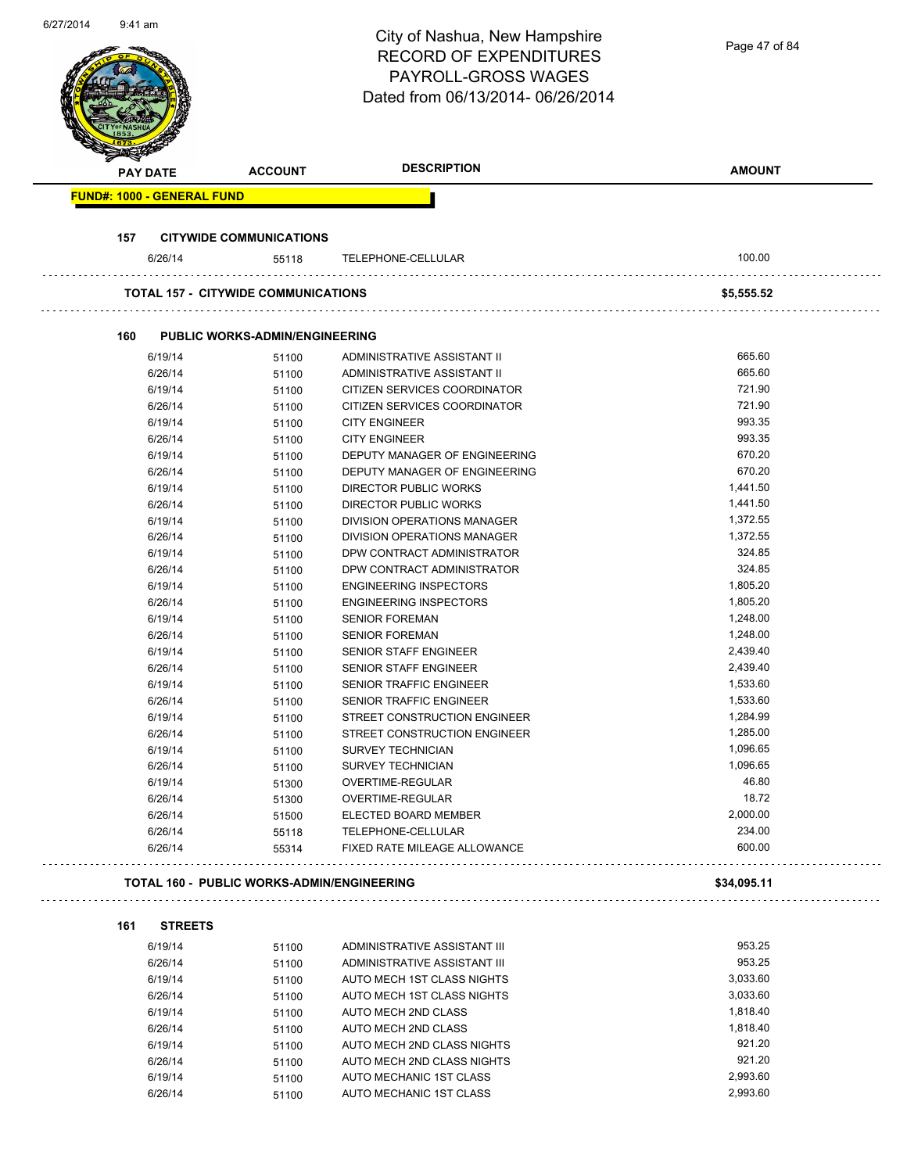| 6/27/2014 | $9:41$ am |                                   |                                                   | City of Nashua, New Hampshire<br><b>RECORD OF EXPENDITURES</b><br><b>PAYROLL-GROSS WAGES</b><br>Dated from 06/13/2014-06/26/2014 | Page 47 of 84    |
|-----------|-----------|-----------------------------------|---------------------------------------------------|----------------------------------------------------------------------------------------------------------------------------------|------------------|
|           |           | <b>PAY DATE</b>                   | <b>ACCOUNT</b>                                    | <b>DESCRIPTION</b>                                                                                                               | <b>AMOUNT</b>    |
|           |           | <b>FUND#: 1000 - GENERAL FUND</b> |                                                   |                                                                                                                                  |                  |
|           |           |                                   |                                                   |                                                                                                                                  |                  |
|           | 157       |                                   | <b>CITYWIDE COMMUNICATIONS</b>                    |                                                                                                                                  |                  |
|           |           | 6/26/14                           | 55118                                             | TELEPHONE-CELLULAR                                                                                                               | 100.00           |
|           |           |                                   | <b>TOTAL 157 - CITYWIDE COMMUNICATIONS</b>        |                                                                                                                                  | \$5,555.52       |
|           |           |                                   |                                                   |                                                                                                                                  |                  |
|           | 160       |                                   | <b>PUBLIC WORKS-ADMIN/ENGINEERING</b>             |                                                                                                                                  |                  |
|           |           | 6/19/14                           | 51100                                             | ADMINISTRATIVE ASSISTANT II                                                                                                      | 665.60<br>665.60 |
|           |           | 6/26/14<br>6/19/14                | 51100                                             | ADMINISTRATIVE ASSISTANT II<br>CITIZEN SERVICES COORDINATOR                                                                      | 721.90           |
|           |           | 6/26/14                           | 51100<br>51100                                    | CITIZEN SERVICES COORDINATOR                                                                                                     | 721.90           |
|           |           | 6/19/14                           | 51100                                             | <b>CITY ENGINEER</b>                                                                                                             | 993.35           |
|           |           | 6/26/14                           | 51100                                             | <b>CITY ENGINEER</b>                                                                                                             | 993.35           |
|           |           | 6/19/14                           | 51100                                             | DEPUTY MANAGER OF ENGINEERING                                                                                                    | 670.20           |
|           |           | 6/26/14                           | 51100                                             | DEPUTY MANAGER OF ENGINEERING                                                                                                    | 670.20           |
|           |           | 6/19/14                           | 51100                                             | <b>DIRECTOR PUBLIC WORKS</b>                                                                                                     | 1,441.50         |
|           |           | 6/26/14                           | 51100                                             | <b>DIRECTOR PUBLIC WORKS</b>                                                                                                     | 1,441.50         |
|           |           | 6/19/14                           | 51100                                             | DIVISION OPERATIONS MANAGER                                                                                                      | 1,372.55         |
|           |           | 6/26/14                           | 51100                                             | DIVISION OPERATIONS MANAGER                                                                                                      | 1,372.55         |
|           |           | 6/19/14                           | 51100                                             | DPW CONTRACT ADMINISTRATOR                                                                                                       | 324.85           |
|           |           | 6/26/14                           | 51100                                             | DPW CONTRACT ADMINISTRATOR                                                                                                       | 324.85           |
|           |           | 6/19/14                           | 51100                                             | <b>ENGINEERING INSPECTORS</b>                                                                                                    | 1,805.20         |
|           |           | 6/26/14                           | 51100                                             | <b>ENGINEERING INSPECTORS</b>                                                                                                    | 1,805.20         |
|           |           | 6/19/14                           | 51100                                             | <b>SENIOR FOREMAN</b>                                                                                                            | 1,248.00         |
|           |           | 6/26/14                           | 51100                                             | <b>SENIOR FOREMAN</b>                                                                                                            | 1,248.00         |
|           |           | 6/19/14                           | 51100                                             | SENIOR STAFF ENGINEER                                                                                                            | 2,439.40         |
|           |           | 6/26/14                           | 51100                                             | SENIOR STAFF ENGINEER                                                                                                            | 2,439.40         |
|           |           | 6/19/14                           | 51100                                             | SENIOR TRAFFIC ENGINEER                                                                                                          | 1,533.60         |
|           |           | 6/26/14                           | 51100                                             | <b>SENIOR TRAFFIC ENGINEER</b>                                                                                                   | 1,533.60         |
|           |           | 6/19/14                           | 51100                                             | STREET CONSTRUCTION ENGINEER                                                                                                     | 1,284.99         |
|           |           | 6/26/14                           | 51100                                             | STREET CONSTRUCTION ENGINEER                                                                                                     | 1,285.00         |
|           |           | 6/19/14                           | 51100                                             | <b>SURVEY TECHNICIAN</b>                                                                                                         | 1,096.65         |
|           |           | 6/26/14                           | 51100                                             | <b>SURVEY TECHNICIAN</b>                                                                                                         | 1,096.65         |
|           |           | 6/19/14                           | 51300                                             | OVERTIME-REGULAR                                                                                                                 | 46.80            |
|           |           | 6/26/14                           | 51300                                             | OVERTIME-REGULAR                                                                                                                 | 18.72            |
|           |           | 6/26/14                           | 51500                                             | ELECTED BOARD MEMBER                                                                                                             | 2,000.00         |
|           |           | 6/26/14                           | 55118                                             | TELEPHONE-CELLULAR                                                                                                               | 234.00           |
|           |           | 6/26/14                           | 55314                                             | FIXED RATE MILEAGE ALLOWANCE                                                                                                     | 600.00           |
|           |           |                                   |                                                   |                                                                                                                                  |                  |
|           |           |                                   | <b>TOTAL 160 - PUBLIC WORKS-ADMIN/ENGINEERING</b> |                                                                                                                                  | \$34,095.11      |
|           | 161       | <b>STREETS</b>                    |                                                   |                                                                                                                                  |                  |
|           |           | 6/19/14                           | 51100                                             | ADMINISTRATIVE ASSISTANT III                                                                                                     | 953.25           |
|           |           | 6/26/14                           | 51100                                             | ADMINISTRATIVE ASSISTANT III                                                                                                     | 953.25           |
|           |           | 6/19/14                           | 51100                                             | AUTO MECH 1ST CLASS NIGHTS                                                                                                       | 3,033.60         |
|           |           | 6/26/14                           | 51100                                             | AUTO MECH 1ST CLASS NIGHTS                                                                                                       | 3,033.60         |
|           |           | 6/19/14                           | 51100                                             | AUTO MECH 2ND CLASS                                                                                                              | 1,818.40         |
|           |           | 6/26/14                           | 51100                                             | AUTO MECH 2ND CLASS                                                                                                              | 1,818.40         |
|           |           | 6/19/14                           | 51100                                             | AUTO MECH 2ND CLASS NIGHTS                                                                                                       | 921.20           |
|           |           | 6/26/14                           | 51100                                             | AUTO MECH 2ND CLASS NIGHTS                                                                                                       | 921.20           |
|           |           | 6/19/14                           | 51100                                             | AUTO MECHANIC 1ST CLASS                                                                                                          | 2,993.60         |
|           |           | 6/26/14                           | 51100                                             | AUTO MECHANIC 1ST CLASS                                                                                                          | 2,993.60         |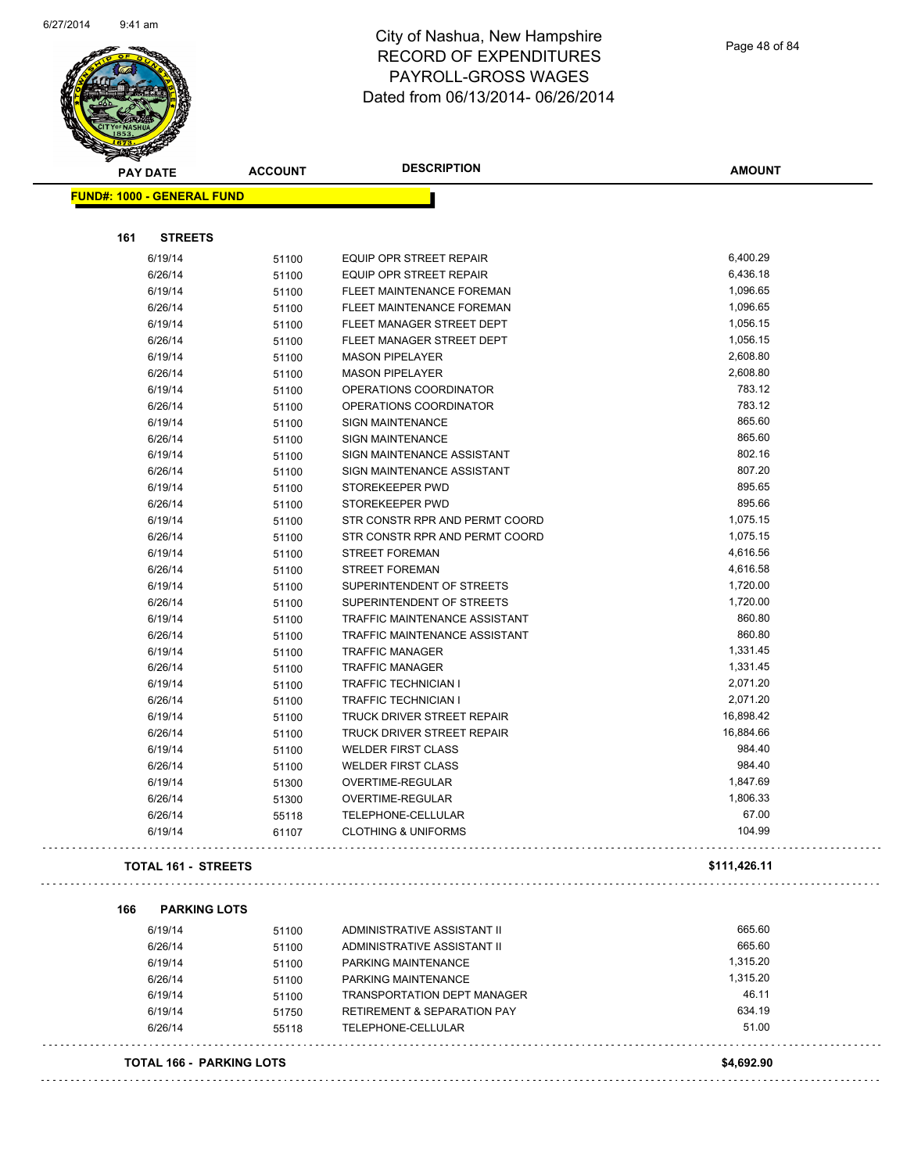

**FUND#: 1000 - GENERAL FUND**

**161 STREETS**

#### City of Nashua, New Hampshire RECORD OF EXPENDITURES PAYROLL-GROSS WAGES Dated from 06/13/2014- 06/26/2014

П

| <b>STREETS</b> |       |                                      |           |
|----------------|-------|--------------------------------------|-----------|
| 6/19/14        | 51100 | <b>EQUIP OPR STREET REPAIR</b>       | 6,400.29  |
| 6/26/14        | 51100 | EQUIP OPR STREET REPAIR              | 6,436.18  |
| 6/19/14        | 51100 | FLEET MAINTENANCE FOREMAN            | 1,096.65  |
| 6/26/14        | 51100 | FLEET MAINTENANCE FOREMAN            | 1,096.65  |
| 6/19/14        | 51100 | FLEET MANAGER STREET DEPT            | 1,056.15  |
| 6/26/14        | 51100 | FLEET MANAGER STREET DEPT            | 1,056.15  |
| 6/19/14        | 51100 | <b>MASON PIPELAYER</b>               | 2,608.80  |
| 6/26/14        | 51100 | <b>MASON PIPELAYER</b>               | 2,608.80  |
| 6/19/14        | 51100 | OPERATIONS COORDINATOR               | 783.12    |
| 6/26/14        | 51100 | OPERATIONS COORDINATOR               | 783.12    |
| 6/19/14        | 51100 | <b>SIGN MAINTENANCE</b>              | 865.60    |
| 6/26/14        | 51100 | <b>SIGN MAINTENANCE</b>              | 865.60    |
| 6/19/14        | 51100 | SIGN MAINTENANCE ASSISTANT           | 802.16    |
| 6/26/14        | 51100 | SIGN MAINTENANCE ASSISTANT           | 807.20    |
| 6/19/14        | 51100 | STOREKEEPER PWD                      | 895.65    |
| 6/26/14        | 51100 | STOREKEEPER PWD                      | 895.66    |
| 6/19/14        | 51100 | STR CONSTR RPR AND PERMT COORD       | 1,075.15  |
| 6/26/14        | 51100 | STR CONSTR RPR AND PERMT COORD       | 1,075.15  |
| 6/19/14        | 51100 | <b>STREET FOREMAN</b>                | 4,616.56  |
| 6/26/14        | 51100 | <b>STREET FOREMAN</b>                | 4,616.58  |
| 6/19/14        | 51100 | SUPERINTENDENT OF STREETS            | 1,720.00  |
| 6/26/14        | 51100 | SUPERINTENDENT OF STREETS            | 1,720.00  |
| 6/19/14        | 51100 | TRAFFIC MAINTENANCE ASSISTANT        | 860.80    |
| 6/26/14        | 51100 | <b>TRAFFIC MAINTENANCE ASSISTANT</b> | 860.80    |
| 6/19/14        | 51100 | <b>TRAFFIC MANAGER</b>               | 1,331.45  |
| 6/26/14        | 51100 | <b>TRAFFIC MANAGER</b>               | 1,331.45  |
| 6/19/14        | 51100 | <b>TRAFFIC TECHNICIAN I</b>          | 2,071.20  |
| 6/26/14        | 51100 | <b>TRAFFIC TECHNICIAN I</b>          | 2,071.20  |
| 6/19/14        | 51100 | TRUCK DRIVER STREET REPAIR           | 16,898.42 |
| 6/26/14        | 51100 | TRUCK DRIVER STREET REPAIR           | 16,884.66 |
| 6/19/14        | 51100 | <b>WELDER FIRST CLASS</b>            | 984.40    |
| 6/26/14        | 51100 | <b>WELDER FIRST CLASS</b>            | 984.40    |
| 6/19/14        | 51300 | <b>OVERTIME-REGULAR</b>              | 1,847.69  |

**TOTAL 161 - STREETS \$111,426.11** 

**166 PARKING LOTS**

|  | г | ۰. |  | ۰.<br>× | . . |
|--|---|----|--|---------|-----|
|  |   |    |  |         |     |
|  |   |    |  |         |     |

| 6/19/14 | 51100 | ADMINISTRATIVE ASSISTANT II            | 665.60   |
|---------|-------|----------------------------------------|----------|
| 6/26/14 | 51100 | ADMINISTRATIVE ASSISTANT II            | 665.60   |
| 6/19/14 | 51100 | PARKING MAINTENANCE                    | 1.315.20 |
| 6/26/14 | 51100 | PARKING MAINTENANCE                    | 1,315.20 |
| 6/19/14 | 51100 | <b>TRANSPORTATION DEPT MANAGER</b>     | 46.11    |
| 6/19/14 | 51750 | <b>RETIREMENT &amp; SEPARATION PAY</b> | 634.19   |
| 6/26/14 | 55118 | TELEPHONE-CELLULAR                     | 51.00    |

6/26/14 51300 OVERTIME-REGULAR 1,806.33 6/26/14 55118 TELEPHONE-CELLULAR 67.00 6/19/14 61107 CLOTHING & UNIFORMS 104.99

**TOTAL 166 - PARKING LOTS \$4,692.90**

**AMOUNT**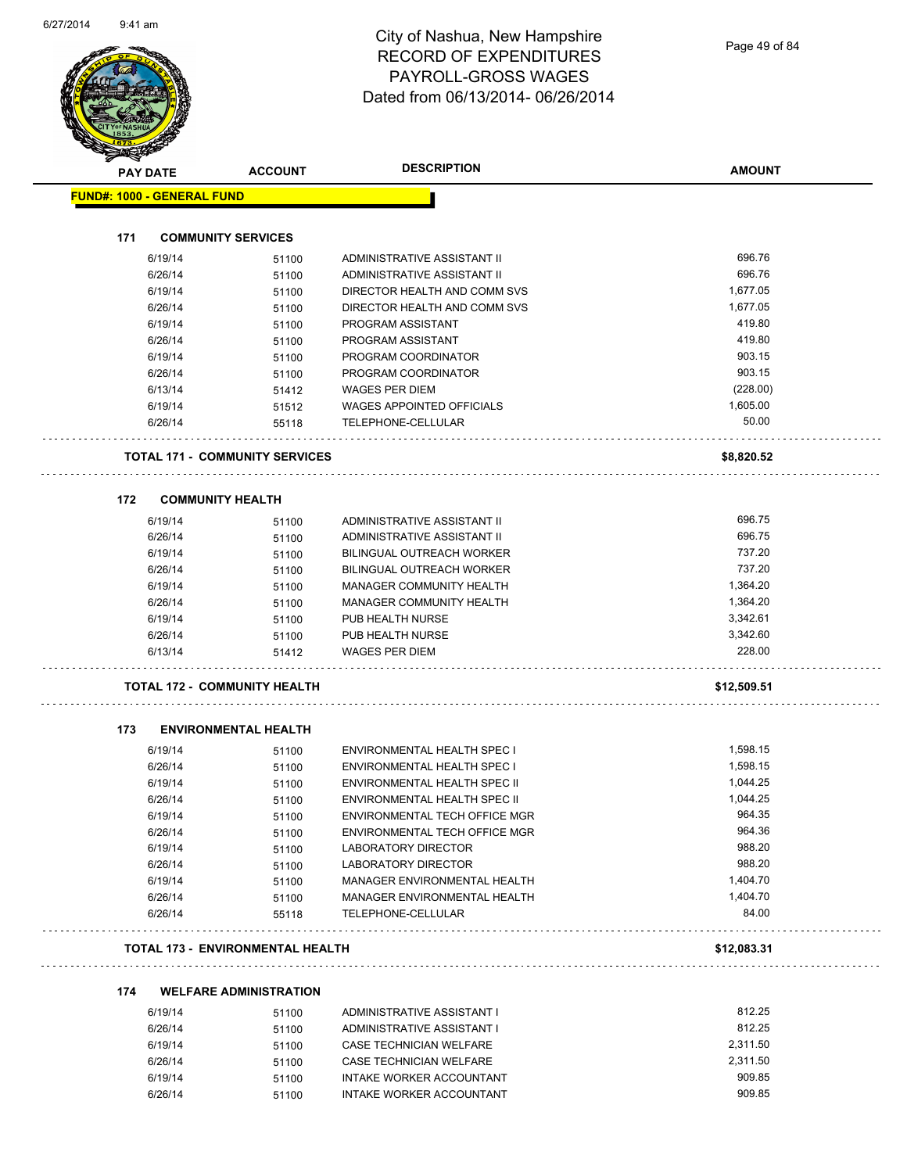| PAY DATE                          | <b>ACCOUNT</b>                          | <b>DESCRIPTION</b>                                     | <b>AMOUNT</b>        |
|-----------------------------------|-----------------------------------------|--------------------------------------------------------|----------------------|
| <b>FUND#: 1000 - GENERAL FUND</b> |                                         |                                                        |                      |
|                                   |                                         |                                                        |                      |
| 171                               | <b>COMMUNITY SERVICES</b>               |                                                        |                      |
| 6/19/14                           | 51100                                   | ADMINISTRATIVE ASSISTANT II                            | 696.76               |
| 6/26/14                           | 51100                                   | ADMINISTRATIVE ASSISTANT II                            | 696.76               |
| 6/19/14                           | 51100                                   | DIRECTOR HEALTH AND COMM SVS                           | 1,677.05             |
| 6/26/14                           | 51100                                   | DIRECTOR HEALTH AND COMM SVS                           | 1,677.05             |
| 6/19/14                           | 51100                                   | PROGRAM ASSISTANT                                      | 419.80               |
| 6/26/14                           | 51100                                   | PROGRAM ASSISTANT                                      | 419.80               |
| 6/19/14                           | 51100                                   | PROGRAM COORDINATOR                                    | 903.15<br>903.15     |
| 6/26/14                           | 51100                                   | PROGRAM COORDINATOR                                    |                      |
| 6/13/14                           | 51412                                   | <b>WAGES PER DIEM</b>                                  | (228.00)<br>1,605.00 |
| 6/19/14<br>6/26/14                | 51512<br>55118                          | <b>WAGES APPOINTED OFFICIALS</b><br>TELEPHONE-CELLULAR | 50.00                |
|                                   |                                         |                                                        |                      |
|                                   | <b>TOTAL 171 - COMMUNITY SERVICES</b>   |                                                        | \$8,820.52           |
| 172                               | <b>COMMUNITY HEALTH</b>                 |                                                        |                      |
| 6/19/14                           | 51100                                   | ADMINISTRATIVE ASSISTANT II                            | 696.75               |
| 6/26/14                           | 51100                                   | ADMINISTRATIVE ASSISTANT II                            | 696.75               |
| 6/19/14                           | 51100                                   | <b>BILINGUAL OUTREACH WORKER</b>                       | 737.20               |
| 6/26/14                           | 51100                                   | <b>BILINGUAL OUTREACH WORKER</b>                       | 737.20               |
| 6/19/14                           | 51100                                   | MANAGER COMMUNITY HEALTH                               | 1,364.20             |
| 6/26/14                           | 51100                                   | MANAGER COMMUNITY HEALTH                               | 1,364.20             |
| 6/19/14                           | 51100                                   | PUB HEALTH NURSE                                       | 3,342.61             |
| 6/26/14                           | 51100                                   | PUB HEALTH NURSE                                       | 3,342.60             |
| 6/13/14                           | 51412                                   | <b>WAGES PER DIEM</b>                                  | 228.00               |
|                                   | <b>TOTAL 172 - COMMUNITY HEALTH</b>     |                                                        | \$12,509.51          |
| 173                               | <b>ENVIRONMENTAL HEALTH</b>             |                                                        |                      |
| 6/19/14                           | 51100                                   | ENVIRONMENTAL HEALTH SPEC I                            | 1,598.15             |
| 6/26/14                           | 51100                                   | ENVIRONMENTAL HEALTH SPEC I                            | 1,598.15             |
| 6/19/14                           | 51100                                   | ENVIRONMENTAL HEALTH SPEC II                           | 1,044.25             |
| 6/26/14                           | 51100                                   | ENVIRONMENTAL HEALTH SPEC II                           | 1,044.25             |
| 6/19/14                           | 51100                                   | ENVIRONMENTAL TECH OFFICE MGR                          | 964.35               |
| 6/26/14                           | 51100                                   | ENVIRONMENTAL TECH OFFICE MGR                          | 964.36               |
| 6/19/14                           | 51100                                   | <b>LABORATORY DIRECTOR</b>                             | 988.20               |
| 6/26/14                           | 51100                                   | LABORATORY DIRECTOR                                    | 988.20               |
| 6/19/14                           | 51100                                   | MANAGER ENVIRONMENTAL HEALTH                           | 1,404.70             |
| 6/26/14                           | 51100                                   | MANAGER ENVIRONMENTAL HEALTH                           | 1,404.70             |
| 6/26/14                           | 55118                                   | TELEPHONE-CELLULAR                                     | 84.00                |
|                                   | <b>TOTAL 173 - ENVIRONMENTAL HEALTH</b> |                                                        | \$12,083.31          |
|                                   |                                         |                                                        |                      |
| 174                               | <b>WELFARE ADMINISTRATION</b>           |                                                        | 812.25               |
| 6/19/14                           | 51100                                   | ADMINISTRATIVE ASSISTANT I                             | 812.25               |
| 6/26/14                           | 51100                                   | ADMINISTRATIVE ASSISTANT I                             | 2,311.50             |
| 6/19/14                           | 51100                                   | CASE TECHNICIAN WELFARE                                |                      |

er 6/26/14 51100 CASE TECHNICIAN WELFARE<br>1.311.50 6/19/14 51100 INTAKE WORKER ACCOUNTANT

6/26/14 51100 INTAKE WORKER ACCOUNTANT 909.85

6/19/14 51100 INTAKE WORKER ACCOUNTANT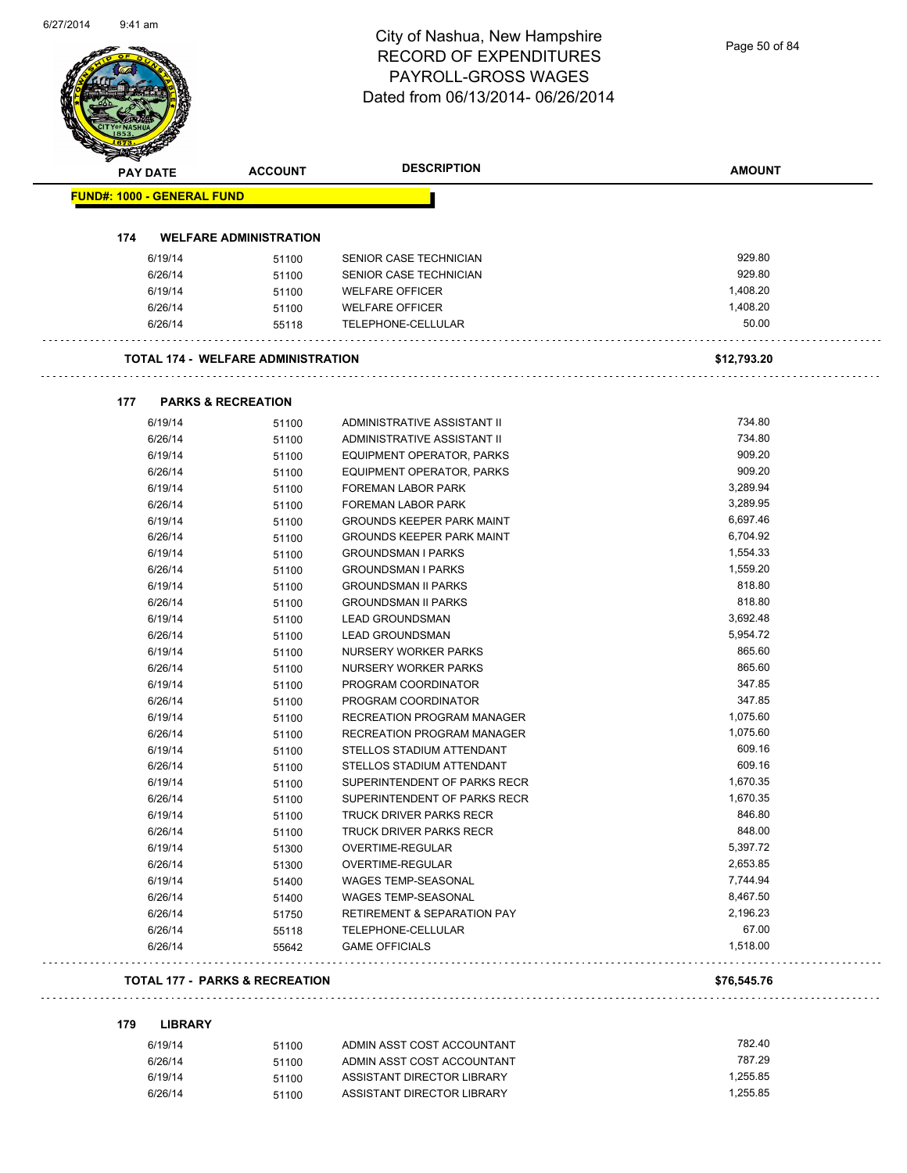### City of Nashua, New Hampshire RECORD OF EXPENDITURES PAYROLL-GROSS WAGES  $O(137/2014 - 06/26/2014)$

Page 50 of 84

| <b>ACCOUNT</b><br><b>FUND#: 1000 - GENERAL FUND</b><br><b>WELFARE ADMINISTRATION</b><br>51100<br>51100<br>51100<br>51100<br>55118<br><b>TOTAL 174 - WELFARE ADMINISTRATION</b><br><b>PARKS &amp; RECREATION</b><br>51100<br>51100 | SENIOR CASE TECHNICIAN<br>SENIOR CASE TECHNICIAN<br><b>WELFARE OFFICER</b><br><b>WELFARE OFFICER</b><br>TELEPHONE-CELLULAR | 929.80<br>929.80<br>1,408.20<br>1,408.20<br>50.00<br>\$12,793.20 |
|-----------------------------------------------------------------------------------------------------------------------------------------------------------------------------------------------------------------------------------|----------------------------------------------------------------------------------------------------------------------------|------------------------------------------------------------------|
|                                                                                                                                                                                                                                   |                                                                                                                            |                                                                  |
|                                                                                                                                                                                                                                   |                                                                                                                            |                                                                  |
|                                                                                                                                                                                                                                   |                                                                                                                            |                                                                  |
|                                                                                                                                                                                                                                   |                                                                                                                            |                                                                  |
|                                                                                                                                                                                                                                   |                                                                                                                            |                                                                  |
|                                                                                                                                                                                                                                   |                                                                                                                            |                                                                  |
|                                                                                                                                                                                                                                   |                                                                                                                            |                                                                  |
|                                                                                                                                                                                                                                   |                                                                                                                            |                                                                  |
|                                                                                                                                                                                                                                   |                                                                                                                            |                                                                  |
|                                                                                                                                                                                                                                   |                                                                                                                            |                                                                  |
|                                                                                                                                                                                                                                   | ADMINISTRATIVE ASSISTANT II                                                                                                | 734.80                                                           |
|                                                                                                                                                                                                                                   | ADMINISTRATIVE ASSISTANT II                                                                                                | 734.80                                                           |
| 51100                                                                                                                                                                                                                             | EQUIPMENT OPERATOR, PARKS                                                                                                  | 909.20                                                           |
| 51100                                                                                                                                                                                                                             | EQUIPMENT OPERATOR, PARKS                                                                                                  | 909.20                                                           |
| 51100                                                                                                                                                                                                                             | <b>FOREMAN LABOR PARK</b>                                                                                                  | 3,289.94                                                         |
| 51100                                                                                                                                                                                                                             | FOREMAN LABOR PARK                                                                                                         | 3,289.95                                                         |
| 51100                                                                                                                                                                                                                             | <b>GROUNDS KEEPER PARK MAINT</b>                                                                                           | 6,697.46                                                         |
| 51100                                                                                                                                                                                                                             | <b>GROUNDS KEEPER PARK MAINT</b>                                                                                           | 6,704.92                                                         |
| 51100                                                                                                                                                                                                                             | <b>GROUNDSMAN I PARKS</b>                                                                                                  | 1,554.33                                                         |
| 51100                                                                                                                                                                                                                             | <b>GROUNDSMAN I PARKS</b>                                                                                                  | 1,559.20                                                         |
| 51100                                                                                                                                                                                                                             | <b>GROUNDSMAN II PARKS</b>                                                                                                 | 818.80                                                           |
| 51100                                                                                                                                                                                                                             | <b>GROUNDSMAN II PARKS</b>                                                                                                 | 818.80                                                           |
| 51100                                                                                                                                                                                                                             | <b>LEAD GROUNDSMAN</b>                                                                                                     | 3,692.48                                                         |
| 51100                                                                                                                                                                                                                             | <b>LEAD GROUNDSMAN</b>                                                                                                     | 5,954.72                                                         |
| 51100                                                                                                                                                                                                                             | NURSERY WORKER PARKS<br>NURSERY WORKER PARKS                                                                               | 865.60<br>865.60                                                 |
| 51100<br>51100                                                                                                                                                                                                                    | PROGRAM COORDINATOR                                                                                                        | 347.85                                                           |
| 51100                                                                                                                                                                                                                             | PROGRAM COORDINATOR                                                                                                        | 347.85                                                           |
| 51100                                                                                                                                                                                                                             | <b>RECREATION PROGRAM MANAGER</b>                                                                                          | 1,075.60                                                         |
| 51100                                                                                                                                                                                                                             | <b>RECREATION PROGRAM MANAGER</b>                                                                                          | 1,075.60                                                         |
| 51100                                                                                                                                                                                                                             | STELLOS STADIUM ATTENDANT                                                                                                  | 609.16                                                           |
| 51100                                                                                                                                                                                                                             | STELLOS STADIUM ATTENDANT                                                                                                  | 609.16                                                           |
| 51100                                                                                                                                                                                                                             | SUPERINTENDENT OF PARKS RECR                                                                                               | 1,670.35                                                         |
| 51100                                                                                                                                                                                                                             | SUPERINTENDENT OF PARKS RECR                                                                                               | 1,670.35                                                         |
| 51100                                                                                                                                                                                                                             | TRUCK DRIVER PARKS RECR                                                                                                    | 846.80                                                           |
| 51100                                                                                                                                                                                                                             | TRUCK DRIVER PARKS RECR                                                                                                    | 848.00                                                           |
| 51300                                                                                                                                                                                                                             | OVERTIME-REGULAR                                                                                                           | 5,397.72                                                         |
| 51300                                                                                                                                                                                                                             | OVERTIME-REGULAR                                                                                                           | 2,653.85                                                         |
| 51400                                                                                                                                                                                                                             | WAGES TEMP-SEASONAL                                                                                                        | 7,744.94                                                         |
| 51400                                                                                                                                                                                                                             | <b>WAGES TEMP-SEASONAL</b>                                                                                                 | 8,467.50                                                         |
| 51750                                                                                                                                                                                                                             | RETIREMENT & SEPARATION PAY                                                                                                | 2,196.23                                                         |
| 55118                                                                                                                                                                                                                             | TELEPHONE-CELLULAR                                                                                                         | 67.00                                                            |
| 55642                                                                                                                                                                                                                             | <b>GAME OFFICIALS</b>                                                                                                      | 1,518.00                                                         |
| <b>TOTAL 177 - PARKS &amp; RECREATION</b>                                                                                                                                                                                         |                                                                                                                            | \$76,545.76                                                      |
|                                                                                                                                                                                                                                   |                                                                                                                            |                                                                  |
| <b>LIBRARY</b>                                                                                                                                                                                                                    | ADMIN ASST COST ACCOUNTANT                                                                                                 | 782.40                                                           |
| 51100                                                                                                                                                                                                                             | ADMIN ASST COST ACCOUNTANT                                                                                                 | 787.29                                                           |
| 51100                                                                                                                                                                                                                             | ASSISTANT DIRECTOR LIBRARY                                                                                                 | 1,255.85                                                         |
|                                                                                                                                                                                                                                   | 51100<br>51100                                                                                                             | ASSISTANT DIRECTOR LIBRARY                                       |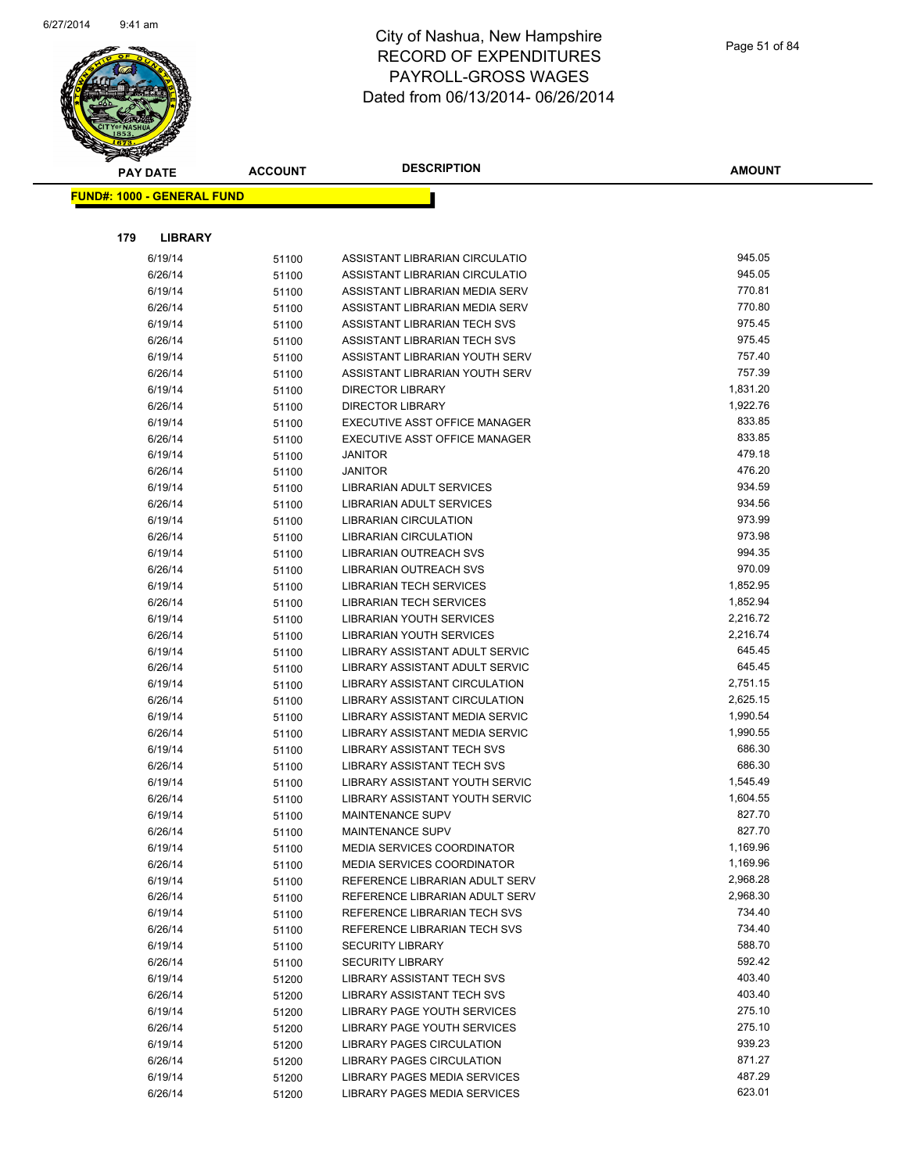

|     | <b>PAY DATE</b>                    | <b>ACCOUNT</b> | <b>DESCRIPTION</b>                                               | <b>AMOUNT</b>    |
|-----|------------------------------------|----------------|------------------------------------------------------------------|------------------|
|     | <u> FUND#: 1000 - GENERAL FUND</u> |                |                                                                  |                  |
|     |                                    |                |                                                                  |                  |
| 179 | <b>LIBRARY</b>                     |                |                                                                  |                  |
|     | 6/19/14                            | 51100          | ASSISTANT LIBRARIAN CIRCULATIO                                   | 945.05           |
|     | 6/26/14                            | 51100          | ASSISTANT LIBRARIAN CIRCULATIO                                   | 945.05           |
|     | 6/19/14                            | 51100          | ASSISTANT LIBRARIAN MEDIA SERV                                   | 770.81           |
|     | 6/26/14                            | 51100          | ASSISTANT LIBRARIAN MEDIA SERV                                   | 770.80           |
|     | 6/19/14                            | 51100          | ASSISTANT LIBRARIAN TECH SVS                                     | 975.45           |
|     | 6/26/14                            | 51100          | ASSISTANT LIBRARIAN TECH SVS                                     | 975.45           |
|     | 6/19/14                            | 51100          | ASSISTANT LIBRARIAN YOUTH SERV                                   | 757.40           |
|     | 6/26/14                            | 51100          | ASSISTANT LIBRARIAN YOUTH SERV                                   | 757.39           |
|     | 6/19/14                            | 51100          | <b>DIRECTOR LIBRARY</b>                                          | 1,831.20         |
|     | 6/26/14                            | 51100          | <b>DIRECTOR LIBRARY</b>                                          | 1,922.76         |
|     | 6/19/14                            | 51100          | EXECUTIVE ASST OFFICE MANAGER                                    | 833.85           |
|     | 6/26/14                            | 51100          | EXECUTIVE ASST OFFICE MANAGER                                    | 833.85           |
|     | 6/19/14                            | 51100          | <b>JANITOR</b>                                                   | 479.18           |
|     | 6/26/14                            | 51100          | <b>JANITOR</b>                                                   | 476.20           |
|     | 6/19/14                            | 51100          | LIBRARIAN ADULT SERVICES                                         | 934.59           |
|     | 6/26/14                            | 51100          | LIBRARIAN ADULT SERVICES                                         | 934.56           |
|     | 6/19/14                            | 51100          | <b>LIBRARIAN CIRCULATION</b>                                     | 973.99           |
|     | 6/26/14                            | 51100          | <b>LIBRARIAN CIRCULATION</b>                                     | 973.98           |
|     | 6/19/14                            | 51100          | LIBRARIAN OUTREACH SVS                                           | 994.35           |
|     | 6/26/14                            | 51100          | LIBRARIAN OUTREACH SVS                                           | 970.09           |
|     | 6/19/14                            | 51100          | <b>LIBRARIAN TECH SERVICES</b>                                   | 1,852.95         |
|     | 6/26/14                            | 51100          | <b>LIBRARIAN TECH SERVICES</b>                                   | 1,852.94         |
|     | 6/19/14                            | 51100          | <b>LIBRARIAN YOUTH SERVICES</b>                                  | 2,216.72         |
|     | 6/26/14                            | 51100          | <b>LIBRARIAN YOUTH SERVICES</b>                                  | 2,216.74         |
|     | 6/19/14                            | 51100          | LIBRARY ASSISTANT ADULT SERVIC                                   | 645.45           |
|     | 6/26/14                            | 51100          | LIBRARY ASSISTANT ADULT SERVIC                                   | 645.45           |
|     | 6/19/14                            | 51100          | LIBRARY ASSISTANT CIRCULATION                                    | 2,751.15         |
|     | 6/26/14                            | 51100          | LIBRARY ASSISTANT CIRCULATION                                    | 2,625.15         |
|     | 6/19/14                            | 51100          | LIBRARY ASSISTANT MEDIA SERVIC                                   | 1,990.54         |
|     | 6/26/14                            | 51100          | LIBRARY ASSISTANT MEDIA SERVIC                                   | 1,990.55         |
|     | 6/19/14                            | 51100          | <b>LIBRARY ASSISTANT TECH SVS</b>                                | 686.30           |
|     | 6/26/14                            | 51100          | <b>LIBRARY ASSISTANT TECH SVS</b>                                | 686.30           |
|     | 6/19/14                            | 51100          | LIBRARY ASSISTANT YOUTH SERVIC                                   | 1,545.49         |
|     | 6/26/14                            | 51100          | LIBRARY ASSISTANT YOUTH SERVIC                                   | 1,604.55         |
|     | 6/19/14                            | 51100          | <b>MAINTENANCE SUPV</b>                                          | 827.70           |
|     | 6/26/14                            | 51100          | <b>MAINTENANCE SUPV</b>                                          | 827.70           |
|     | 6/19/14                            | 51100          | <b>MEDIA SERVICES COORDINATOR</b>                                | 1,169.96         |
|     | 6/26/14                            | 51100          | <b>MEDIA SERVICES COORDINATOR</b>                                | 1,169.96         |
|     | 6/19/14                            | 51100          | REFERENCE LIBRARIAN ADULT SERV                                   | 2,968.28         |
|     | 6/26/14                            | 51100          | REFERENCE LIBRARIAN ADULT SERV                                   | 2,968.30         |
|     | 6/19/14                            | 51100          | REFERENCE LIBRARIAN TECH SVS                                     | 734.40           |
|     | 6/26/14                            | 51100          | REFERENCE LIBRARIAN TECH SVS                                     | 734.40           |
|     | 6/19/14                            | 51100          | <b>SECURITY LIBRARY</b>                                          | 588.70           |
|     | 6/26/14                            | 51100          | <b>SECURITY LIBRARY</b>                                          | 592.42           |
|     | 6/19/14                            | 51200          | <b>LIBRARY ASSISTANT TECH SVS</b>                                | 403.40           |
|     | 6/26/14                            | 51200          | LIBRARY ASSISTANT TECH SVS<br><b>LIBRARY PAGE YOUTH SERVICES</b> | 403.40<br>275.10 |
|     | 6/19/14                            | 51200          |                                                                  | 275.10           |
|     | 6/26/14                            | 51200          | LIBRARY PAGE YOUTH SERVICES                                      | 939.23           |
|     | 6/19/14                            | 51200          | LIBRARY PAGES CIRCULATION                                        | 871.27           |
|     | 6/26/14                            | 51200          | <b>LIBRARY PAGES CIRCULATION</b>                                 | 487.29           |
|     | 6/19/14                            | 51200          | LIBRARY PAGES MEDIA SERVICES                                     | 623.01           |
|     | 6/26/14                            | 51200          | LIBRARY PAGES MEDIA SERVICES                                     |                  |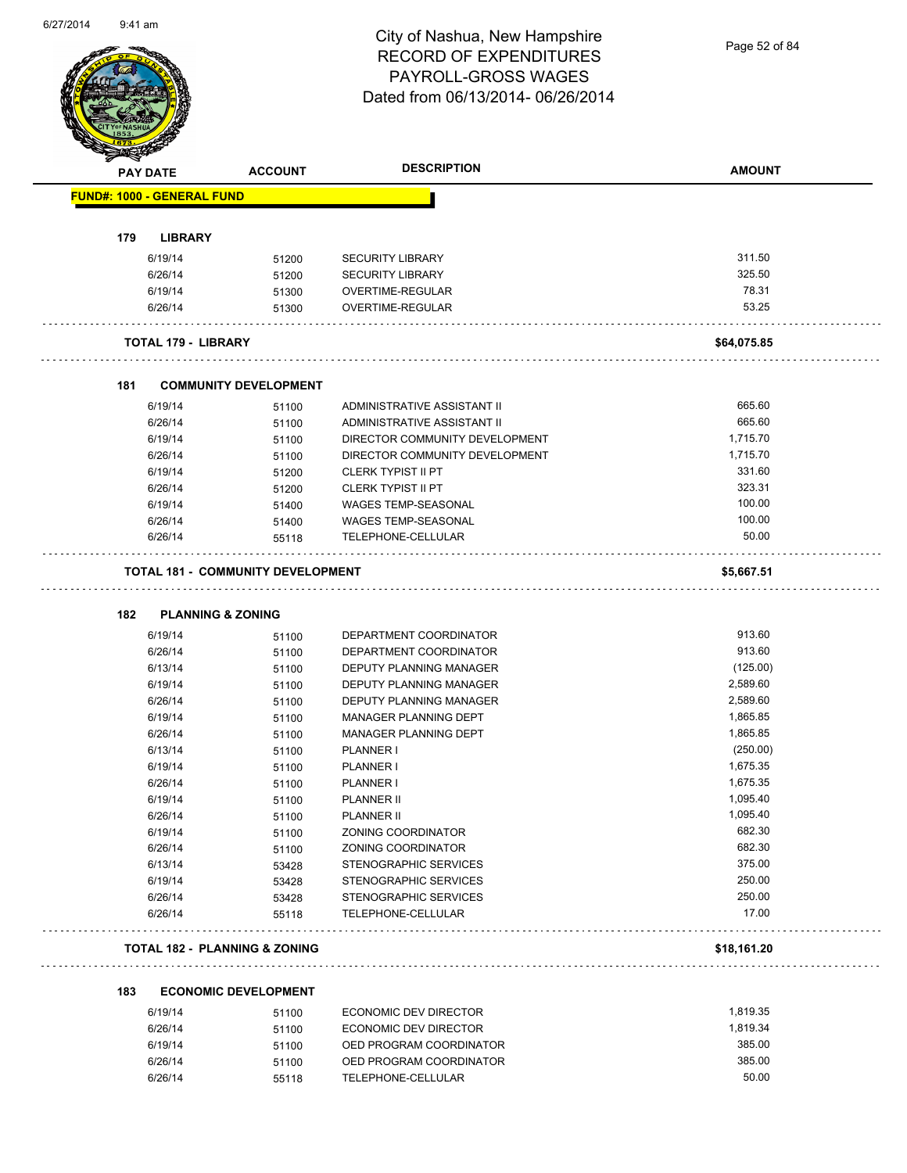

Page 52 of 84

|     | PAY DATE                          | <b>ACCOUNT</b>                           | <b>DESCRIPTION</b>             | <b>AMOUNT</b> |
|-----|-----------------------------------|------------------------------------------|--------------------------------|---------------|
|     | <b>FUND#: 1000 - GENERAL FUND</b> |                                          |                                |               |
|     |                                   |                                          |                                |               |
| 179 | <b>LIBRARY</b>                    |                                          |                                |               |
|     | 6/19/14                           | 51200                                    | <b>SECURITY LIBRARY</b>        | 311.50        |
|     | 6/26/14                           | 51200                                    | <b>SECURITY LIBRARY</b>        | 325.50        |
|     | 6/19/14                           | 51300                                    | <b>OVERTIME-REGULAR</b>        | 78.31         |
|     | 6/26/14                           | 51300                                    | OVERTIME-REGULAR               | 53.25         |
|     | <b>TOTAL 179 - LIBRARY</b>        |                                          |                                | \$64,075.85   |
| 181 |                                   | <b>COMMUNITY DEVELOPMENT</b>             |                                |               |
|     | 6/19/14                           | 51100                                    | ADMINISTRATIVE ASSISTANT II    | 665.60        |
|     | 6/26/14                           | 51100                                    | ADMINISTRATIVE ASSISTANT II    | 665.60        |
|     | 6/19/14                           | 51100                                    | DIRECTOR COMMUNITY DEVELOPMENT | 1,715.70      |
|     | 6/26/14                           | 51100                                    | DIRECTOR COMMUNITY DEVELOPMENT | 1,715.70      |
|     | 6/19/14                           | 51200                                    | <b>CLERK TYPIST II PT</b>      | 331.60        |
|     | 6/26/14                           | 51200                                    | <b>CLERK TYPIST II PT</b>      | 323.31        |
|     | 6/19/14                           | 51400                                    | <b>WAGES TEMP-SEASONAL</b>     | 100.00        |
|     | 6/26/14                           | 51400                                    | <b>WAGES TEMP-SEASONAL</b>     | 100.00        |
|     | 6/26/14                           | 55118                                    | TELEPHONE-CELLULAR             | 50.00         |
|     |                                   | <b>TOTAL 181 - COMMUNITY DEVELOPMENT</b> |                                | \$5,667.51    |
|     |                                   |                                          |                                |               |
| 182 | <b>PLANNING &amp; ZONING</b>      |                                          |                                |               |
|     | 6/19/14                           | 51100                                    | DEPARTMENT COORDINATOR         | 913.60        |
|     | 6/26/14                           | 51100                                    | DEPARTMENT COORDINATOR         | 913.60        |
|     | 6/13/14                           | 51100                                    | DEPUTY PLANNING MANAGER        | (125.00)      |
|     | 6/19/14                           | 51100                                    | DEPUTY PLANNING MANAGER        | 2,589.60      |
|     | 6/26/14                           | 51100                                    | DEPUTY PLANNING MANAGER        | 2,589.60      |
|     | 6/19/14                           | 51100                                    | MANAGER PLANNING DEPT          | 1,865.85      |
|     | 6/26/14                           | 51100                                    | MANAGER PLANNING DEPT          | 1,865.85      |
|     | 6/13/14                           | 51100                                    | PLANNER I                      | (250.00)      |
|     | 6/19/14                           | 51100                                    | PLANNER I                      | 1,675.35      |
|     | 6/26/14                           | 51100                                    | PLANNER I                      | 1,675.35      |
|     | 6/19/14                           | 51100                                    | <b>PLANNER II</b>              | 1,095.40      |
|     | 6/26/14                           | 51100                                    | <b>PLANNER II</b>              | 1,095.40      |
|     | 6/19/14                           | 51100                                    | ZONING COORDINATOR             | 682.30        |
|     | 6/26/14                           | 51100                                    | ZONING COORDINATOR             | 682.30        |
|     | 6/13/14                           | 53428                                    | STENOGRAPHIC SERVICES          | 375.00        |
|     | 6/19/14                           | 53428                                    | STENOGRAPHIC SERVICES          | 250.00        |
|     | 6/26/14                           | 53428                                    | STENOGRAPHIC SERVICES          | 250.00        |
|     | 6/26/14                           | 55118                                    | TELEPHONE-CELLULAR             | 17.00         |
|     |                                   | <b>TOTAL 182 - PLANNING &amp; ZONING</b> |                                | \$18,161.20   |
| 183 |                                   | <b>ECONOMIC DEVELOPMENT</b>              |                                |               |
|     | 6/19/14                           | 51100                                    | <b>ECONOMIC DEV DIRECTOR</b>   | 1,819.35      |
|     | 6/26/14                           | 51100                                    | ECONOMIC DEV DIRECTOR          | 1,819.34      |
|     | 6/19/14                           | 51100                                    | OED PROGRAM COORDINATOR        | 385.00        |
|     | 6/26/14                           |                                          | OED PROGRAM COORDINATOR        | 385.00        |
|     |                                   | 51100                                    |                                | 50.00         |
|     | 6/26/14                           | 55118                                    | TELEPHONE-CELLULAR             |               |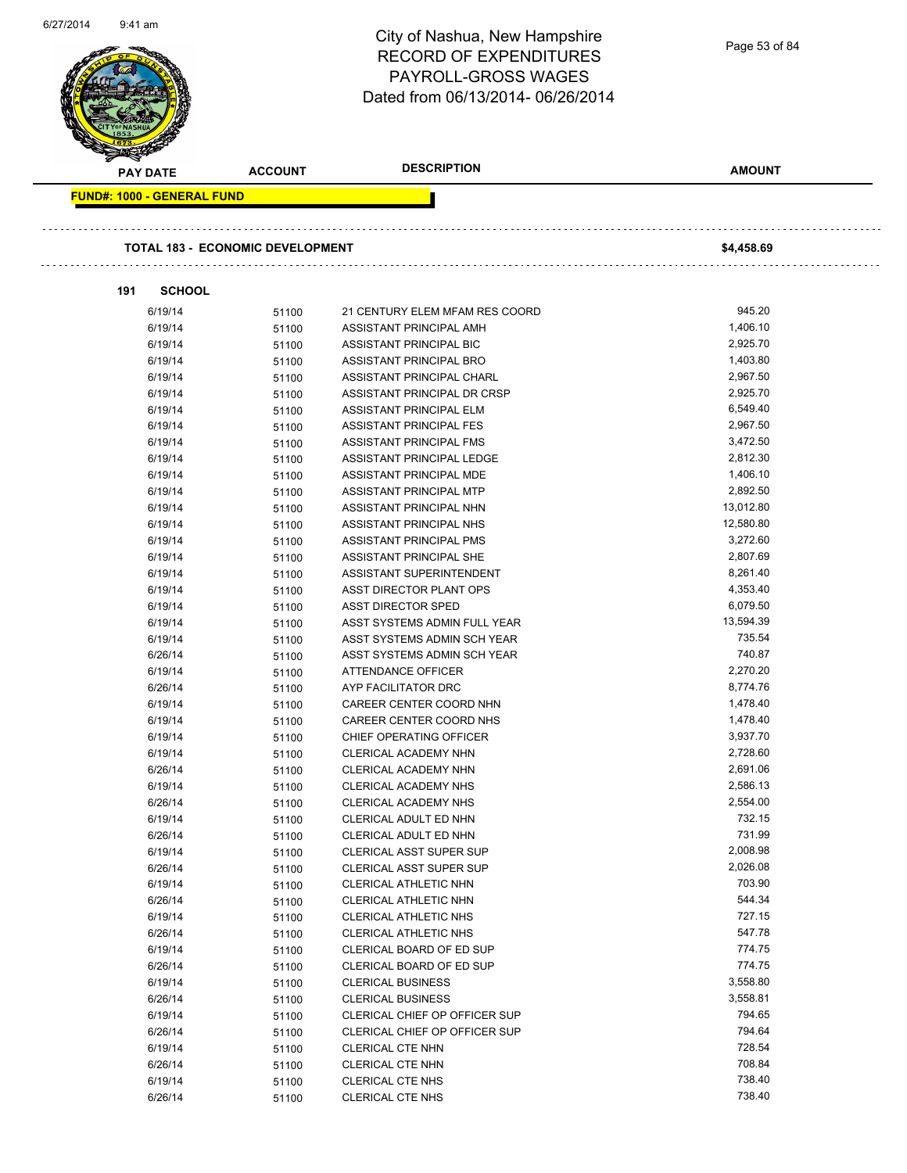| <b>DESCRIPTION</b><br><b>AMOUNT</b><br><b>ACCOUNT</b><br><b>PAY DATE</b><br><b>FUND#: 1000 - GENERAL FUND</b><br><b>TOTAL 183 - ECONOMIC DEVELOPMENT</b><br>\$4,458.69<br>191<br><b>SCHOOL</b><br>945.20<br>6/19/14<br>21 CENTURY ELEM MFAM RES COORD<br>51100<br>1,406.10<br>6/19/14<br>51100<br>ASSISTANT PRINCIPAL AMH<br>2,925.70<br>6/19/14<br>ASSISTANT PRINCIPAL BIC<br>51100<br>1,403.80<br>6/19/14<br>ASSISTANT PRINCIPAL BRO<br>51100<br>2,967.50<br>6/19/14<br>ASSISTANT PRINCIPAL CHARL<br>51100<br>2,925.70<br>6/19/14<br>ASSISTANT PRINCIPAL DR CRSP<br>51100<br>6,549.40<br>6/19/14<br>ASSISTANT PRINCIPAL ELM<br>51100<br>6/19/14<br>ASSISTANT PRINCIPAL FES<br>2,967.50<br>51100<br>3,472.50<br>6/19/14<br>ASSISTANT PRINCIPAL FMS<br>51100<br>2,812.30<br>6/19/14<br>ASSISTANT PRINCIPAL LEDGE<br>51100<br>1,406.10<br>6/19/14<br>ASSISTANT PRINCIPAL MDE<br>51100<br>2,892.50<br>6/19/14<br>ASSISTANT PRINCIPAL MTP<br>51100<br>13,012.80<br>6/19/14<br>ASSISTANT PRINCIPAL NHN<br>51100<br>6/19/14<br>ASSISTANT PRINCIPAL NHS<br>12,580.80<br>51100<br>3,272.60<br>6/19/14<br>ASSISTANT PRINCIPAL PMS<br>51100<br>2,807.69<br>6/19/14<br>ASSISTANT PRINCIPAL SHE<br>51100<br>8,261.40<br>6/19/14<br>ASSISTANT SUPERINTENDENT<br>51100<br>4,353.40<br>6/19/14<br>ASST DIRECTOR PLANT OPS<br>51100<br>6,079.50<br>6/19/14<br><b>ASST DIRECTOR SPED</b><br>51100<br>13,594.39<br>6/19/14<br>ASST SYSTEMS ADMIN FULL YEAR<br>51100<br>735.54<br>6/19/14<br>ASST SYSTEMS ADMIN SCH YEAR<br>51100<br>740.87<br>6/26/14<br>ASST SYSTEMS ADMIN SCH YEAR<br>51100<br>6/19/14<br><b>ATTENDANCE OFFICER</b><br>2,270.20<br>51100<br>8,774.76<br>6/26/14<br>51100<br>AYP FACILITATOR DRC<br>1,478.40<br>6/19/14<br>CAREER CENTER COORD NHN<br>51100<br>1,478.40<br>6/19/14<br>51100<br>CAREER CENTER COORD NHS<br>3,937.70<br>6/19/14<br>CHIEF OPERATING OFFICER<br>51100<br>2,728.60<br>6/19/14<br>51100<br>CLERICAL ACADEMY NHN<br>2,691.06<br>6/26/14<br>CLERICAL ACADEMY NHN<br>51100<br>2,586.13<br>6/19/14<br>51100<br>CLERICAL ACADEMY NHS<br>2,554.00<br>6/26/14<br>CLERICAL ACADEMY NHS<br>51100<br>732.15<br>6/19/14<br>51100<br>CLERICAL ADULT ED NHN<br>731.99<br>6/26/14<br>CLERICAL ADULT ED NHN<br>51100<br>2,008.98<br>6/19/14<br>CLERICAL ASST SUPER SUP<br>51100<br>2,026.08<br>6/26/14<br>CLERICAL ASST SUPER SUP<br>51100<br>703.90<br>6/19/14<br>CLERICAL ATHLETIC NHN<br>51100<br>544.34<br>6/26/14<br>CLERICAL ATHLETIC NHN<br>51100<br>727.15<br>6/19/14<br>CLERICAL ATHLETIC NHS<br>51100<br>547.78<br>6/26/14<br>CLERICAL ATHLETIC NHS<br>51100<br>774.75<br>6/19/14<br>CLERICAL BOARD OF ED SUP<br>51100<br>774.75<br>6/26/14<br>CLERICAL BOARD OF ED SUP<br>51100<br>3,558.80<br>6/19/14<br><b>CLERICAL BUSINESS</b><br>51100<br>3,558.81<br>6/26/14<br>51100<br><b>CLERICAL BUSINESS</b><br>794.65<br>6/19/14<br>CLERICAL CHIEF OP OFFICER SUP<br>51100<br>794.64<br>6/26/14<br>CLERICAL CHIEF OP OFFICER SUP<br>51100 | 0/27/2014 | 9:41 am | City of Nashua, New Hampshire<br><b>RECORD OF EXPENDITURES</b><br>PAYROLL-GROSS WAGES<br>Dated from 06/13/2014-06/26/2014 | Page 53 of 84 |
|-------------------------------------------------------------------------------------------------------------------------------------------------------------------------------------------------------------------------------------------------------------------------------------------------------------------------------------------------------------------------------------------------------------------------------------------------------------------------------------------------------------------------------------------------------------------------------------------------------------------------------------------------------------------------------------------------------------------------------------------------------------------------------------------------------------------------------------------------------------------------------------------------------------------------------------------------------------------------------------------------------------------------------------------------------------------------------------------------------------------------------------------------------------------------------------------------------------------------------------------------------------------------------------------------------------------------------------------------------------------------------------------------------------------------------------------------------------------------------------------------------------------------------------------------------------------------------------------------------------------------------------------------------------------------------------------------------------------------------------------------------------------------------------------------------------------------------------------------------------------------------------------------------------------------------------------------------------------------------------------------------------------------------------------------------------------------------------------------------------------------------------------------------------------------------------------------------------------------------------------------------------------------------------------------------------------------------------------------------------------------------------------------------------------------------------------------------------------------------------------------------------------------------------------------------------------------------------------------------------------------------------------------------------------------------------------------------------------------------------------------------------------------------------------------------------------------------------------------------------------------------------------------------------------------------------------------------------|-----------|---------|---------------------------------------------------------------------------------------------------------------------------|---------------|
|                                                                                                                                                                                                                                                                                                                                                                                                                                                                                                                                                                                                                                                                                                                                                                                                                                                                                                                                                                                                                                                                                                                                                                                                                                                                                                                                                                                                                                                                                                                                                                                                                                                                                                                                                                                                                                                                                                                                                                                                                                                                                                                                                                                                                                                                                                                                                                                                                                                                                                                                                                                                                                                                                                                                                                                                                                                                                                                                                             |           |         |                                                                                                                           |               |
|                                                                                                                                                                                                                                                                                                                                                                                                                                                                                                                                                                                                                                                                                                                                                                                                                                                                                                                                                                                                                                                                                                                                                                                                                                                                                                                                                                                                                                                                                                                                                                                                                                                                                                                                                                                                                                                                                                                                                                                                                                                                                                                                                                                                                                                                                                                                                                                                                                                                                                                                                                                                                                                                                                                                                                                                                                                                                                                                                             |           |         |                                                                                                                           |               |
|                                                                                                                                                                                                                                                                                                                                                                                                                                                                                                                                                                                                                                                                                                                                                                                                                                                                                                                                                                                                                                                                                                                                                                                                                                                                                                                                                                                                                                                                                                                                                                                                                                                                                                                                                                                                                                                                                                                                                                                                                                                                                                                                                                                                                                                                                                                                                                                                                                                                                                                                                                                                                                                                                                                                                                                                                                                                                                                                                             |           |         |                                                                                                                           |               |
|                                                                                                                                                                                                                                                                                                                                                                                                                                                                                                                                                                                                                                                                                                                                                                                                                                                                                                                                                                                                                                                                                                                                                                                                                                                                                                                                                                                                                                                                                                                                                                                                                                                                                                                                                                                                                                                                                                                                                                                                                                                                                                                                                                                                                                                                                                                                                                                                                                                                                                                                                                                                                                                                                                                                                                                                                                                                                                                                                             |           |         |                                                                                                                           |               |
|                                                                                                                                                                                                                                                                                                                                                                                                                                                                                                                                                                                                                                                                                                                                                                                                                                                                                                                                                                                                                                                                                                                                                                                                                                                                                                                                                                                                                                                                                                                                                                                                                                                                                                                                                                                                                                                                                                                                                                                                                                                                                                                                                                                                                                                                                                                                                                                                                                                                                                                                                                                                                                                                                                                                                                                                                                                                                                                                                             |           |         |                                                                                                                           |               |
|                                                                                                                                                                                                                                                                                                                                                                                                                                                                                                                                                                                                                                                                                                                                                                                                                                                                                                                                                                                                                                                                                                                                                                                                                                                                                                                                                                                                                                                                                                                                                                                                                                                                                                                                                                                                                                                                                                                                                                                                                                                                                                                                                                                                                                                                                                                                                                                                                                                                                                                                                                                                                                                                                                                                                                                                                                                                                                                                                             |           |         |                                                                                                                           |               |
|                                                                                                                                                                                                                                                                                                                                                                                                                                                                                                                                                                                                                                                                                                                                                                                                                                                                                                                                                                                                                                                                                                                                                                                                                                                                                                                                                                                                                                                                                                                                                                                                                                                                                                                                                                                                                                                                                                                                                                                                                                                                                                                                                                                                                                                                                                                                                                                                                                                                                                                                                                                                                                                                                                                                                                                                                                                                                                                                                             |           |         |                                                                                                                           |               |
|                                                                                                                                                                                                                                                                                                                                                                                                                                                                                                                                                                                                                                                                                                                                                                                                                                                                                                                                                                                                                                                                                                                                                                                                                                                                                                                                                                                                                                                                                                                                                                                                                                                                                                                                                                                                                                                                                                                                                                                                                                                                                                                                                                                                                                                                                                                                                                                                                                                                                                                                                                                                                                                                                                                                                                                                                                                                                                                                                             |           |         |                                                                                                                           |               |
|                                                                                                                                                                                                                                                                                                                                                                                                                                                                                                                                                                                                                                                                                                                                                                                                                                                                                                                                                                                                                                                                                                                                                                                                                                                                                                                                                                                                                                                                                                                                                                                                                                                                                                                                                                                                                                                                                                                                                                                                                                                                                                                                                                                                                                                                                                                                                                                                                                                                                                                                                                                                                                                                                                                                                                                                                                                                                                                                                             |           |         |                                                                                                                           |               |
|                                                                                                                                                                                                                                                                                                                                                                                                                                                                                                                                                                                                                                                                                                                                                                                                                                                                                                                                                                                                                                                                                                                                                                                                                                                                                                                                                                                                                                                                                                                                                                                                                                                                                                                                                                                                                                                                                                                                                                                                                                                                                                                                                                                                                                                                                                                                                                                                                                                                                                                                                                                                                                                                                                                                                                                                                                                                                                                                                             |           |         |                                                                                                                           |               |
|                                                                                                                                                                                                                                                                                                                                                                                                                                                                                                                                                                                                                                                                                                                                                                                                                                                                                                                                                                                                                                                                                                                                                                                                                                                                                                                                                                                                                                                                                                                                                                                                                                                                                                                                                                                                                                                                                                                                                                                                                                                                                                                                                                                                                                                                                                                                                                                                                                                                                                                                                                                                                                                                                                                                                                                                                                                                                                                                                             |           |         |                                                                                                                           |               |
|                                                                                                                                                                                                                                                                                                                                                                                                                                                                                                                                                                                                                                                                                                                                                                                                                                                                                                                                                                                                                                                                                                                                                                                                                                                                                                                                                                                                                                                                                                                                                                                                                                                                                                                                                                                                                                                                                                                                                                                                                                                                                                                                                                                                                                                                                                                                                                                                                                                                                                                                                                                                                                                                                                                                                                                                                                                                                                                                                             |           |         |                                                                                                                           |               |
|                                                                                                                                                                                                                                                                                                                                                                                                                                                                                                                                                                                                                                                                                                                                                                                                                                                                                                                                                                                                                                                                                                                                                                                                                                                                                                                                                                                                                                                                                                                                                                                                                                                                                                                                                                                                                                                                                                                                                                                                                                                                                                                                                                                                                                                                                                                                                                                                                                                                                                                                                                                                                                                                                                                                                                                                                                                                                                                                                             |           |         |                                                                                                                           |               |
|                                                                                                                                                                                                                                                                                                                                                                                                                                                                                                                                                                                                                                                                                                                                                                                                                                                                                                                                                                                                                                                                                                                                                                                                                                                                                                                                                                                                                                                                                                                                                                                                                                                                                                                                                                                                                                                                                                                                                                                                                                                                                                                                                                                                                                                                                                                                                                                                                                                                                                                                                                                                                                                                                                                                                                                                                                                                                                                                                             |           |         |                                                                                                                           |               |
|                                                                                                                                                                                                                                                                                                                                                                                                                                                                                                                                                                                                                                                                                                                                                                                                                                                                                                                                                                                                                                                                                                                                                                                                                                                                                                                                                                                                                                                                                                                                                                                                                                                                                                                                                                                                                                                                                                                                                                                                                                                                                                                                                                                                                                                                                                                                                                                                                                                                                                                                                                                                                                                                                                                                                                                                                                                                                                                                                             |           |         |                                                                                                                           |               |
|                                                                                                                                                                                                                                                                                                                                                                                                                                                                                                                                                                                                                                                                                                                                                                                                                                                                                                                                                                                                                                                                                                                                                                                                                                                                                                                                                                                                                                                                                                                                                                                                                                                                                                                                                                                                                                                                                                                                                                                                                                                                                                                                                                                                                                                                                                                                                                                                                                                                                                                                                                                                                                                                                                                                                                                                                                                                                                                                                             |           |         |                                                                                                                           |               |
|                                                                                                                                                                                                                                                                                                                                                                                                                                                                                                                                                                                                                                                                                                                                                                                                                                                                                                                                                                                                                                                                                                                                                                                                                                                                                                                                                                                                                                                                                                                                                                                                                                                                                                                                                                                                                                                                                                                                                                                                                                                                                                                                                                                                                                                                                                                                                                                                                                                                                                                                                                                                                                                                                                                                                                                                                                                                                                                                                             |           |         |                                                                                                                           |               |
|                                                                                                                                                                                                                                                                                                                                                                                                                                                                                                                                                                                                                                                                                                                                                                                                                                                                                                                                                                                                                                                                                                                                                                                                                                                                                                                                                                                                                                                                                                                                                                                                                                                                                                                                                                                                                                                                                                                                                                                                                                                                                                                                                                                                                                                                                                                                                                                                                                                                                                                                                                                                                                                                                                                                                                                                                                                                                                                                                             |           |         |                                                                                                                           |               |
|                                                                                                                                                                                                                                                                                                                                                                                                                                                                                                                                                                                                                                                                                                                                                                                                                                                                                                                                                                                                                                                                                                                                                                                                                                                                                                                                                                                                                                                                                                                                                                                                                                                                                                                                                                                                                                                                                                                                                                                                                                                                                                                                                                                                                                                                                                                                                                                                                                                                                                                                                                                                                                                                                                                                                                                                                                                                                                                                                             |           |         |                                                                                                                           |               |
|                                                                                                                                                                                                                                                                                                                                                                                                                                                                                                                                                                                                                                                                                                                                                                                                                                                                                                                                                                                                                                                                                                                                                                                                                                                                                                                                                                                                                                                                                                                                                                                                                                                                                                                                                                                                                                                                                                                                                                                                                                                                                                                                                                                                                                                                                                                                                                                                                                                                                                                                                                                                                                                                                                                                                                                                                                                                                                                                                             |           |         |                                                                                                                           |               |
|                                                                                                                                                                                                                                                                                                                                                                                                                                                                                                                                                                                                                                                                                                                                                                                                                                                                                                                                                                                                                                                                                                                                                                                                                                                                                                                                                                                                                                                                                                                                                                                                                                                                                                                                                                                                                                                                                                                                                                                                                                                                                                                                                                                                                                                                                                                                                                                                                                                                                                                                                                                                                                                                                                                                                                                                                                                                                                                                                             |           |         |                                                                                                                           |               |
|                                                                                                                                                                                                                                                                                                                                                                                                                                                                                                                                                                                                                                                                                                                                                                                                                                                                                                                                                                                                                                                                                                                                                                                                                                                                                                                                                                                                                                                                                                                                                                                                                                                                                                                                                                                                                                                                                                                                                                                                                                                                                                                                                                                                                                                                                                                                                                                                                                                                                                                                                                                                                                                                                                                                                                                                                                                                                                                                                             |           |         |                                                                                                                           |               |
|                                                                                                                                                                                                                                                                                                                                                                                                                                                                                                                                                                                                                                                                                                                                                                                                                                                                                                                                                                                                                                                                                                                                                                                                                                                                                                                                                                                                                                                                                                                                                                                                                                                                                                                                                                                                                                                                                                                                                                                                                                                                                                                                                                                                                                                                                                                                                                                                                                                                                                                                                                                                                                                                                                                                                                                                                                                                                                                                                             |           |         |                                                                                                                           |               |
|                                                                                                                                                                                                                                                                                                                                                                                                                                                                                                                                                                                                                                                                                                                                                                                                                                                                                                                                                                                                                                                                                                                                                                                                                                                                                                                                                                                                                                                                                                                                                                                                                                                                                                                                                                                                                                                                                                                                                                                                                                                                                                                                                                                                                                                                                                                                                                                                                                                                                                                                                                                                                                                                                                                                                                                                                                                                                                                                                             |           |         |                                                                                                                           |               |
|                                                                                                                                                                                                                                                                                                                                                                                                                                                                                                                                                                                                                                                                                                                                                                                                                                                                                                                                                                                                                                                                                                                                                                                                                                                                                                                                                                                                                                                                                                                                                                                                                                                                                                                                                                                                                                                                                                                                                                                                                                                                                                                                                                                                                                                                                                                                                                                                                                                                                                                                                                                                                                                                                                                                                                                                                                                                                                                                                             |           |         |                                                                                                                           |               |
|                                                                                                                                                                                                                                                                                                                                                                                                                                                                                                                                                                                                                                                                                                                                                                                                                                                                                                                                                                                                                                                                                                                                                                                                                                                                                                                                                                                                                                                                                                                                                                                                                                                                                                                                                                                                                                                                                                                                                                                                                                                                                                                                                                                                                                                                                                                                                                                                                                                                                                                                                                                                                                                                                                                                                                                                                                                                                                                                                             |           |         |                                                                                                                           |               |
|                                                                                                                                                                                                                                                                                                                                                                                                                                                                                                                                                                                                                                                                                                                                                                                                                                                                                                                                                                                                                                                                                                                                                                                                                                                                                                                                                                                                                                                                                                                                                                                                                                                                                                                                                                                                                                                                                                                                                                                                                                                                                                                                                                                                                                                                                                                                                                                                                                                                                                                                                                                                                                                                                                                                                                                                                                                                                                                                                             |           |         |                                                                                                                           |               |
|                                                                                                                                                                                                                                                                                                                                                                                                                                                                                                                                                                                                                                                                                                                                                                                                                                                                                                                                                                                                                                                                                                                                                                                                                                                                                                                                                                                                                                                                                                                                                                                                                                                                                                                                                                                                                                                                                                                                                                                                                                                                                                                                                                                                                                                                                                                                                                                                                                                                                                                                                                                                                                                                                                                                                                                                                                                                                                                                                             |           |         |                                                                                                                           |               |
|                                                                                                                                                                                                                                                                                                                                                                                                                                                                                                                                                                                                                                                                                                                                                                                                                                                                                                                                                                                                                                                                                                                                                                                                                                                                                                                                                                                                                                                                                                                                                                                                                                                                                                                                                                                                                                                                                                                                                                                                                                                                                                                                                                                                                                                                                                                                                                                                                                                                                                                                                                                                                                                                                                                                                                                                                                                                                                                                                             |           |         |                                                                                                                           |               |
|                                                                                                                                                                                                                                                                                                                                                                                                                                                                                                                                                                                                                                                                                                                                                                                                                                                                                                                                                                                                                                                                                                                                                                                                                                                                                                                                                                                                                                                                                                                                                                                                                                                                                                                                                                                                                                                                                                                                                                                                                                                                                                                                                                                                                                                                                                                                                                                                                                                                                                                                                                                                                                                                                                                                                                                                                                                                                                                                                             |           |         |                                                                                                                           |               |
|                                                                                                                                                                                                                                                                                                                                                                                                                                                                                                                                                                                                                                                                                                                                                                                                                                                                                                                                                                                                                                                                                                                                                                                                                                                                                                                                                                                                                                                                                                                                                                                                                                                                                                                                                                                                                                                                                                                                                                                                                                                                                                                                                                                                                                                                                                                                                                                                                                                                                                                                                                                                                                                                                                                                                                                                                                                                                                                                                             |           |         |                                                                                                                           |               |
|                                                                                                                                                                                                                                                                                                                                                                                                                                                                                                                                                                                                                                                                                                                                                                                                                                                                                                                                                                                                                                                                                                                                                                                                                                                                                                                                                                                                                                                                                                                                                                                                                                                                                                                                                                                                                                                                                                                                                                                                                                                                                                                                                                                                                                                                                                                                                                                                                                                                                                                                                                                                                                                                                                                                                                                                                                                                                                                                                             |           |         |                                                                                                                           |               |
|                                                                                                                                                                                                                                                                                                                                                                                                                                                                                                                                                                                                                                                                                                                                                                                                                                                                                                                                                                                                                                                                                                                                                                                                                                                                                                                                                                                                                                                                                                                                                                                                                                                                                                                                                                                                                                                                                                                                                                                                                                                                                                                                                                                                                                                                                                                                                                                                                                                                                                                                                                                                                                                                                                                                                                                                                                                                                                                                                             |           |         |                                                                                                                           |               |
|                                                                                                                                                                                                                                                                                                                                                                                                                                                                                                                                                                                                                                                                                                                                                                                                                                                                                                                                                                                                                                                                                                                                                                                                                                                                                                                                                                                                                                                                                                                                                                                                                                                                                                                                                                                                                                                                                                                                                                                                                                                                                                                                                                                                                                                                                                                                                                                                                                                                                                                                                                                                                                                                                                                                                                                                                                                                                                                                                             |           |         |                                                                                                                           |               |
|                                                                                                                                                                                                                                                                                                                                                                                                                                                                                                                                                                                                                                                                                                                                                                                                                                                                                                                                                                                                                                                                                                                                                                                                                                                                                                                                                                                                                                                                                                                                                                                                                                                                                                                                                                                                                                                                                                                                                                                                                                                                                                                                                                                                                                                                                                                                                                                                                                                                                                                                                                                                                                                                                                                                                                                                                                                                                                                                                             |           |         |                                                                                                                           |               |
|                                                                                                                                                                                                                                                                                                                                                                                                                                                                                                                                                                                                                                                                                                                                                                                                                                                                                                                                                                                                                                                                                                                                                                                                                                                                                                                                                                                                                                                                                                                                                                                                                                                                                                                                                                                                                                                                                                                                                                                                                                                                                                                                                                                                                                                                                                                                                                                                                                                                                                                                                                                                                                                                                                                                                                                                                                                                                                                                                             |           |         |                                                                                                                           |               |
|                                                                                                                                                                                                                                                                                                                                                                                                                                                                                                                                                                                                                                                                                                                                                                                                                                                                                                                                                                                                                                                                                                                                                                                                                                                                                                                                                                                                                                                                                                                                                                                                                                                                                                                                                                                                                                                                                                                                                                                                                                                                                                                                                                                                                                                                                                                                                                                                                                                                                                                                                                                                                                                                                                                                                                                                                                                                                                                                                             |           |         |                                                                                                                           |               |
|                                                                                                                                                                                                                                                                                                                                                                                                                                                                                                                                                                                                                                                                                                                                                                                                                                                                                                                                                                                                                                                                                                                                                                                                                                                                                                                                                                                                                                                                                                                                                                                                                                                                                                                                                                                                                                                                                                                                                                                                                                                                                                                                                                                                                                                                                                                                                                                                                                                                                                                                                                                                                                                                                                                                                                                                                                                                                                                                                             |           |         |                                                                                                                           |               |
|                                                                                                                                                                                                                                                                                                                                                                                                                                                                                                                                                                                                                                                                                                                                                                                                                                                                                                                                                                                                                                                                                                                                                                                                                                                                                                                                                                                                                                                                                                                                                                                                                                                                                                                                                                                                                                                                                                                                                                                                                                                                                                                                                                                                                                                                                                                                                                                                                                                                                                                                                                                                                                                                                                                                                                                                                                                                                                                                                             |           |         |                                                                                                                           |               |
|                                                                                                                                                                                                                                                                                                                                                                                                                                                                                                                                                                                                                                                                                                                                                                                                                                                                                                                                                                                                                                                                                                                                                                                                                                                                                                                                                                                                                                                                                                                                                                                                                                                                                                                                                                                                                                                                                                                                                                                                                                                                                                                                                                                                                                                                                                                                                                                                                                                                                                                                                                                                                                                                                                                                                                                                                                                                                                                                                             |           |         |                                                                                                                           |               |
|                                                                                                                                                                                                                                                                                                                                                                                                                                                                                                                                                                                                                                                                                                                                                                                                                                                                                                                                                                                                                                                                                                                                                                                                                                                                                                                                                                                                                                                                                                                                                                                                                                                                                                                                                                                                                                                                                                                                                                                                                                                                                                                                                                                                                                                                                                                                                                                                                                                                                                                                                                                                                                                                                                                                                                                                                                                                                                                                                             |           |         |                                                                                                                           |               |
|                                                                                                                                                                                                                                                                                                                                                                                                                                                                                                                                                                                                                                                                                                                                                                                                                                                                                                                                                                                                                                                                                                                                                                                                                                                                                                                                                                                                                                                                                                                                                                                                                                                                                                                                                                                                                                                                                                                                                                                                                                                                                                                                                                                                                                                                                                                                                                                                                                                                                                                                                                                                                                                                                                                                                                                                                                                                                                                                                             |           |         |                                                                                                                           |               |
|                                                                                                                                                                                                                                                                                                                                                                                                                                                                                                                                                                                                                                                                                                                                                                                                                                                                                                                                                                                                                                                                                                                                                                                                                                                                                                                                                                                                                                                                                                                                                                                                                                                                                                                                                                                                                                                                                                                                                                                                                                                                                                                                                                                                                                                                                                                                                                                                                                                                                                                                                                                                                                                                                                                                                                                                                                                                                                                                                             |           |         |                                                                                                                           |               |
|                                                                                                                                                                                                                                                                                                                                                                                                                                                                                                                                                                                                                                                                                                                                                                                                                                                                                                                                                                                                                                                                                                                                                                                                                                                                                                                                                                                                                                                                                                                                                                                                                                                                                                                                                                                                                                                                                                                                                                                                                                                                                                                                                                                                                                                                                                                                                                                                                                                                                                                                                                                                                                                                                                                                                                                                                                                                                                                                                             |           |         |                                                                                                                           |               |
|                                                                                                                                                                                                                                                                                                                                                                                                                                                                                                                                                                                                                                                                                                                                                                                                                                                                                                                                                                                                                                                                                                                                                                                                                                                                                                                                                                                                                                                                                                                                                                                                                                                                                                                                                                                                                                                                                                                                                                                                                                                                                                                                                                                                                                                                                                                                                                                                                                                                                                                                                                                                                                                                                                                                                                                                                                                                                                                                                             |           |         |                                                                                                                           |               |
|                                                                                                                                                                                                                                                                                                                                                                                                                                                                                                                                                                                                                                                                                                                                                                                                                                                                                                                                                                                                                                                                                                                                                                                                                                                                                                                                                                                                                                                                                                                                                                                                                                                                                                                                                                                                                                                                                                                                                                                                                                                                                                                                                                                                                                                                                                                                                                                                                                                                                                                                                                                                                                                                                                                                                                                                                                                                                                                                                             |           |         |                                                                                                                           |               |
|                                                                                                                                                                                                                                                                                                                                                                                                                                                                                                                                                                                                                                                                                                                                                                                                                                                                                                                                                                                                                                                                                                                                                                                                                                                                                                                                                                                                                                                                                                                                                                                                                                                                                                                                                                                                                                                                                                                                                                                                                                                                                                                                                                                                                                                                                                                                                                                                                                                                                                                                                                                                                                                                                                                                                                                                                                                                                                                                                             |           |         |                                                                                                                           |               |
|                                                                                                                                                                                                                                                                                                                                                                                                                                                                                                                                                                                                                                                                                                                                                                                                                                                                                                                                                                                                                                                                                                                                                                                                                                                                                                                                                                                                                                                                                                                                                                                                                                                                                                                                                                                                                                                                                                                                                                                                                                                                                                                                                                                                                                                                                                                                                                                                                                                                                                                                                                                                                                                                                                                                                                                                                                                                                                                                                             |           |         |                                                                                                                           |               |
|                                                                                                                                                                                                                                                                                                                                                                                                                                                                                                                                                                                                                                                                                                                                                                                                                                                                                                                                                                                                                                                                                                                                                                                                                                                                                                                                                                                                                                                                                                                                                                                                                                                                                                                                                                                                                                                                                                                                                                                                                                                                                                                                                                                                                                                                                                                                                                                                                                                                                                                                                                                                                                                                                                                                                                                                                                                                                                                                                             |           |         |                                                                                                                           |               |
| 728.54<br>6/19/14<br>CLERICAL CTE NHN<br>51100                                                                                                                                                                                                                                                                                                                                                                                                                                                                                                                                                                                                                                                                                                                                                                                                                                                                                                                                                                                                                                                                                                                                                                                                                                                                                                                                                                                                                                                                                                                                                                                                                                                                                                                                                                                                                                                                                                                                                                                                                                                                                                                                                                                                                                                                                                                                                                                                                                                                                                                                                                                                                                                                                                                                                                                                                                                                                                              |           |         |                                                                                                                           |               |
| 708.84<br>6/26/14<br>51100<br>CLERICAL CTE NHN                                                                                                                                                                                                                                                                                                                                                                                                                                                                                                                                                                                                                                                                                                                                                                                                                                                                                                                                                                                                                                                                                                                                                                                                                                                                                                                                                                                                                                                                                                                                                                                                                                                                                                                                                                                                                                                                                                                                                                                                                                                                                                                                                                                                                                                                                                                                                                                                                                                                                                                                                                                                                                                                                                                                                                                                                                                                                                              |           |         |                                                                                                                           |               |
| 738.40<br>6/19/14<br><b>CLERICAL CTE NHS</b><br>51100                                                                                                                                                                                                                                                                                                                                                                                                                                                                                                                                                                                                                                                                                                                                                                                                                                                                                                                                                                                                                                                                                                                                                                                                                                                                                                                                                                                                                                                                                                                                                                                                                                                                                                                                                                                                                                                                                                                                                                                                                                                                                                                                                                                                                                                                                                                                                                                                                                                                                                                                                                                                                                                                                                                                                                                                                                                                                                       |           |         |                                                                                                                           |               |
| 738.40<br>6/26/14<br>CLERICAL CTE NHS<br>51100                                                                                                                                                                                                                                                                                                                                                                                                                                                                                                                                                                                                                                                                                                                                                                                                                                                                                                                                                                                                                                                                                                                                                                                                                                                                                                                                                                                                                                                                                                                                                                                                                                                                                                                                                                                                                                                                                                                                                                                                                                                                                                                                                                                                                                                                                                                                                                                                                                                                                                                                                                                                                                                                                                                                                                                                                                                                                                              |           |         |                                                                                                                           |               |

6/27/2014 9:41 am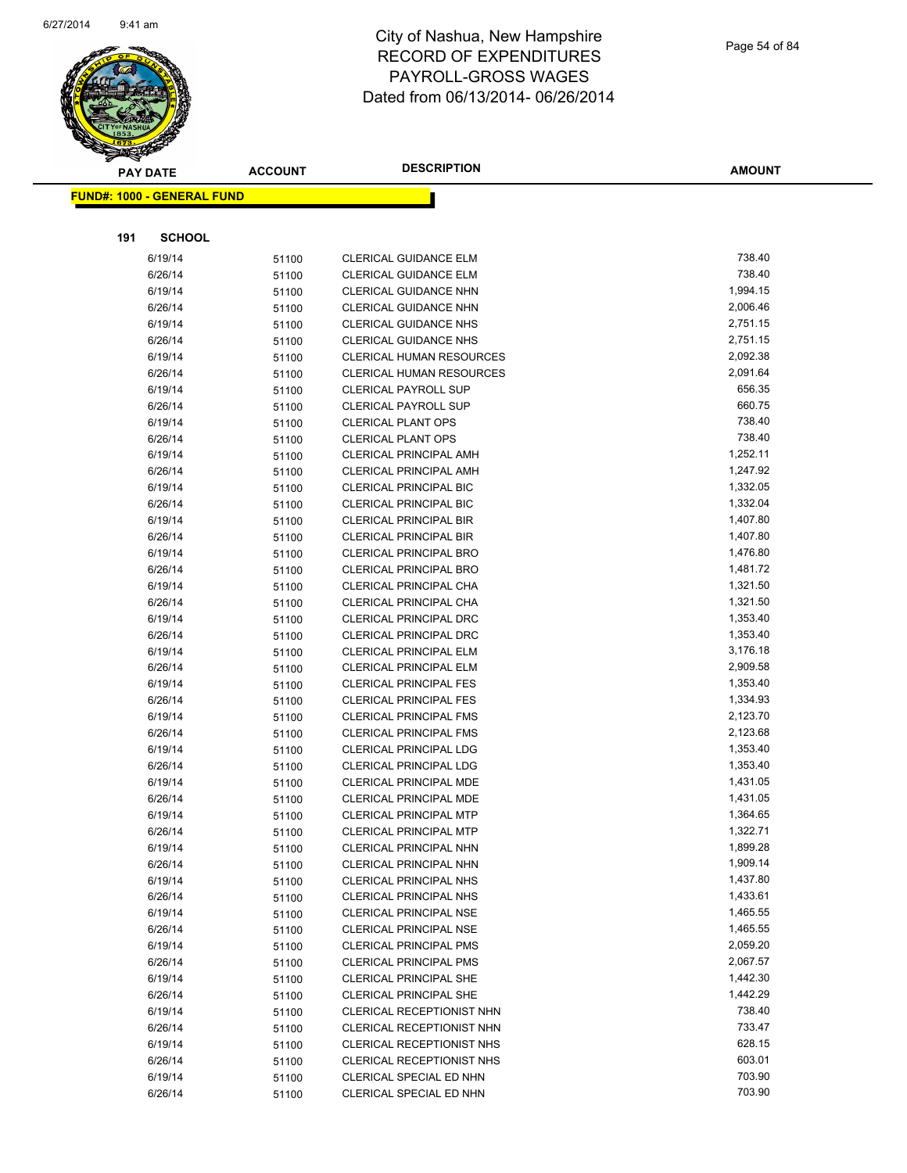

|     | <b>PAY DATE</b>                   | <b>ACCOUNT</b> | <b>DESCRIPTION</b>                                             | <b>AMOUNT</b>        |
|-----|-----------------------------------|----------------|----------------------------------------------------------------|----------------------|
|     | <b>FUND#: 1000 - GENERAL FUND</b> |                |                                                                |                      |
|     |                                   |                |                                                                |                      |
|     |                                   |                |                                                                |                      |
| 191 | <b>SCHOOL</b>                     |                |                                                                |                      |
|     | 6/19/14                           | 51100          | <b>CLERICAL GUIDANCE ELM</b>                                   | 738.40               |
|     | 6/26/14                           | 51100          | <b>CLERICAL GUIDANCE ELM</b>                                   | 738.40               |
|     | 6/19/14                           | 51100          | <b>CLERICAL GUIDANCE NHN</b>                                   | 1,994.15             |
|     | 6/26/14                           | 51100          | <b>CLERICAL GUIDANCE NHN</b>                                   | 2,006.46             |
|     | 6/19/14                           | 51100          | <b>CLERICAL GUIDANCE NHS</b>                                   | 2,751.15             |
|     | 6/26/14                           | 51100          | <b>CLERICAL GUIDANCE NHS</b>                                   | 2,751.15             |
|     | 6/19/14                           | 51100          | <b>CLERICAL HUMAN RESOURCES</b>                                | 2,092.38             |
|     | 6/26/14                           | 51100          | CLERICAL HUMAN RESOURCES                                       | 2,091.64             |
|     | 6/19/14                           | 51100          | <b>CLERICAL PAYROLL SUP</b>                                    | 656.35               |
|     | 6/26/14                           | 51100          | <b>CLERICAL PAYROLL SUP</b>                                    | 660.75               |
|     | 6/19/14                           | 51100          | <b>CLERICAL PLANT OPS</b>                                      | 738.40               |
|     | 6/26/14                           | 51100          | <b>CLERICAL PLANT OPS</b>                                      | 738.40               |
|     | 6/19/14                           | 51100          | CLERICAL PRINCIPAL AMH                                         | 1,252.11             |
|     | 6/26/14                           | 51100          | <b>CLERICAL PRINCIPAL AMH</b>                                  | 1,247.92             |
|     | 6/19/14                           | 51100          | <b>CLERICAL PRINCIPAL BIC</b>                                  | 1,332.05             |
|     | 6/26/14                           | 51100          | <b>CLERICAL PRINCIPAL BIC</b>                                  | 1,332.04             |
|     | 6/19/14                           | 51100          | <b>CLERICAL PRINCIPAL BIR</b>                                  | 1,407.80             |
|     | 6/26/14                           | 51100          | <b>CLERICAL PRINCIPAL BIR</b>                                  | 1,407.80             |
|     | 6/19/14                           | 51100          | <b>CLERICAL PRINCIPAL BRO</b>                                  | 1,476.80             |
|     | 6/26/14                           | 51100          | CLERICAL PRINCIPAL BRO                                         | 1,481.72             |
|     | 6/19/14                           | 51100          | CLERICAL PRINCIPAL CHA                                         | 1,321.50<br>1,321.50 |
|     | 6/26/14                           | 51100          | CLERICAL PRINCIPAL CHA                                         | 1,353.40             |
|     | 6/19/14                           | 51100          | <b>CLERICAL PRINCIPAL DRC</b>                                  | 1,353.40             |
|     | 6/26/14<br>6/19/14                | 51100          | <b>CLERICAL PRINCIPAL DRC</b><br><b>CLERICAL PRINCIPAL ELM</b> | 3,176.18             |
|     | 6/26/14                           | 51100          | <b>CLERICAL PRINCIPAL ELM</b>                                  | 2,909.58             |
|     | 6/19/14                           | 51100          | <b>CLERICAL PRINCIPAL FES</b>                                  | 1,353.40             |
|     | 6/26/14                           | 51100<br>51100 | <b>CLERICAL PRINCIPAL FES</b>                                  | 1,334.93             |
|     | 6/19/14                           | 51100          | <b>CLERICAL PRINCIPAL FMS</b>                                  | 2,123.70             |
|     | 6/26/14                           | 51100          | <b>CLERICAL PRINCIPAL FMS</b>                                  | 2,123.68             |
|     | 6/19/14                           | 51100          | CLERICAL PRINCIPAL LDG                                         | 1,353.40             |
|     | 6/26/14                           | 51100          | <b>CLERICAL PRINCIPAL LDG</b>                                  | 1,353.40             |
|     | 6/19/14                           | 51100          | CLERICAL PRINCIPAL MDE                                         | 1,431.05             |
|     | 6/26/14                           | 51100          | CLERICAL PRINCIPAL MDE                                         | 1,431.05             |
|     | 6/19/14                           | 51100          | <b>CLERICAL PRINCIPAL MTP</b>                                  | 1,364.65             |
|     | 6/26/14                           | 51100          | <b>CLERICAL PRINCIPAL MTP</b>                                  | 1,322.71             |
|     | 6/19/14                           | 51100          | <b>CLERICAL PRINCIPAL NHN</b>                                  | 1,899.28             |
|     | 6/26/14                           | 51100          | CLERICAL PRINCIPAL NHN                                         | 1,909.14             |
|     | 6/19/14                           | 51100          | <b>CLERICAL PRINCIPAL NHS</b>                                  | 1,437.80             |
|     | 6/26/14                           | 51100          | <b>CLERICAL PRINCIPAL NHS</b>                                  | 1,433.61             |
|     | 6/19/14                           | 51100          | <b>CLERICAL PRINCIPAL NSE</b>                                  | 1,465.55             |
|     | 6/26/14                           | 51100          | <b>CLERICAL PRINCIPAL NSE</b>                                  | 1,465.55             |
|     | 6/19/14                           | 51100          | <b>CLERICAL PRINCIPAL PMS</b>                                  | 2,059.20             |
|     | 6/26/14                           | 51100          | <b>CLERICAL PRINCIPAL PMS</b>                                  | 2,067.57             |
|     | 6/19/14                           | 51100          | <b>CLERICAL PRINCIPAL SHE</b>                                  | 1,442.30             |
|     | 6/26/14                           | 51100          | <b>CLERICAL PRINCIPAL SHE</b>                                  | 1,442.29             |
|     | 6/19/14                           | 51100          | CLERICAL RECEPTIONIST NHN                                      | 738.40               |
|     | 6/26/14                           | 51100          | CLERICAL RECEPTIONIST NHN                                      | 733.47               |
|     | 6/19/14                           | 51100          | CLERICAL RECEPTIONIST NHS                                      | 628.15               |
|     | 6/26/14                           | 51100          | CLERICAL RECEPTIONIST NHS                                      | 603.01               |
|     | 6/19/14                           | 51100          | CLERICAL SPECIAL ED NHN                                        | 703.90               |
|     | 6/26/14                           | 51100          | CLERICAL SPECIAL ED NHN                                        | 703.90               |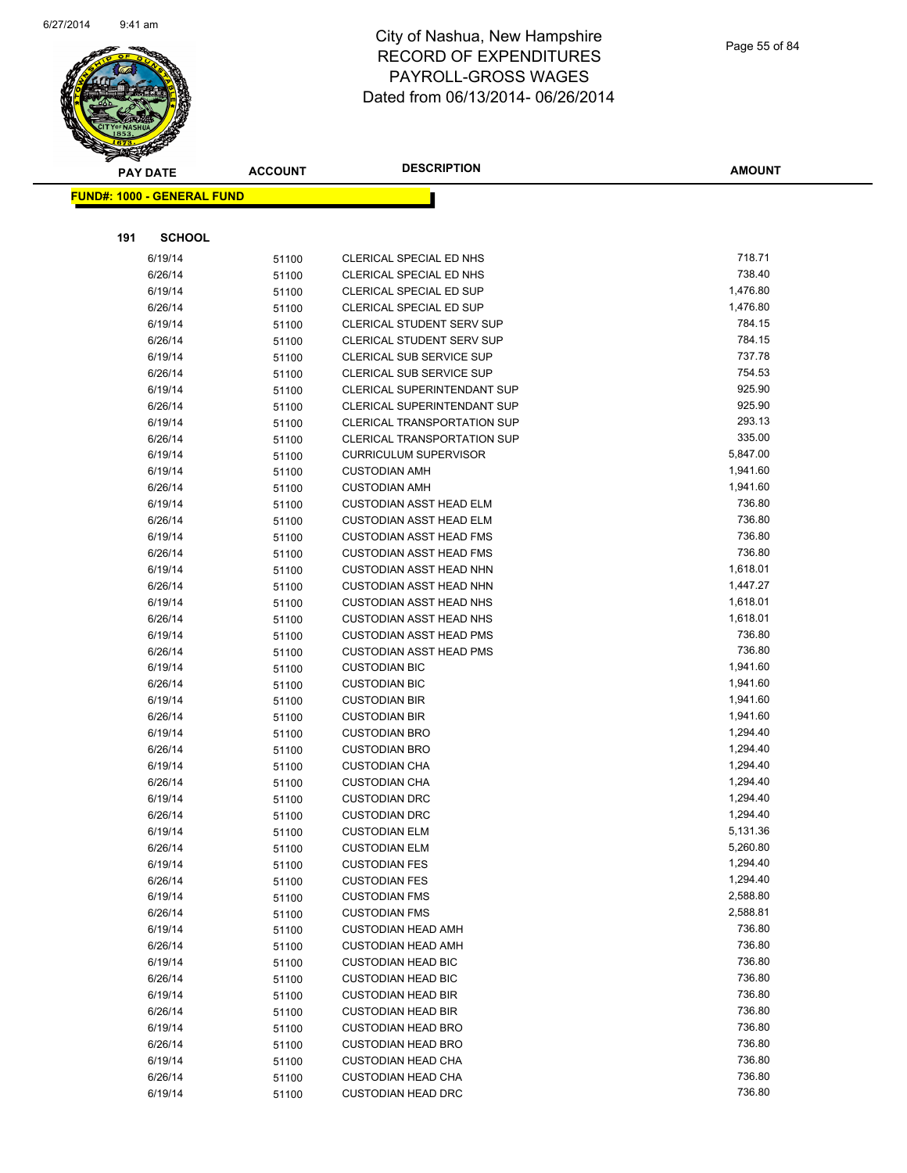

|     | <b>PAY DATE</b>                   | <b>ACCOUNT</b> | <b>DESCRIPTION</b>                                      | AMOUNT           |
|-----|-----------------------------------|----------------|---------------------------------------------------------|------------------|
|     | <b>FUND#: 1000 - GENERAL FUND</b> |                |                                                         |                  |
|     |                                   |                |                                                         |                  |
|     |                                   |                |                                                         |                  |
| 191 | <b>SCHOOL</b>                     |                |                                                         |                  |
|     | 6/19/14                           | 51100          | CLERICAL SPECIAL ED NHS                                 | 718.71           |
|     | 6/26/14                           | 51100          | CLERICAL SPECIAL ED NHS                                 | 738.40           |
|     | 6/19/14                           | 51100          | CLERICAL SPECIAL ED SUP                                 | 1,476.80         |
|     | 6/26/14                           | 51100          | CLERICAL SPECIAL ED SUP                                 | 1,476.80         |
|     | 6/19/14                           | 51100          | <b>CLERICAL STUDENT SERV SUP</b>                        | 784.15           |
|     | 6/26/14                           | 51100          | <b>CLERICAL STUDENT SERV SUP</b>                        | 784.15           |
|     | 6/19/14                           | 51100          | CLERICAL SUB SERVICE SUP                                | 737.78<br>754.53 |
|     | 6/26/14                           | 51100          | CLERICAL SUB SERVICE SUP<br>CLERICAL SUPERINTENDANT SUP | 925.90           |
|     | 6/19/14<br>6/26/14                | 51100          | CLERICAL SUPERINTENDANT SUP                             | 925.90           |
|     | 6/19/14                           | 51100          | <b>CLERICAL TRANSPORTATION SUP</b>                      | 293.13           |
|     | 6/26/14                           | 51100<br>51100 | <b>CLERICAL TRANSPORTATION SUP</b>                      | 335.00           |
|     | 6/19/14                           | 51100          | <b>CURRICULUM SUPERVISOR</b>                            | 5,847.00         |
|     | 6/19/14                           | 51100          | <b>CUSTODIAN AMH</b>                                    | 1,941.60         |
|     | 6/26/14                           | 51100          | <b>CUSTODIAN AMH</b>                                    | 1,941.60         |
|     | 6/19/14                           | 51100          | <b>CUSTODIAN ASST HEAD ELM</b>                          | 736.80           |
|     | 6/26/14                           | 51100          | <b>CUSTODIAN ASST HEAD ELM</b>                          | 736.80           |
|     | 6/19/14                           | 51100          | <b>CUSTODIAN ASST HEAD FMS</b>                          | 736.80           |
|     | 6/26/14                           | 51100          | <b>CUSTODIAN ASST HEAD FMS</b>                          | 736.80           |
|     | 6/19/14                           | 51100          | <b>CUSTODIAN ASST HEAD NHN</b>                          | 1,618.01         |
|     | 6/26/14                           | 51100          | <b>CUSTODIAN ASST HEAD NHN</b>                          | 1,447.27         |
|     | 6/19/14                           | 51100          | <b>CUSTODIAN ASST HEAD NHS</b>                          | 1,618.01         |
|     | 6/26/14                           | 51100          | <b>CUSTODIAN ASST HEAD NHS</b>                          | 1,618.01         |
|     | 6/19/14                           | 51100          | <b>CUSTODIAN ASST HEAD PMS</b>                          | 736.80           |
|     | 6/26/14                           | 51100          | <b>CUSTODIAN ASST HEAD PMS</b>                          | 736.80           |
|     | 6/19/14                           | 51100          | <b>CUSTODIAN BIC</b>                                    | 1,941.60         |
|     | 6/26/14                           | 51100          | <b>CUSTODIAN BIC</b>                                    | 1,941.60         |
|     | 6/19/14                           | 51100          | <b>CUSTODIAN BIR</b>                                    | 1,941.60         |
|     | 6/26/14                           | 51100          | <b>CUSTODIAN BIR</b>                                    | 1,941.60         |
|     | 6/19/14                           | 51100          | <b>CUSTODIAN BRO</b>                                    | 1,294.40         |
|     | 6/26/14                           | 51100          | <b>CUSTODIAN BRO</b>                                    | 1,294.40         |
|     | 6/19/14                           | 51100          | <b>CUSTODIAN CHA</b>                                    | 1,294.40         |
|     | 6/26/14                           | 51100          | <b>CUSTODIAN CHA</b>                                    | 1,294.40         |
|     | 6/19/14                           | 51100          | <b>CUSTODIAN DRC</b>                                    | 1,294.40         |
|     | 6/26/14                           | 51100          | <b>CUSTODIAN DRC</b>                                    | 1,294.40         |
|     | 6/19/14                           | 51100          | <b>CUSTODIAN ELM</b>                                    | 5,131.36         |
|     | 6/26/14                           | 51100          | <b>CUSTODIAN ELM</b>                                    | 5,260.80         |
|     | 6/19/14                           | 51100          | <b>CUSTODIAN FES</b>                                    | 1,294.40         |
|     | 6/26/14                           | 51100          | <b>CUSTODIAN FES</b>                                    | 1,294.40         |
|     | 6/19/14                           | 51100          | <b>CUSTODIAN FMS</b>                                    | 2,588.80         |
|     | 6/26/14                           | 51100          | <b>CUSTODIAN FMS</b>                                    | 2,588.81         |
|     | 6/19/14                           | 51100          | <b>CUSTODIAN HEAD AMH</b>                               | 736.80           |
|     | 6/26/14                           | 51100          | <b>CUSTODIAN HEAD AMH</b>                               | 736.80           |
|     | 6/19/14                           | 51100          | <b>CUSTODIAN HEAD BIC</b>                               | 736.80           |
|     | 6/26/14                           | 51100          | <b>CUSTODIAN HEAD BIC</b>                               | 736.80           |
|     | 6/19/14                           | 51100          | <b>CUSTODIAN HEAD BIR</b>                               | 736.80           |
|     | 6/26/14                           | 51100          | <b>CUSTODIAN HEAD BIR</b>                               | 736.80           |
|     | 6/19/14                           | 51100          | <b>CUSTODIAN HEAD BRO</b>                               | 736.80           |
|     | 6/26/14                           | 51100          | <b>CUSTODIAN HEAD BRO</b>                               | 736.80           |
|     | 6/19/14                           | 51100          | <b>CUSTODIAN HEAD CHA</b>                               | 736.80           |
|     | 6/26/14                           | 51100          | <b>CUSTODIAN HEAD CHA</b>                               | 736.80           |
|     | 6/19/14                           | 51100          | <b>CUSTODIAN HEAD DRC</b>                               | 736.80           |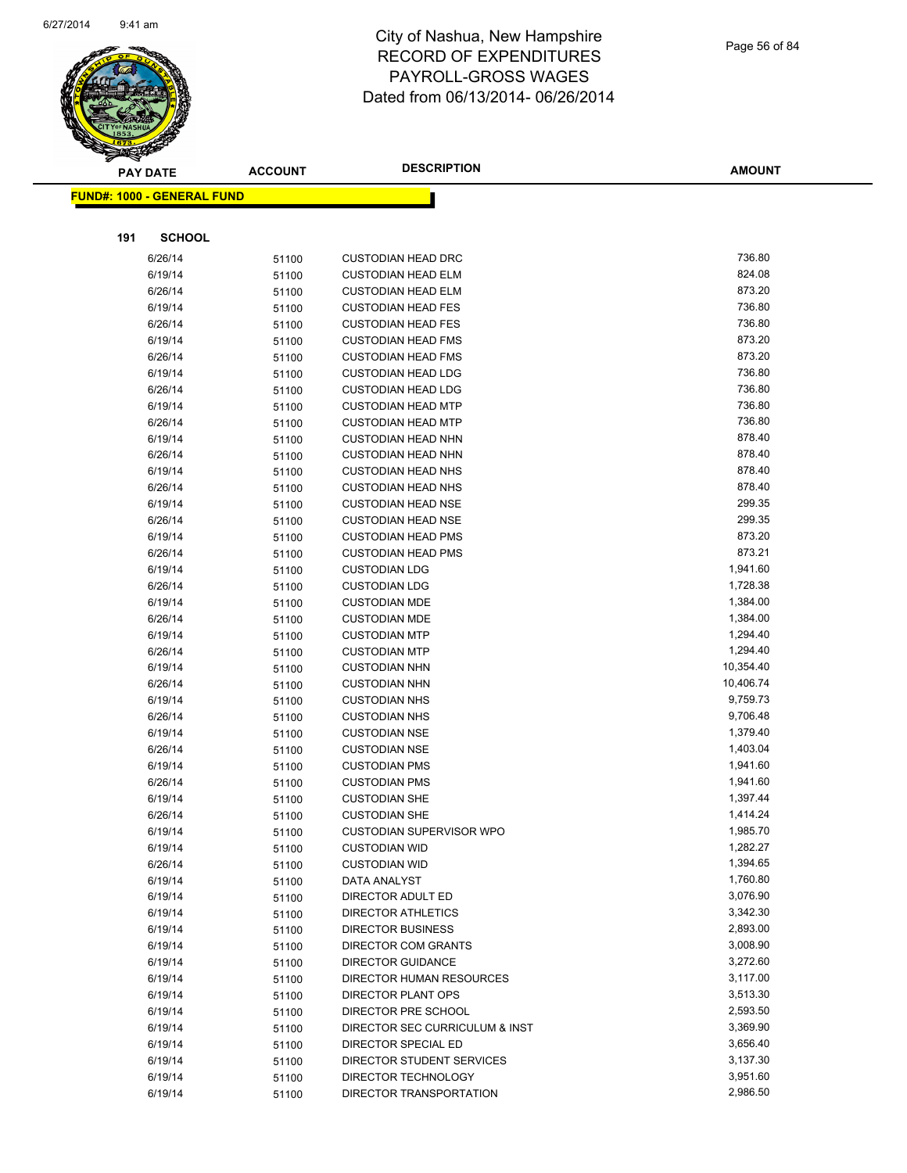

|     | <b>PAY DATE</b>                   | <b>ACCOUNT</b> | <b>DESCRIPTION</b>                               | <b>AMOUNT</b>        |
|-----|-----------------------------------|----------------|--------------------------------------------------|----------------------|
|     | <b>FUND#: 1000 - GENERAL FUND</b> |                |                                                  |                      |
|     |                                   |                |                                                  |                      |
| 191 | <b>SCHOOL</b>                     |                |                                                  |                      |
|     | 6/26/14                           | 51100          | <b>CUSTODIAN HEAD DRC</b>                        | 736.80               |
|     | 6/19/14                           | 51100          | <b>CUSTODIAN HEAD ELM</b>                        | 824.08               |
|     | 6/26/14                           | 51100          | <b>CUSTODIAN HEAD ELM</b>                        | 873.20               |
|     | 6/19/14                           | 51100          | <b>CUSTODIAN HEAD FES</b>                        | 736.80               |
|     | 6/26/14                           | 51100          | <b>CUSTODIAN HEAD FES</b>                        | 736.80               |
|     | 6/19/14                           | 51100          | <b>CUSTODIAN HEAD FMS</b>                        | 873.20               |
|     | 6/26/14                           | 51100          | <b>CUSTODIAN HEAD FMS</b>                        | 873.20               |
|     | 6/19/14                           | 51100          | <b>CUSTODIAN HEAD LDG</b>                        | 736.80               |
|     | 6/26/14                           | 51100          | <b>CUSTODIAN HEAD LDG</b>                        | 736.80               |
|     | 6/19/14                           | 51100          | <b>CUSTODIAN HEAD MTP</b>                        | 736.80               |
|     | 6/26/14                           | 51100          | <b>CUSTODIAN HEAD MTP</b>                        | 736.80               |
|     | 6/19/14                           | 51100          | <b>CUSTODIAN HEAD NHN</b>                        | 878.40               |
|     | 6/26/14                           | 51100          | <b>CUSTODIAN HEAD NHN</b>                        | 878.40               |
|     | 6/19/14                           | 51100          | <b>CUSTODIAN HEAD NHS</b>                        | 878.40               |
|     | 6/26/14                           | 51100          | <b>CUSTODIAN HEAD NHS</b>                        | 878.40               |
|     | 6/19/14                           | 51100          | <b>CUSTODIAN HEAD NSE</b>                        | 299.35               |
|     | 6/26/14                           | 51100          | <b>CUSTODIAN HEAD NSE</b>                        | 299.35               |
|     | 6/19/14                           | 51100          | <b>CUSTODIAN HEAD PMS</b>                        | 873.20               |
|     | 6/26/14                           | 51100          | <b>CUSTODIAN HEAD PMS</b>                        | 873.21               |
|     | 6/19/14                           | 51100          | <b>CUSTODIAN LDG</b>                             | 1,941.60             |
|     | 6/26/14                           | 51100          | <b>CUSTODIAN LDG</b>                             | 1,728.38             |
|     | 6/19/14                           | 51100          | <b>CUSTODIAN MDE</b>                             | 1,384.00             |
|     | 6/26/14                           | 51100          | <b>CUSTODIAN MDE</b>                             | 1,384.00             |
|     | 6/19/14                           | 51100          | <b>CUSTODIAN MTP</b>                             | 1,294.40             |
|     | 6/26/14                           | 51100          | <b>CUSTODIAN MTP</b>                             | 1,294.40             |
|     | 6/19/14                           | 51100          | <b>CUSTODIAN NHN</b>                             | 10,354.40            |
|     | 6/26/14                           | 51100          | <b>CUSTODIAN NHN</b>                             | 10,406.74            |
|     | 6/19/14                           | 51100          | <b>CUSTODIAN NHS</b>                             | 9,759.73             |
|     | 6/26/14                           | 51100          | <b>CUSTODIAN NHS</b>                             | 9,706.48             |
|     | 6/19/14                           | 51100          | <b>CUSTODIAN NSE</b>                             | 1,379.40             |
|     | 6/26/14                           | 51100          | <b>CUSTODIAN NSE</b>                             | 1,403.04             |
|     | 6/19/14                           | 51100          | <b>CUSTODIAN PMS</b>                             | 1,941.60             |
|     | 6/26/14                           | 51100          | <b>CUSTODIAN PMS</b>                             | 1,941.60             |
|     | 6/19/14                           | 51100          | <b>CUSTODIAN SHE</b>                             | 1,397.44             |
|     | 6/26/14                           | 51100          | <b>CUSTODIAN SHE</b>                             | 1,414.24             |
|     | 6/19/14                           | 51100          | <b>CUSTODIAN SUPERVISOR WPO</b>                  | 1,985.70             |
|     | 6/19/14                           | 51100          | <b>CUSTODIAN WID</b>                             | 1,282.27             |
|     | 6/26/14                           | 51100          | <b>CUSTODIAN WID</b>                             | 1,394.65             |
|     | 6/19/14                           | 51100          | DATA ANALYST                                     | 1,760.80             |
|     | 6/19/14                           | 51100          | DIRECTOR ADULT ED                                | 3,076.90             |
|     | 6/19/14                           | 51100          | <b>DIRECTOR ATHLETICS</b>                        | 3,342.30             |
|     | 6/19/14                           | 51100          | <b>DIRECTOR BUSINESS</b>                         | 2,893.00             |
|     | 6/19/14                           | 51100          | DIRECTOR COM GRANTS                              | 3,008.90<br>3,272.60 |
|     | 6/19/14                           | 51100          | <b>DIRECTOR GUIDANCE</b>                         | 3,117.00             |
|     | 6/19/14                           | 51100          | DIRECTOR HUMAN RESOURCES                         | 3,513.30             |
|     | 6/19/14                           | 51100          | <b>DIRECTOR PLANT OPS</b>                        | 2,593.50             |
|     | 6/19/14                           | 51100          | DIRECTOR PRE SCHOOL                              | 3,369.90             |
|     | 6/19/14<br>6/19/14                | 51100          | DIRECTOR SEC CURRICULUM & INST                   | 3,656.40             |
|     | 6/19/14                           | 51100          | DIRECTOR SPECIAL ED<br>DIRECTOR STUDENT SERVICES | 3,137.30             |
|     | 6/19/14                           | 51100          | DIRECTOR TECHNOLOGY                              | 3,951.60             |
|     | 6/19/14                           | 51100          |                                                  | 2,986.50             |
|     |                                   | 51100          | DIRECTOR TRANSPORTATION                          |                      |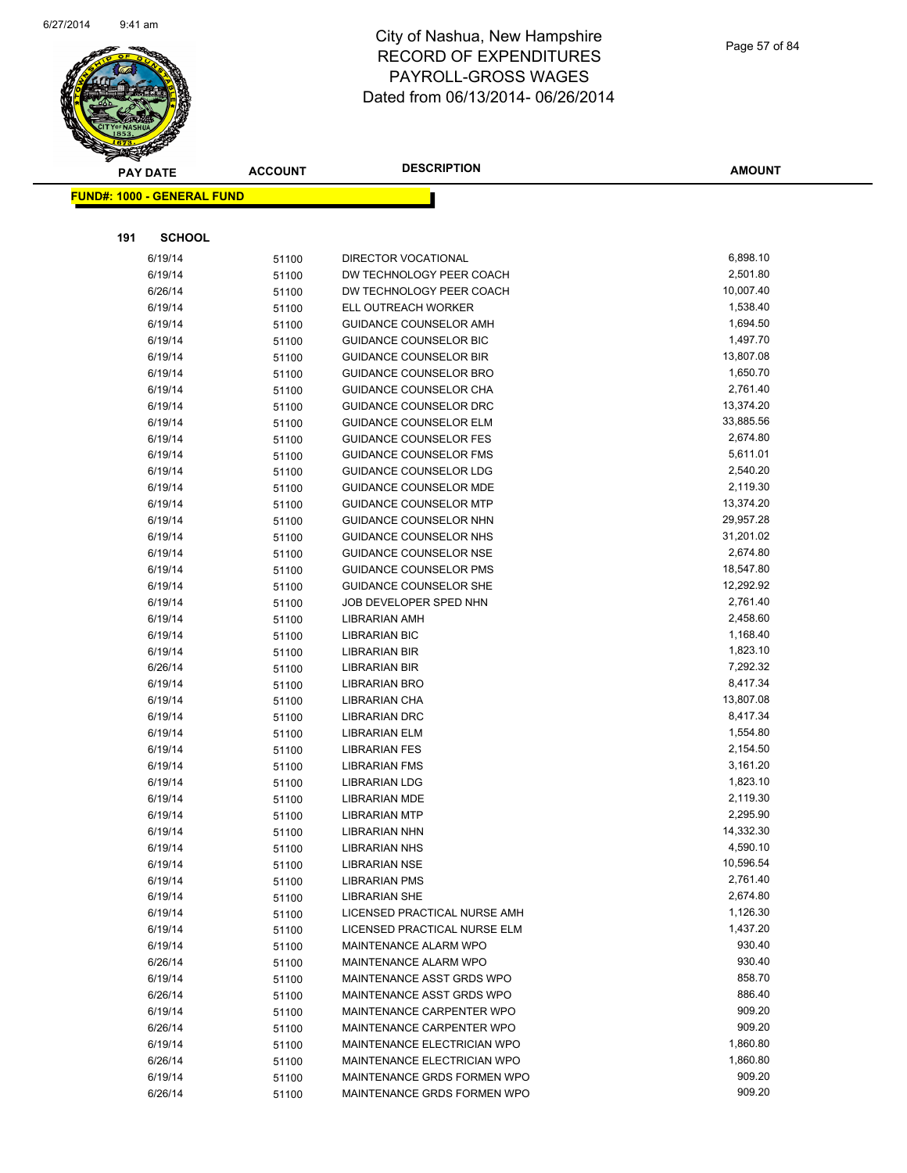

Page 57 of 84

|     | <b>PAY DATE</b>                   | <b>ACCOUNT</b> | <b>DESCRIPTION</b>                                    | AMOUNT                |
|-----|-----------------------------------|----------------|-------------------------------------------------------|-----------------------|
|     | <b>FUND#: 1000 - GENERAL FUND</b> |                |                                                       |                       |
|     |                                   |                |                                                       |                       |
|     |                                   |                |                                                       |                       |
| 191 | <b>SCHOOL</b>                     |                |                                                       |                       |
|     | 6/19/14                           | 51100          | <b>DIRECTOR VOCATIONAL</b>                            | 6,898.10              |
|     | 6/19/14                           | 51100          | DW TECHNOLOGY PEER COACH                              | 2,501.80              |
|     | 6/26/14                           | 51100          | DW TECHNOLOGY PEER COACH                              | 10,007.40             |
|     | 6/19/14                           | 51100          | ELL OUTREACH WORKER                                   | 1,538.40              |
|     | 6/19/14                           | 51100          | <b>GUIDANCE COUNSELOR AMH</b>                         | 1,694.50              |
|     | 6/19/14                           | 51100          | GUIDANCE COUNSELOR BIC                                | 1,497.70              |
|     | 6/19/14                           | 51100          | <b>GUIDANCE COUNSELOR BIR</b>                         | 13,807.08             |
|     | 6/19/14                           | 51100          | GUIDANCE COUNSELOR BRO                                | 1,650.70              |
|     | 6/19/14                           | 51100          | GUIDANCE COUNSELOR CHA                                | 2,761.40              |
|     | 6/19/14                           | 51100          | GUIDANCE COUNSELOR DRC                                | 13,374.20             |
|     | 6/19/14                           | 51100          | <b>GUIDANCE COUNSELOR ELM</b>                         | 33,885.56             |
|     | 6/19/14                           | 51100          | <b>GUIDANCE COUNSELOR FES</b>                         | 2,674.80              |
|     | 6/19/14                           | 51100          | <b>GUIDANCE COUNSELOR FMS</b>                         | 5,611.01              |
|     | 6/19/14                           | 51100          | <b>GUIDANCE COUNSELOR LDG</b>                         | 2,540.20              |
|     | 6/19/14                           | 51100          | <b>GUIDANCE COUNSELOR MDE</b>                         | 2,119.30              |
|     | 6/19/14                           | 51100          | <b>GUIDANCE COUNSELOR MTP</b>                         | 13,374.20             |
|     | 6/19/14                           | 51100          | GUIDANCE COUNSELOR NHN                                | 29,957.28             |
|     | 6/19/14                           | 51100          | GUIDANCE COUNSELOR NHS                                | 31,201.02             |
|     | 6/19/14                           | 51100          | <b>GUIDANCE COUNSELOR NSE</b>                         | 2,674.80              |
|     | 6/19/14                           | 51100          | <b>GUIDANCE COUNSELOR PMS</b>                         | 18,547.80             |
|     | 6/19/14                           | 51100          | <b>GUIDANCE COUNSELOR SHE</b>                         | 12,292.92             |
|     | 6/19/14                           | 51100          | JOB DEVELOPER SPED NHN                                | 2,761.40              |
|     | 6/19/14                           | 51100          | LIBRARIAN AMH                                         | 2,458.60              |
|     | 6/19/14                           | 51100          | <b>LIBRARIAN BIC</b>                                  | 1,168.40              |
|     | 6/19/14                           | 51100          | <b>LIBRARIAN BIR</b>                                  | 1,823.10              |
|     | 6/26/14                           | 51100          | LIBRARIAN BIR                                         | 7,292.32              |
|     | 6/19/14                           | 51100          | <b>LIBRARIAN BRO</b>                                  | 8,417.34              |
|     | 6/19/14                           | 51100          | LIBRARIAN CHA                                         | 13,807.08             |
|     | 6/19/14                           | 51100          | LIBRARIAN DRC                                         | 8,417.34              |
|     | 6/19/14                           | 51100          | <b>LIBRARIAN ELM</b>                                  | 1,554.80              |
|     | 6/19/14                           | 51100          | <b>LIBRARIAN FES</b>                                  | 2,154.50              |
|     | 6/19/14                           | 51100          | <b>LIBRARIAN FMS</b>                                  | 3,161.20              |
|     | 6/19/14                           | 51100          | <b>LIBRARIAN LDG</b>                                  | 1,823.10              |
|     | 6/19/14                           | 51100          | LIBRARIAN MDE                                         | 2,119.30              |
|     | 6/19/14                           | 51100          | <b>LIBRARIAN MTP</b>                                  | 2,295.90              |
|     | 6/19/14                           | 51100          | <b>LIBRARIAN NHN</b>                                  | 14,332.30             |
|     | 6/19/14                           | 51100          | <b>LIBRARIAN NHS</b>                                  | 4,590.10<br>10,596.54 |
|     | 6/19/14                           | 51100          | <b>LIBRARIAN NSE</b>                                  |                       |
|     | 6/19/14                           | 51100          | <b>LIBRARIAN PMS</b>                                  | 2,761.40              |
|     | 6/19/14                           | 51100          | <b>LIBRARIAN SHE</b><br>LICENSED PRACTICAL NURSE AMH  | 2,674.80<br>1,126.30  |
|     | 6/19/14                           | 51100          |                                                       | 1,437.20              |
|     | 6/19/14<br>6/19/14                | 51100          | LICENSED PRACTICAL NURSE ELM<br>MAINTENANCE ALARM WPO | 930.40                |
|     |                                   | 51100          |                                                       | 930.40                |
|     | 6/26/14<br>6/19/14                | 51100          | MAINTENANCE ALARM WPO<br>MAINTENANCE ASST GRDS WPO    | 858.70                |
|     |                                   | 51100          | MAINTENANCE ASST GRDS WPO                             | 886.40                |
|     | 6/26/14<br>6/19/14                | 51100          | MAINTENANCE CARPENTER WPO                             | 909.20                |
|     |                                   | 51100          | MAINTENANCE CARPENTER WPO                             | 909.20                |
|     | 6/26/14<br>6/19/14                | 51100          | MAINTENANCE ELECTRICIAN WPO                           | 1,860.80              |
|     |                                   | 51100          |                                                       | 1,860.80              |
|     | 6/26/14                           | 51100          | MAINTENANCE ELECTRICIAN WPO                           | 909.20                |
|     | 6/19/14                           | 51100          | MAINTENANCE GRDS FORMEN WPO                           | 909.20                |
|     | 6/26/14                           | 51100          | MAINTENANCE GRDS FORMEN WPO                           |                       |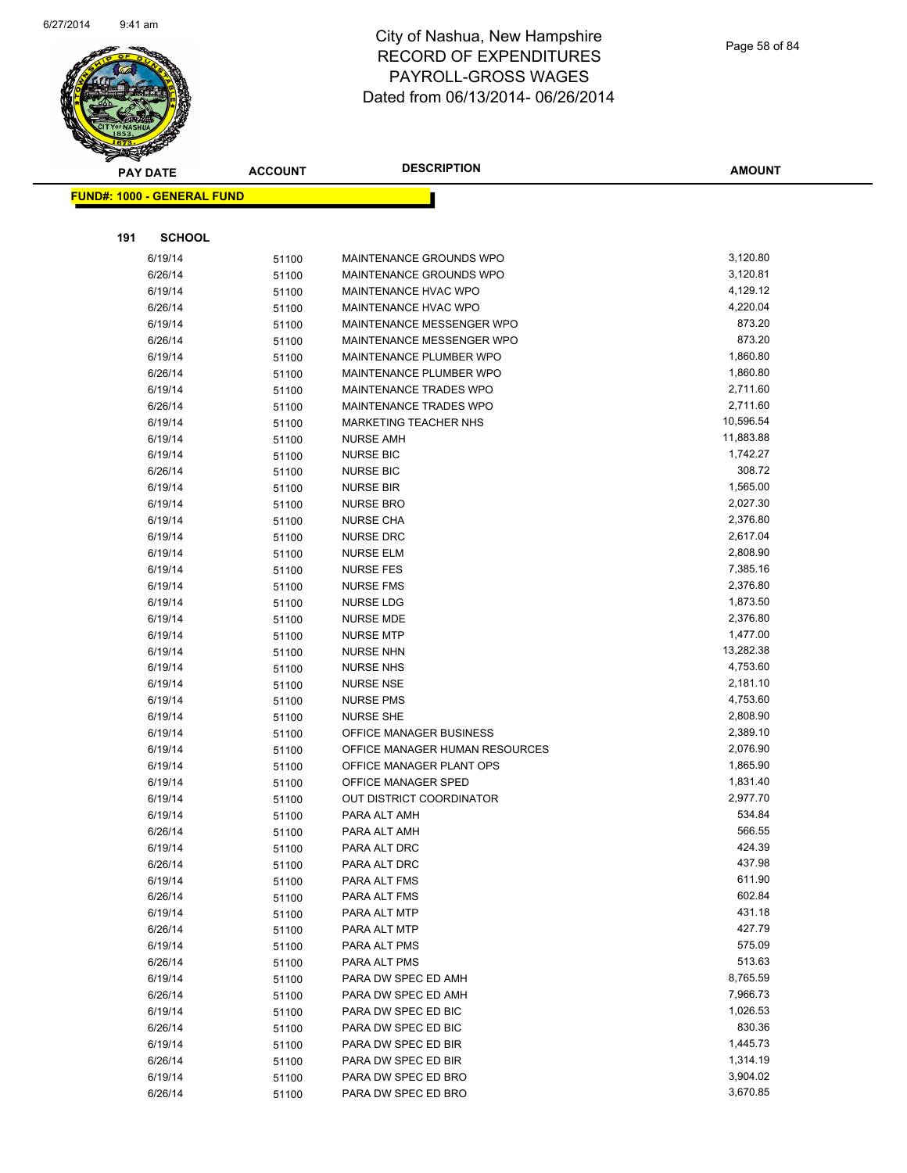

Page 58 of 84

| <b>PAY DATE</b>                   | <b>ACCOUNT</b> | <b>DESCRIPTION</b>             | <b>AMOUNT</b> |
|-----------------------------------|----------------|--------------------------------|---------------|
| <b>FUND#: 1000 - GENERAL FUND</b> |                |                                |               |
|                                   |                |                                |               |
|                                   |                |                                |               |
| 191<br><b>SCHOOL</b>              |                |                                |               |
| 6/19/14                           | 51100          | MAINTENANCE GROUNDS WPO        | 3,120.80      |
| 6/26/14                           | 51100          | MAINTENANCE GROUNDS WPO        | 3,120.81      |
| 6/19/14                           | 51100          | MAINTENANCE HVAC WPO           | 4,129.12      |
| 6/26/14                           | 51100          | MAINTENANCE HVAC WPO           | 4,220.04      |
| 6/19/14                           | 51100          | MAINTENANCE MESSENGER WPO      | 873.20        |
| 6/26/14                           | 51100          | MAINTENANCE MESSENGER WPO      | 873.20        |
| 6/19/14                           | 51100          | MAINTENANCE PLUMBER WPO        | 1,860.80      |
| 6/26/14                           | 51100          | MAINTENANCE PLUMBER WPO        | 1,860.80      |
| 6/19/14                           | 51100          | MAINTENANCE TRADES WPO         | 2,711.60      |
| 6/26/14                           | 51100          | MAINTENANCE TRADES WPO         | 2,711.60      |
| 6/19/14                           | 51100          | MARKETING TEACHER NHS          | 10,596.54     |
| 6/19/14                           | 51100          | <b>NURSE AMH</b>               | 11,883.88     |
| 6/19/14                           | 51100          | <b>NURSE BIC</b>               | 1,742.27      |
| 6/26/14                           | 51100          | <b>NURSE BIC</b>               | 308.72        |
| 6/19/14                           | 51100          | <b>NURSE BIR</b>               | 1,565.00      |
| 6/19/14                           | 51100          | <b>NURSE BRO</b>               | 2,027.30      |
| 6/19/14                           | 51100          | <b>NURSE CHA</b>               | 2,376.80      |
| 6/19/14                           | 51100          | <b>NURSE DRC</b>               | 2,617.04      |
| 6/19/14                           | 51100          | <b>NURSE ELM</b>               | 2,808.90      |
| 6/19/14                           | 51100          | <b>NURSE FES</b>               | 7,385.16      |
| 6/19/14                           | 51100          | <b>NURSE FMS</b>               | 2,376.80      |
| 6/19/14                           | 51100          | <b>NURSE LDG</b>               | 1,873.50      |
| 6/19/14                           | 51100          | <b>NURSE MDE</b>               | 2,376.80      |
| 6/19/14                           | 51100          | <b>NURSE MTP</b>               | 1,477.00      |
| 6/19/14                           | 51100          | <b>NURSE NHN</b>               | 13,282.38     |
| 6/19/14                           | 51100          | <b>NURSE NHS</b>               | 4,753.60      |
| 6/19/14                           | 51100          | <b>NURSE NSE</b>               | 2,181.10      |
| 6/19/14                           | 51100          | <b>NURSE PMS</b>               | 4,753.60      |
| 6/19/14                           | 51100          | <b>NURSE SHE</b>               | 2,808.90      |
| 6/19/14                           | 51100          | OFFICE MANAGER BUSINESS        | 2,389.10      |
| 6/19/14                           | 51100          | OFFICE MANAGER HUMAN RESOURCES | 2,076.90      |
| 6/19/14                           | 51100          | OFFICE MANAGER PLANT OPS       | 1,865.90      |
| 6/19/14                           | 51100          | OFFICE MANAGER SPED            | 1,831.40      |
| 6/19/14                           | 51100          | OUT DISTRICT COORDINATOR       | 2,977.70      |
| 6/19/14                           | 51100          | PARA ALT AMH                   | 534.84        |
| 6/26/14                           | 51100          | PARA ALT AMH                   | 566.55        |
| 6/19/14                           | 51100          | PARA ALT DRC                   | 424.39        |
| 6/26/14                           | 51100          | PARA ALT DRC                   | 437.98        |
| 6/19/14                           | 51100          | PARA ALT FMS                   | 611.90        |
| 6/26/14                           | 51100          | PARA ALT FMS                   | 602.84        |
| 6/19/14                           | 51100          | PARA ALT MTP                   | 431.18        |
| 6/26/14                           | 51100          | PARA ALT MTP                   | 427.79        |
| 6/19/14                           | 51100          | PARA ALT PMS                   | 575.09        |
| 6/26/14                           | 51100          | PARA ALT PMS                   | 513.63        |
| 6/19/14                           | 51100          | PARA DW SPEC ED AMH            | 8,765.59      |
| 6/26/14                           | 51100          | PARA DW SPEC ED AMH            | 7,966.73      |
| 6/19/14                           | 51100          | PARA DW SPEC ED BIC            | 1,026.53      |
| 6/26/14                           | 51100          | PARA DW SPEC ED BIC            | 830.36        |
| 6/19/14                           | 51100          | PARA DW SPEC ED BIR            | 1,445.73      |
| 6/26/14                           | 51100          | PARA DW SPEC ED BIR            | 1,314.19      |
| 6/19/14                           | 51100          | PARA DW SPEC ED BRO            | 3,904.02      |
| 6/26/14                           | 51100          | PARA DW SPEC ED BRO            | 3,670.85      |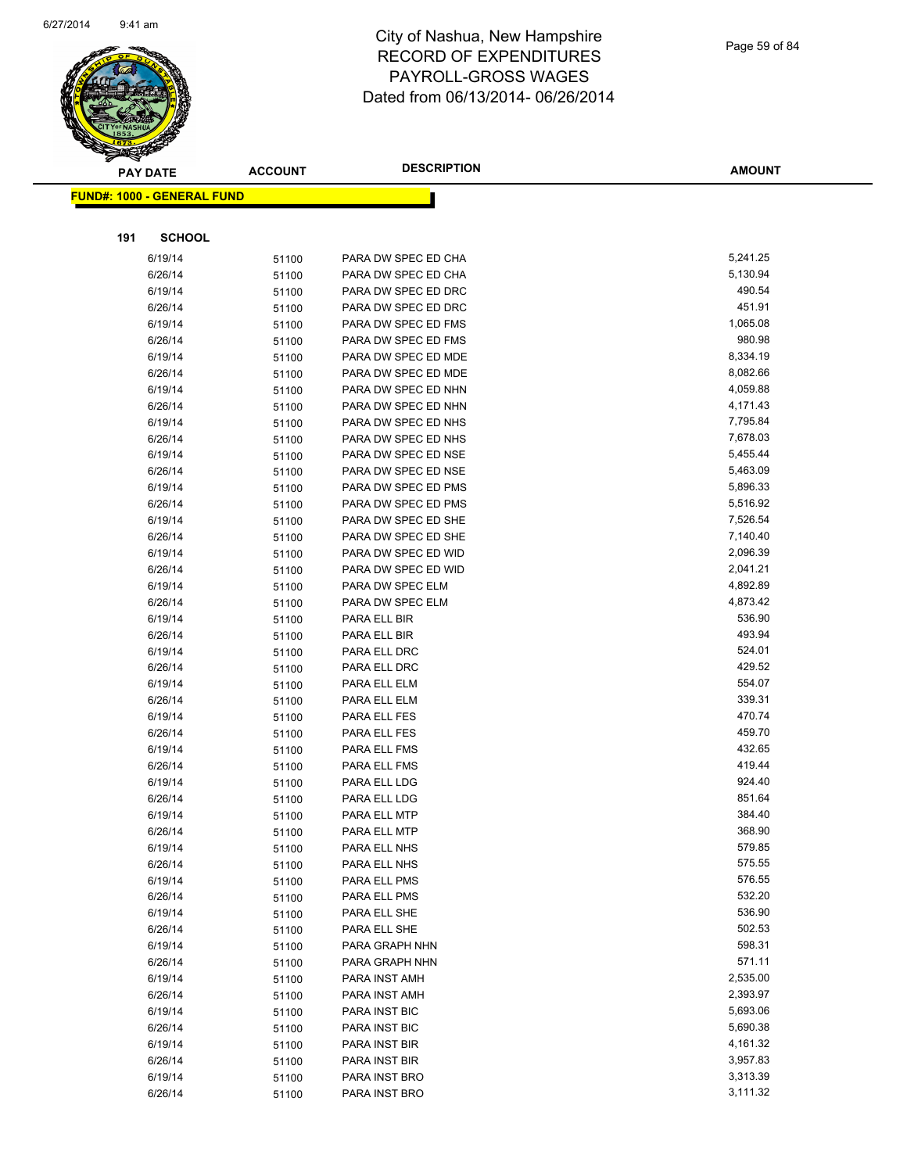

|     | <b>PAY DATE</b>                   | <b>ACCOUNT</b> | <b>DESCRIPTION</b>  | <b>AMOUNT</b> |
|-----|-----------------------------------|----------------|---------------------|---------------|
|     | <b>FUND#: 1000 - GENERAL FUND</b> |                |                     |               |
|     |                                   |                |                     |               |
| 191 | <b>SCHOOL</b>                     |                |                     |               |
|     |                                   |                |                     |               |
|     | 6/19/14                           | 51100          | PARA DW SPEC ED CHA | 5,241.25      |
|     | 6/26/14                           | 51100          | PARA DW SPEC ED CHA | 5,130.94      |
|     | 6/19/14                           | 51100          | PARA DW SPEC ED DRC | 490.54        |
|     | 6/26/14                           | 51100          | PARA DW SPEC ED DRC | 451.91        |
|     | 6/19/14                           | 51100          | PARA DW SPEC ED FMS | 1,065.08      |
|     | 6/26/14                           | 51100          | PARA DW SPEC ED FMS | 980.98        |
|     | 6/19/14                           | 51100          | PARA DW SPEC ED MDE | 8,334.19      |
|     | 6/26/14                           | 51100          | PARA DW SPEC ED MDE | 8,082.66      |
|     | 6/19/14                           | 51100          | PARA DW SPEC ED NHN | 4,059.88      |
|     | 6/26/14                           | 51100          | PARA DW SPEC ED NHN | 4,171.43      |
|     | 6/19/14                           | 51100          | PARA DW SPEC ED NHS | 7,795.84      |
|     | 6/26/14                           | 51100          | PARA DW SPEC ED NHS | 7,678.03      |
|     | 6/19/14                           | 51100          | PARA DW SPEC ED NSE | 5,455.44      |
|     | 6/26/14                           | 51100          | PARA DW SPEC ED NSE | 5,463.09      |
|     | 6/19/14                           | 51100          | PARA DW SPEC ED PMS | 5,896.33      |
|     | 6/26/14                           | 51100          | PARA DW SPEC ED PMS | 5,516.92      |
|     | 6/19/14                           | 51100          | PARA DW SPEC ED SHE | 7,526.54      |
|     | 6/26/14                           | 51100          | PARA DW SPEC ED SHE | 7,140.40      |
|     | 6/19/14                           | 51100          | PARA DW SPEC ED WID | 2,096.39      |
|     | 6/26/14                           | 51100          | PARA DW SPEC ED WID | 2,041.21      |
|     | 6/19/14                           | 51100          | PARA DW SPEC ELM    | 4,892.89      |
|     | 6/26/14                           | 51100          | PARA DW SPEC ELM    | 4,873.42      |
|     | 6/19/14                           | 51100          | PARA ELL BIR        | 536.90        |
|     | 6/26/14                           | 51100          | PARA ELL BIR        | 493.94        |
|     | 6/19/14                           | 51100          | PARA ELL DRC        | 524.01        |
|     | 6/26/14                           | 51100          | PARA ELL DRC        | 429.52        |
|     | 6/19/14                           | 51100          | PARA ELL ELM        | 554.07        |
|     | 6/26/14                           | 51100          | PARA ELL ELM        | 339.31        |
|     | 6/19/14                           | 51100          | PARA ELL FES        | 470.74        |
|     | 6/26/14                           | 51100          | PARA ELL FES        | 459.70        |
|     | 6/19/14                           | 51100          | PARA ELL FMS        | 432.65        |
|     | 6/26/14                           | 51100          | PARA ELL FMS        | 419.44        |
|     | 6/19/14                           | 51100          | PARA ELL LDG        | 924.40        |
|     | 6/26/14                           | 51100          | PARA ELL LDG        | 851.64        |
|     | 6/19/14                           | 51100          | PARA ELL MTP        | 384.40        |
|     | 6/26/14                           | 51100          | PARA ELL MTP        | 368.90        |
|     | 6/19/14                           | 51100          | PARA ELL NHS        | 579.85        |
|     | 6/26/14                           | 51100          | PARA ELL NHS        | 575.55        |
|     | 6/19/14                           | 51100          | PARA ELL PMS        | 576.55        |
|     | 6/26/14                           | 51100          | PARA ELL PMS        | 532.20        |
|     | 6/19/14                           | 51100          | PARA ELL SHE        | 536.90        |
|     | 6/26/14                           | 51100          | PARA ELL SHE        | 502.53        |
|     | 6/19/14                           | 51100          | PARA GRAPH NHN      | 598.31        |
|     | 6/26/14                           | 51100          | PARA GRAPH NHN      | 571.11        |
|     | 6/19/14                           | 51100          | PARA INST AMH       | 2,535.00      |
|     | 6/26/14                           | 51100          | PARA INST AMH       | 2,393.97      |
|     | 6/19/14                           | 51100          | PARA INST BIC       | 5,693.06      |
|     | 6/26/14                           | 51100          | PARA INST BIC       | 5,690.38      |
|     | 6/19/14                           | 51100          | PARA INST BIR       | 4,161.32      |
|     | 6/26/14                           | 51100          | PARA INST BIR       | 3,957.83      |
|     | 6/19/14                           | 51100          | PARA INST BRO       | 3,313.39      |
|     | 6/26/14                           | 51100          | PARA INST BRO       | 3,111.32      |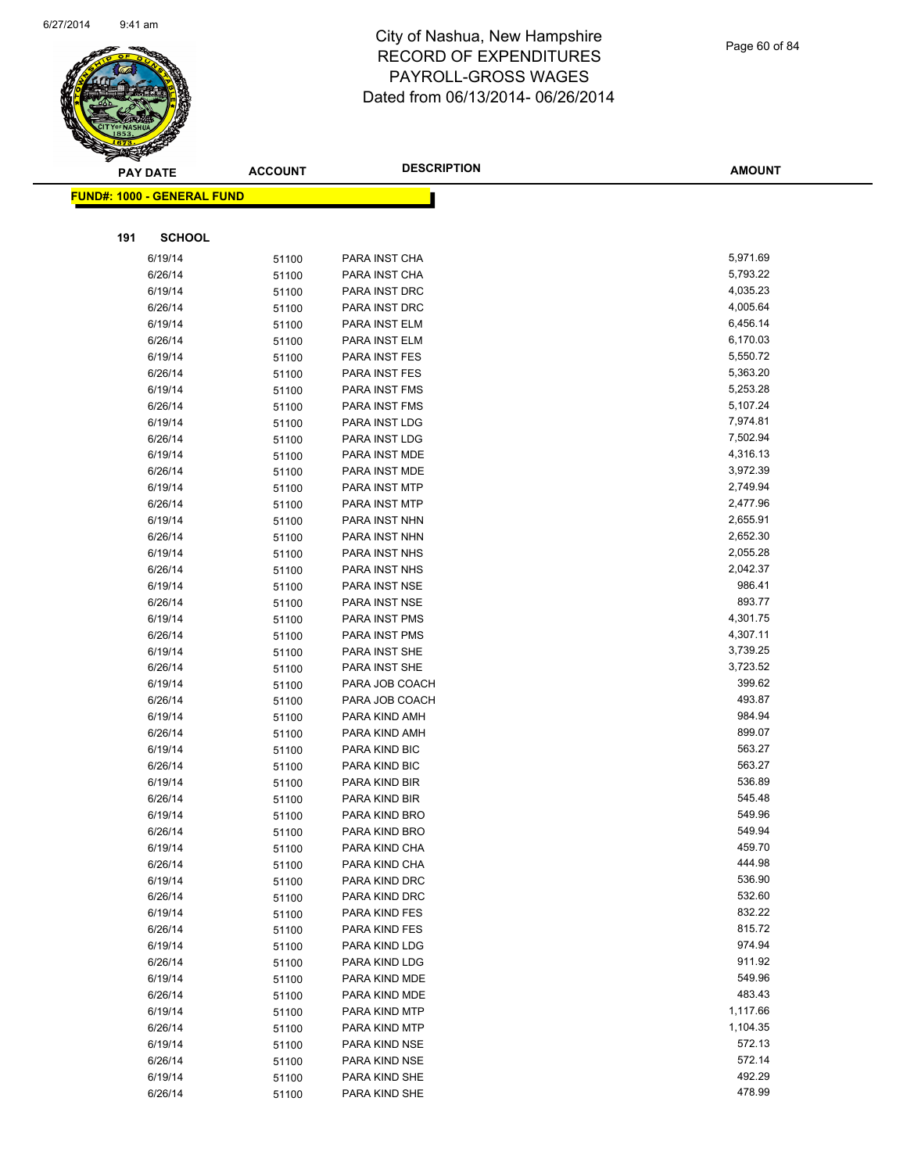

|     | <b>PAY DATE</b>                    | <b>ACCOUNT</b> | <b>DESCRIPTION</b>             | <b>AMOUNT</b>        |
|-----|------------------------------------|----------------|--------------------------------|----------------------|
|     | <u> FUND#: 1000 - GENERAL FUND</u> |                |                                |                      |
|     |                                    |                |                                |                      |
|     |                                    |                |                                |                      |
| 191 | <b>SCHOOL</b>                      |                |                                |                      |
|     | 6/19/14                            | 51100          | PARA INST CHA                  | 5,971.69             |
|     | 6/26/14                            | 51100          | PARA INST CHA                  | 5,793.22             |
|     | 6/19/14                            | 51100          | PARA INST DRC                  | 4,035.23             |
|     | 6/26/14                            | 51100          | PARA INST DRC                  | 4,005.64             |
|     | 6/19/14                            | 51100          | PARA INST ELM                  | 6,456.14             |
|     | 6/26/14                            | 51100          | PARA INST ELM                  | 6,170.03             |
|     | 6/19/14                            | 51100          | PARA INST FES                  | 5,550.72             |
|     | 6/26/14                            | 51100          | PARA INST FES                  | 5,363.20             |
|     | 6/19/14                            | 51100          | PARA INST FMS                  | 5,253.28             |
|     | 6/26/14                            | 51100          | PARA INST FMS                  | 5,107.24             |
|     | 6/19/14                            | 51100          | PARA INST LDG                  | 7,974.81             |
|     | 6/26/14                            | 51100          | PARA INST LDG                  | 7,502.94             |
|     | 6/19/14                            | 51100          | PARA INST MDE                  | 4,316.13             |
|     | 6/26/14                            | 51100          | PARA INST MDE                  | 3,972.39             |
|     | 6/19/14                            | 51100          | PARA INST MTP                  | 2,749.94             |
|     | 6/26/14                            | 51100          | PARA INST MTP                  | 2,477.96             |
|     | 6/19/14                            | 51100          | PARA INST NHN                  | 2,655.91<br>2,652.30 |
|     | 6/26/14                            | 51100          | PARA INST NHN                  |                      |
|     | 6/19/14                            | 51100          | PARA INST NHS                  | 2,055.28<br>2,042.37 |
|     | 6/26/14                            | 51100          | PARA INST NHS                  | 986.41               |
|     | 6/19/14                            | 51100          | PARA INST NSE                  | 893.77               |
|     | 6/26/14                            | 51100          | PARA INST NSE<br>PARA INST PMS | 4,301.75             |
|     | 6/19/14                            | 51100          |                                | 4,307.11             |
|     | 6/26/14<br>6/19/14                 | 51100          | PARA INST PMS                  | 3,739.25             |
|     | 6/26/14                            | 51100          | PARA INST SHE<br>PARA INST SHE | 3,723.52             |
|     | 6/19/14                            | 51100          | PARA JOB COACH                 | 399.62               |
|     | 6/26/14                            | 51100<br>51100 | PARA JOB COACH                 | 493.87               |
|     | 6/19/14                            | 51100          | PARA KIND AMH                  | 984.94               |
|     | 6/26/14                            | 51100          | PARA KIND AMH                  | 899.07               |
|     | 6/19/14                            | 51100          | PARA KIND BIC                  | 563.27               |
|     | 6/26/14                            | 51100          | PARA KIND BIC                  | 563.27               |
|     | 6/19/14                            | 51100          | PARA KIND BIR                  | 536.89               |
|     | 6/26/14                            | 51100          | PARA KIND BIR                  | 545.48               |
|     | 6/19/14                            | 51100          | PARA KIND BRO                  | 549.96               |
|     | 6/26/14                            | 51100          | PARA KIND BRO                  | 549.94               |
|     | 6/19/14                            | 51100          | PARA KIND CHA                  | 459.70               |
|     | 6/26/14                            | 51100          | PARA KIND CHA                  | 444.98               |
|     | 6/19/14                            | 51100          | PARA KIND DRC                  | 536.90               |
|     | 6/26/14                            | 51100          | PARA KIND DRC                  | 532.60               |
|     | 6/19/14                            | 51100          | PARA KIND FES                  | 832.22               |
|     | 6/26/14                            | 51100          | PARA KIND FES                  | 815.72               |
|     | 6/19/14                            | 51100          | PARA KIND LDG                  | 974.94               |
|     | 6/26/14                            | 51100          | PARA KIND LDG                  | 911.92               |
|     | 6/19/14                            | 51100          | PARA KIND MDE                  | 549.96               |
|     | 6/26/14                            | 51100          | PARA KIND MDE                  | 483.43               |
|     | 6/19/14                            | 51100          | PARA KIND MTP                  | 1,117.66             |
|     | 6/26/14                            | 51100          | PARA KIND MTP                  | 1,104.35             |
|     | 6/19/14                            | 51100          | PARA KIND NSE                  | 572.13               |
|     | 6/26/14                            | 51100          | PARA KIND NSE                  | 572.14               |
|     | 6/19/14                            | 51100          | PARA KIND SHE                  | 492.29               |
|     | 6/26/14                            | 51100          | PARA KIND SHE                  | 478.99               |
|     |                                    |                |                                |                      |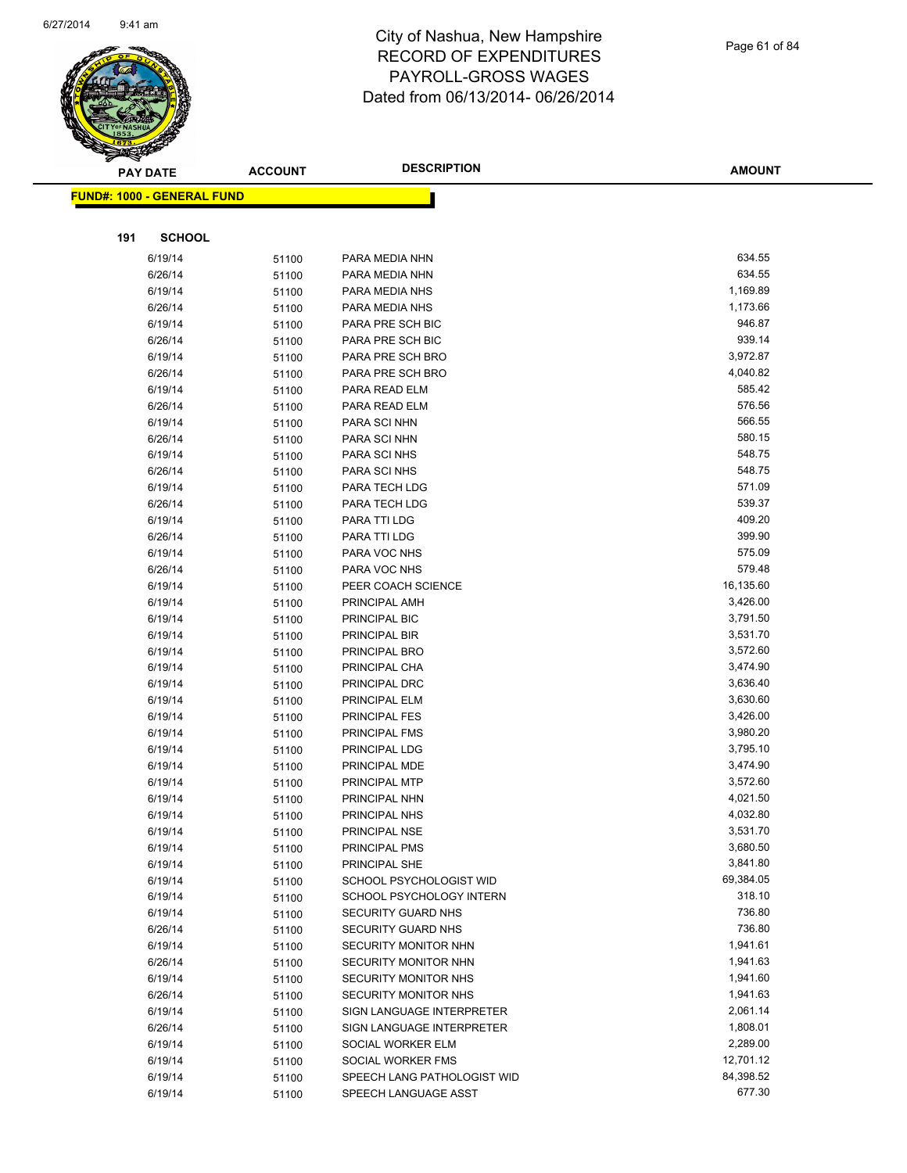

|     | <b>PAY DATE</b>                   | <b>ACCOUNT</b> | <b>DESCRIPTION</b>             | <b>AMOUNT</b>    |
|-----|-----------------------------------|----------------|--------------------------------|------------------|
|     | <b>FUND#: 1000 - GENERAL FUND</b> |                |                                |                  |
|     |                                   |                |                                |                  |
|     |                                   |                |                                |                  |
| 191 | <b>SCHOOL</b>                     |                |                                |                  |
|     | 6/19/14                           | 51100          | PARA MEDIA NHN                 | 634.55           |
|     | 6/26/14                           | 51100          | PARA MEDIA NHN                 | 634.55           |
|     | 6/19/14                           | 51100          | PARA MEDIA NHS                 | 1,169.89         |
|     | 6/26/14                           | 51100          | PARA MEDIA NHS                 | 1,173.66         |
|     | 6/19/14                           | 51100          | PARA PRE SCH BIC               | 946.87           |
|     | 6/26/14                           | 51100          | PARA PRE SCH BIC               | 939.14           |
|     | 6/19/14                           | 51100          | PARA PRE SCH BRO               | 3,972.87         |
|     | 6/26/14                           | 51100          | PARA PRE SCH BRO               | 4,040.82         |
|     | 6/19/14                           | 51100          | PARA READ ELM                  | 585.42           |
|     | 6/26/14                           | 51100          | PARA READ ELM                  | 576.56           |
|     | 6/19/14                           | 51100          | PARA SCI NHN                   | 566.55           |
|     | 6/26/14                           | 51100          | PARA SCI NHN                   | 580.15           |
|     | 6/19/14                           | 51100          | PARA SCI NHS                   | 548.75           |
|     | 6/26/14                           | 51100          | PARA SCI NHS                   | 548.75           |
|     | 6/19/14                           | 51100          | PARA TECH LDG                  | 571.09<br>539.37 |
|     | 6/26/14                           | 51100          | PARA TECH LDG                  |                  |
|     | 6/19/14                           | 51100          | PARA TTI LDG                   | 409.20<br>399.90 |
|     | 6/26/14                           | 51100          | PARA TTI LDG                   |                  |
|     | 6/19/14                           | 51100          | PARA VOC NHS                   | 575.09<br>579.48 |
|     | 6/26/14                           | 51100          | PARA VOC NHS                   | 16,135.60        |
|     | 6/19/14                           | 51100          | PEER COACH SCIENCE             | 3,426.00         |
|     | 6/19/14<br>6/19/14                | 51100          | PRINCIPAL AMH<br>PRINCIPAL BIC | 3,791.50         |
|     | 6/19/14                           | 51100          | PRINCIPAL BIR                  | 3,531.70         |
|     | 6/19/14                           | 51100<br>51100 | PRINCIPAL BRO                  | 3,572.60         |
|     | 6/19/14                           | 51100          | PRINCIPAL CHA                  | 3,474.90         |
|     | 6/19/14                           | 51100          | PRINCIPAL DRC                  | 3,636.40         |
|     | 6/19/14                           | 51100          | PRINCIPAL ELM                  | 3,630.60         |
|     | 6/19/14                           | 51100          | <b>PRINCIPAL FES</b>           | 3,426.00         |
|     | 6/19/14                           | 51100          | PRINCIPAL FMS                  | 3,980.20         |
|     | 6/19/14                           | 51100          | PRINCIPAL LDG                  | 3,795.10         |
|     | 6/19/14                           | 51100          | PRINCIPAL MDE                  | 3,474.90         |
|     | 6/19/14                           | 51100          | PRINCIPAL MTP                  | 3,572.60         |
|     | 6/19/14                           | 51100          | PRINCIPAL NHN                  | 4,021.50         |
|     | 6/19/14                           | 51100          | PRINCIPAL NHS                  | 4,032.80         |
|     | 6/19/14                           | 51100          | PRINCIPAL NSE                  | 3,531.70         |
|     | 6/19/14                           | 51100          | PRINCIPAL PMS                  | 3,680.50         |
|     | 6/19/14                           | 51100          | PRINCIPAL SHE                  | 3,841.80         |
|     | 6/19/14                           | 51100          | SCHOOL PSYCHOLOGIST WID        | 69,384.05        |
|     | 6/19/14                           | 51100          | SCHOOL PSYCHOLOGY INTERN       | 318.10           |
|     | 6/19/14                           | 51100          | <b>SECURITY GUARD NHS</b>      | 736.80           |
|     | 6/26/14                           | 51100          | SECURITY GUARD NHS             | 736.80           |
|     | 6/19/14                           | 51100          | SECURITY MONITOR NHN           | 1,941.61         |
|     | 6/26/14                           | 51100          | SECURITY MONITOR NHN           | 1,941.63         |
|     | 6/19/14                           | 51100          | SECURITY MONITOR NHS           | 1,941.60         |
|     | 6/26/14                           | 51100          | SECURITY MONITOR NHS           | 1,941.63         |
|     | 6/19/14                           | 51100          | SIGN LANGUAGE INTERPRETER      | 2,061.14         |
|     | 6/26/14                           | 51100          | SIGN LANGUAGE INTERPRETER      | 1,808.01         |
|     | 6/19/14                           | 51100          | SOCIAL WORKER ELM              | 2,289.00         |
|     | 6/19/14                           | 51100          | SOCIAL WORKER FMS              | 12,701.12        |
|     | 6/19/14                           | 51100          | SPEECH LANG PATHOLOGIST WID    | 84,398.52        |
|     | 6/19/14                           | 51100          | SPEECH LANGUAGE ASST           | 677.30           |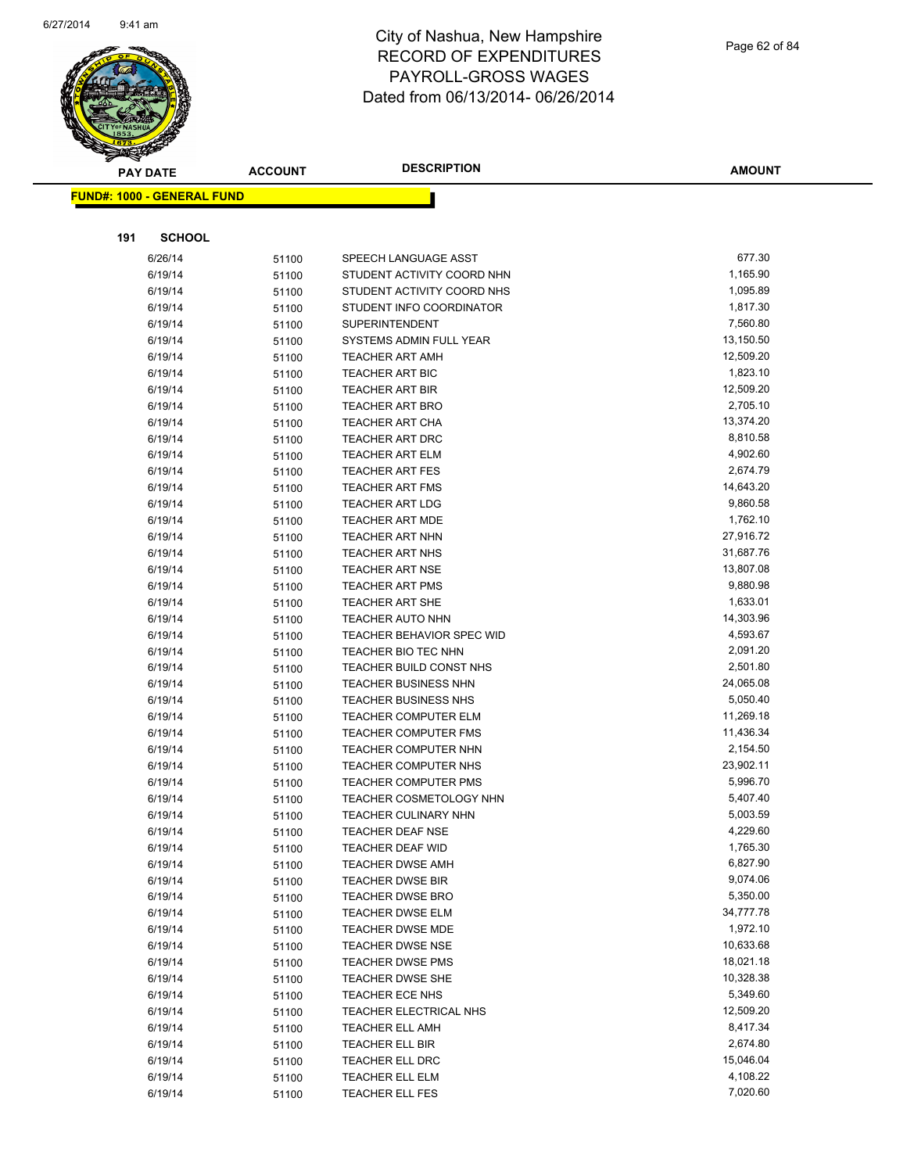

| <b>PAY DATE</b>                   | <b>ACCOUNT</b> | <b>DESCRIPTION</b>                                     | <b>AMOUNT</b>        |
|-----------------------------------|----------------|--------------------------------------------------------|----------------------|
| <b>FUND#: 1000 - GENERAL FUND</b> |                |                                                        |                      |
|                                   |                |                                                        |                      |
|                                   |                |                                                        |                      |
| <b>SCHOOL</b><br>191              |                |                                                        |                      |
| 6/26/14                           | 51100          | SPEECH LANGUAGE ASST                                   | 677.30               |
| 6/19/14                           | 51100          | STUDENT ACTIVITY COORD NHN                             | 1,165.90             |
| 6/19/14                           | 51100          | STUDENT ACTIVITY COORD NHS                             | 1,095.89             |
| 6/19/14                           | 51100          | STUDENT INFO COORDINATOR                               | 1,817.30             |
| 6/19/14                           | 51100          | <b>SUPERINTENDENT</b>                                  | 7,560.80             |
| 6/19/14                           | 51100          | SYSTEMS ADMIN FULL YEAR                                | 13,150.50            |
| 6/19/14                           | 51100          | <b>TEACHER ART AMH</b>                                 | 12,509.20            |
| 6/19/14                           | 51100          | <b>TEACHER ART BIC</b>                                 | 1,823.10             |
| 6/19/14                           | 51100          | <b>TEACHER ART BIR</b>                                 | 12,509.20            |
| 6/19/14                           | 51100          | <b>TEACHER ART BRO</b>                                 | 2,705.10             |
| 6/19/14                           | 51100          | <b>TEACHER ART CHA</b>                                 | 13,374.20            |
| 6/19/14                           | 51100          | TEACHER ART DRC                                        | 8,810.58             |
| 6/19/14                           | 51100          | <b>TEACHER ART ELM</b>                                 | 4,902.60             |
| 6/19/14                           | 51100          | <b>TEACHER ART FES</b>                                 | 2,674.79             |
| 6/19/14                           | 51100          | TEACHER ART FMS                                        | 14,643.20            |
| 6/19/14                           | 51100          | <b>TEACHER ART LDG</b>                                 | 9,860.58             |
| 6/19/14                           | 51100          | <b>TEACHER ART MDE</b>                                 | 1,762.10             |
| 6/19/14                           | 51100          | <b>TEACHER ART NHN</b>                                 | 27,916.72            |
| 6/19/14                           | 51100          | <b>TEACHER ART NHS</b>                                 | 31,687.76            |
| 6/19/14                           | 51100          | <b>TEACHER ART NSE</b>                                 | 13,807.08            |
| 6/19/14                           | 51100          | <b>TEACHER ART PMS</b>                                 | 9,880.98             |
| 6/19/14                           | 51100          | <b>TEACHER ART SHE</b>                                 | 1,633.01             |
| 6/19/14                           | 51100          | <b>TEACHER AUTO NHN</b>                                | 14,303.96            |
| 6/19/14                           | 51100          | TEACHER BEHAVIOR SPEC WID                              | 4,593.67             |
| 6/19/14                           | 51100          | TEACHER BIO TEC NHN                                    | 2,091.20<br>2,501.80 |
| 6/19/14<br>6/19/14                | 51100          | TEACHER BUILD CONST NHS<br><b>TEACHER BUSINESS NHN</b> | 24,065.08            |
| 6/19/14                           | 51100          | TEACHER BUSINESS NHS                                   | 5,050.40             |
| 6/19/14                           | 51100          | <b>TEACHER COMPUTER ELM</b>                            | 11,269.18            |
| 6/19/14                           | 51100<br>51100 | <b>TEACHER COMPUTER FMS</b>                            | 11,436.34            |
| 6/19/14                           | 51100          | TEACHER COMPUTER NHN                                   | 2,154.50             |
| 6/19/14                           | 51100          | TEACHER COMPUTER NHS                                   | 23,902.11            |
| 6/19/14                           | 51100          | TEACHER COMPUTER PMS                                   | 5,996.70             |
| 6/19/14                           | 51100          | TEACHER COSMETOLOGY NHN                                | 5,407.40             |
| 6/19/14                           | 51100          | <b>TEACHER CULINARY NHN</b>                            | 5,003.59             |
| 6/19/14                           | 51100          | TEACHER DEAF NSE                                       | 4,229.60             |
| 6/19/14                           | 51100          | <b>TEACHER DEAF WID</b>                                | 1,765.30             |
| 6/19/14                           | 51100          | <b>TEACHER DWSE AMH</b>                                | 6,827.90             |
| 6/19/14                           | 51100          | <b>TEACHER DWSE BIR</b>                                | 9,074.06             |
| 6/19/14                           | 51100          | <b>TEACHER DWSE BRO</b>                                | 5,350.00             |
| 6/19/14                           | 51100          | <b>TEACHER DWSE ELM</b>                                | 34,777.78            |
| 6/19/14                           | 51100          | <b>TEACHER DWSE MDE</b>                                | 1,972.10             |
| 6/19/14                           | 51100          | <b>TEACHER DWSE NSE</b>                                | 10,633.68            |
| 6/19/14                           | 51100          | TEACHER DWSE PMS                                       | 18,021.18            |
| 6/19/14                           | 51100          | <b>TEACHER DWSE SHE</b>                                | 10,328.38            |
| 6/19/14                           | 51100          | TEACHER ECE NHS                                        | 5,349.60             |
| 6/19/14                           | 51100          | TEACHER ELECTRICAL NHS                                 | 12,509.20            |
| 6/19/14                           | 51100          | <b>TEACHER ELL AMH</b>                                 | 8,417.34             |
| 6/19/14                           | 51100          | TEACHER ELL BIR                                        | 2,674.80             |
| 6/19/14                           | 51100          | <b>TEACHER ELL DRC</b>                                 | 15,046.04            |
| 6/19/14                           | 51100          | TEACHER ELL ELM                                        | 4,108.22             |
| 6/19/14                           | 51100          | TEACHER ELL FES                                        | 7,020.60             |
|                                   |                |                                                        |                      |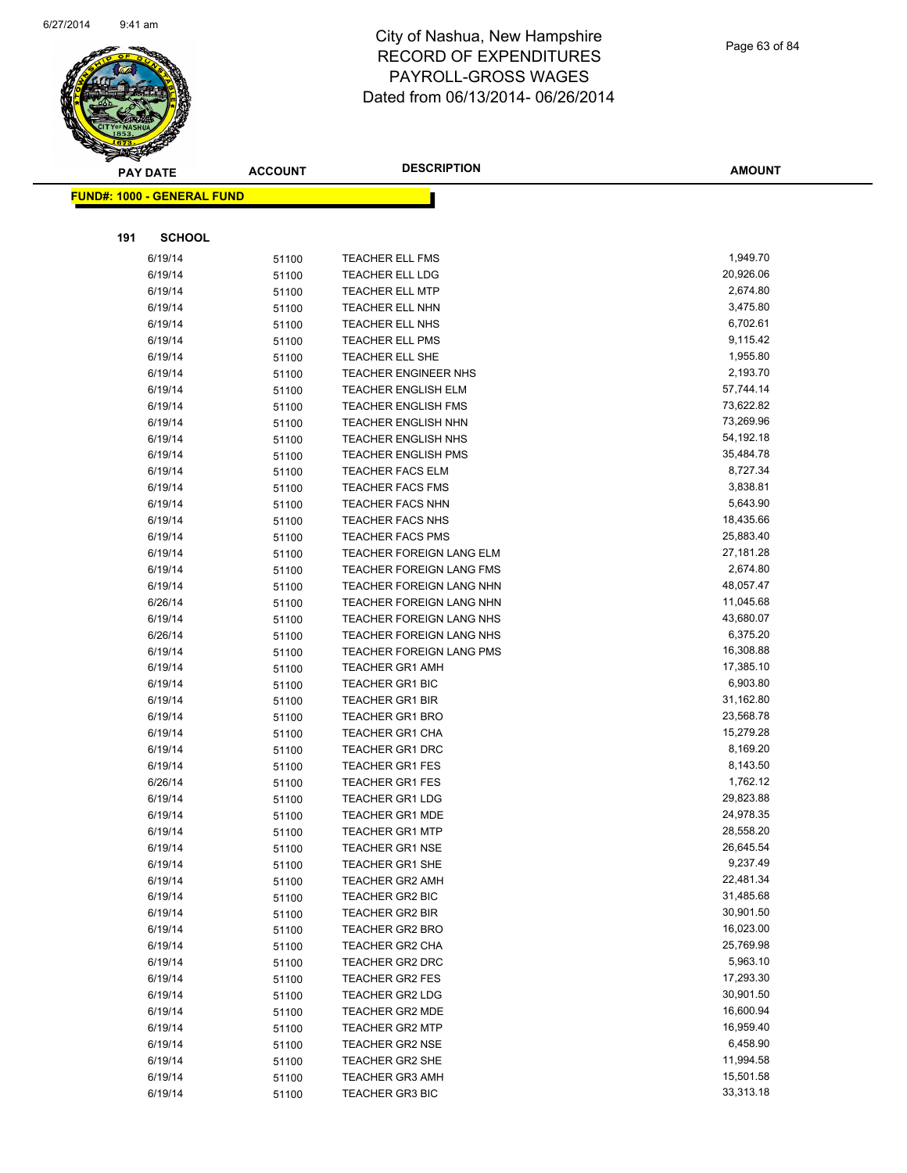

Page 63 of 84

|     | <b>PAY DATE</b>                   | <b>ACCOUNT</b> | <b>DESCRIPTION</b>                               | <b>AMOUNT</b>          |
|-----|-----------------------------------|----------------|--------------------------------------------------|------------------------|
|     | <b>FUND#: 1000 - GENERAL FUND</b> |                |                                                  |                        |
|     |                                   |                |                                                  |                        |
|     |                                   |                |                                                  |                        |
| 191 | <b>SCHOOL</b>                     |                |                                                  |                        |
|     | 6/19/14                           | 51100          | <b>TEACHER ELL FMS</b>                           | 1,949.70               |
|     | 6/19/14                           | 51100          | TEACHER ELL LDG                                  | 20,926.06              |
|     | 6/19/14                           | 51100          | TEACHER ELL MTP                                  | 2,674.80               |
|     | 6/19/14                           | 51100          | TEACHER ELL NHN                                  | 3,475.80               |
|     | 6/19/14                           | 51100          | TEACHER ELL NHS                                  | 6,702.61               |
|     | 6/19/14                           | 51100          | <b>TEACHER ELL PMS</b>                           | 9,115.42               |
|     | 6/19/14                           | 51100          | TEACHER ELL SHE                                  | 1,955.80               |
|     | 6/19/14                           | 51100          | <b>TEACHER ENGINEER NHS</b>                      | 2,193.70               |
|     | 6/19/14                           | 51100          | <b>TEACHER ENGLISH ELM</b>                       | 57,744.14              |
|     | 6/19/14                           | 51100          | <b>TEACHER ENGLISH FMS</b>                       | 73,622.82              |
|     | 6/19/14                           | 51100          | <b>TEACHER ENGLISH NHN</b>                       | 73,269.96              |
|     | 6/19/14                           | 51100          | <b>TEACHER ENGLISH NHS</b>                       | 54,192.18              |
|     | 6/19/14                           | 51100          | <b>TEACHER ENGLISH PMS</b>                       | 35,484.78              |
|     | 6/19/14                           | 51100          | <b>TEACHER FACS ELM</b>                          | 8,727.34               |
|     | 6/19/14                           | 51100          | <b>TEACHER FACS FMS</b>                          | 3,838.81               |
|     | 6/19/14                           | 51100          | <b>TEACHER FACS NHN</b>                          | 5,643.90               |
|     | 6/19/14                           | 51100          | <b>TEACHER FACS NHS</b>                          | 18,435.66              |
|     | 6/19/14                           | 51100          | <b>TEACHER FACS PMS</b>                          | 25,883.40              |
|     | 6/19/14                           | 51100          | TEACHER FOREIGN LANG ELM                         | 27,181.28              |
|     | 6/19/14                           | 51100          | TEACHER FOREIGN LANG FMS                         | 2,674.80               |
|     | 6/19/14                           | 51100          | TEACHER FOREIGN LANG NHN                         | 48,057.47              |
|     | 6/26/14                           | 51100          | TEACHER FOREIGN LANG NHN                         | 11,045.68              |
|     | 6/19/14                           | 51100          | TEACHER FOREIGN LANG NHS                         | 43,680.07              |
|     | 6/26/14                           | 51100          | TEACHER FOREIGN LANG NHS                         | 6,375.20               |
|     | 6/19/14                           | 51100          | TEACHER FOREIGN LANG PMS                         | 16,308.88              |
|     | 6/19/14                           | 51100          | <b>TEACHER GR1 AMH</b>                           | 17,385.10              |
|     | 6/19/14                           | 51100          | <b>TEACHER GR1 BIC</b>                           | 6,903.80               |
|     | 6/19/14                           | 51100          | <b>TEACHER GR1 BIR</b>                           | 31,162.80              |
|     | 6/19/14                           | 51100          | <b>TEACHER GR1 BRO</b>                           | 23,568.78              |
|     | 6/19/14                           | 51100          | <b>TEACHER GR1 CHA</b>                           | 15,279.28              |
|     | 6/19/14                           | 51100          | <b>TEACHER GR1 DRC</b>                           | 8,169.20               |
|     | 6/19/14                           | 51100          | <b>TEACHER GR1 FES</b>                           | 8,143.50               |
|     | 6/26/14                           | 51100          | <b>TEACHER GR1 FES</b>                           | 1,762.12               |
|     | 6/19/14                           | 51100          | <b>TEACHER GR1 LDG</b><br><b>TEACHER GR1 MDE</b> | 29,823.88<br>24,978.35 |
|     | 6/19/14                           | 51100          |                                                  |                        |
|     | 6/19/14                           | 51100          | TEACHER GR1 MTP                                  | 28,558.20<br>26,645.54 |
|     | 6/19/14                           | 51100          | TEACHER GR1 NSE                                  | 9,237.49               |
|     | 6/19/14                           | 51100          | TEACHER GR1 SHE<br><b>TEACHER GR2 AMH</b>        | 22,481.34              |
|     | 6/19/14<br>6/19/14                | 51100          | TEACHER GR2 BIC                                  | 31,485.68              |
|     | 6/19/14                           | 51100<br>51100 | <b>TEACHER GR2 BIR</b>                           | 30,901.50              |
|     | 6/19/14                           | 51100          | <b>TEACHER GR2 BRO</b>                           | 16,023.00              |
|     | 6/19/14                           | 51100          | TEACHER GR2 CHA                                  | 25,769.98              |
|     | 6/19/14                           | 51100          | TEACHER GR2 DRC                                  | 5,963.10               |
|     | 6/19/14                           | 51100          | <b>TEACHER GR2 FES</b>                           | 17,293.30              |
|     | 6/19/14                           | 51100          | TEACHER GR2 LDG                                  | 30,901.50              |
|     | 6/19/14                           | 51100          | <b>TEACHER GR2 MDE</b>                           | 16,600.94              |
|     | 6/19/14                           | 51100          | <b>TEACHER GR2 MTP</b>                           | 16,959.40              |
|     | 6/19/14                           | 51100          | <b>TEACHER GR2 NSE</b>                           | 6,458.90               |
|     | 6/19/14                           | 51100          | TEACHER GR2 SHE                                  | 11,994.58              |
|     | 6/19/14                           | 51100          | <b>TEACHER GR3 AMH</b>                           | 15,501.58              |
|     | 6/19/14                           | 51100          | <b>TEACHER GR3 BIC</b>                           | 33,313.18              |
|     |                                   |                |                                                  |                        |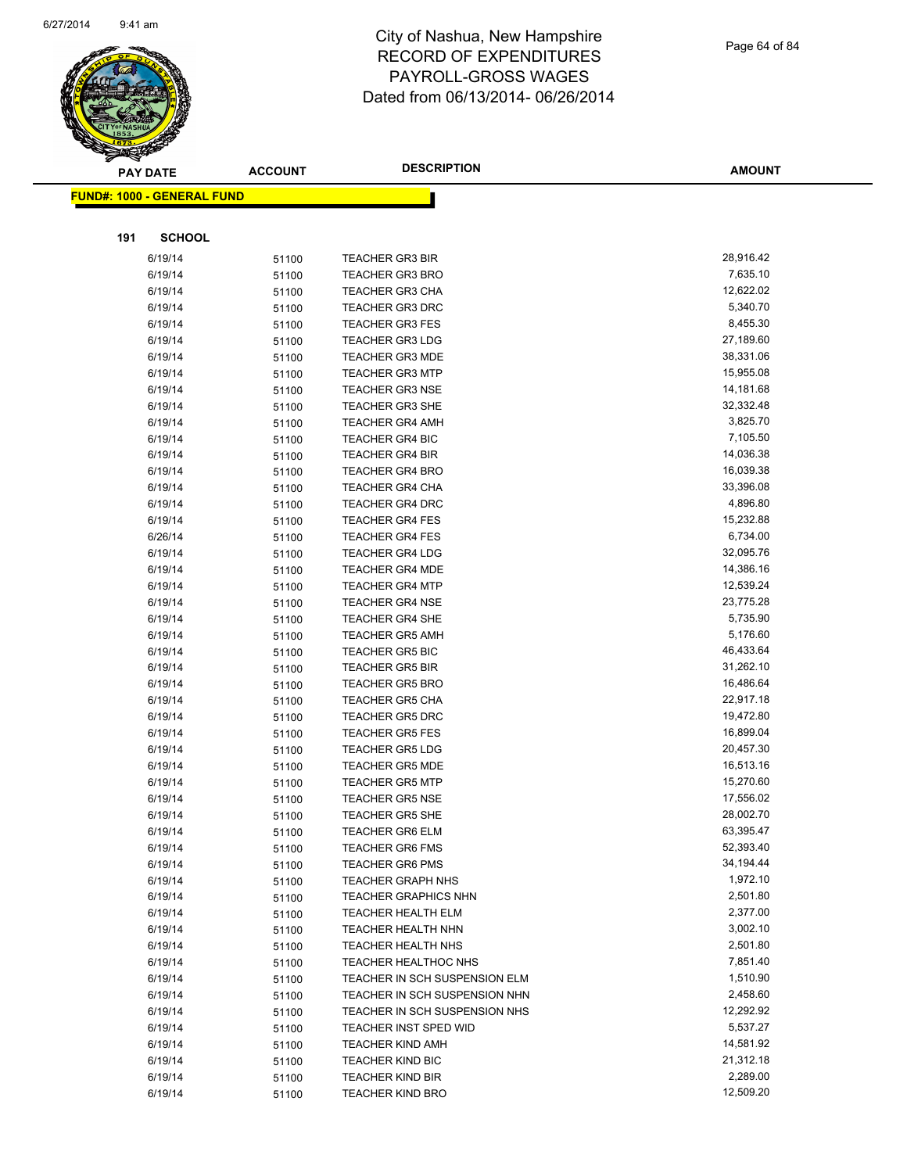

|     | <b>PAY DATE</b>                   | <b>ACCOUNT</b> | <b>DESCRIPTION</b>                               | <b>AMOUNT</b>          |
|-----|-----------------------------------|----------------|--------------------------------------------------|------------------------|
|     | <b>FUND#: 1000 - GENERAL FUND</b> |                |                                                  |                        |
|     |                                   |                |                                                  |                        |
|     |                                   |                |                                                  |                        |
| 191 | <b>SCHOOL</b>                     |                |                                                  |                        |
|     | 6/19/14                           | 51100          | <b>TEACHER GR3 BIR</b>                           | 28,916.42              |
|     | 6/19/14                           | 51100          | <b>TEACHER GR3 BRO</b>                           | 7,635.10               |
|     | 6/19/14                           | 51100          | <b>TEACHER GR3 CHA</b>                           | 12,622.02              |
|     | 6/19/14                           | 51100          | <b>TEACHER GR3 DRC</b>                           | 5,340.70               |
|     | 6/19/14                           | 51100          | <b>TEACHER GR3 FES</b>                           | 8,455.30               |
|     | 6/19/14                           | 51100          | <b>TEACHER GR3 LDG</b>                           | 27,189.60              |
|     | 6/19/14                           | 51100          | <b>TEACHER GR3 MDE</b>                           | 38,331.06              |
|     | 6/19/14                           | 51100          | <b>TEACHER GR3 MTP</b>                           | 15,955.08              |
|     | 6/19/14                           | 51100          | <b>TEACHER GR3 NSE</b>                           | 14,181.68              |
|     | 6/19/14                           | 51100          | <b>TEACHER GR3 SHE</b>                           | 32,332.48              |
|     | 6/19/14                           | 51100          | <b>TEACHER GR4 AMH</b>                           | 3,825.70               |
|     | 6/19/14                           | 51100          | <b>TEACHER GR4 BIC</b>                           | 7,105.50               |
|     | 6/19/14                           | 51100          | <b>TEACHER GR4 BIR</b>                           | 14,036.38              |
|     | 6/19/14                           | 51100          | <b>TEACHER GR4 BRO</b>                           | 16,039.38              |
|     | 6/19/14                           | 51100          | <b>TEACHER GR4 CHA</b>                           | 33,396.08              |
|     | 6/19/14                           | 51100          | <b>TEACHER GR4 DRC</b>                           | 4,896.80               |
|     | 6/19/14                           | 51100          | <b>TEACHER GR4 FES</b>                           | 15,232.88              |
|     | 6/26/14                           | 51100          | <b>TEACHER GR4 FES</b>                           | 6,734.00               |
|     | 6/19/14                           | 51100          | <b>TEACHER GR4 LDG</b>                           | 32,095.76              |
|     | 6/19/14                           | 51100          | <b>TEACHER GR4 MDE</b>                           | 14,386.16              |
|     | 6/19/14                           | 51100          | <b>TEACHER GR4 MTP</b>                           | 12,539.24              |
|     | 6/19/14                           | 51100          | <b>TEACHER GR4 NSE</b>                           | 23,775.28              |
|     | 6/19/14                           | 51100          | <b>TEACHER GR4 SHE</b>                           | 5,735.90               |
|     | 6/19/14                           | 51100          | <b>TEACHER GR5 AMH</b>                           | 5,176.60               |
|     | 6/19/14                           | 51100          | <b>TEACHER GR5 BIC</b>                           | 46,433.64              |
|     | 6/19/14                           | 51100          | <b>TEACHER GR5 BIR</b>                           | 31,262.10              |
|     | 6/19/14                           | 51100          | <b>TEACHER GR5 BRO</b>                           | 16,486.64              |
|     | 6/19/14                           | 51100          | <b>TEACHER GR5 CHA</b>                           | 22,917.18              |
|     | 6/19/14                           | 51100          | <b>TEACHER GR5 DRC</b>                           | 19,472.80              |
|     | 6/19/14                           | 51100          | <b>TEACHER GR5 FES</b>                           | 16,899.04              |
|     | 6/19/14                           | 51100          | <b>TEACHER GR5 LDG</b>                           | 20,457.30              |
|     | 6/19/14                           | 51100          | <b>TEACHER GR5 MDE</b>                           | 16,513.16<br>15,270.60 |
|     | 6/19/14                           | 51100          | <b>TEACHER GR5 MTP</b>                           |                        |
|     | 6/19/14                           | 51100          | <b>TEACHER GR5 NSE</b>                           | 17,556.02<br>28,002.70 |
|     | 6/19/14                           | 51100          | <b>TEACHER GR5 SHE</b>                           |                        |
|     | 6/19/14                           | 51100          | TEACHER GR6 ELM                                  | 63,395.47<br>52,393.40 |
|     | 6/19/14<br>6/19/14                | 51100          | <b>TEACHER GR6 FMS</b><br><b>TEACHER GR6 PMS</b> | 34,194.44              |
|     | 6/19/14                           | 51100          | <b>TEACHER GRAPH NHS</b>                         | 1,972.10               |
|     | 6/19/14                           | 51100<br>51100 | <b>TEACHER GRAPHICS NHN</b>                      | 2,501.80               |
|     | 6/19/14                           | 51100          | <b>TEACHER HEALTH ELM</b>                        | 2,377.00               |
|     | 6/19/14                           | 51100          | <b>TEACHER HEALTH NHN</b>                        | 3,002.10               |
|     | 6/19/14                           | 51100          | <b>TEACHER HEALTH NHS</b>                        | 2,501.80               |
|     | 6/19/14                           | 51100          | <b>TEACHER HEALTHOC NHS</b>                      | 7,851.40               |
|     | 6/19/14                           | 51100          | TEACHER IN SCH SUSPENSION ELM                    | 1,510.90               |
|     | 6/19/14                           | 51100          | TEACHER IN SCH SUSPENSION NHN                    | 2,458.60               |
|     | 6/19/14                           | 51100          | TEACHER IN SCH SUSPENSION NHS                    | 12,292.92              |
|     | 6/19/14                           | 51100          | TEACHER INST SPED WID                            | 5,537.27               |
|     | 6/19/14                           | 51100          | <b>TEACHER KIND AMH</b>                          | 14,581.92              |
|     | 6/19/14                           | 51100          | <b>TEACHER KIND BIC</b>                          | 21,312.18              |
|     | 6/19/14                           | 51100          | <b>TEACHER KIND BIR</b>                          | 2,289.00               |
|     | 6/19/14                           | 51100          | <b>TEACHER KIND BRO</b>                          | 12,509.20              |
|     |                                   |                |                                                  |                        |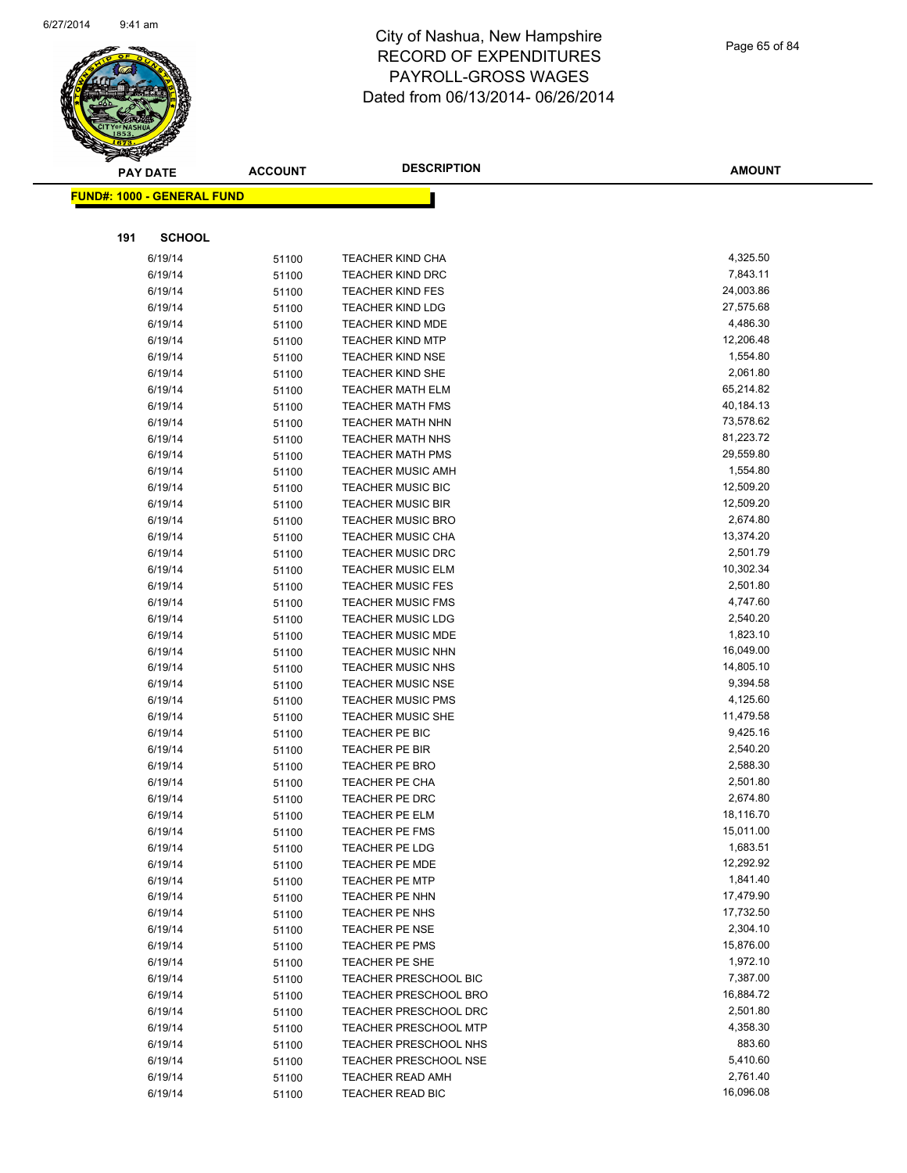

| <b>PAY DATE</b> |                                   | <b>ACCOUNT</b> | <b>DESCRIPTION</b>           | <b>AMOUNT</b> |
|-----------------|-----------------------------------|----------------|------------------------------|---------------|
|                 | <b>FUND#: 1000 - GENERAL FUND</b> |                |                              |               |
|                 |                                   |                |                              |               |
|                 |                                   |                |                              |               |
| 191             | <b>SCHOOL</b>                     |                |                              |               |
|                 | 6/19/14                           | 51100          | <b>TEACHER KIND CHA</b>      | 4,325.50      |
|                 | 6/19/14                           | 51100          | <b>TEACHER KIND DRC</b>      | 7,843.11      |
|                 | 6/19/14                           | 51100          | <b>TEACHER KIND FES</b>      | 24,003.86     |
|                 | 6/19/14                           | 51100          | <b>TEACHER KIND LDG</b>      | 27,575.68     |
|                 | 6/19/14                           | 51100          | <b>TEACHER KIND MDE</b>      | 4,486.30      |
|                 | 6/19/14                           | 51100          | <b>TEACHER KIND MTP</b>      | 12,206.48     |
|                 | 6/19/14                           | 51100          | <b>TEACHER KIND NSE</b>      | 1,554.80      |
|                 | 6/19/14                           | 51100          | <b>TEACHER KIND SHE</b>      | 2,061.80      |
|                 | 6/19/14                           | 51100          | <b>TEACHER MATH ELM</b>      | 65,214.82     |
|                 | 6/19/14                           | 51100          | <b>TEACHER MATH FMS</b>      | 40,184.13     |
|                 | 6/19/14                           | 51100          | <b>TEACHER MATH NHN</b>      | 73,578.62     |
|                 | 6/19/14                           | 51100          | <b>TEACHER MATH NHS</b>      | 81,223.72     |
|                 | 6/19/14                           | 51100          | <b>TEACHER MATH PMS</b>      | 29,559.80     |
|                 | 6/19/14                           | 51100          | <b>TEACHER MUSIC AMH</b>     | 1,554.80      |
|                 | 6/19/14                           | 51100          | <b>TEACHER MUSIC BIC</b>     | 12,509.20     |
|                 | 6/19/14                           | 51100          | <b>TEACHER MUSIC BIR</b>     | 12,509.20     |
|                 | 6/19/14                           | 51100          | <b>TEACHER MUSIC BRO</b>     | 2,674.80      |
|                 | 6/19/14                           | 51100          | <b>TEACHER MUSIC CHA</b>     | 13,374.20     |
|                 | 6/19/14                           | 51100          | <b>TEACHER MUSIC DRC</b>     | 2,501.79      |
|                 | 6/19/14                           | 51100          | <b>TEACHER MUSIC ELM</b>     | 10,302.34     |
|                 | 6/19/14                           | 51100          | <b>TEACHER MUSIC FES</b>     | 2,501.80      |
|                 | 6/19/14                           | 51100          | <b>TEACHER MUSIC FMS</b>     | 4,747.60      |
|                 | 6/19/14                           | 51100          | <b>TEACHER MUSIC LDG</b>     | 2,540.20      |
|                 | 6/19/14                           | 51100          | <b>TEACHER MUSIC MDE</b>     | 1,823.10      |
|                 | 6/19/14                           | 51100          | <b>TEACHER MUSIC NHN</b>     | 16,049.00     |
|                 | 6/19/14                           | 51100          | <b>TEACHER MUSIC NHS</b>     | 14,805.10     |
|                 | 6/19/14                           | 51100          | <b>TEACHER MUSIC NSE</b>     | 9,394.58      |
|                 | 6/19/14                           | 51100          | <b>TEACHER MUSIC PMS</b>     | 4,125.60      |
|                 | 6/19/14                           | 51100          | <b>TEACHER MUSIC SHE</b>     | 11,479.58     |
|                 | 6/19/14                           | 51100          | TEACHER PE BIC               | 9,425.16      |
|                 | 6/19/14                           | 51100          | TEACHER PE BIR               | 2,540.20      |
|                 | 6/19/14                           | 51100          | <b>TEACHER PE BRO</b>        | 2,588.30      |
|                 | 6/19/14                           | 51100          | <b>TEACHER PE CHA</b>        | 2,501.80      |
|                 | 6/19/14                           | 51100          | <b>TEACHER PE DRC</b>        | 2,674.80      |
|                 | 6/19/14                           | 51100          | <b>TEACHER PE ELM</b>        | 18,116.70     |
|                 | 6/19/14                           | 51100          | TEACHER PE FMS               | 15,011.00     |
|                 | 6/19/14                           | 51100          | <b>TEACHER PE LDG</b>        | 1,683.51      |
|                 | 6/19/14                           | 51100          | <b>TEACHER PE MDE</b>        | 12,292.92     |
|                 | 6/19/14                           | 51100          | <b>TEACHER PE MTP</b>        | 1,841.40      |
|                 | 6/19/14                           | 51100          | <b>TEACHER PE NHN</b>        | 17,479.90     |
|                 | 6/19/14                           | 51100          | <b>TEACHER PE NHS</b>        | 17,732.50     |
|                 | 6/19/14                           | 51100          | <b>TEACHER PE NSE</b>        | 2,304.10      |
|                 | 6/19/14                           | 51100          | TEACHER PE PMS               | 15,876.00     |
|                 | 6/19/14                           | 51100          | TEACHER PE SHE               | 1,972.10      |
|                 | 6/19/14                           | 51100          | <b>TEACHER PRESCHOOL BIC</b> | 7,387.00      |
|                 | 6/19/14                           | 51100          | <b>TEACHER PRESCHOOL BRO</b> | 16,884.72     |
|                 | 6/19/14                           | 51100          | <b>TEACHER PRESCHOOL DRC</b> | 2,501.80      |
|                 | 6/19/14                           | 51100          | <b>TEACHER PRESCHOOL MTP</b> | 4,358.30      |
|                 | 6/19/14                           | 51100          | <b>TEACHER PRESCHOOL NHS</b> | 883.60        |
|                 | 6/19/14                           | 51100          | <b>TEACHER PRESCHOOL NSE</b> | 5,410.60      |
|                 | 6/19/14                           | 51100          | <b>TEACHER READ AMH</b>      | 2,761.40      |
|                 | 6/19/14                           | 51100          | <b>TEACHER READ BIC</b>      | 16,096.08     |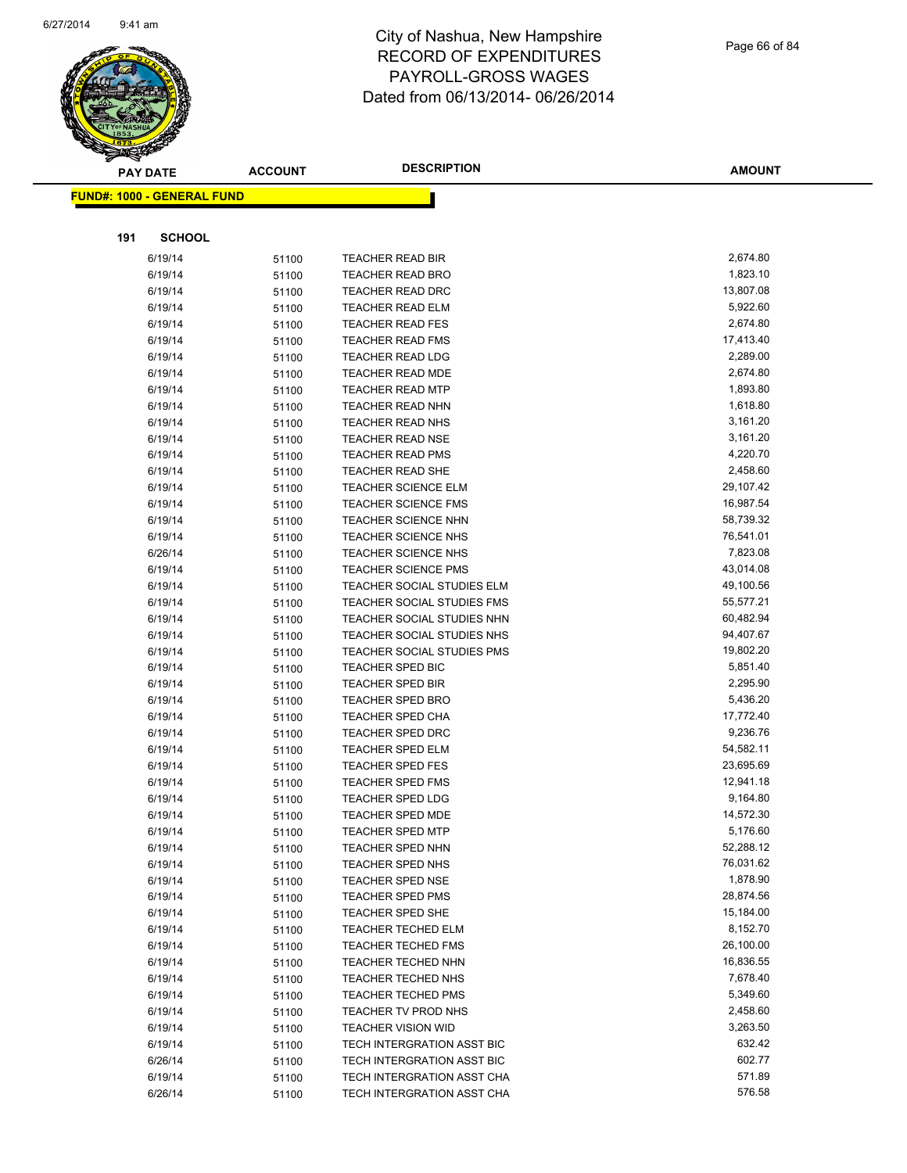

|     | <b>PAY DATE</b>                   | <b>ACCOUNT</b> | <b>DESCRIPTION</b>                | <b>AMOUNT</b>          |
|-----|-----------------------------------|----------------|-----------------------------------|------------------------|
|     | <b>FUND#: 1000 - GENERAL FUND</b> |                |                                   |                        |
|     |                                   |                |                                   |                        |
|     |                                   |                |                                   |                        |
| 191 | <b>SCHOOL</b>                     |                |                                   |                        |
|     | 6/19/14                           | 51100          | <b>TEACHER READ BIR</b>           | 2,674.80               |
|     | 6/19/14                           | 51100          | TEACHER READ BRO                  | 1,823.10               |
|     | 6/19/14                           | 51100          | TEACHER READ DRC                  | 13,807.08              |
|     | 6/19/14                           | 51100          | <b>TEACHER READ ELM</b>           | 5,922.60               |
|     | 6/19/14                           | 51100          | <b>TEACHER READ FES</b>           | 2,674.80               |
|     | 6/19/14                           | 51100          | <b>TEACHER READ FMS</b>           | 17,413.40              |
|     | 6/19/14                           | 51100          | <b>TEACHER READ LDG</b>           | 2,289.00               |
|     | 6/19/14                           | 51100          | <b>TEACHER READ MDE</b>           | 2,674.80               |
|     | 6/19/14                           | 51100          | <b>TEACHER READ MTP</b>           | 1,893.80               |
|     | 6/19/14                           | 51100          | <b>TEACHER READ NHN</b>           | 1,618.80               |
|     | 6/19/14                           | 51100          | <b>TEACHER READ NHS</b>           | 3,161.20               |
|     | 6/19/14                           | 51100          | <b>TEACHER READ NSE</b>           | 3,161.20               |
|     | 6/19/14                           | 51100          | <b>TEACHER READ PMS</b>           | 4,220.70               |
|     | 6/19/14                           | 51100          | <b>TEACHER READ SHE</b>           | 2,458.60               |
|     | 6/19/14                           | 51100          | <b>TEACHER SCIENCE ELM</b>        | 29,107.42              |
|     | 6/19/14                           | 51100          | <b>TEACHER SCIENCE FMS</b>        | 16,987.54              |
|     | 6/19/14                           | 51100          | <b>TEACHER SCIENCE NHN</b>        | 58,739.32              |
|     | 6/19/14                           | 51100          | <b>TEACHER SCIENCE NHS</b>        | 76,541.01              |
|     | 6/26/14                           | 51100          | <b>TEACHER SCIENCE NHS</b>        | 7,823.08               |
|     | 6/19/14                           | 51100          | <b>TEACHER SCIENCE PMS</b>        | 43,014.08              |
|     | 6/19/14                           | 51100          | TEACHER SOCIAL STUDIES ELM        | 49,100.56              |
|     | 6/19/14                           | 51100          | <b>TEACHER SOCIAL STUDIES FMS</b> | 55,577.21              |
|     | 6/19/14                           | 51100          | TEACHER SOCIAL STUDIES NHN        | 60,482.94              |
|     | 6/19/14                           | 51100          | TEACHER SOCIAL STUDIES NHS        | 94,407.67              |
|     | 6/19/14                           | 51100          | <b>TEACHER SOCIAL STUDIES PMS</b> | 19,802.20              |
|     | 6/19/14                           | 51100          | <b>TEACHER SPED BIC</b>           | 5,851.40               |
|     | 6/19/14                           | 51100          | <b>TEACHER SPED BIR</b>           | 2,295.90               |
|     | 6/19/14                           | 51100          | <b>TEACHER SPED BRO</b>           | 5,436.20               |
|     | 6/19/14                           | 51100          | <b>TEACHER SPED CHA</b>           | 17,772.40              |
|     | 6/19/14                           | 51100          | <b>TEACHER SPED DRC</b>           | 9,236.76               |
|     | 6/19/14                           | 51100          | <b>TEACHER SPED ELM</b>           | 54,582.11              |
|     | 6/19/14                           | 51100          | <b>TEACHER SPED FES</b>           | 23,695.69              |
|     | 6/19/14                           | 51100          | <b>TEACHER SPED FMS</b>           | 12,941.18              |
|     | 6/19/14                           | 51100          | <b>TEACHER SPED LDG</b>           | 9,164.80               |
|     | 6/19/14                           | 51100          | <b>TEACHER SPED MDE</b>           | 14,572.30              |
|     | 6/19/14                           | 51100          | TEACHER SPED MTP                  | 5,176.60               |
|     | 6/19/14                           | 51100          | <b>TEACHER SPED NHN</b>           | 52,288.12              |
|     | 6/19/14                           | 51100          | <b>TEACHER SPED NHS</b>           | 76,031.62              |
|     | 6/19/14                           | 51100          | <b>TEACHER SPED NSE</b>           | 1,878.90               |
|     | 6/19/14                           | 51100          | TEACHER SPED PMS                  | 28,874.56              |
|     | 6/19/14                           | 51100          | TEACHER SPED SHE                  | 15,184.00              |
|     | 6/19/14                           | 51100          | <b>TEACHER TECHED ELM</b>         | 8,152.70               |
|     | 6/19/14                           | 51100          | <b>TEACHER TECHED FMS</b>         | 26,100.00<br>16,836.55 |
|     | 6/19/14                           | 51100          | <b>TEACHER TECHED NHN</b>         |                        |
|     | 6/19/14                           | 51100          | <b>TEACHER TECHED NHS</b>         | 7,678.40               |
|     | 6/19/14                           | 51100          | <b>TEACHER TECHED PMS</b>         | 5,349.60               |
|     | 6/19/14                           | 51100          | TEACHER TV PROD NHS               | 2,458.60               |
|     | 6/19/14                           | 51100          | <b>TEACHER VISION WID</b>         | 3,263.50               |
|     | 6/19/14                           | 51100          | TECH INTERGRATION ASST BIC        | 632.42<br>602.77       |
|     | 6/26/14                           | 51100          | TECH INTERGRATION ASST BIC        | 571.89                 |
|     | 6/19/14                           | 51100          | TECH INTERGRATION ASST CHA        | 576.58                 |
|     | 6/26/14                           | 51100          | TECH INTERGRATION ASST CHA        |                        |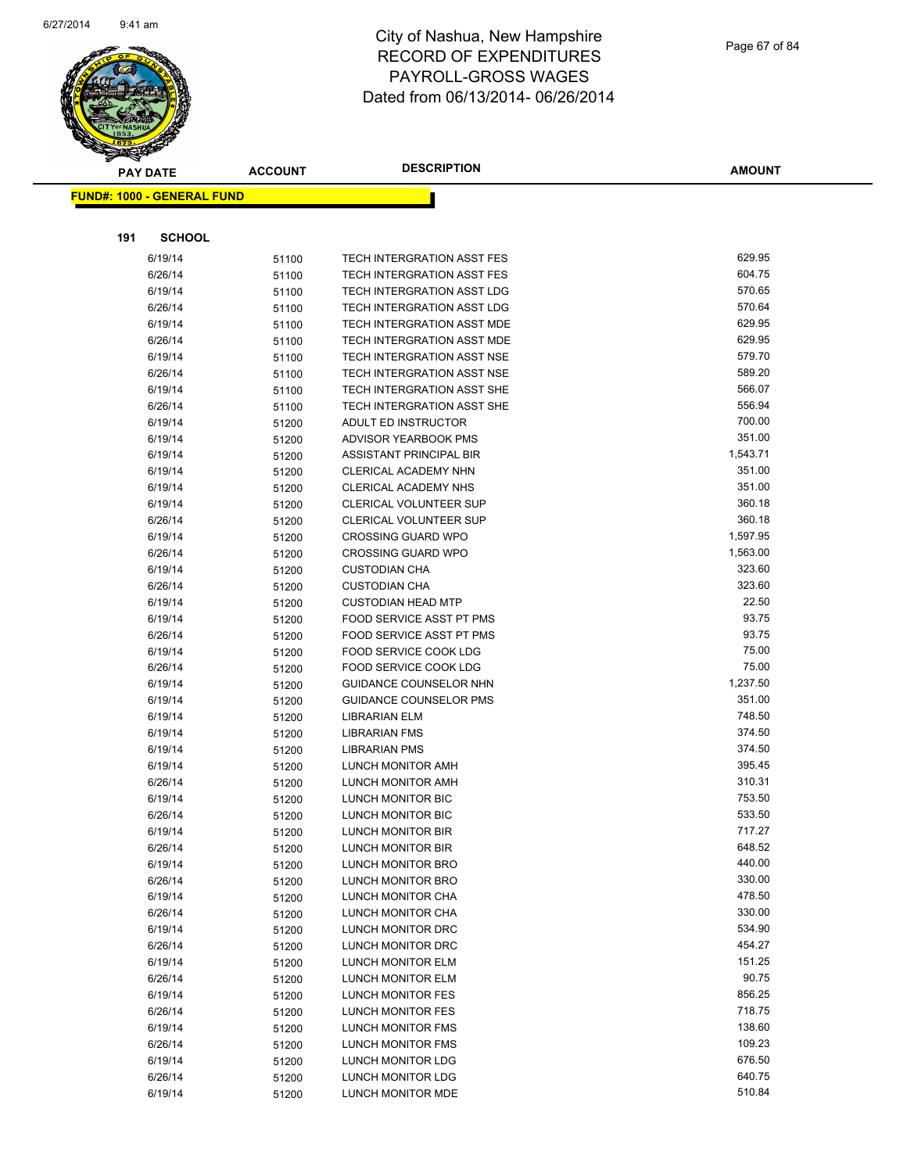

|     | <b>PAY DATE</b>                   | <b>ACCOUNT</b> | <b>DESCRIPTION</b>                                | AMOUNT         |
|-----|-----------------------------------|----------------|---------------------------------------------------|----------------|
|     | <b>FUND#: 1000 - GENERAL FUND</b> |                |                                                   |                |
|     |                                   |                |                                                   |                |
|     |                                   |                |                                                   |                |
| 191 | <b>SCHOOL</b>                     |                |                                                   |                |
|     | 6/19/14                           | 51100          | TECH INTERGRATION ASST FES                        | 629.95         |
|     | 6/26/14                           | 51100          | TECH INTERGRATION ASST FES                        | 604.75         |
|     | 6/19/14                           | 51100          | TECH INTERGRATION ASST LDG                        | 570.65         |
|     | 6/26/14                           | 51100          | TECH INTERGRATION ASST LDG                        | 570.64         |
|     | 6/19/14                           | 51100          | TECH INTERGRATION ASST MDE                        | 629.95         |
|     | 6/26/14                           | 51100          | TECH INTERGRATION ASST MDE                        | 629.95         |
|     | 6/19/14                           | 51100          | TECH INTERGRATION ASST NSE                        | 579.70         |
|     | 6/26/14                           | 51100          | TECH INTERGRATION ASST NSE                        | 589.20         |
|     | 6/19/14                           | 51100          | TECH INTERGRATION ASST SHE                        | 566.07         |
|     | 6/26/14                           | 51100          | TECH INTERGRATION ASST SHE                        | 556.94         |
|     | 6/19/14                           | 51200          | ADULT ED INSTRUCTOR                               | 700.00         |
|     | 6/19/14                           | 51200          | ADVISOR YEARBOOK PMS                              | 351.00         |
|     | 6/19/14                           | 51200          | ASSISTANT PRINCIPAL BIR                           | 1,543.71       |
|     | 6/19/14                           | 51200          | CLERICAL ACADEMY NHN                              | 351.00         |
|     | 6/19/14                           | 51200          | <b>CLERICAL ACADEMY NHS</b>                       | 351.00         |
|     | 6/19/14                           | 51200          | <b>CLERICAL VOLUNTEER SUP</b>                     | 360.18         |
|     | 6/26/14                           | 51200          | CLERICAL VOLUNTEER SUP                            | 360.18         |
|     | 6/19/14                           | 51200          | <b>CROSSING GUARD WPO</b>                         | 1,597.95       |
|     | 6/26/14                           | 51200          | <b>CROSSING GUARD WPO</b>                         | 1,563.00       |
|     | 6/19/14                           | 51200          | <b>CUSTODIAN CHA</b>                              | 323.60         |
|     | 6/26/14                           | 51200          | <b>CUSTODIAN CHA</b>                              | 323.60         |
|     | 6/19/14                           | 51200          | <b>CUSTODIAN HEAD MTP</b>                         | 22.50<br>93.75 |
|     | 6/19/14                           | 51200          | FOOD SERVICE ASST PT PMS                          | 93.75          |
|     | 6/26/14                           | 51200          | FOOD SERVICE ASST PT PMS<br>FOOD SERVICE COOK LDG | 75.00          |
|     | 6/19/14<br>6/26/14                | 51200          | FOOD SERVICE COOK LDG                             | 75.00          |
|     | 6/19/14                           | 51200          | <b>GUIDANCE COUNSELOR NHN</b>                     | 1,237.50       |
|     | 6/19/14                           | 51200          | <b>GUIDANCE COUNSELOR PMS</b>                     | 351.00         |
|     | 6/19/14                           | 51200          | <b>LIBRARIAN ELM</b>                              | 748.50         |
|     | 6/19/14                           | 51200          | LIBRARIAN FMS                                     | 374.50         |
|     | 6/19/14                           | 51200<br>51200 | <b>LIBRARIAN PMS</b>                              | 374.50         |
|     | 6/19/14                           | 51200          | LUNCH MONITOR AMH                                 | 395.45         |
|     | 6/26/14                           | 51200          | LUNCH MONITOR AMH                                 | 310.31         |
|     | 6/19/14                           | 51200          | <b>LUNCH MONITOR BIC</b>                          | 753.50         |
|     | 6/26/14                           | 51200          | LUNCH MONITOR BIC                                 | 533.50         |
|     | 6/19/14                           | 51200          | <b>LUNCH MONITOR BIR</b>                          | 717.27         |
|     | 6/26/14                           | 51200          | LUNCH MONITOR BIR                                 | 648.52         |
|     | 6/19/14                           | 51200          | LUNCH MONITOR BRO                                 | 440.00         |
|     | 6/26/14                           | 51200          | <b>LUNCH MONITOR BRO</b>                          | 330.00         |
|     | 6/19/14                           | 51200          | <b>LUNCH MONITOR CHA</b>                          | 478.50         |
|     | 6/26/14                           | 51200          | LUNCH MONITOR CHA                                 | 330.00         |
|     | 6/19/14                           | 51200          | LUNCH MONITOR DRC                                 | 534.90         |
|     | 6/26/14                           | 51200          | LUNCH MONITOR DRC                                 | 454.27         |
|     | 6/19/14                           | 51200          | <b>LUNCH MONITOR ELM</b>                          | 151.25         |
|     | 6/26/14                           | 51200          | LUNCH MONITOR ELM                                 | 90.75          |
|     | 6/19/14                           | 51200          | LUNCH MONITOR FES                                 | 856.25         |
|     | 6/26/14                           | 51200          | LUNCH MONITOR FES                                 | 718.75         |
|     | 6/19/14                           | 51200          | <b>LUNCH MONITOR FMS</b>                          | 138.60         |
|     | 6/26/14                           | 51200          | LUNCH MONITOR FMS                                 | 109.23         |
|     | 6/19/14                           | 51200          | LUNCH MONITOR LDG                                 | 676.50         |
|     | 6/26/14                           | 51200          | <b>LUNCH MONITOR LDG</b>                          | 640.75         |
|     | 6/19/14                           | 51200          | LUNCH MONITOR MDE                                 | 510.84         |
|     |                                   |                |                                                   |                |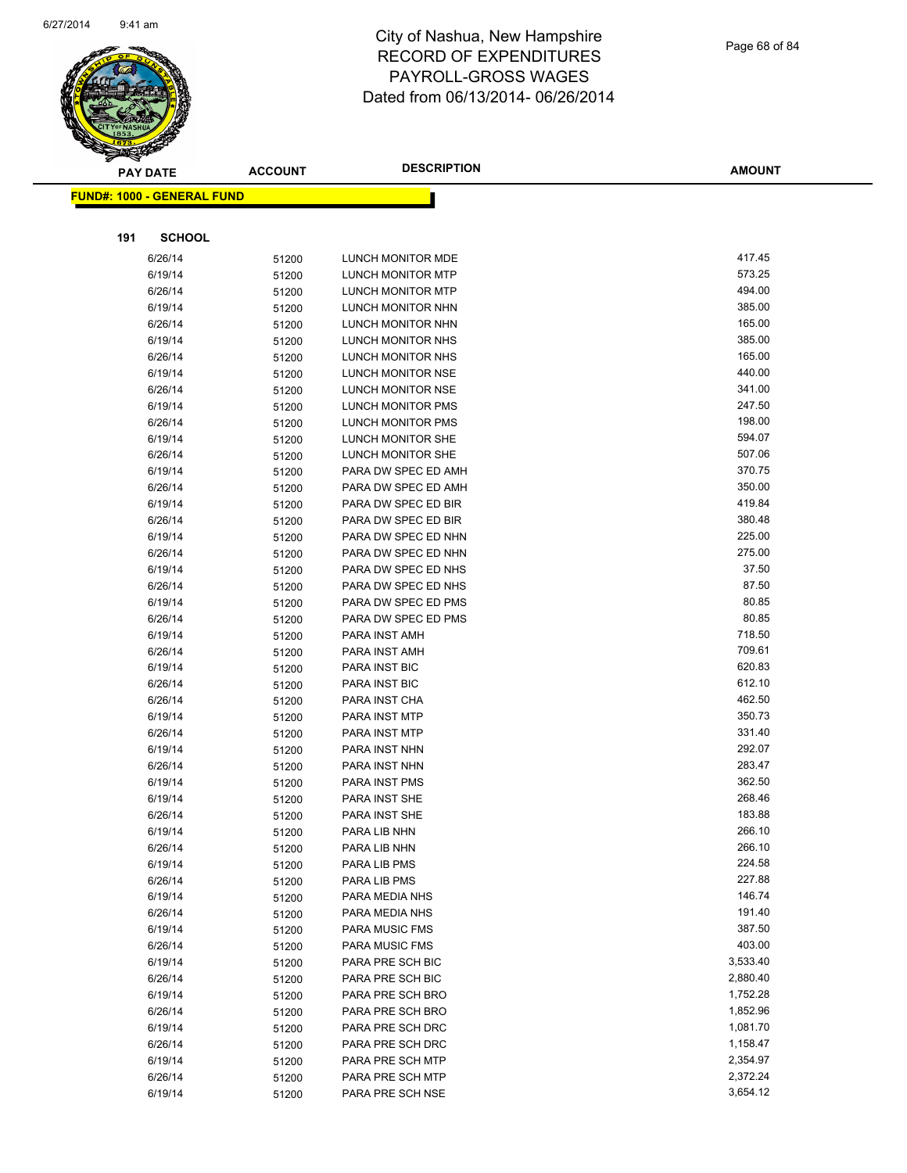

|     | <b>PAY DATE</b>                   | <b>ACCOUNT</b> | <b>DESCRIPTION</b>                     | <b>AMOUNT</b>    |
|-----|-----------------------------------|----------------|----------------------------------------|------------------|
|     | <b>FUND#: 1000 - GENERAL FUND</b> |                |                                        |                  |
|     |                                   |                |                                        |                  |
| 191 | <b>SCHOOL</b>                     |                |                                        |                  |
|     |                                   |                |                                        |                  |
|     | 6/26/14                           | 51200          | LUNCH MONITOR MDE                      | 417.45           |
|     | 6/19/14                           | 51200          | LUNCH MONITOR MTP                      | 573.25           |
|     | 6/26/14                           | 51200          | <b>LUNCH MONITOR MTP</b>               | 494.00           |
|     | 6/19/14                           | 51200          | LUNCH MONITOR NHN                      | 385.00           |
|     | 6/26/14                           | 51200          | LUNCH MONITOR NHN                      | 165.00           |
|     | 6/19/14                           | 51200          | LUNCH MONITOR NHS                      | 385.00<br>165.00 |
|     | 6/26/14<br>6/19/14                | 51200          | LUNCH MONITOR NHS                      | 440.00           |
|     |                                   | 51200          | LUNCH MONITOR NSE<br>LUNCH MONITOR NSE | 341.00           |
|     | 6/26/14<br>6/19/14                | 51200          | LUNCH MONITOR PMS                      | 247.50           |
|     | 6/26/14                           | 51200<br>51200 | LUNCH MONITOR PMS                      | 198.00           |
|     | 6/19/14                           | 51200          | LUNCH MONITOR SHE                      | 594.07           |
|     | 6/26/14                           | 51200          | LUNCH MONITOR SHE                      | 507.06           |
|     | 6/19/14                           | 51200          | PARA DW SPEC ED AMH                    | 370.75           |
|     | 6/26/14                           | 51200          | PARA DW SPEC ED AMH                    | 350.00           |
|     | 6/19/14                           | 51200          | PARA DW SPEC ED BIR                    | 419.84           |
|     | 6/26/14                           | 51200          | PARA DW SPEC ED BIR                    | 380.48           |
|     | 6/19/14                           | 51200          | PARA DW SPEC ED NHN                    | 225.00           |
|     | 6/26/14                           | 51200          | PARA DW SPEC ED NHN                    | 275.00           |
|     | 6/19/14                           | 51200          | PARA DW SPEC ED NHS                    | 37.50            |
|     | 6/26/14                           | 51200          | PARA DW SPEC ED NHS                    | 87.50            |
|     | 6/19/14                           | 51200          | PARA DW SPEC ED PMS                    | 80.85            |
|     | 6/26/14                           | 51200          | PARA DW SPEC ED PMS                    | 80.85            |
|     | 6/19/14                           | 51200          | PARA INST AMH                          | 718.50           |
|     | 6/26/14                           | 51200          | PARA INST AMH                          | 709.61           |
|     | 6/19/14                           | 51200          | PARA INST BIC                          | 620.83           |
|     | 6/26/14                           | 51200          | PARA INST BIC                          | 612.10           |
|     | 6/26/14                           | 51200          | PARA INST CHA                          | 462.50           |
|     | 6/19/14                           | 51200          | PARA INST MTP                          | 350.73           |
|     | 6/26/14                           | 51200          | PARA INST MTP                          | 331.40           |
|     | 6/19/14                           | 51200          | PARA INST NHN                          | 292.07           |
|     | 6/26/14                           | 51200          | PARA INST NHN                          | 283.47           |
|     | 6/19/14                           | 51200          | PARA INST PMS                          | 362.50           |
|     | 6/19/14                           | 51200          | PARA INST SHE                          | 268.46           |
|     | 6/26/14                           | 51200          | PARA INST SHE                          | 183.88           |
|     | 6/19/14                           | 51200          | PARA LIB NHN                           | 266.10           |
|     | 6/26/14                           | 51200          | PARA LIB NHN                           | 266.10           |
|     | 6/19/14                           | 51200          | PARA LIB PMS                           | 224.58           |
|     | 6/26/14                           | 51200          | PARA LIB PMS                           | 227.88           |
|     | 6/19/14                           | 51200          | PARA MEDIA NHS                         | 146.74           |
|     | 6/26/14                           | 51200          | PARA MEDIA NHS                         | 191.40           |
|     | 6/19/14                           | 51200          | PARA MUSIC FMS                         | 387.50           |
|     | 6/26/14                           | 51200          | PARA MUSIC FMS                         | 403.00           |
|     | 6/19/14                           | 51200          | PARA PRE SCH BIC                       | 3,533.40         |
|     | 6/26/14                           | 51200          | PARA PRE SCH BIC                       | 2,880.40         |
|     | 6/19/14                           | 51200          | PARA PRE SCH BRO                       | 1,752.28         |
|     | 6/26/14                           | 51200          | PARA PRE SCH BRO                       | 1,852.96         |
|     | 6/19/14                           | 51200          | PARA PRE SCH DRC                       | 1,081.70         |
|     | 6/26/14                           | 51200          | PARA PRE SCH DRC                       | 1,158.47         |
|     | 6/19/14                           | 51200          | PARA PRE SCH MTP                       | 2,354.97         |
|     | 6/26/14                           | 51200          | PARA PRE SCH MTP                       | 2,372.24         |
|     | 6/19/14                           | 51200          | PARA PRE SCH NSE                       | 3,654.12         |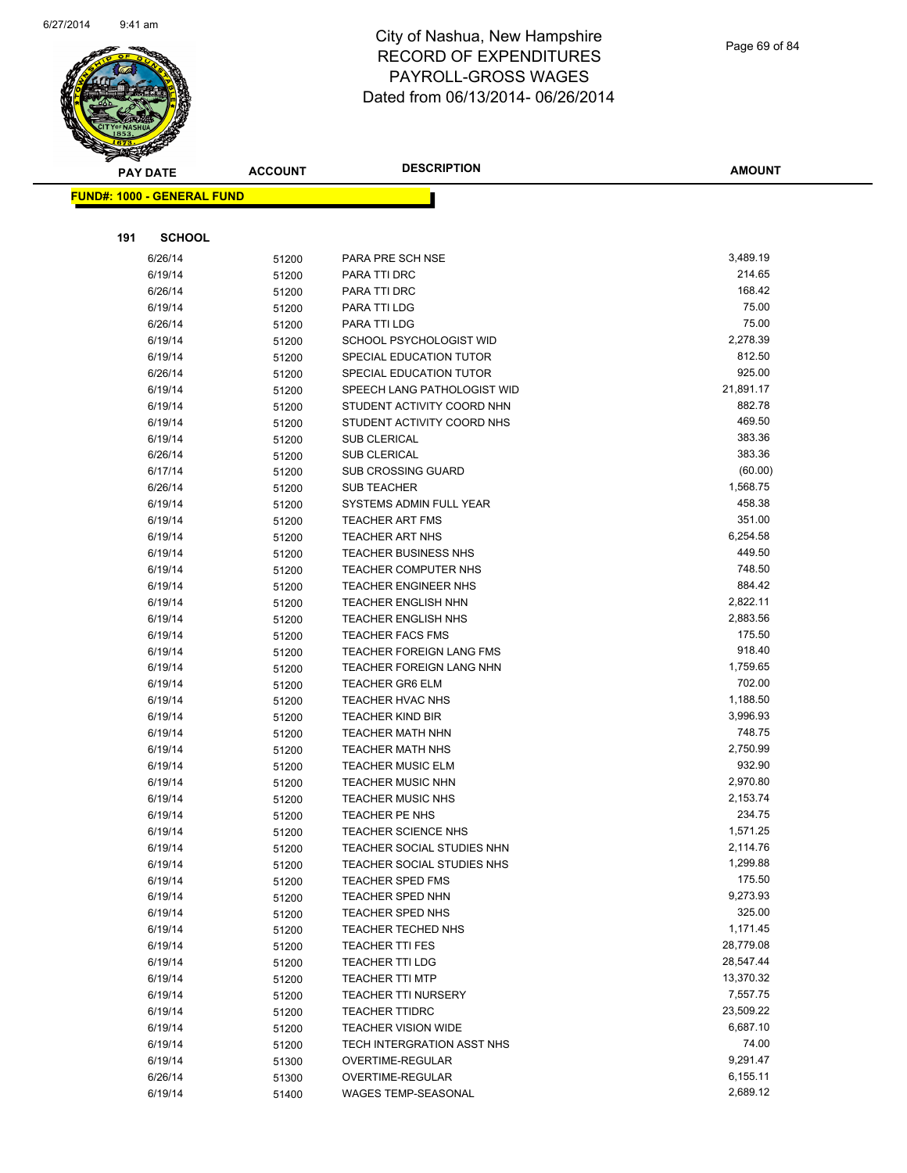

Page 69 of 84

| <b>PAY DATE</b>                   | <b>ACCOUNT</b> | <b>DESCRIPTION</b>                                       | <b>AMOUNT</b>     |
|-----------------------------------|----------------|----------------------------------------------------------|-------------------|
| <b>FUND#: 1000 - GENERAL FUND</b> |                |                                                          |                   |
|                                   |                |                                                          |                   |
|                                   |                |                                                          |                   |
| <b>SCHOOL</b><br>191              |                |                                                          |                   |
| 6/26/14                           | 51200          | PARA PRE SCH NSE                                         | 3,489.19          |
| 6/19/14                           | 51200          | PARA TTI DRC                                             | 214.65            |
| 6/26/14                           | 51200          | PARA TTI DRC                                             | 168.42            |
| 6/19/14                           | 51200          | PARA TTI LDG                                             | 75.00             |
| 6/26/14                           | 51200          | PARA TTI LDG                                             | 75.00             |
| 6/19/14                           | 51200          | SCHOOL PSYCHOLOGIST WID                                  | 2,278.39          |
| 6/19/14                           | 51200          | SPECIAL EDUCATION TUTOR                                  | 812.50<br>925.00  |
| 6/26/14                           | 51200          | SPECIAL EDUCATION TUTOR                                  | 21,891.17         |
| 6/19/14                           | 51200          | SPEECH LANG PATHOLOGIST WID                              | 882.78            |
| 6/19/14<br>6/19/14                | 51200          | STUDENT ACTIVITY COORD NHN<br>STUDENT ACTIVITY COORD NHS | 469.50            |
| 6/19/14                           | 51200          | <b>SUB CLERICAL</b>                                      | 383.36            |
| 6/26/14                           | 51200<br>51200 | <b>SUB CLERICAL</b>                                      | 383.36            |
| 6/17/14                           | 51200          | <b>SUB CROSSING GUARD</b>                                | (60.00)           |
| 6/26/14                           | 51200          | <b>SUB TEACHER</b>                                       | 1,568.75          |
| 6/19/14                           | 51200          | SYSTEMS ADMIN FULL YEAR                                  | 458.38            |
| 6/19/14                           | 51200          | <b>TEACHER ART FMS</b>                                   | 351.00            |
| 6/19/14                           | 51200          | TEACHER ART NHS                                          | 6,254.58          |
| 6/19/14                           | 51200          | <b>TEACHER BUSINESS NHS</b>                              | 449.50            |
| 6/19/14                           | 51200          | <b>TEACHER COMPUTER NHS</b>                              | 748.50            |
| 6/19/14                           | 51200          | <b>TEACHER ENGINEER NHS</b>                              | 884.42            |
| 6/19/14                           | 51200          | <b>TEACHER ENGLISH NHN</b>                               | 2,822.11          |
| 6/19/14                           | 51200          | <b>TEACHER ENGLISH NHS</b>                               | 2,883.56          |
| 6/19/14                           | 51200          | <b>TEACHER FACS FMS</b>                                  | 175.50            |
| 6/19/14                           | 51200          | <b>TEACHER FOREIGN LANG FMS</b>                          | 918.40            |
| 6/19/14                           | 51200          | TEACHER FOREIGN LANG NHN                                 | 1,759.65          |
| 6/19/14                           | 51200          | <b>TEACHER GR6 ELM</b>                                   | 702.00            |
| 6/19/14                           | 51200          | <b>TEACHER HVAC NHS</b>                                  | 1,188.50          |
| 6/19/14                           | 51200          | <b>TEACHER KIND BIR</b>                                  | 3,996.93          |
| 6/19/14                           | 51200          | <b>TEACHER MATH NHN</b>                                  | 748.75            |
| 6/19/14                           | 51200          | TEACHER MATH NHS                                         | 2,750.99          |
| 6/19/14                           | 51200          | <b>TEACHER MUSIC ELM</b>                                 | 932.90            |
| 6/19/14                           | 51200          | <b>TEACHER MUSIC NHN</b>                                 | 2,970.80          |
| 6/19/14                           | 51200          | <b>TEACHER MUSIC NHS</b>                                 | 2,153.74          |
| 6/19/14                           | 51200          | <b>TEACHER PE NHS</b>                                    | 234.75            |
| 6/19/14                           | 51200          | TEACHER SCIENCE NHS                                      | 1,571.25          |
| 6/19/14                           | 51200          | TEACHER SOCIAL STUDIES NHN                               | 2,114.76          |
| 6/19/14                           | 51200          | TEACHER SOCIAL STUDIES NHS                               | 1,299.88          |
| 6/19/14                           | 51200          | <b>TEACHER SPED FMS</b>                                  | 175.50            |
| 6/19/14                           | 51200          | TEACHER SPED NHN                                         | 9,273.93          |
| 6/19/14                           | 51200          | TEACHER SPED NHS                                         | 325.00            |
| 6/19/14                           | 51200          | TEACHER TECHED NHS                                       | 1,171.45          |
| 6/19/14                           | 51200          | <b>TEACHER TTI FES</b>                                   | 28,779.08         |
| 6/19/14                           | 51200          | TEACHER TTI LDG                                          | 28,547.44         |
| 6/19/14                           | 51200          | <b>TEACHER TTI MTP</b>                                   | 13,370.32         |
| 6/19/14                           | 51200          | <b>TEACHER TTI NURSERY</b>                               | 7,557.75          |
| 6/19/14                           | 51200          | <b>TEACHER TTIDRC</b>                                    | 23,509.22         |
| 6/19/14                           | 51200          | TEACHER VISION WIDE                                      | 6,687.10<br>74.00 |
| 6/19/14                           | 51200          | TECH INTERGRATION ASST NHS                               | 9,291.47          |
| 6/19/14                           | 51300          | OVERTIME-REGULAR                                         | 6,155.11          |
| 6/26/14<br>6/19/14                | 51300          | OVERTIME-REGULAR<br>WAGES TEMP-SEASONAL                  | 2,689.12          |
|                                   | 51400          |                                                          |                   |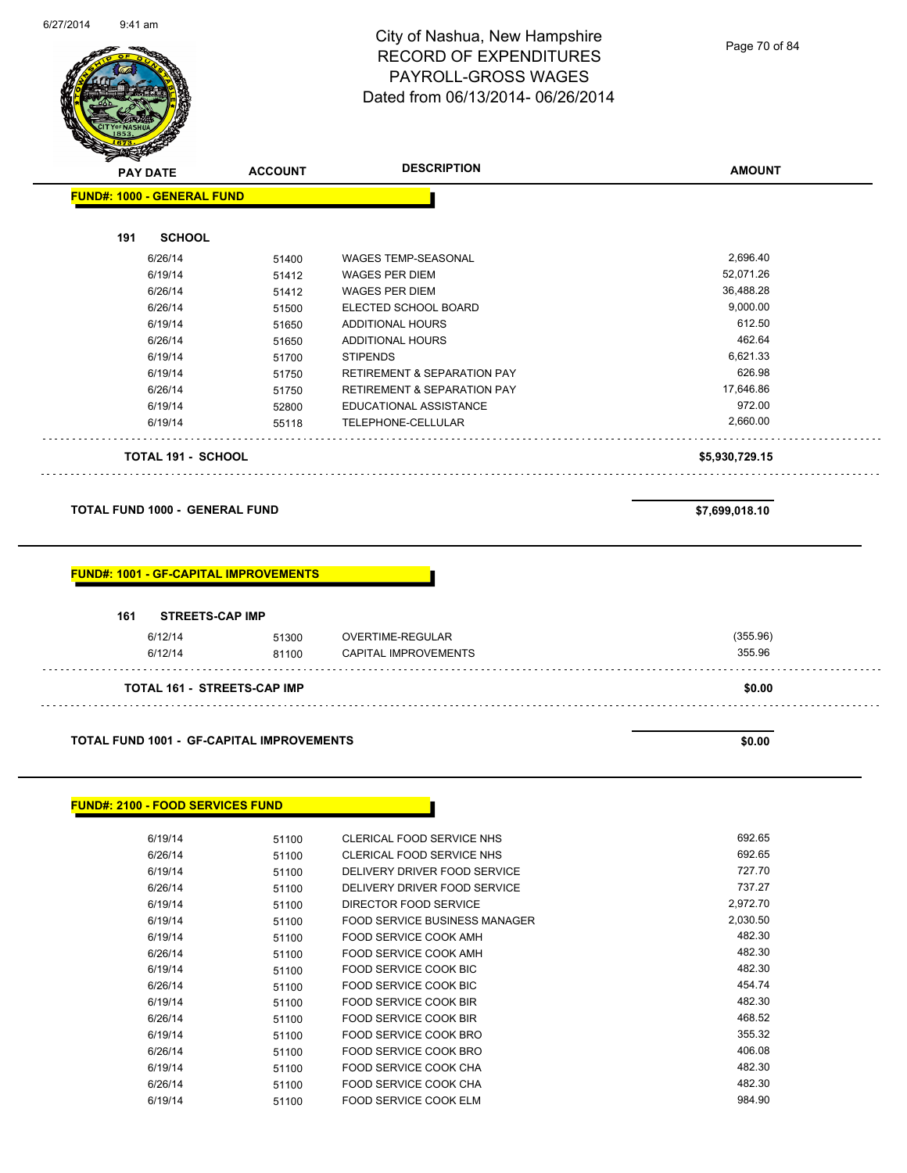

Page 70 of 84

| <b>FUND#: 1000 - GENERAL FUND</b>                | <b>ACCOUNT</b> | <b>DESCRIPTION</b>                             | <b>AMOUNT</b>    |
|--------------------------------------------------|----------------|------------------------------------------------|------------------|
|                                                  |                |                                                |                  |
| 191<br><b>SCHOOL</b>                             |                |                                                |                  |
| 6/26/14                                          | 51400          | <b>WAGES TEMP-SEASONAL</b>                     | 2,696.40         |
| 6/19/14                                          | 51412          | <b>WAGES PER DIEM</b>                          | 52,071.26        |
| 6/26/14                                          | 51412          | <b>WAGES PER DIEM</b>                          | 36,488.28        |
| 6/26/14                                          | 51500          | ELECTED SCHOOL BOARD                           | 9,000.00         |
| 6/19/14                                          | 51650          | <b>ADDITIONAL HOURS</b>                        | 612.50           |
| 6/26/14                                          | 51650          | ADDITIONAL HOURS                               | 462.64           |
| 6/19/14                                          | 51700          | <b>STIPENDS</b>                                | 6,621.33         |
| 6/19/14                                          | 51750          | <b>RETIREMENT &amp; SEPARATION PAY</b>         | 626.98           |
| 6/26/14                                          | 51750          | <b>RETIREMENT &amp; SEPARATION PAY</b>         | 17,646.86        |
| 6/19/14                                          | 52800          | EDUCATIONAL ASSISTANCE                         | 972.00           |
| 6/19/14                                          | 55118          | TELEPHONE-CELLULAR                             | 2,660.00         |
| <b>TOTAL 191 - SCHOOL</b>                        |                |                                                | \$5,930,729.15   |
|                                                  |                |                                                |                  |
|                                                  |                |                                                |                  |
| <b>TOTAL FUND 1000 - GENERAL FUND</b>            |                |                                                | \$7,699,018.10   |
|                                                  |                |                                                |                  |
| 161<br><b>STREETS-CAP IMP</b>                    |                |                                                |                  |
| 6/12/14                                          | 51300          | OVERTIME-REGULAR                               | (355.96)         |
| 6/12/14                                          | 81100          | <b>CAPITAL IMPROVEMENTS</b>                    | 355.96           |
| TOTAL 161 - STREETS-CAP IMP                      |                |                                                | \$0.00           |
|                                                  |                |                                                |                  |
| <b>TOTAL FUND 1001 - GF-CAPITAL IMPROVEMENTS</b> |                |                                                | \$0.00           |
| <b>FUND#: 2100 - FOOD SERVICES FUND</b>          |                |                                                |                  |
|                                                  |                |                                                |                  |
| 6/19/14                                          | 51100          | CLERICAL FOOD SERVICE NHS                      | 692.65           |
| 6/26/14                                          | 51100          | CLERICAL FOOD SERVICE NHS                      | 692.65           |
| 6/19/14                                          | 51100          | DELIVERY DRIVER FOOD SERVICE                   | 727.70           |
| 6/26/14                                          | 51100          | DELIVERY DRIVER FOOD SERVICE                   | 737.27           |
| 6/19/14                                          | 51100          | DIRECTOR FOOD SERVICE                          | 2,972.70         |
| 6/19/14                                          | 51100          | <b>FOOD SERVICE BUSINESS MANAGER</b>           | 2,030.50         |
| 6/19/14                                          | 51100          | FOOD SERVICE COOK AMH                          | 482.30           |
| 6/26/14                                          | 51100          | FOOD SERVICE COOK AMH                          | 482.30           |
| 6/19/14                                          | 51100          | FOOD SERVICE COOK BIC                          | 482.30           |
| 6/26/14<br>6/19/14                               | 51100<br>51100 | FOOD SERVICE COOK BIC<br>FOOD SERVICE COOK BIR | 454.74<br>482.30 |

6/26/14 51100 FOOD SERVICE COOK BIR 468.52 6/19/14 51100 FOOD SERVICE COOK BRO 355.32

6/19/14 51100 FOOD SERVICE COOK CHA 482.30 6/26/14 51100 FOOD SERVICE COOK CHA 482.30

6/26/14 51100 FOOD SERVICE COOK BRO

6/19/14 51100 FOOD SERVICE COOK ELM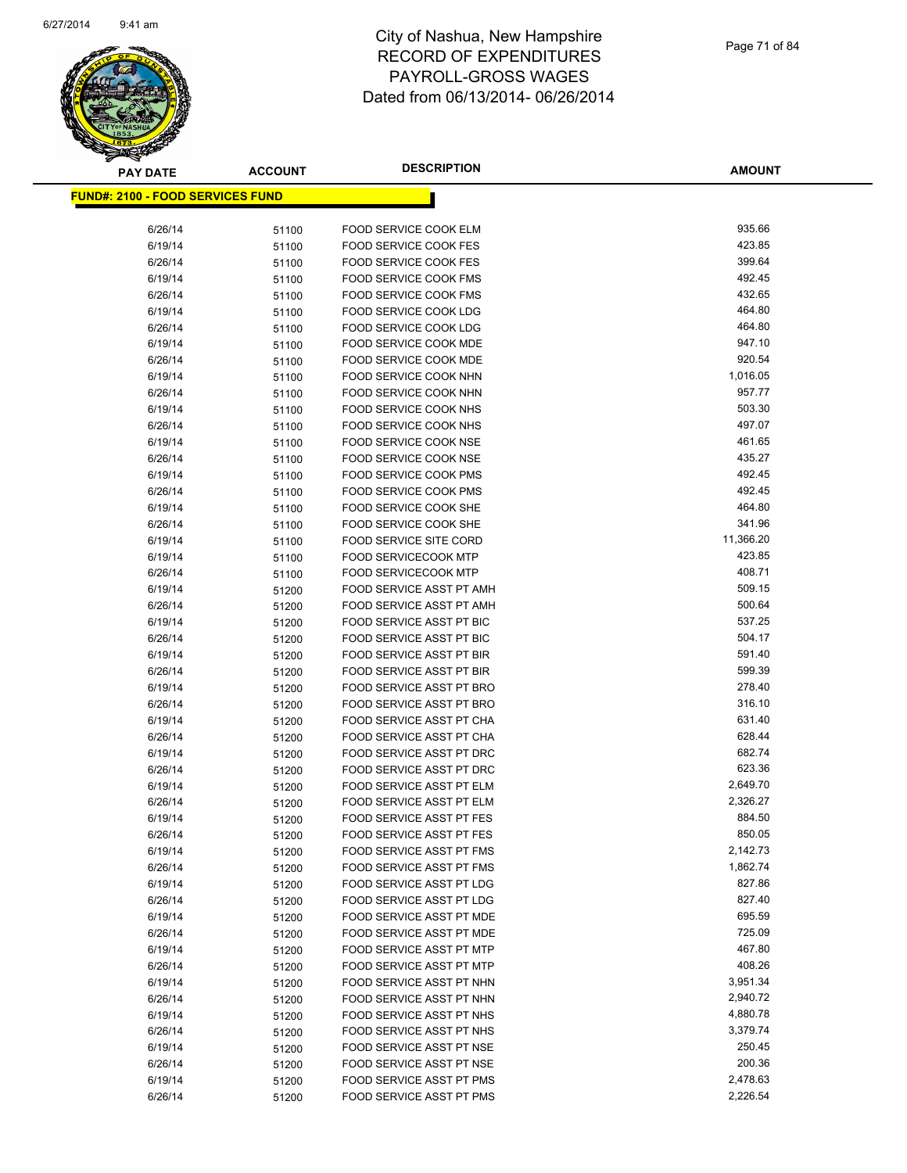

| <b>PAY DATE</b> |                                          | <b>ACCOUNT</b> | <b>DESCRIPTION</b>                                   | <b>AMOUNT</b>    |
|-----------------|------------------------------------------|----------------|------------------------------------------------------|------------------|
|                 | <u> FUND#: 2100 - FOOD SERVICES FUND</u> |                |                                                      |                  |
|                 |                                          |                |                                                      |                  |
|                 | 6/26/14                                  | 51100          | <b>FOOD SERVICE COOK ELM</b>                         | 935.66           |
|                 | 6/19/14                                  | 51100          | <b>FOOD SERVICE COOK FES</b>                         | 423.85           |
|                 | 6/26/14                                  | 51100          | <b>FOOD SERVICE COOK FES</b>                         | 399.64           |
|                 | 6/19/14                                  | 51100          | FOOD SERVICE COOK FMS                                | 492.45           |
|                 | 6/26/14                                  | 51100          | <b>FOOD SERVICE COOK FMS</b>                         | 432.65           |
|                 | 6/19/14                                  | 51100          | <b>FOOD SERVICE COOK LDG</b>                         | 464.80           |
|                 | 6/26/14                                  | 51100          | FOOD SERVICE COOK LDG                                | 464.80           |
|                 | 6/19/14                                  | 51100          | FOOD SERVICE COOK MDE                                | 947.10           |
|                 | 6/26/14                                  | 51100          | FOOD SERVICE COOK MDE                                | 920.54           |
|                 | 6/19/14                                  | 51100          | FOOD SERVICE COOK NHN                                | 1,016.05         |
|                 | 6/26/14                                  | 51100          | FOOD SERVICE COOK NHN                                | 957.77           |
|                 | 6/19/14                                  | 51100          | FOOD SERVICE COOK NHS                                | 503.30           |
|                 | 6/26/14                                  | 51100          | FOOD SERVICE COOK NHS                                | 497.07           |
|                 | 6/19/14                                  | 51100          | FOOD SERVICE COOK NSE                                | 461.65           |
|                 | 6/26/14                                  | 51100          | <b>FOOD SERVICE COOK NSE</b>                         | 435.27           |
|                 | 6/19/14                                  | 51100          | <b>FOOD SERVICE COOK PMS</b>                         | 492.45           |
|                 | 6/26/14                                  | 51100          | <b>FOOD SERVICE COOK PMS</b>                         | 492.45           |
|                 | 6/19/14                                  | 51100          | FOOD SERVICE COOK SHE                                | 464.80           |
|                 | 6/26/14                                  | 51100          | FOOD SERVICE COOK SHE                                | 341.96           |
|                 | 6/19/14                                  | 51100          | <b>FOOD SERVICE SITE CORD</b>                        | 11,366.20        |
|                 | 6/19/14                                  | 51100          | <b>FOOD SERVICECOOK MTP</b>                          | 423.85           |
|                 | 6/26/14                                  | 51100          | <b>FOOD SERVICECOOK MTP</b>                          | 408.71           |
|                 | 6/19/14                                  | 51200          | <b>FOOD SERVICE ASST PT AMH</b>                      | 509.15           |
|                 | 6/26/14                                  | 51200          | FOOD SERVICE ASST PT AMH                             | 500.64           |
|                 | 6/19/14                                  | 51200          | FOOD SERVICE ASST PT BIC                             | 537.25           |
|                 | 6/26/14                                  | 51200          | FOOD SERVICE ASST PT BIC                             | 504.17           |
|                 | 6/19/14                                  | 51200          | FOOD SERVICE ASST PT BIR                             | 591.40           |
|                 | 6/26/14                                  | 51200          | <b>FOOD SERVICE ASST PT BIR</b>                      | 599.39           |
|                 | 6/19/14                                  | 51200          | FOOD SERVICE ASST PT BRO                             | 278.40           |
|                 | 6/26/14                                  | 51200          | FOOD SERVICE ASST PT BRO                             | 316.10           |
|                 | 6/19/14                                  | 51200          | FOOD SERVICE ASST PT CHA                             | 631.40<br>628.44 |
|                 | 6/26/14                                  | 51200          | FOOD SERVICE ASST PT CHA<br>FOOD SERVICE ASST PT DRC | 682.74           |
|                 | 6/19/14                                  | 51200          |                                                      | 623.36           |
|                 | 6/26/14                                  | 51200          | FOOD SERVICE ASST PT DRC                             | 2,649.70         |
|                 | 6/19/14                                  | 51200          | FOOD SERVICE ASST PT ELM<br>FOOD SERVICE ASST PT ELM | 2,326.27         |
|                 | 6/26/14<br>6/19/14                       | 51200          | <b>FOOD SERVICE ASST PT FES</b>                      | 884.50           |
|                 |                                          | 51200          | <b>FOOD SERVICE ASST PT FES</b>                      | 850.05           |
|                 | 6/26/14<br>6/19/14                       | 51200          | <b>FOOD SERVICE ASST PT FMS</b>                      | 2,142.73         |
|                 | 6/26/14                                  | 51200<br>51200 | FOOD SERVICE ASST PT FMS                             | 1,862.74         |
|                 | 6/19/14                                  | 51200          | FOOD SERVICE ASST PT LDG                             | 827.86           |
|                 | 6/26/14                                  | 51200          | FOOD SERVICE ASST PT LDG                             | 827.40           |
|                 | 6/19/14                                  | 51200          | <b>FOOD SERVICE ASST PT MDE</b>                      | 695.59           |
|                 | 6/26/14                                  | 51200          | FOOD SERVICE ASST PT MDE                             | 725.09           |
|                 | 6/19/14                                  | 51200          | FOOD SERVICE ASST PT MTP                             | 467.80           |
|                 | 6/26/14                                  | 51200          | FOOD SERVICE ASST PT MTP                             | 408.26           |
|                 | 6/19/14                                  | 51200          | FOOD SERVICE ASST PT NHN                             | 3,951.34         |
|                 | 6/26/14                                  | 51200          | FOOD SERVICE ASST PT NHN                             | 2,940.72         |
|                 | 6/19/14                                  | 51200          | FOOD SERVICE ASST PT NHS                             | 4,880.78         |
|                 | 6/26/14                                  | 51200          | FOOD SERVICE ASST PT NHS                             | 3,379.74         |
|                 | 6/19/14                                  | 51200          | FOOD SERVICE ASST PT NSE                             | 250.45           |
|                 | 6/26/14                                  | 51200          | FOOD SERVICE ASST PT NSE                             | 200.36           |
|                 | 6/19/14                                  | 51200          | FOOD SERVICE ASST PT PMS                             | 2,478.63         |
|                 | 6/26/14                                  | 51200          | FOOD SERVICE ASST PT PMS                             | 2,226.54         |
|                 |                                          |                |                                                      |                  |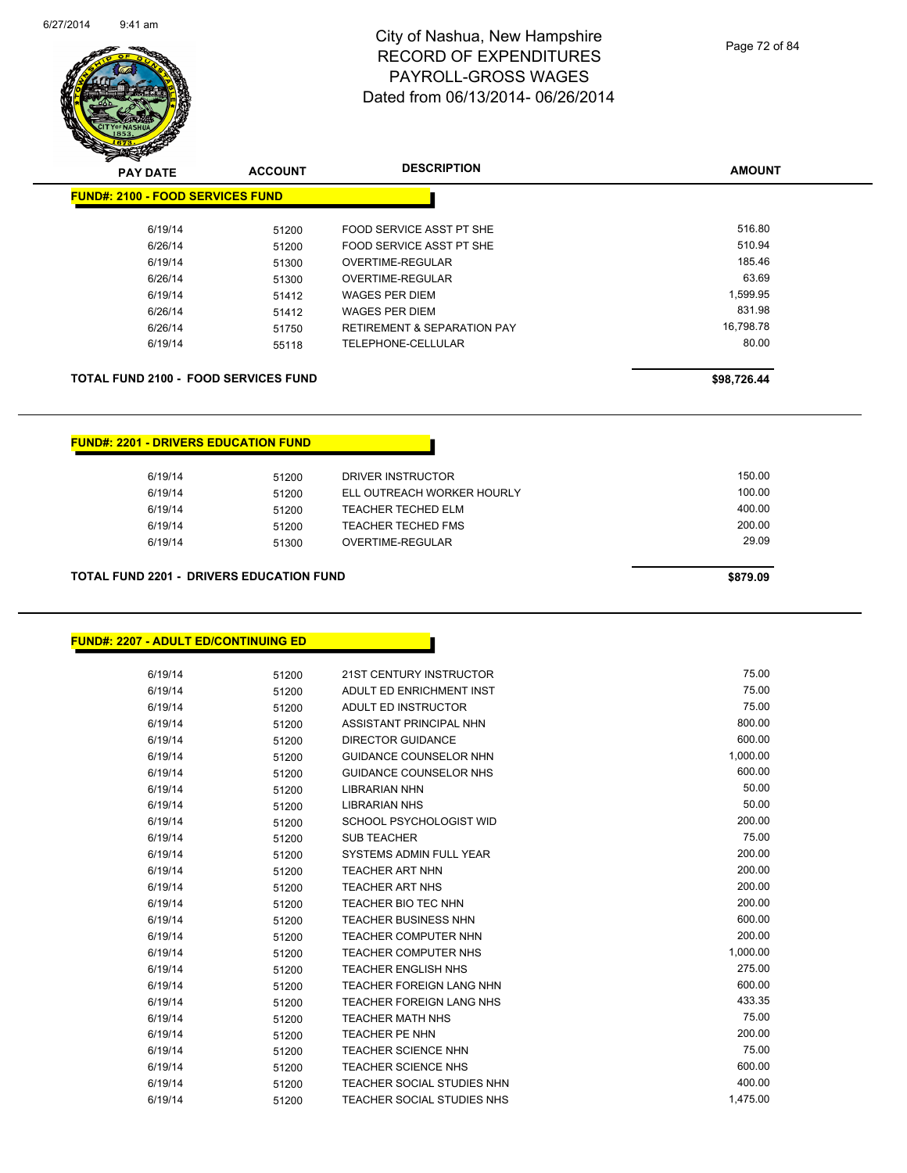

| z<br>$\tilde{\phantom{a}}$<br><b>PAY DATE</b> | <b>ACCOUNT</b> | <b>DESCRIPTION</b>                     | <b>AMOUNT</b> |
|-----------------------------------------------|----------------|----------------------------------------|---------------|
| <b>FUND#: 2100 - FOOD SERVICES FUND</b>       |                |                                        |               |
| 6/19/14                                       | 51200          | FOOD SERVICE ASST PT SHE               | 516.80        |
| 6/26/14                                       | 51200          | FOOD SERVICE ASST PT SHE               | 510.94        |
| 6/19/14                                       | 51300          | OVERTIME-REGULAR                       | 185.46        |
| 6/26/14                                       | 51300          | OVERTIME-REGULAR                       | 63.69         |
| 6/19/14                                       | 51412          | <b>WAGES PER DIEM</b>                  | 1,599.95      |
| 6/26/14                                       | 51412          | WAGES PER DIEM                         | 831.98        |
| 6/26/14                                       | 51750          | <b>RETIREMENT &amp; SEPARATION PAY</b> | 16,798.78     |
| 6/19/14                                       | 55118          | TELEPHONE-CELLULAR                     | 80.00         |
| <b>TOTAL FUND 2100 - FOOD SERVICES FUND</b>   |                |                                        | \$98,726.44   |
|                                               |                |                                        |               |

| 6/19/14 | 51200 | DRIVER INSTRUCTOR          | 150.00 |
|---------|-------|----------------------------|--------|
| 6/19/14 | 51200 | ELL OUTREACH WORKER HOURLY | 100.00 |
| 6/19/14 | 51200 | <b>TEACHER TECHED ELM</b>  | 400.00 |
| 6/19/14 | 51200 | <b>TEACHER TECHED FMS</b>  | 200.00 |
| 6/19/14 | 51300 | OVERTIME-REGULAR           | 29.09  |
|         |       |                            |        |

#### **TOTAL FUND 2201 - DRIVERS EDUCATION FUND \$879.09**

**FUND#: 2201 - DRIVERS EDUCATION FUND**

#### **FUND#: 2207 - ADULT ED/CONTINUING ED**

| 6/19/14 | 51200 | 21ST CENTURY INSTRUCTOR           | 75.00    |
|---------|-------|-----------------------------------|----------|
| 6/19/14 | 51200 | ADULT ED ENRICHMENT INST          | 75.00    |
| 6/19/14 | 51200 | ADULT ED INSTRUCTOR               | 75.00    |
| 6/19/14 | 51200 | ASSISTANT PRINCIPAL NHN           | 800.00   |
| 6/19/14 | 51200 | <b>DIRECTOR GUIDANCE</b>          | 600.00   |
| 6/19/14 | 51200 | <b>GUIDANCE COUNSELOR NHN</b>     | 1,000.00 |
| 6/19/14 | 51200 | <b>GUIDANCE COUNSELOR NHS</b>     | 600.00   |
| 6/19/14 | 51200 | <b>LIBRARIAN NHN</b>              | 50.00    |
| 6/19/14 | 51200 | <b>LIBRARIAN NHS</b>              | 50.00    |
| 6/19/14 | 51200 | SCHOOL PSYCHOLOGIST WID           | 200.00   |
| 6/19/14 | 51200 | <b>SUB TEACHER</b>                | 75.00    |
| 6/19/14 | 51200 | SYSTEMS ADMIN FULL YEAR           | 200.00   |
| 6/19/14 | 51200 | <b>TEACHER ART NHN</b>            | 200.00   |
| 6/19/14 | 51200 | <b>TEACHER ART NHS</b>            | 200.00   |
| 6/19/14 | 51200 | <b>TEACHER BIO TEC NHN</b>        | 200.00   |
| 6/19/14 | 51200 | <b>TEACHER BUSINESS NHN</b>       | 600.00   |
| 6/19/14 | 51200 | <b>TEACHER COMPUTER NHN</b>       | 200.00   |
| 6/19/14 | 51200 | <b>TEACHER COMPUTER NHS</b>       | 1,000.00 |
| 6/19/14 | 51200 | <b>TEACHER ENGLISH NHS</b>        | 275.00   |
| 6/19/14 | 51200 | <b>TEACHER FOREIGN LANG NHN</b>   | 600.00   |
| 6/19/14 | 51200 | <b>TEACHER FOREIGN LANG NHS</b>   | 433.35   |
| 6/19/14 | 51200 | <b>TEACHER MATH NHS</b>           | 75.00    |
| 6/19/14 | 51200 | <b>TEACHER PE NHN</b>             | 200.00   |
| 6/19/14 | 51200 | <b>TEACHER SCIENCE NHN</b>        | 75.00    |
| 6/19/14 | 51200 | <b>TEACHER SCIENCE NHS</b>        | 600.00   |
| 6/19/14 | 51200 | <b>TEACHER SOCIAL STUDIES NHN</b> | 400.00   |
| 6/19/14 | 51200 | TEACHER SOCIAL STUDIES NHS        | 1.475.00 |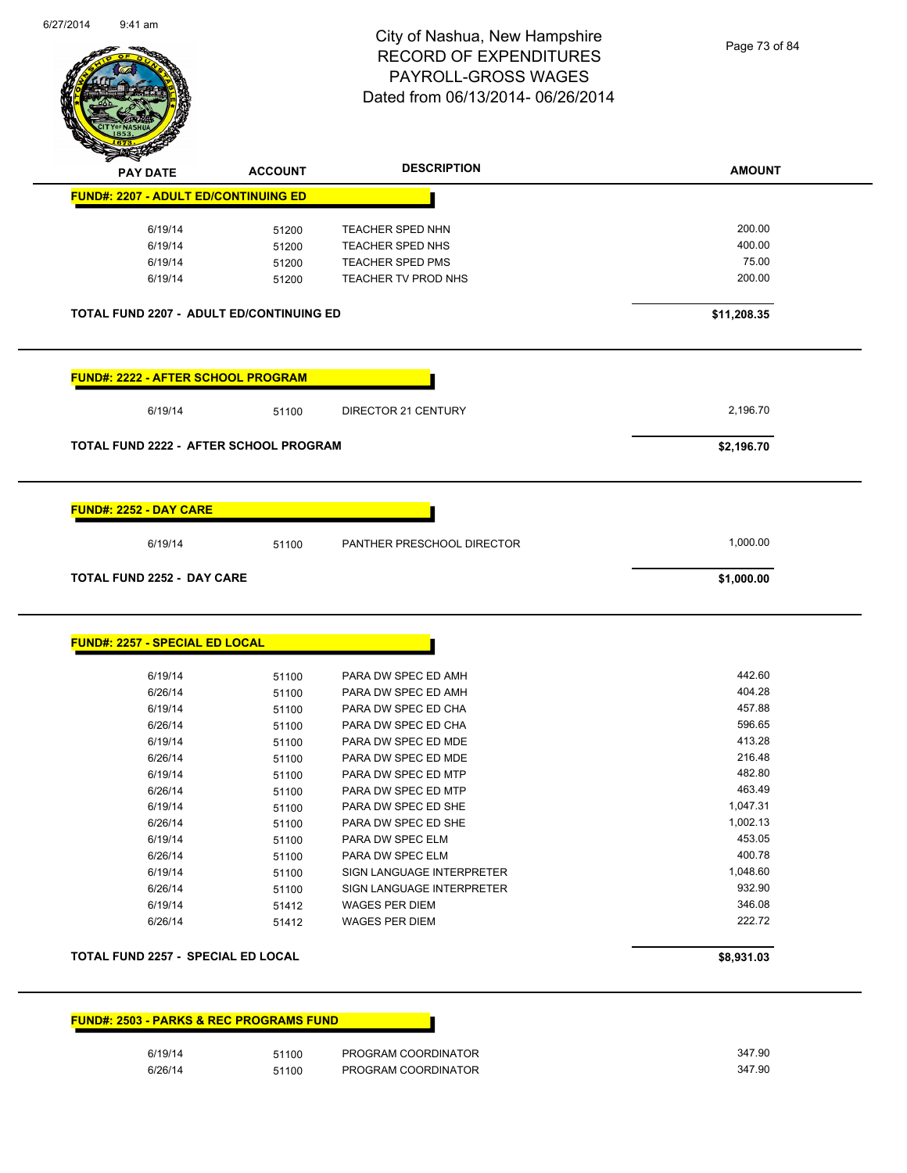

Page 73 of 84

| <b>PAY DATE</b>                                    | <b>ACCOUNT</b> | <b>DESCRIPTION</b>         | <b>AMOUNT</b> |
|----------------------------------------------------|----------------|----------------------------|---------------|
| <b>FUND#: 2207 - ADULT ED/CONTINUING ED</b>        |                |                            |               |
| 6/19/14                                            | 51200          | <b>TEACHER SPED NHN</b>    | 200.00        |
| 6/19/14                                            | 51200          | TEACHER SPED NHS           | 400.00        |
| 6/19/14                                            | 51200          | <b>TEACHER SPED PMS</b>    | 75.00         |
| 6/19/14                                            | 51200          | TEACHER TV PROD NHS        | 200.00        |
| <b>TOTAL FUND 2207 - ADULT ED/CONTINUING ED</b>    |                |                            | \$11,208.35   |
| <u> FUND#: 2222 - AFTER SCHOOL PROGRAM</u>         |                |                            |               |
| 6/19/14                                            | 51100          | <b>DIRECTOR 21 CENTURY</b> | 2,196.70      |
| TOTAL FUND 2222 - AFTER SCHOOL PROGRAM             |                |                            | \$2,196.70    |
| <b>FUND#: 2252 - DAY CARE</b>                      |                |                            |               |
| 6/19/14                                            | 51100          | PANTHER PRESCHOOL DIRECTOR | 1,000.00      |
|                                                    |                |                            |               |
| <b>TOTAL FUND 2252 - DAY CARE</b>                  |                |                            | \$1,000.00    |
|                                                    |                |                            |               |
|                                                    |                |                            |               |
| <b>FUND#: 2257 - SPECIAL ED LOCAL</b>              |                |                            |               |
| 6/19/14                                            | 51100          | PARA DW SPEC ED AMH        | 442.60        |
| 6/26/14                                            | 51100          | PARA DW SPEC ED AMH        | 404.28        |
| 6/19/14                                            | 51100          | PARA DW SPEC ED CHA        | 457.88        |
| 6/26/14                                            | 51100          | PARA DW SPEC ED CHA        | 596.65        |
| 6/19/14                                            | 51100          | PARA DW SPEC ED MDE        | 413.28        |
| 6/26/14                                            | 51100          | PARA DW SPEC ED MDE        | 216.48        |
| 6/19/14                                            | 51100          | PARA DW SPEC ED MTP        | 482.80        |
| 6/26/14                                            | 51100          | PARA DW SPEC ED MTP        | 463.49        |
| 6/19/14                                            | 51100          | PARA DW SPEC ED SHE        | 1,047.31      |
| 6/26/14                                            | 51100          | PARA DW SPEC ED SHE        | 1,002.13      |
| 6/19/14                                            | 51100          | PARA DW SPEC ELM           | 453.05        |
| 6/26/14                                            | 51100          | PARA DW SPEC ELM           | 400.78        |
| 6/19/14                                            | 51100          | SIGN LANGUAGE INTERPRETER  | 1,048.60      |
| 6/26/14                                            | 51100          | SIGN LANGUAGE INTERPRETER  | 932.90        |
| 6/19/14                                            | 51412          | WAGES PER DIEM             | 346.08        |
| 6/26/14                                            | 51412          | <b>WAGES PER DIEM</b>      | 222.72        |
|                                                    |                |                            |               |
| <b>TOTAL FUND 2257 - SPECIAL ED LOCAL</b>          |                |                            | \$8,931.03    |
|                                                    |                |                            |               |
|                                                    |                |                            |               |
| <b>FUND#: 2503 - PARKS &amp; REC PROGRAMS FUND</b> |                |                            |               |
| 6/19/14                                            | 51100          | PROGRAM COORDINATOR        | 347.90        |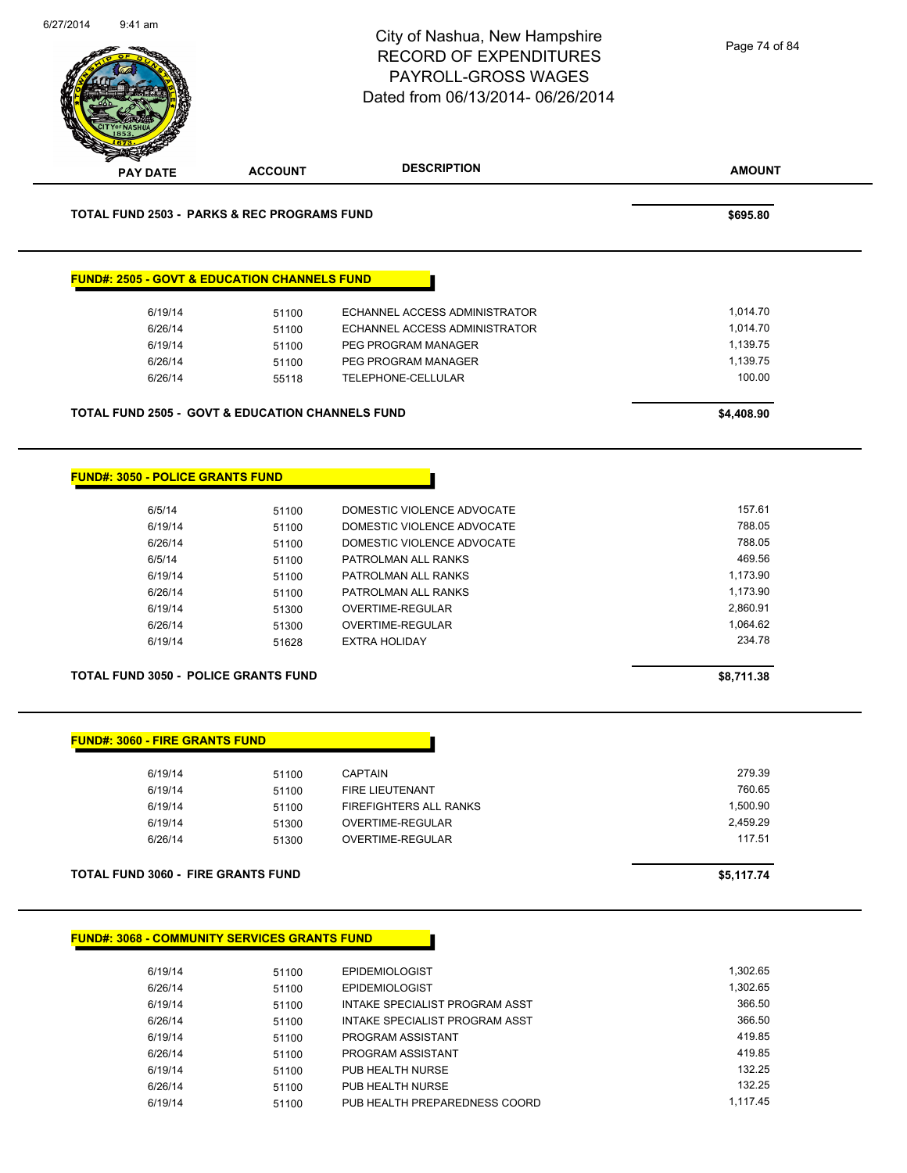|                                        |                                                             | City of Nashua, New Hampshire<br><b>RECORD OF EXPENDITURES</b><br>PAYROLL-GROSS WAGES<br>Dated from 06/13/2014-06/26/2014 | Page 74 of 84              |
|----------------------------------------|-------------------------------------------------------------|---------------------------------------------------------------------------------------------------------------------------|----------------------------|
| <b>PAY DATE</b>                        | <b>ACCOUNT</b>                                              | <b>DESCRIPTION</b>                                                                                                        | <b>AMOUNT</b>              |
|                                        | <b>TOTAL FUND 2503 - PARKS &amp; REC PROGRAMS FUND</b>      |                                                                                                                           | \$695.80                   |
|                                        | <b>FUND#: 2505 - GOVT &amp; EDUCATION CHANNELS FUND</b>     |                                                                                                                           |                            |
| 6/19/14                                | 51100                                                       | ECHANNEL ACCESS ADMINISTRATOR                                                                                             | 1,014.70                   |
| 6/26/14                                | 51100                                                       | ECHANNEL ACCESS ADMINISTRATOR                                                                                             | 1,014.70                   |
| 6/19/14                                | 51100                                                       | PEG PROGRAM MANAGER                                                                                                       | 1,139.75                   |
| 6/26/14                                | 51100                                                       | PEG PROGRAM MANAGER                                                                                                       | 1,139.75                   |
| 6/26/14                                | 55118                                                       | TELEPHONE-CELLULAR                                                                                                        | 100.00                     |
|                                        | <b>TOTAL FUND 2505 - GOVT &amp; EDUCATION CHANNELS FUND</b> |                                                                                                                           | \$4,408.90                 |
| 6/5/14<br>6/19/14<br>6/26/14<br>6/5/14 | 51100<br>51100<br>51100<br>51100                            | DOMESTIC VIOLENCE ADVOCATE<br>DOMESTIC VIOLENCE ADVOCATE<br>DOMESTIC VIOLENCE ADVOCATE<br>PATROLMAN ALL RANKS             | 788.05<br>788.05<br>469.56 |
| 6/19/14                                | 51100                                                       | PATROLMAN ALL RANKS                                                                                                       | 1,173.90                   |
| 6/26/14                                | 51100                                                       | PATROLMAN ALL RANKS                                                                                                       | 1,173.90                   |
| 6/19/14                                | 51300                                                       | OVERTIME-REGULAR                                                                                                          | 2,860.91                   |
| 6/26/14                                | 51300                                                       | OVERTIME-REGULAR                                                                                                          | 1,064.62                   |
| 6/19/14                                | 51628                                                       | <b>EXTRA HOLIDAY</b>                                                                                                      | 234.78                     |
|                                        | <b>TOTAL FUND 3050 - POLICE GRANTS FUND</b>                 |                                                                                                                           | \$8,711.38                 |
| <b>FUND#: 3060 - FIRE GRANTS FUND</b>  |                                                             |                                                                                                                           |                            |
| 6/19/14                                | 51100                                                       | <b>CAPTAIN</b>                                                                                                            | 279.39                     |
| 6/19/14                                | 51100                                                       | FIRE LIEUTENANT                                                                                                           | 760.65                     |
| 6/19/14                                | 51100                                                       | FIREFIGHTERS ALL RANKS                                                                                                    | 1,500.90                   |
| 6/19/14                                | 51300                                                       | <b>OVERTIME-REGULAR</b>                                                                                                   | 2,459.29                   |
| 6/26/14                                | 51300                                                       | <b>OVERTIME-REGULAR</b>                                                                                                   | 117.51                     |
|                                        | <b>TOTAL FUND 3060 - FIRE GRANTS FUND</b>                   |                                                                                                                           | \$5,117.74                 |
|                                        | <b>FUND#: 3068 - COMMUNITY SERVICES GRANTS FUND</b>         |                                                                                                                           |                            |
| 6/19/14                                | 51100                                                       | <b>EPIDEMIOLOGIST</b>                                                                                                     | 1,302.65                   |
| 6/26/14                                | 51100                                                       | <b>EPIDEMIOLOGIST</b>                                                                                                     | 1,302.65                   |
|                                        |                                                             |                                                                                                                           |                            |

6/19/14 51100 INTAKE SPECIALIST PROGRAM ASST<br>6/26/14 51100 INTAKE SPECIALIST PROGRAM ASST 6/26/14 51100 INTAKE SPECIALIST PROGRAM ASST 366.50 6/19/14 51100 PROGRAM ASSISTANT 6/26/14 51100 PROGRAM ASSISTANT 419.85 6/19/14 51100 PUB HEALTH NURSE 6/19/14 132.25 6/26/14 51100 PUB HEALTH NURSE 6/26/14 512.25 6/19/14 51100 PUB HEALTH PREPAREDNESS COORD 1,117.45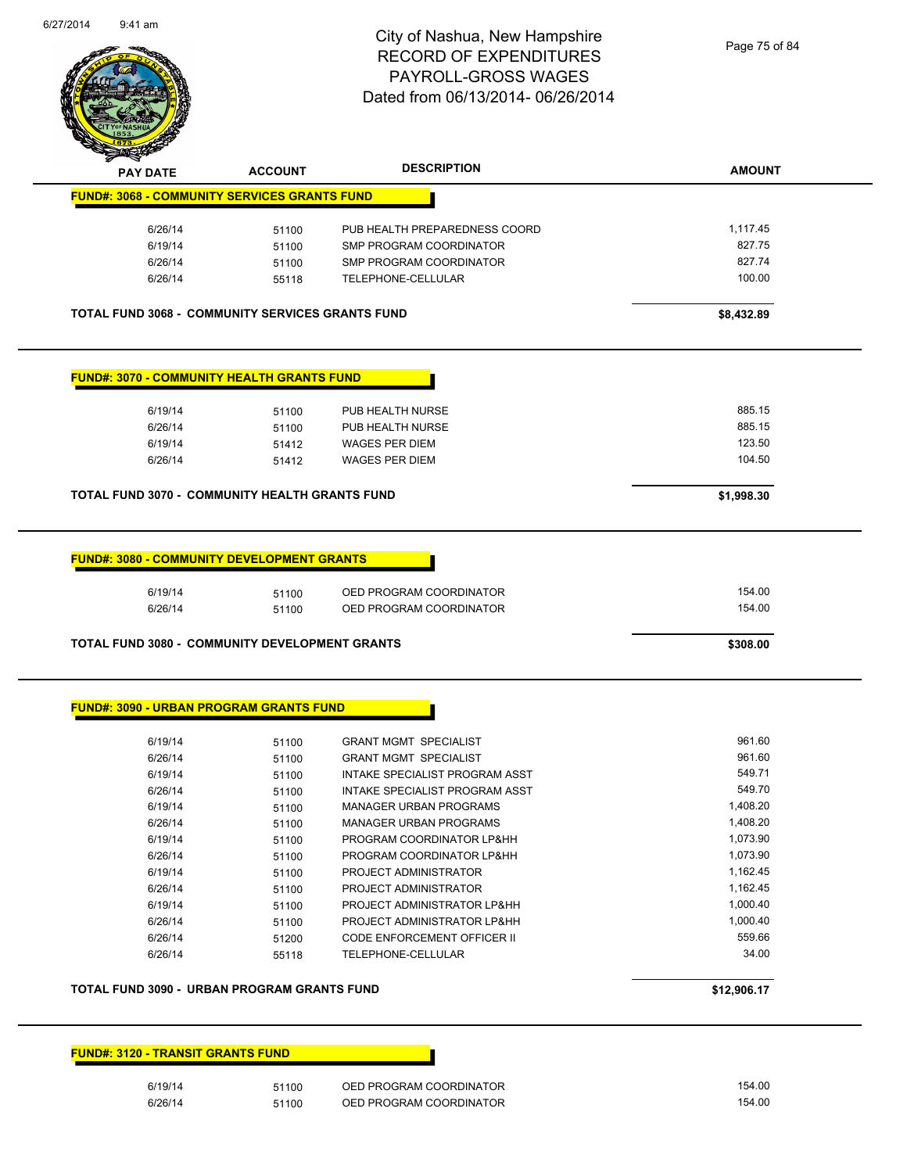

Page 75 of 84

|                                                         | <b>ACCOUNT</b> | <b>DESCRIPTION</b>                                              | <b>AMOUNT</b> |
|---------------------------------------------------------|----------------|-----------------------------------------------------------------|---------------|
| <b>FUND#: 3068 - COMMUNITY SERVICES GRANTS FUND</b>     |                |                                                                 |               |
| 6/26/14                                                 | 51100          | PUB HEALTH PREPAREDNESS COORD                                   | 1,117.45      |
| 6/19/14                                                 | 51100          | SMP PROGRAM COORDINATOR                                         | 827.75        |
| 6/26/14                                                 | 51100          | SMP PROGRAM COORDINATOR                                         | 827.74        |
| 6/26/14                                                 | 55118          | TELEPHONE-CELLULAR                                              | 100.00        |
| <b>TOTAL FUND 3068 - COMMUNITY SERVICES GRANTS FUND</b> |                |                                                                 | \$8,432.89    |
| <b>FUND#: 3070 - COMMUNITY HEALTH GRANTS FUND</b>       |                |                                                                 |               |
| 6/19/14                                                 | 51100          | PUB HEALTH NURSE                                                | 885.15        |
| 6/26/14                                                 | 51100          | PUB HEALTH NURSE                                                | 885.15        |
| 6/19/14                                                 | 51412          | <b>WAGES PER DIEM</b>                                           | 123.50        |
| 6/26/14                                                 | 51412          | <b>WAGES PER DIEM</b>                                           | 104.50        |
| <b>TOTAL FUND 3070 - COMMUNITY HEALTH GRANTS FUND</b>   |                |                                                                 | \$1,998.30    |
|                                                         |                |                                                                 |               |
| 6/19/14                                                 | 51100          | OED PROGRAM COORDINATOR                                         | 154.00        |
| 6/26/14                                                 | 51100          | OED PROGRAM COORDINATOR                                         | 154.00        |
| TOTAL FUND 3080 - COMMUNITY DEVELOPMENT GRANTS          |                |                                                                 | \$308.00      |
| <b>FUND#: 3090 - URBAN PROGRAM GRANTS FUND</b>          |                |                                                                 |               |
| 6/19/14                                                 | 51100          | <b>GRANT MGMT SPECIALIST</b>                                    | 961.60        |
| 6/26/14                                                 | 51100          | <b>GRANT MGMT SPECIALIST</b>                                    | 961.60        |
| 6/19/14                                                 | 51100          | INTAKE SPECIALIST PROGRAM ASST                                  | 549.71        |
| 6/26/14                                                 |                |                                                                 | 549.70        |
| 6/19/14                                                 | 51100<br>51100 | INTAKE SPECIALIST PROGRAM ASST<br><b>MANAGER URBAN PROGRAMS</b> | 1,408.20      |
| 6/26/14                                                 | 51100          | <b>MANAGER URBAN PROGRAMS</b>                                   | 1,408.20      |
| 6/19/14                                                 | 51100          | PROGRAM COORDINATOR LP&HH                                       | 1,073.90      |
| 6/26/14                                                 |                | PROGRAM COORDINATOR LP&HH                                       | 1,073.90      |
| 6/19/14                                                 | 51100<br>51100 | PROJECT ADMINISTRATOR                                           | 1,162.45      |
| 6/26/14                                                 | 51100          | PROJECT ADMINISTRATOR                                           | 1,162.45      |
| 6/19/14                                                 | 51100          | PROJECT ADMINISTRATOR LP&HH                                     | 1,000.40      |
| 6/26/14                                                 |                | PROJECT ADMINISTRATOR LP&HH                                     | 1,000.40      |
| 6/26/14                                                 | 51100          | CODE ENFORCEMENT OFFICER II                                     | 559.66        |
| 6/26/14                                                 | 51200<br>55118 | TELEPHONE-CELLULAR                                              | 34.00         |
| TOTAL FUND 3090 - URBAN PROGRAM GRANTS FUND             |                |                                                                 | \$12,906.17   |

| 6/19/14 | 51100 | OED PROGRAM COORDINATOR | 154.00 |
|---------|-------|-------------------------|--------|
| 6/26/14 | 51100 | OED PROGRAM COORDINATOR | 154.00 |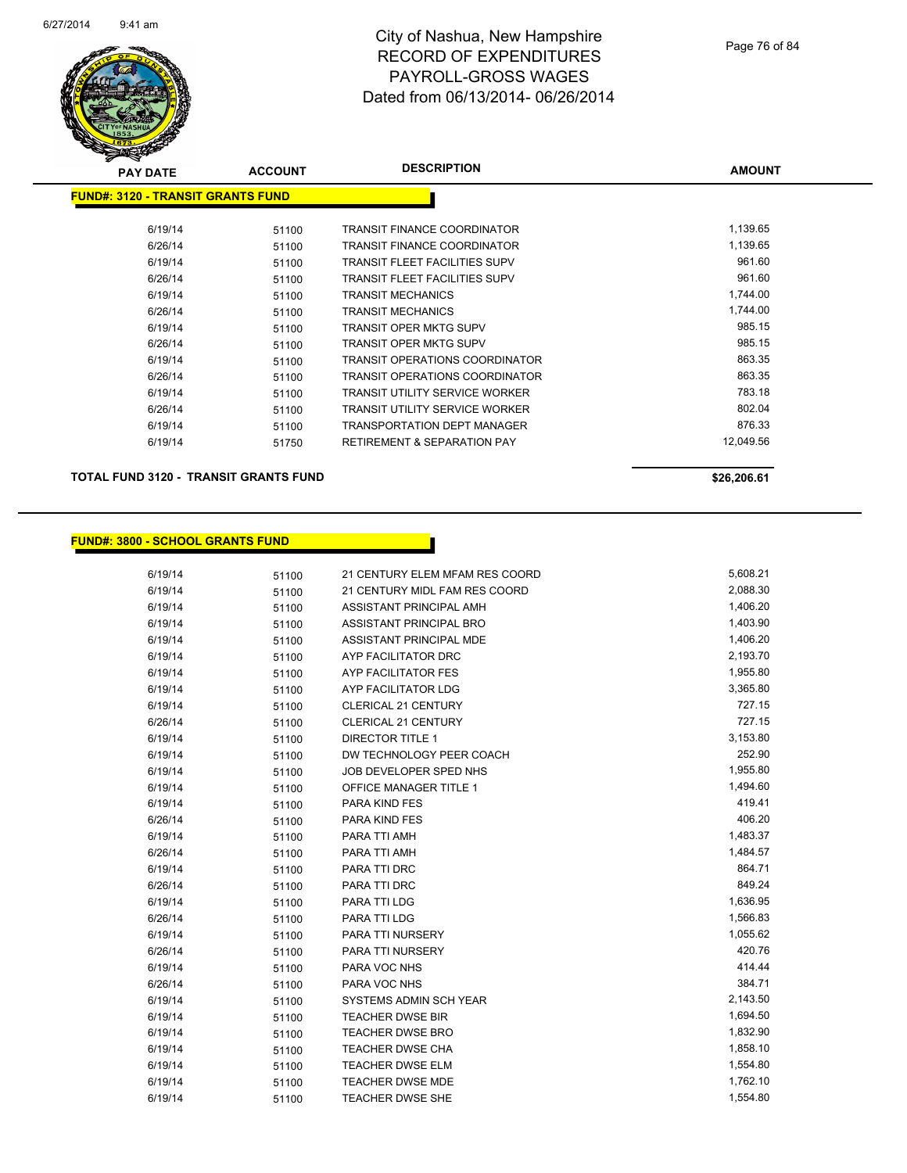

| <b>PAY DATE</b>                           | <b>ACCOUNT</b> | <b>DESCRIPTION</b>                     | <b>AMOUNT</b> |
|-------------------------------------------|----------------|----------------------------------------|---------------|
| <u> FUND#: 3120 - TRANSIT GRANTS FUND</u> |                |                                        |               |
|                                           |                |                                        |               |
| 6/19/14                                   | 51100          | <b>TRANSIT FINANCE COORDINATOR</b>     | 1,139.65      |
| 6/26/14                                   | 51100          | TRANSIT FINANCE COORDINATOR            | 1,139.65      |
| 6/19/14                                   | 51100          | TRANSIT FLEET FACILITIES SUPV          | 961.60        |
| 6/26/14                                   | 51100          | TRANSIT FLEET FACILITIES SUPV          | 961.60        |
| 6/19/14                                   | 51100          | <b>TRANSIT MECHANICS</b>               | 1,744.00      |
| 6/26/14                                   | 51100          | <b>TRANSIT MECHANICS</b>               | 1,744.00      |
| 6/19/14                                   | 51100          | TRANSIT OPER MKTG SUPV                 | 985.15        |
| 6/26/14                                   | 51100          | TRANSIT OPER MKTG SUPV                 | 985.15        |
| 6/19/14                                   | 51100          | TRANSIT OPERATIONS COORDINATOR         | 863.35        |
| 6/26/14                                   | 51100          | TRANSIT OPERATIONS COORDINATOR         | 863.35        |
| 6/19/14                                   | 51100          | TRANSIT UTILITY SERVICE WORKER         | 783.18        |
| 6/26/14                                   | 51100          | TRANSIT UTILITY SERVICE WORKER         | 802.04        |
| 6/19/14                                   | 51100          | TRANSPORTATION DEPT MANAGER            | 876.33        |
| 6/19/14                                   | 51750          | <b>RETIREMENT &amp; SEPARATION PAY</b> | 12,049.56     |
|                                           |                |                                        |               |

**TOTAL FUND 3120 - TRANSIT GRANTS FUND \$26,206.61 \$26,206.61** 

#### **FUND#: 3800 - SCHOOL GRANTS FUND**

| 6/19/14 | 51100 | 21 CENTURY ELEM MFAM RES COORD | 5,608.21 |
|---------|-------|--------------------------------|----------|
| 6/19/14 | 51100 | 21 CENTURY MIDL FAM RES COORD  | 2,088.30 |
| 6/19/14 | 51100 | ASSISTANT PRINCIPAL AMH        | 1,406.20 |
| 6/19/14 | 51100 | ASSISTANT PRINCIPAL BRO        | 1,403.90 |
| 6/19/14 | 51100 | <b>ASSISTANT PRINCIPAL MDE</b> | 1,406.20 |
| 6/19/14 | 51100 | AYP FACILITATOR DRC            | 2,193.70 |
| 6/19/14 | 51100 | <b>AYP FACILITATOR FES</b>     | 1,955.80 |
| 6/19/14 | 51100 | AYP FACILITATOR LDG            | 3,365.80 |
| 6/19/14 | 51100 | <b>CLERICAL 21 CENTURY</b>     | 727.15   |
| 6/26/14 | 51100 | CLERICAL 21 CENTURY            | 727.15   |
| 6/19/14 | 51100 | <b>DIRECTOR TITLE 1</b>        | 3,153.80 |
| 6/19/14 | 51100 | DW TECHNOLOGY PEER COACH       | 252.90   |
| 6/19/14 | 51100 | JOB DEVELOPER SPED NHS         | 1,955.80 |
| 6/19/14 | 51100 | <b>OFFICE MANAGER TITLE 1</b>  | 1,494.60 |
| 6/19/14 | 51100 | PARA KIND FES                  | 419.41   |
| 6/26/14 | 51100 | PARA KIND FES                  | 406.20   |
| 6/19/14 | 51100 | PARA TTI AMH                   | 1,483.37 |
| 6/26/14 | 51100 | PARA TTI AMH                   | 1,484.57 |
| 6/19/14 | 51100 | PARA TTI DRC                   | 864.71   |
| 6/26/14 | 51100 | PARA TTI DRC                   | 849.24   |
| 6/19/14 | 51100 | PARA TTI LDG                   | 1,636.95 |
| 6/26/14 | 51100 | PARA TTI LDG                   | 1,566.83 |
| 6/19/14 | 51100 | PARA TTI NURSERY               | 1,055.62 |
| 6/26/14 | 51100 | PARA TTI NURSERY               | 420.76   |
| 6/19/14 | 51100 | PARA VOC NHS                   | 414.44   |
| 6/26/14 | 51100 | PARA VOC NHS                   | 384.71   |
| 6/19/14 | 51100 | SYSTEMS ADMIN SCH YEAR         | 2,143.50 |
| 6/19/14 | 51100 | <b>TEACHER DWSE BIR</b>        | 1,694.50 |
| 6/19/14 | 51100 | <b>TEACHER DWSE BRO</b>        | 1,832.90 |
| 6/19/14 | 51100 | <b>TEACHER DWSE CHA</b>        | 1,858.10 |
| 6/19/14 | 51100 | <b>TEACHER DWSE ELM</b>        | 1,554.80 |
| 6/19/14 | 51100 | <b>TEACHER DWSE MDE</b>        | 1,762.10 |
| 6/19/14 | 51100 | <b>TEACHER DWSE SHE</b>        | 1,554.80 |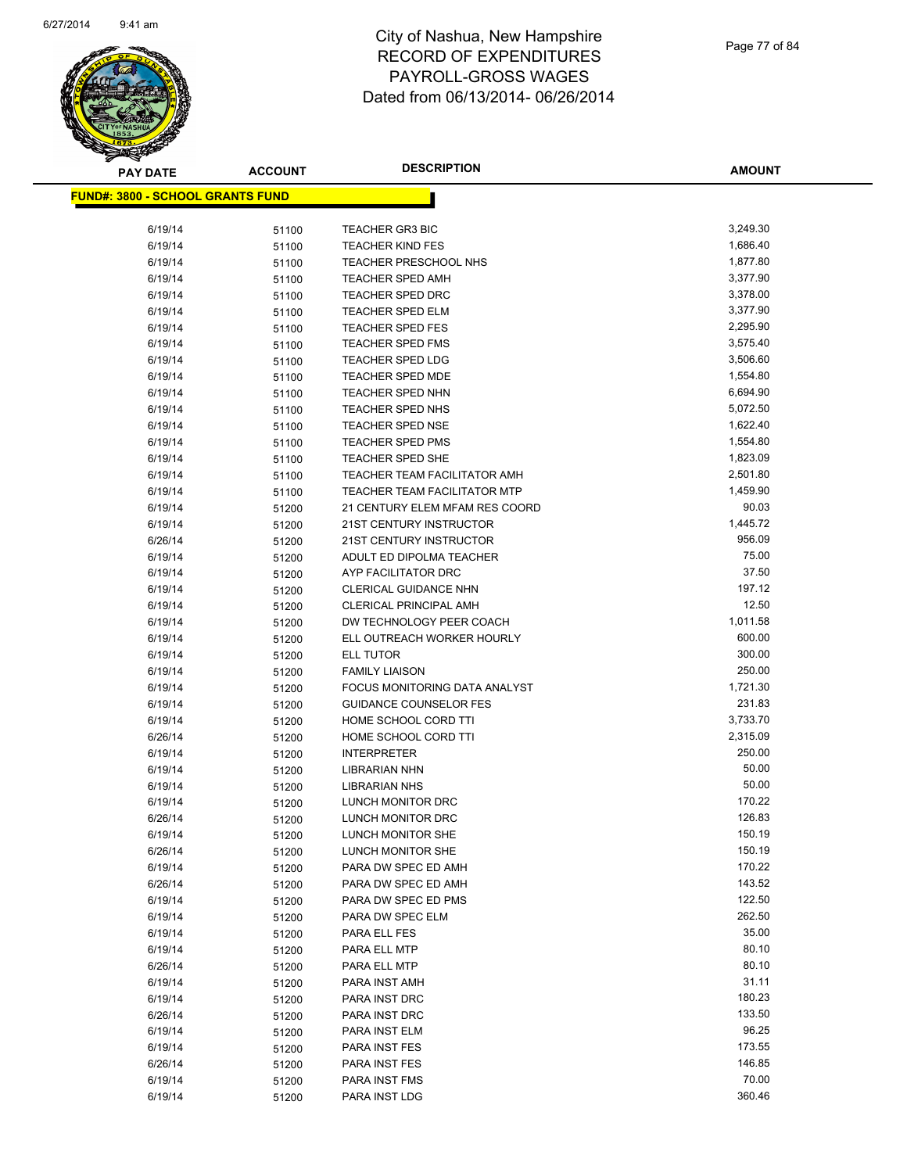

| <b>PAY DATE</b>                          | <b>ACCOUNT</b> | <b>DESCRIPTION</b>                  | <b>AMOUNT</b>    |
|------------------------------------------|----------------|-------------------------------------|------------------|
| <u> FUND#: 3800 - SCHOOL GRANTS FUND</u> |                |                                     |                  |
|                                          |                |                                     |                  |
| 6/19/14                                  | 51100          | <b>TEACHER GR3 BIC</b>              | 3,249.30         |
| 6/19/14                                  | 51100          | <b>TEACHER KIND FES</b>             | 1,686.40         |
| 6/19/14                                  | 51100          | TEACHER PRESCHOOL NHS               | 1,877.80         |
| 6/19/14                                  | 51100          | <b>TEACHER SPED AMH</b>             | 3,377.90         |
| 6/19/14                                  | 51100          | <b>TEACHER SPED DRC</b>             | 3,378.00         |
| 6/19/14                                  | 51100          | <b>TEACHER SPED ELM</b>             | 3,377.90         |
| 6/19/14                                  | 51100          | TEACHER SPED FES                    | 2,295.90         |
| 6/19/14                                  | 51100          | <b>TEACHER SPED FMS</b>             | 3,575.40         |
| 6/19/14                                  | 51100          | <b>TEACHER SPED LDG</b>             | 3,506.60         |
| 6/19/14                                  | 51100          | <b>TEACHER SPED MDE</b>             | 1,554.80         |
| 6/19/14                                  | 51100          | <b>TEACHER SPED NHN</b>             | 6,694.90         |
| 6/19/14                                  | 51100          | <b>TEACHER SPED NHS</b>             | 5,072.50         |
| 6/19/14                                  | 51100          | <b>TEACHER SPED NSE</b>             | 1,622.40         |
| 6/19/14                                  | 51100          | <b>TEACHER SPED PMS</b>             | 1,554.80         |
| 6/19/14                                  | 51100          | <b>TEACHER SPED SHE</b>             | 1,823.09         |
| 6/19/14                                  | 51100          | <b>TEACHER TEAM FACILITATOR AMH</b> | 2,501.80         |
| 6/19/14                                  | 51100          | <b>TEACHER TEAM FACILITATOR MTP</b> | 1,459.90         |
| 6/19/14                                  | 51200          | 21 CENTURY ELEM MFAM RES COORD      | 90.03            |
| 6/19/14                                  | 51200          | 21ST CENTURY INSTRUCTOR             | 1,445.72         |
| 6/26/14                                  | 51200          | 21ST CENTURY INSTRUCTOR             | 956.09           |
| 6/19/14                                  | 51200          | ADULT ED DIPOLMA TEACHER            | 75.00            |
| 6/19/14                                  | 51200          | AYP FACILITATOR DRC                 | 37.50            |
| 6/19/14                                  | 51200          | <b>CLERICAL GUIDANCE NHN</b>        | 197.12           |
| 6/19/14                                  | 51200          | <b>CLERICAL PRINCIPAL AMH</b>       | 12.50            |
| 6/19/14                                  | 51200          | DW TECHNOLOGY PEER COACH            | 1,011.58         |
| 6/19/14                                  | 51200          | ELL OUTREACH WORKER HOURLY          | 600.00           |
| 6/19/14                                  | 51200          | ELL TUTOR                           | 300.00           |
| 6/19/14                                  | 51200          | <b>FAMILY LIAISON</b>               | 250.00           |
| 6/19/14                                  | 51200          | FOCUS MONITORING DATA ANALYST       | 1,721.30         |
| 6/19/14                                  | 51200          | <b>GUIDANCE COUNSELOR FES</b>       | 231.83           |
| 6/19/14                                  | 51200          | HOME SCHOOL CORD TTI                | 3,733.70         |
| 6/26/14                                  | 51200          | HOME SCHOOL CORD TTI                | 2,315.09         |
| 6/19/14                                  | 51200          | <b>INTERPRETER</b>                  | 250.00           |
| 6/19/14                                  | 51200          | <b>LIBRARIAN NHN</b>                | 50.00            |
| 6/19/14                                  | 51200          | <b>LIBRARIAN NHS</b>                | 50.00            |
| 6/19/14                                  | 51200          | LUNCH MONITOR DRC                   | 170.22           |
| 6/26/14                                  | 51200          | LUNCH MONITOR DRC                   | 126.83           |
| 6/19/14                                  | 51200          | LUNCH MONITOR SHE                   | 150.19           |
| 6/26/14                                  | 51200          | LUNCH MONITOR SHE                   | 150.19           |
| 6/19/14                                  | 51200          | PARA DW SPEC ED AMH                 | 170.22           |
| 6/26/14                                  | 51200          | PARA DW SPEC ED AMH                 | 143.52           |
| 6/19/14                                  | 51200          | PARA DW SPEC ED PMS                 | 122.50<br>262.50 |
| 6/19/14                                  | 51200          | PARA DW SPEC ELM                    | 35.00            |
| 6/19/14                                  | 51200          | PARA ELL FES                        | 80.10            |
| 6/19/14<br>6/26/14                       | 51200          | PARA ELL MTP<br>PARA ELL MTP        | 80.10            |
| 6/19/14                                  | 51200<br>51200 | PARA INST AMH                       | 31.11            |
| 6/19/14                                  |                | PARA INST DRC                       | 180.23           |
| 6/26/14                                  | 51200<br>51200 | PARA INST DRC                       | 133.50           |
| 6/19/14                                  | 51200          | PARA INST ELM                       | 96.25            |
| 6/19/14                                  | 51200          | PARA INST FES                       | 173.55           |
| 6/26/14                                  | 51200          | PARA INST FES                       | 146.85           |
| 6/19/14                                  | 51200          | PARA INST FMS                       | 70.00            |
| 6/19/14                                  | 51200          | PARA INST LDG                       | 360.46           |
|                                          |                |                                     |                  |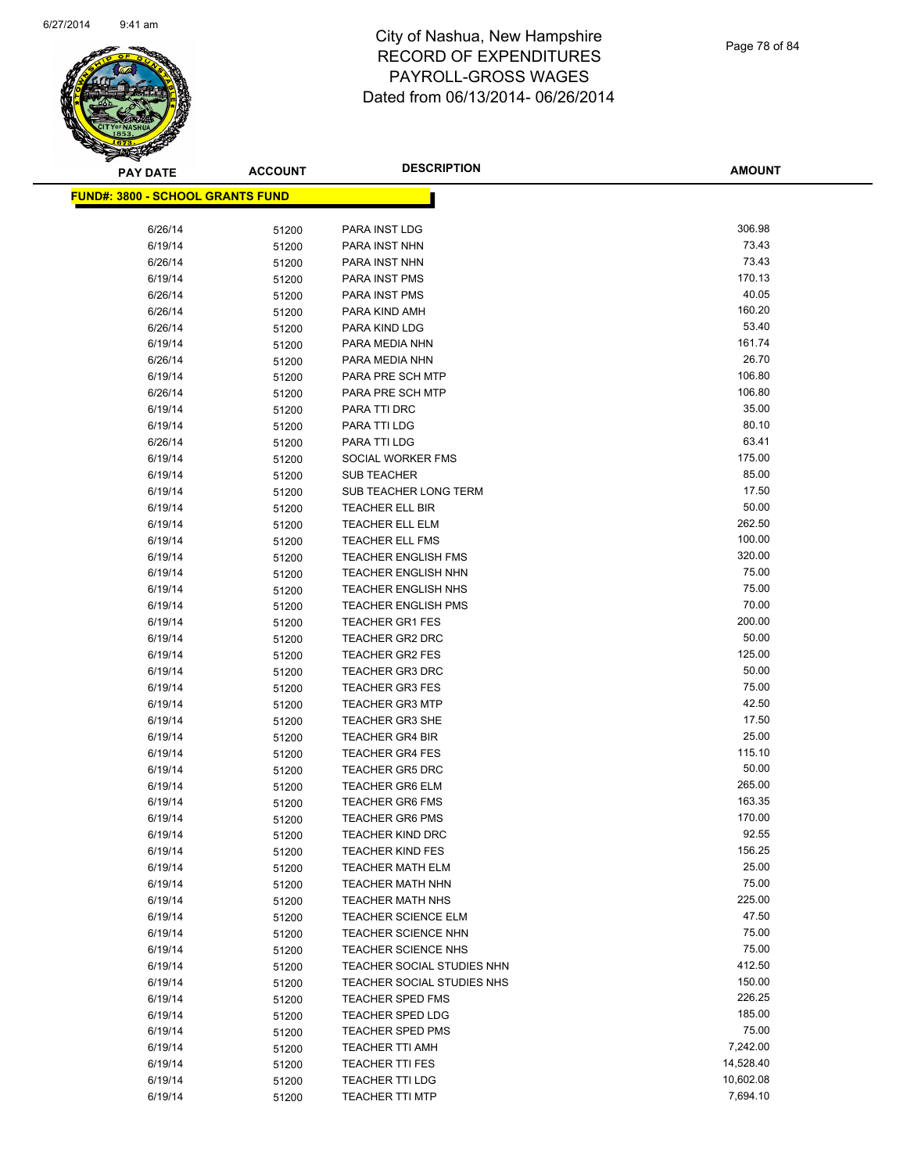

| <b>PAY DATE</b>                          | <b>ACCOUNT</b> | <b>DESCRIPTION</b>                               | <b>AMOUNT</b>   |
|------------------------------------------|----------------|--------------------------------------------------|-----------------|
| <u> FUND#: 3800 - SCHOOL GRANTS FUND</u> |                |                                                  |                 |
|                                          |                |                                                  |                 |
| 6/26/14                                  | 51200          | PARA INST LDG                                    | 306.98          |
| 6/19/14                                  | 51200          | PARA INST NHN                                    | 73.43           |
| 6/26/14                                  | 51200          | PARA INST NHN                                    | 73.43           |
| 6/19/14                                  | 51200          | PARA INST PMS                                    | 170.13          |
| 6/26/14                                  | 51200          | PARA INST PMS                                    | 40.05           |
| 6/26/14                                  | 51200          | PARA KIND AMH                                    | 160.20          |
| 6/26/14                                  | 51200          | PARA KIND LDG                                    | 53.40           |
| 6/19/14                                  | 51200          | PARA MEDIA NHN                                   | 161.74          |
| 6/26/14                                  | 51200          | PARA MEDIA NHN                                   | 26.70           |
| 6/19/14                                  | 51200          | PARA PRE SCH MTP                                 | 106.80          |
| 6/26/14                                  | 51200          | PARA PRE SCH MTP                                 | 106.80          |
| 6/19/14                                  | 51200          | PARA TTI DRC                                     | 35.00           |
| 6/19/14                                  | 51200          | PARA TTI LDG                                     | 80.10           |
| 6/26/14                                  | 51200          | PARA TTI LDG                                     | 63.41           |
| 6/19/14                                  | 51200          | SOCIAL WORKER FMS                                | 175.00          |
| 6/19/14                                  | 51200          | <b>SUB TEACHER</b>                               | 85.00           |
| 6/19/14                                  | 51200          | SUB TEACHER LONG TERM                            | 17.50           |
| 6/19/14                                  | 51200          | TEACHER ELL BIR                                  | 50.00           |
| 6/19/14                                  | 51200          | TEACHER ELL ELM                                  | 262.50          |
| 6/19/14                                  | 51200          | <b>TEACHER ELL FMS</b>                           | 100.00          |
| 6/19/14                                  | 51200          | <b>TEACHER ENGLISH FMS</b>                       | 320.00          |
| 6/19/14                                  | 51200          | <b>TEACHER ENGLISH NHN</b>                       | 75.00           |
| 6/19/14                                  | 51200          | TEACHER ENGLISH NHS                              | 75.00           |
| 6/19/14                                  | 51200          | <b>TEACHER ENGLISH PMS</b>                       | 70.00           |
| 6/19/14                                  | 51200          | <b>TEACHER GR1 FES</b>                           | 200.00          |
| 6/19/14                                  | 51200          | <b>TEACHER GR2 DRC</b>                           | 50.00           |
| 6/19/14                                  | 51200          | <b>TEACHER GR2 FES</b>                           | 125.00<br>50.00 |
| 6/19/14<br>6/19/14                       | 51200          | <b>TEACHER GR3 DRC</b><br><b>TEACHER GR3 FES</b> | 75.00           |
| 6/19/14                                  | 51200<br>51200 | <b>TEACHER GR3 MTP</b>                           | 42.50           |
| 6/19/14                                  | 51200          | <b>TEACHER GR3 SHE</b>                           | 17.50           |
| 6/19/14                                  | 51200          | <b>TEACHER GR4 BIR</b>                           | 25.00           |
| 6/19/14                                  | 51200          | <b>TEACHER GR4 FES</b>                           | 115.10          |
| 6/19/14                                  | 51200          | TEACHER GR5 DRC                                  | 50.00           |
| 6/19/14                                  | 51200          | <b>TEACHER GR6 ELM</b>                           | 265.00          |
| 6/19/14                                  | 51200          | <b>TEACHER GR6 FMS</b>                           | 163.35          |
| 6/19/14                                  | 51200          | <b>TEACHER GR6 PMS</b>                           | 170.00          |
| 6/19/14                                  | 51200          | <b>TEACHER KIND DRC</b>                          | 92.55           |
| 6/19/14                                  | 51200          | <b>TEACHER KIND FES</b>                          | 156.25          |
| 6/19/14                                  | 51200          | <b>TEACHER MATH ELM</b>                          | 25.00           |
| 6/19/14                                  | 51200          | <b>TEACHER MATH NHN</b>                          | 75.00           |
| 6/19/14                                  | 51200          | <b>TEACHER MATH NHS</b>                          | 225.00          |
| 6/19/14                                  | 51200          | TEACHER SCIENCE ELM                              | 47.50           |
| 6/19/14                                  | 51200          | <b>TEACHER SCIENCE NHN</b>                       | 75.00           |
| 6/19/14                                  | 51200          | <b>TEACHER SCIENCE NHS</b>                       | 75.00           |
| 6/19/14                                  | 51200          | TEACHER SOCIAL STUDIES NHN                       | 412.50          |
| 6/19/14                                  | 51200          | TEACHER SOCIAL STUDIES NHS                       | 150.00          |
| 6/19/14                                  | 51200          | TEACHER SPED FMS                                 | 226.25          |
| 6/19/14                                  | 51200          | TEACHER SPED LDG                                 | 185.00          |
| 6/19/14                                  | 51200          | <b>TEACHER SPED PMS</b>                          | 75.00           |
| 6/19/14                                  | 51200          | <b>TEACHER TTI AMH</b>                           | 7,242.00        |
| 6/19/14                                  | 51200          | <b>TEACHER TTI FES</b>                           | 14,528.40       |
| 6/19/14                                  | 51200          | <b>TEACHER TTI LDG</b>                           | 10,602.08       |
| 6/19/14                                  | 51200          | <b>TEACHER TTI MTP</b>                           | 7,694.10        |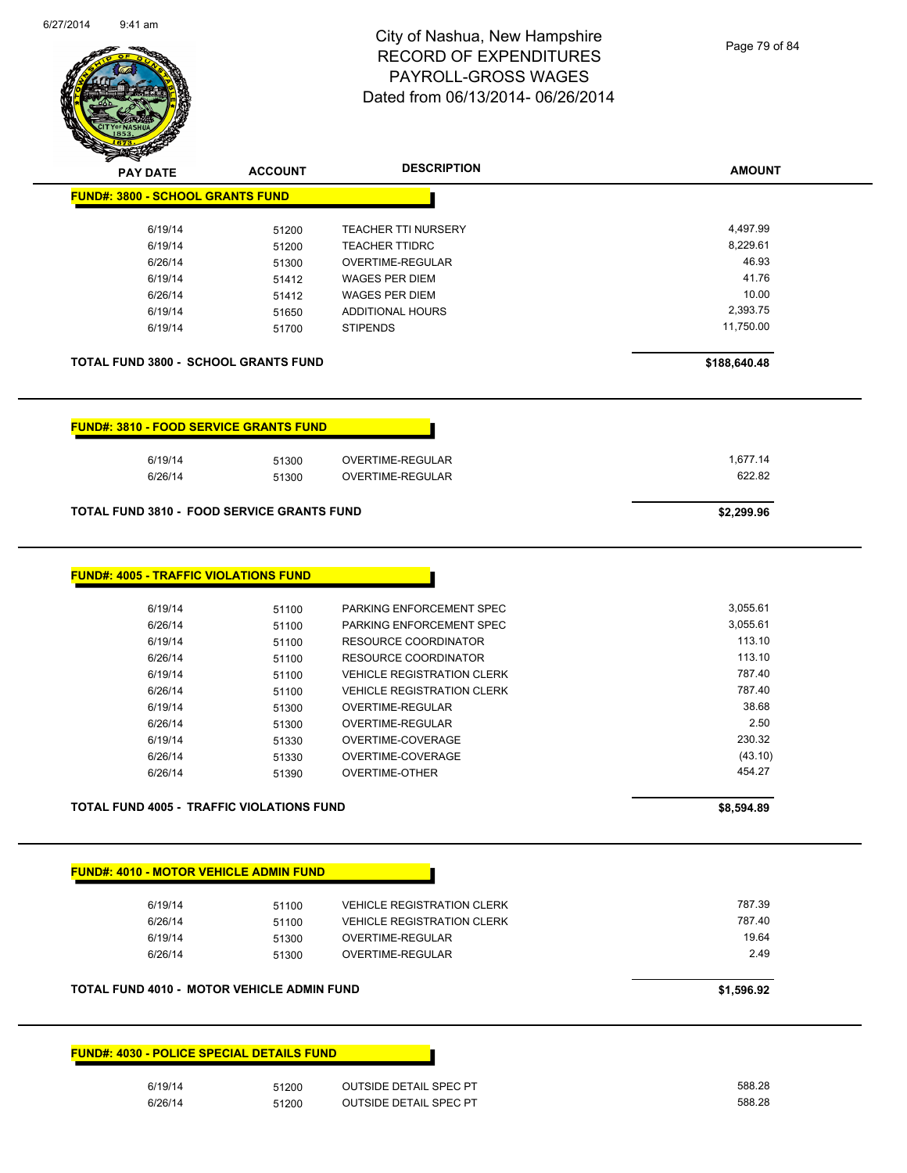

Page 79 of 84

| <b>SACTOR</b>                                     |                |                                   |               |
|---------------------------------------------------|----------------|-----------------------------------|---------------|
| <b>PAY DATE</b>                                   | <b>ACCOUNT</b> | <b>DESCRIPTION</b>                | <b>AMOUNT</b> |
| <b>FUND#: 3800 - SCHOOL GRANTS FUND</b>           |                |                                   |               |
| 6/19/14                                           | 51200          | <b>TEACHER TTI NURSERY</b>        | 4,497.99      |
| 6/19/14                                           | 51200          | <b>TEACHER TTIDRC</b>             | 8,229.61      |
| 6/26/14                                           | 51300          | OVERTIME-REGULAR                  | 46.93         |
| 6/19/14                                           | 51412          | <b>WAGES PER DIEM</b>             | 41.76         |
| 6/26/14                                           | 51412          | <b>WAGES PER DIEM</b>             | 10.00         |
| 6/19/14                                           | 51650          | <b>ADDITIONAL HOURS</b>           | 2,393.75      |
| 6/19/14                                           | 51700          | <b>STIPENDS</b>                   | 11,750.00     |
| TOTAL FUND 3800 - SCHOOL GRANTS FUND              |                |                                   | \$188,640.48  |
| <b>FUND#: 3810 - FOOD SERVICE GRANTS FUND</b>     |                |                                   |               |
| 6/19/14                                           | 51300          | OVERTIME-REGULAR                  | 1,677.14      |
| 6/26/14                                           | 51300          | OVERTIME-REGULAR                  | 622.82        |
| <b>TOTAL FUND 3810 - FOOD SERVICE GRANTS FUND</b> |                |                                   | \$2,299.96    |
|                                                   |                |                                   |               |
| <b>FUND#: 4005 - TRAFFIC VIOLATIONS FUND</b>      |                |                                   |               |
| 6/19/14                                           | 51100          | PARKING ENFORCEMENT SPEC          | 3,055.61      |
| 6/26/14                                           | 51100          | PARKING ENFORCEMENT SPEC          | 3,055.61      |
| 6/19/14                                           | 51100          | <b>RESOURCE COORDINATOR</b>       | 113.10        |
| 6/26/14                                           | 51100          | RESOURCE COORDINATOR              | 113.10        |
| 6/19/14                                           | 51100          | <b>VEHICLE REGISTRATION CLERK</b> | 787.40        |
| 6/26/14                                           | 51100          | <b>VEHICLE REGISTRATION CLERK</b> | 787.40        |
| 6/19/14                                           | 51300          | OVERTIME-REGULAR                  | 38.68         |
| 6/26/14                                           | 51300          | OVERTIME-REGULAR                  | 2.50          |
| 6/19/14                                           | 51330          | OVERTIME-COVERAGE                 | 230.32        |
| 6/26/14                                           | 51330          | OVERTIME-COVERAGE                 | (43.10)       |
| 6/26/14                                           | 51390          | <b>OVERTIME-OTHER</b>             | 454.27        |
| TOTAL FUND 4005 - TRAFFIC VIOLATIONS FUND         |                |                                   | \$8,594.89    |
| <b>FUND#: 4010 - MOTOR VEHICLE ADMIN FUND</b>     |                |                                   |               |
| 6/19/14                                           | 51100          | <b>VEHICLE REGISTRATION CLERK</b> | 787.39        |
| 6/26/14                                           | 51100          | <b>VEHICLE REGISTRATION CLERK</b> | 787.40        |
| 6/19/14                                           | 51300          | OVERTIME-REGULAR                  | 19.64         |
| 6/26/14                                           | 51300          | OVERTIME-REGULAR                  | 2.49          |
| TOTAL FUND 4010 - MOTOR VEHICLE ADMIN FUND        |                |                                   | \$1,596.92    |
| <b>FUND#: 4030 - POLICE SPECIAL DETAILS FUND</b>  |                |                                   |               |
| 6/19/14                                           | 51200          | <b>OUTSIDE DETAIL SPEC PT</b>     | 588.28        |

6/26/14 51200 OUTSIDE DETAIL SPEC PT 588.28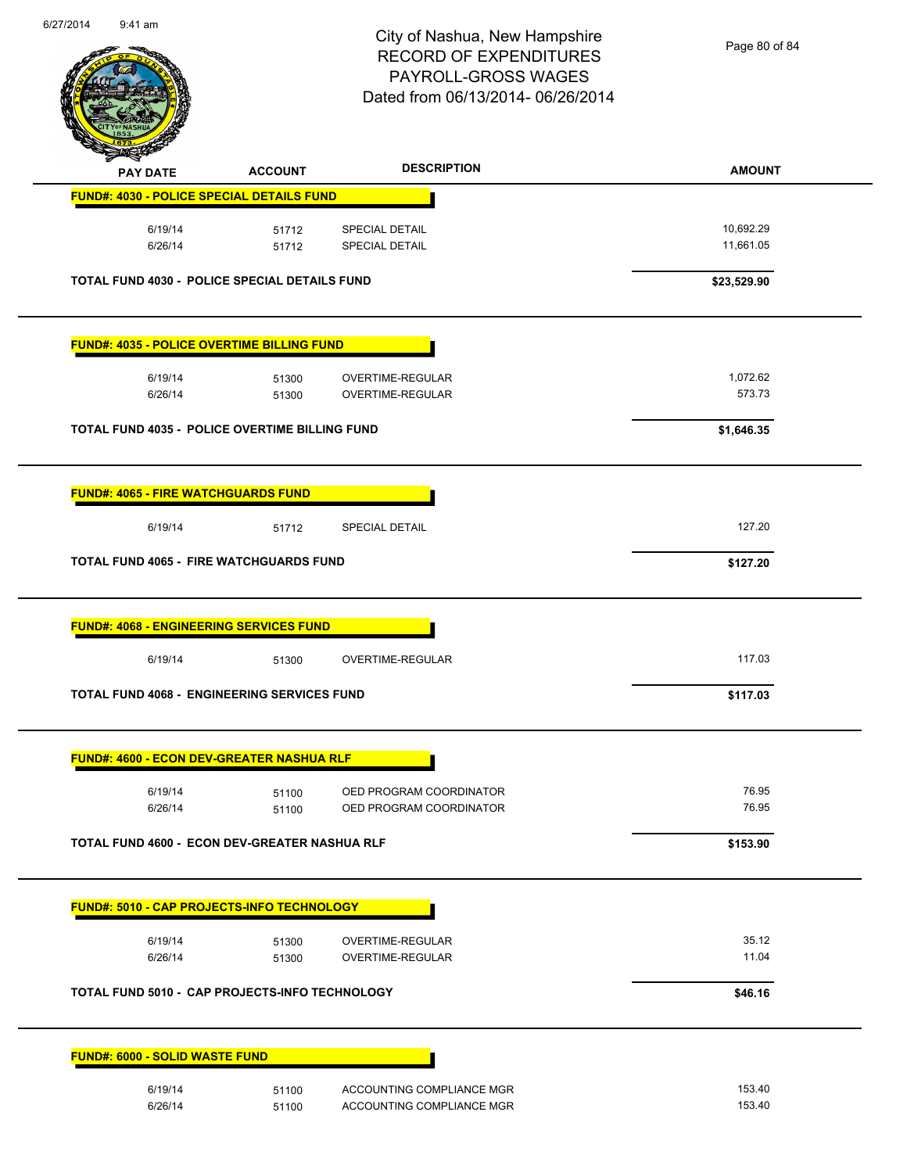

Page 80 of 84

| <b>PAY DATE</b>                                      | <b>ACCOUNT</b> | <b>DESCRIPTION</b>        | <b>AMOUNT</b> |
|------------------------------------------------------|----------------|---------------------------|---------------|
| <b>FUND#: 4030 - POLICE SPECIAL DETAILS FUND</b>     |                |                           |               |
| 6/19/14                                              | 51712          | <b>SPECIAL DETAIL</b>     | 10,692.29     |
| 6/26/14                                              | 51712          | <b>SPECIAL DETAIL</b>     | 11,661.05     |
|                                                      |                |                           |               |
| <b>TOTAL FUND 4030 - POLICE SPECIAL DETAILS FUND</b> |                |                           | \$23,529.90   |
| <b>FUND#: 4035 - POLICE OVERTIME BILLING FUND</b>    |                |                           |               |
| 6/19/14                                              | 51300          | OVERTIME-REGULAR          | 1,072.62      |
| 6/26/14                                              | 51300          | OVERTIME-REGULAR          | 573.73        |
| TOTAL FUND 4035 - POLICE OVERTIME BILLING FUND       |                |                           | \$1,646.35    |
| <b>FUND#: 4065 - FIRE WATCHGUARDS FUND</b>           |                |                           |               |
| 6/19/14                                              | 51712          | <b>SPECIAL DETAIL</b>     | 127.20        |
|                                                      |                |                           |               |
| <b>TOTAL FUND 4065 - FIRE WATCHGUARDS FUND</b>       |                |                           | \$127.20      |
| 6/19/14                                              | 51300          | OVERTIME-REGULAR          | 117.03        |
| <b>TOTAL FUND 4068 - ENGINEERING SERVICES FUND</b>   |                |                           | \$117.03      |
| <b>FUND#: 4600 - ECON DEV-GREATER NASHUA RLF</b>     |                |                           |               |
| 6/19/14                                              | 51100          | OED PROGRAM COORDINATOR   | 76.95         |
| 6/26/14                                              | 51100          | OED PROGRAM COORDINATOR   | 76.95         |
| TOTAL FUND 4600 - ECON DEV-GREATER NASHUA RLF        |                |                           | \$153.90      |
| FUND#: 5010 - CAP PROJECTS-INFO TECHNOLOGY           |                |                           |               |
| 6/19/14                                              | 51300          | OVERTIME-REGULAR          | 35.12         |
| 6/26/14                                              | 51300          | OVERTIME-REGULAR          | 11.04         |
| TOTAL FUND 5010 - CAP PROJECTS-INFO TECHNOLOGY       |                |                           | \$46.16       |
|                                                      |                |                           |               |
| <b>FUND#: 6000 - SOLID WASTE FUND</b>                |                |                           |               |
| 6/19/14                                              | 51100          | ACCOUNTING COMPLIANCE MGR | 153.40        |
| 6/26/14                                              | 51100          | ACCOUNTING COMPLIANCE MGR | 153.40        |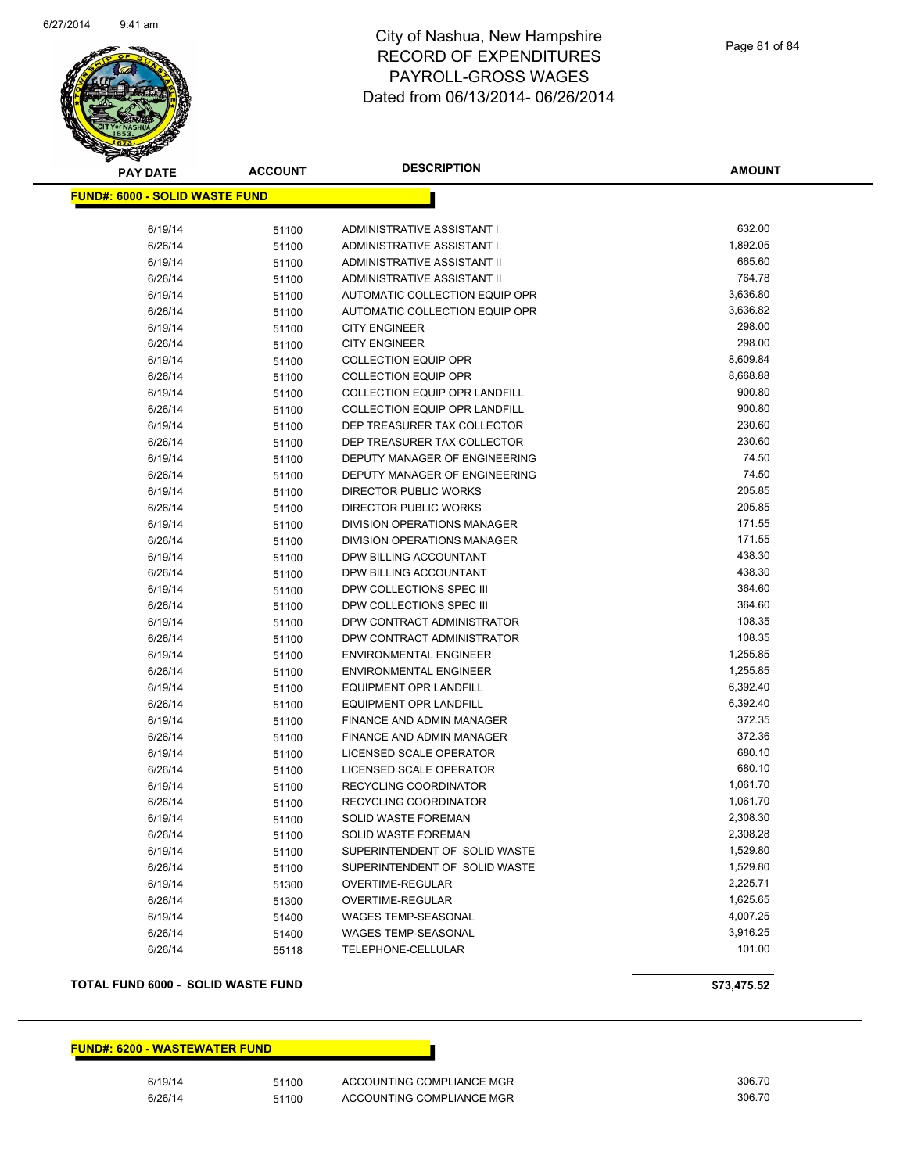

| <b>PAY DATE</b>                       | <b>ACCOUNT</b> | <b>DESCRIPTION</b>                   | <b>AMOUNT</b> |
|---------------------------------------|----------------|--------------------------------------|---------------|
| <b>FUND#: 6000 - SOLID WASTE FUND</b> |                |                                      |               |
|                                       |                |                                      |               |
| 6/19/14                               | 51100          | ADMINISTRATIVE ASSISTANT I           | 632.00        |
| 6/26/14                               | 51100          | ADMINISTRATIVE ASSISTANT I           | 1,892.05      |
| 6/19/14                               | 51100          | ADMINISTRATIVE ASSISTANT II          | 665.60        |
| 6/26/14                               | 51100          | ADMINISTRATIVE ASSISTANT II          | 764.78        |
| 6/19/14                               | 51100          | AUTOMATIC COLLECTION EQUIP OPR       | 3,636.80      |
| 6/26/14                               | 51100          | AUTOMATIC COLLECTION EQUIP OPR       | 3,636.82      |
| 6/19/14                               | 51100          | <b>CITY ENGINEER</b>                 | 298.00        |
| 6/26/14                               | 51100          | <b>CITY ENGINEER</b>                 | 298.00        |
| 6/19/14                               | 51100          | <b>COLLECTION EQUIP OPR</b>          | 8,609.84      |
| 6/26/14                               | 51100          | <b>COLLECTION EQUIP OPR</b>          | 8,668.88      |
| 6/19/14                               | 51100          | <b>COLLECTION EQUIP OPR LANDFILL</b> | 900.80        |
| 6/26/14                               | 51100          | <b>COLLECTION EQUIP OPR LANDFILL</b> | 900.80        |
| 6/19/14                               | 51100          | DEP TREASURER TAX COLLECTOR          | 230.60        |
| 6/26/14                               | 51100          | DEP TREASURER TAX COLLECTOR          | 230.60        |
| 6/19/14                               | 51100          | DEPUTY MANAGER OF ENGINEERING        | 74.50         |
| 6/26/14                               | 51100          | DEPUTY MANAGER OF ENGINEERING        | 74.50         |
| 6/19/14                               | 51100          | <b>DIRECTOR PUBLIC WORKS</b>         | 205.85        |
| 6/26/14                               | 51100          | DIRECTOR PUBLIC WORKS                | 205.85        |
| 6/19/14                               | 51100          | <b>DIVISION OPERATIONS MANAGER</b>   | 171.55        |
| 6/26/14                               | 51100          | <b>DIVISION OPERATIONS MANAGER</b>   | 171.55        |
| 6/19/14                               | 51100          | DPW BILLING ACCOUNTANT               | 438.30        |
| 6/26/14                               | 51100          | DPW BILLING ACCOUNTANT               | 438.30        |
| 6/19/14                               | 51100          | DPW COLLECTIONS SPEC III             | 364.60        |
| 6/26/14                               | 51100          | DPW COLLECTIONS SPEC III             | 364.60        |
| 6/19/14                               | 51100          | DPW CONTRACT ADMINISTRATOR           | 108.35        |
| 6/26/14                               | 51100          | DPW CONTRACT ADMINISTRATOR           | 108.35        |
| 6/19/14                               | 51100          | <b>ENVIRONMENTAL ENGINEER</b>        | 1,255.85      |
| 6/26/14                               | 51100          | <b>ENVIRONMENTAL ENGINEER</b>        | 1,255.85      |
| 6/19/14                               | 51100          | <b>EQUIPMENT OPR LANDFILL</b>        | 6,392.40      |
| 6/26/14                               | 51100          | <b>EQUIPMENT OPR LANDFILL</b>        | 6,392.40      |
| 6/19/14                               | 51100          | FINANCE AND ADMIN MANAGER            | 372.35        |
| 6/26/14                               | 51100          | FINANCE AND ADMIN MANAGER            | 372.36        |
| 6/19/14                               | 51100          | LICENSED SCALE OPERATOR              | 680.10        |
| 6/26/14                               | 51100          | LICENSED SCALE OPERATOR              | 680.10        |
| 6/19/14                               | 51100          | RECYCLING COORDINATOR                | 1,061.70      |
| 6/26/14                               | 51100          | RECYCLING COORDINATOR                | 1,061.70      |
| 6/19/14                               | 51100          | <b>SOLID WASTE FOREMAN</b>           | 2,308.30      |
| 6/26/14                               | 51100          | <b>SOLID WASTE FOREMAN</b>           | 2,308.28      |
| 6/19/14                               | 51100          | SUPERINTENDENT OF SOLID WASTE        | 1,529.80      |
| 6/26/14                               | 51100          | SUPERINTENDENT OF SOLID WASTE        | 1,529.80      |
| 6/19/14                               | 51300          | OVERTIME-REGULAR                     | 2,225.71      |
| 6/26/14                               | 51300          | OVERTIME-REGULAR                     | 1,625.65      |
| 6/19/14                               | 51400          | WAGES TEMP-SEASONAL                  | 4,007.25      |
| 6/26/14                               | 51400          | WAGES TEMP-SEASONAL                  | 3,916.25      |
| 6/26/14                               | 55118          | TELEPHONE-CELLULAR                   | 101.00        |

#### **TOTAL FUND 6000 - SOLID WASTE FUND \$73,475.52**

**FUND#: 6200 - WASTEWATER FUND**

6/19/14 51100 ACCOUNTING COMPLIANCE MGR 405.70 6/26/14 51100 ACCOUNTING COMPLIANCE MGR 306.70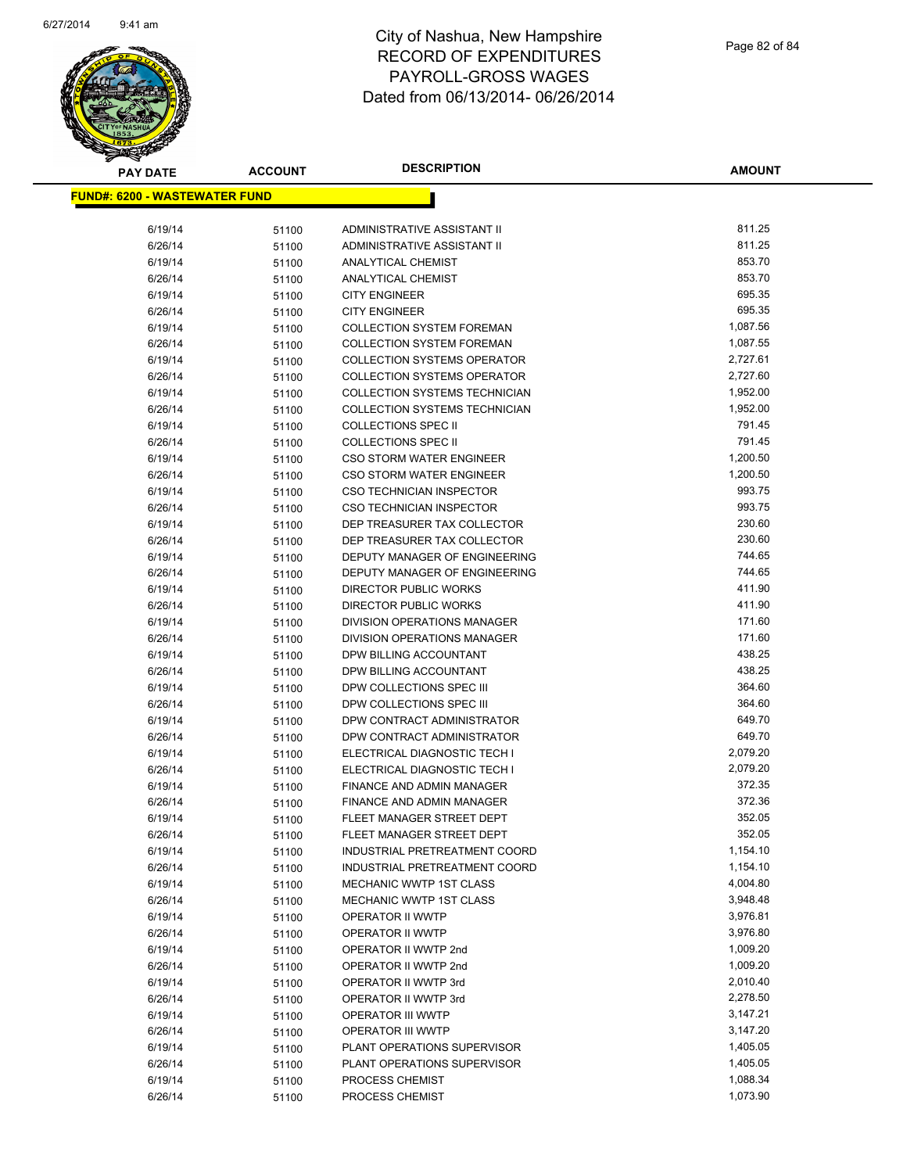

| <b>PAY DATE</b>                       | <b>ACCOUNT</b> | <b>DESCRIPTION</b>                                            | <b>AMOUNT</b>    |
|---------------------------------------|----------------|---------------------------------------------------------------|------------------|
| <u> FUND#: 6200 - WASTEWATER FUND</u> |                |                                                               |                  |
|                                       |                |                                                               |                  |
| 6/19/14                               | 51100          | ADMINISTRATIVE ASSISTANT II                                   | 811.25           |
| 6/26/14                               | 51100          | <b>ADMINISTRATIVE ASSISTANT II</b>                            | 811.25           |
| 6/19/14                               | 51100          | <b>ANALYTICAL CHEMIST</b>                                     | 853.70           |
| 6/26/14                               | 51100          | <b>ANALYTICAL CHEMIST</b>                                     | 853.70           |
| 6/19/14                               | 51100          | <b>CITY ENGINEER</b>                                          | 695.35           |
| 6/26/14                               | 51100          | <b>CITY ENGINEER</b>                                          | 695.35           |
| 6/19/14                               | 51100          | <b>COLLECTION SYSTEM FOREMAN</b>                              | 1,087.56         |
| 6/26/14                               | 51100          | <b>COLLECTION SYSTEM FOREMAN</b>                              | 1,087.55         |
| 6/19/14                               | 51100          | <b>COLLECTION SYSTEMS OPERATOR</b>                            | 2,727.61         |
| 6/26/14                               | 51100          | <b>COLLECTION SYSTEMS OPERATOR</b>                            | 2,727.60         |
| 6/19/14                               | 51100          | <b>COLLECTION SYSTEMS TECHNICIAN</b>                          | 1,952.00         |
| 6/26/14                               | 51100          | <b>COLLECTION SYSTEMS TECHNICIAN</b>                          | 1,952.00         |
| 6/19/14                               | 51100          | <b>COLLECTIONS SPEC II</b>                                    | 791.45           |
| 6/26/14                               | 51100          | <b>COLLECTIONS SPEC II</b>                                    | 791.45           |
| 6/19/14                               | 51100          | <b>CSO STORM WATER ENGINEER</b>                               | 1,200.50         |
| 6/26/14                               | 51100          | <b>CSO STORM WATER ENGINEER</b>                               | 1,200.50         |
| 6/19/14                               | 51100          | <b>CSO TECHNICIAN INSPECTOR</b>                               | 993.75           |
| 6/26/14                               | 51100          | <b>CSO TECHNICIAN INSPECTOR</b>                               | 993.75           |
| 6/19/14                               | 51100          | DEP TREASURER TAX COLLECTOR                                   | 230.60           |
| 6/26/14                               | 51100          | DEP TREASURER TAX COLLECTOR                                   | 230.60           |
| 6/19/14                               | 51100          | DEPUTY MANAGER OF ENGINEERING                                 | 744.65           |
| 6/26/14                               | 51100          | DEPUTY MANAGER OF ENGINEERING<br><b>DIRECTOR PUBLIC WORKS</b> | 744.65<br>411.90 |
| 6/19/14                               | 51100          |                                                               | 411.90           |
| 6/26/14<br>6/19/14                    | 51100          | DIRECTOR PUBLIC WORKS<br>DIVISION OPERATIONS MANAGER          | 171.60           |
| 6/26/14                               | 51100          | DIVISION OPERATIONS MANAGER                                   | 171.60           |
| 6/19/14                               | 51100          | DPW BILLING ACCOUNTANT                                        | 438.25           |
| 6/26/14                               | 51100<br>51100 | DPW BILLING ACCOUNTANT                                        | 438.25           |
| 6/19/14                               | 51100          | DPW COLLECTIONS SPEC III                                      | 364.60           |
| 6/26/14                               | 51100          | DPW COLLECTIONS SPEC III                                      | 364.60           |
| 6/19/14                               | 51100          | DPW CONTRACT ADMINISTRATOR                                    | 649.70           |
| 6/26/14                               | 51100          | DPW CONTRACT ADMINISTRATOR                                    | 649.70           |
| 6/19/14                               | 51100          | ELECTRICAL DIAGNOSTIC TECH I                                  | 2,079.20         |
| 6/26/14                               | 51100          | ELECTRICAL DIAGNOSTIC TECH I                                  | 2,079.20         |
| 6/19/14                               | 51100          | <b>FINANCE AND ADMIN MANAGER</b>                              | 372.35           |
| 6/26/14                               | 51100          | <b>FINANCE AND ADMIN MANAGER</b>                              | 372.36           |
| 6/19/14                               | 51100          | FLEET MANAGER STREET DEPT                                     | 352.05           |
| 6/26/14                               | 51100          | FLEET MANAGER STREET DEPT                                     | 352.05           |
| 6/19/14                               | 51100          | INDUSTRIAL PRETREATMENT COORD                                 | 1,154.10         |
| 6/26/14                               | 51100          | INDUSTRIAL PRETREATMENT COORD                                 | 1,154.10         |
| 6/19/14                               | 51100          | MECHANIC WWTP 1ST CLASS                                       | 4,004.80         |
| 6/26/14                               | 51100          | MECHANIC WWTP 1ST CLASS                                       | 3,948.48         |
| 6/19/14                               | 51100          | OPERATOR II WWTP                                              | 3,976.81         |
| 6/26/14                               | 51100          | OPERATOR II WWTP                                              | 3,976.80         |
| 6/19/14                               | 51100          | OPERATOR II WWTP 2nd                                          | 1,009.20         |
| 6/26/14                               | 51100          | OPERATOR II WWTP 2nd                                          | 1,009.20         |
| 6/19/14                               | 51100          | OPERATOR II WWTP 3rd                                          | 2,010.40         |
| 6/26/14                               | 51100          | OPERATOR II WWTP 3rd                                          | 2,278.50         |
| 6/19/14                               | 51100          | <b>OPERATOR III WWTP</b>                                      | 3,147.21         |
| 6/26/14                               | 51100          | OPERATOR III WWTP                                             | 3,147.20         |
| 6/19/14                               | 51100          | PLANT OPERATIONS SUPERVISOR                                   | 1,405.05         |
| 6/26/14                               | 51100          | PLANT OPERATIONS SUPERVISOR                                   | 1,405.05         |
| 6/19/14                               | 51100          | PROCESS CHEMIST                                               | 1,088.34         |
| 6/26/14                               | 51100          | PROCESS CHEMIST                                               | 1,073.90         |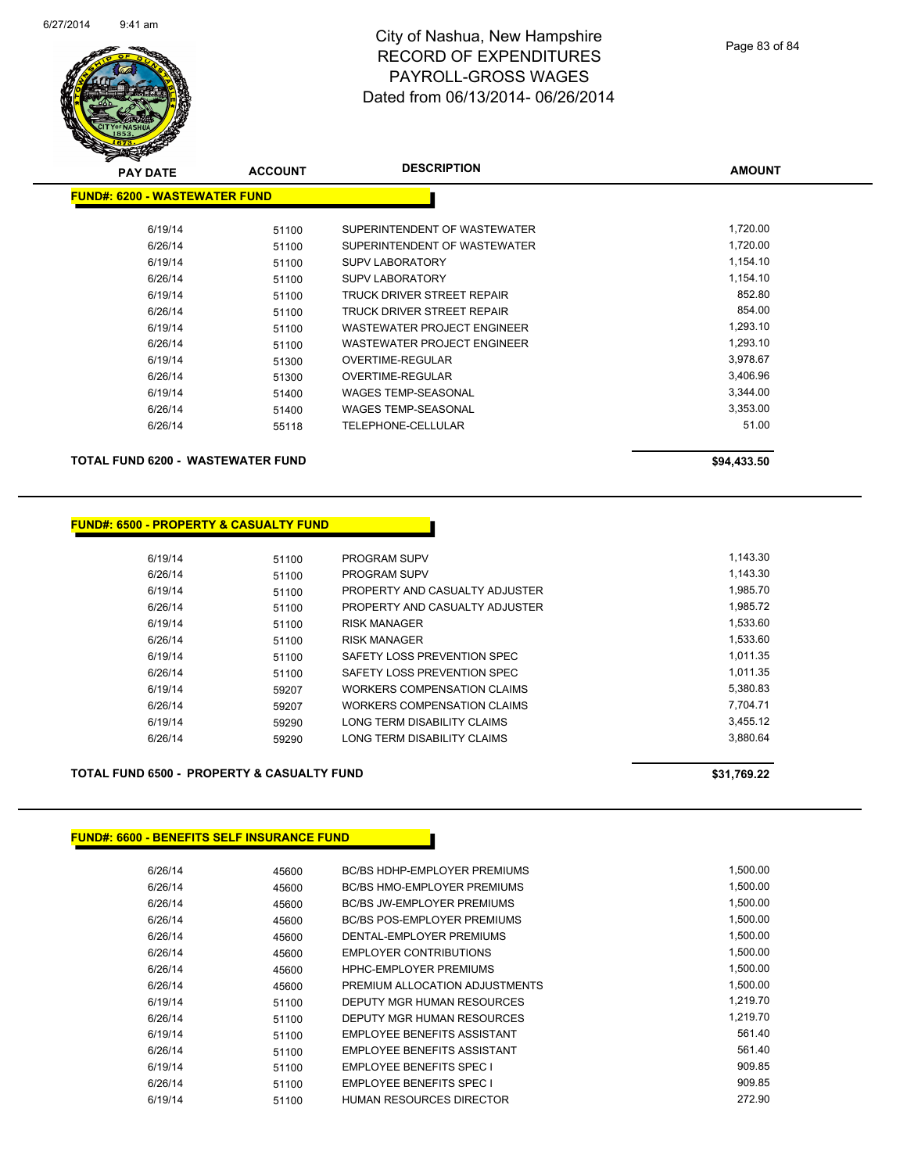

| <b>PAY DATE</b>                      | <b>ACCOUNT</b> | <b>DESCRIPTION</b>           | <b>AMOUNT</b> |
|--------------------------------------|----------------|------------------------------|---------------|
| <b>FUND#: 6200 - WASTEWATER FUND</b> |                |                              |               |
| 6/19/14                              | 51100          | SUPERINTENDENT OF WASTEWATER | 1,720.00      |
| 6/26/14                              | 51100          | SUPERINTENDENT OF WASTEWATER | 1,720.00      |
| 6/19/14                              | 51100          | <b>SUPV LABORATORY</b>       | 1,154.10      |
| 6/26/14                              | 51100          | <b>SUPV LABORATORY</b>       | 1,154.10      |
| 6/19/14                              | 51100          | TRUCK DRIVER STREET REPAIR   | 852.80        |
| 6/26/14                              | 51100          | TRUCK DRIVER STREET REPAIR   | 854.00        |
| 6/19/14                              | 51100          | WASTEWATER PROJECT ENGINEER  | 1,293.10      |
| 6/26/14                              | 51100          | WASTEWATER PROJECT ENGINEER  | 1,293.10      |
| 6/19/14                              | 51300          | OVERTIME-REGULAR             | 3,978.67      |
| 6/26/14                              | 51300          | OVERTIME-REGULAR             | 3,406.96      |
| 6/19/14                              | 51400          | <b>WAGES TEMP-SEASONAL</b>   | 3,344.00      |
| 6/26/14                              | 51400          | <b>WAGES TEMP-SEASONAL</b>   | 3,353.00      |
| 6/26/14                              | 55118          | TELEPHONE-CELLULAR           | 51.00         |
| TOTAL FUND 6200 - WASTEWATER FUND    |                |                              | \$94,433.50   |

#### **FUND#: 6500 - PROPERTY & CASUALTY FUND**

| 6/19/14 | 51100 | <b>PROGRAM SUPV</b>            | 1.143.30 |
|---------|-------|--------------------------------|----------|
| 6/26/14 | 51100 | <b>PROGRAM SUPV</b>            | 1.143.30 |
| 6/19/14 | 51100 | PROPERTY AND CASUALTY ADJUSTER | 1.985.70 |
| 6/26/14 | 51100 | PROPERTY AND CASUALTY ADJUSTER | 1.985.72 |
| 6/19/14 | 51100 | <b>RISK MANAGER</b>            | 1,533.60 |
| 6/26/14 | 51100 | <b>RISK MANAGER</b>            | 1,533.60 |
| 6/19/14 | 51100 | SAFETY LOSS PREVENTION SPEC    | 1.011.35 |
| 6/26/14 | 51100 | SAFETY LOSS PREVENTION SPEC    | 1.011.35 |
| 6/19/14 | 59207 | WORKERS COMPENSATION CLAIMS    | 5.380.83 |
| 6/26/14 | 59207 | WORKERS COMPENSATION CLAIMS    | 7.704.71 |
| 6/19/14 | 59290 | LONG TERM DISABILITY CLAIMS    | 3.455.12 |
| 6/26/14 | 59290 | LONG TERM DISABILITY CLAIMS    | 3.880.64 |
|         |       |                                |          |

Г

**TOTAL FUND 6500 - PROPERTY & CASUALTY FUND \$31,769.22** 

#### **FUND#: 6600 - BENEFITS SELF INSURANCE FUND**

| 6/26/14 | 45600 | <b>BC/BS HDHP-EMPLOYER PREMIUMS</b> | 1,500.00 |
|---------|-------|-------------------------------------|----------|
| 6/26/14 | 45600 | <b>BC/BS HMO-EMPLOYER PREMIUMS</b>  | 1,500.00 |
| 6/26/14 | 45600 | <b>BC/BS JW-EMPLOYER PREMIUMS</b>   | 1,500.00 |
| 6/26/14 | 45600 | <b>BC/BS POS-EMPLOYER PREMIUMS</b>  | 1,500.00 |
| 6/26/14 | 45600 | DENTAL-EMPLOYER PREMIUMS            | 1,500.00 |
| 6/26/14 | 45600 | EMPLOYER CONTRIBUTIONS              | 1,500.00 |
| 6/26/14 | 45600 | <b>HPHC-EMPLOYER PREMIUMS</b>       | 1,500.00 |
| 6/26/14 | 45600 | PREMIUM ALLOCATION ADJUSTMENTS      | 1,500.00 |
| 6/19/14 | 51100 | DEPUTY MGR HUMAN RESOURCES          | 1,219.70 |
| 6/26/14 | 51100 | DEPUTY MGR HUMAN RESOURCES          | 1,219.70 |
| 6/19/14 | 51100 | EMPLOYEE BENEFITS ASSISTANT         | 561.40   |
| 6/26/14 | 51100 | EMPLOYEE BENEFITS ASSISTANT         | 561.40   |
| 6/19/14 | 51100 | <b>EMPLOYEE BENEFITS SPEC I</b>     | 909.85   |
| 6/26/14 | 51100 | <b>EMPLOYEE BENEFITS SPEC I</b>     | 909.85   |
| 6/19/14 | 51100 | <b>HUMAN RESOURCES DIRECTOR</b>     | 272.90   |